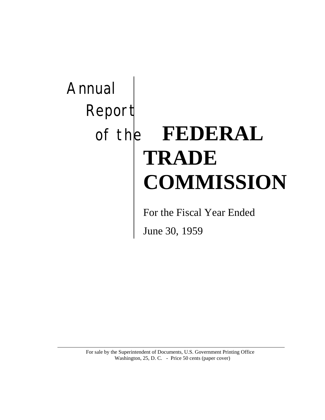# Annual Report of the **FEDERAL TRADE COMMISSION**

For the Fiscal Year Ended

June 30, 1959

For sale by the Superintendent of Documents, U.S. Government Printing Office Washington, 25, D. C. - Price 50 cents (paper cover)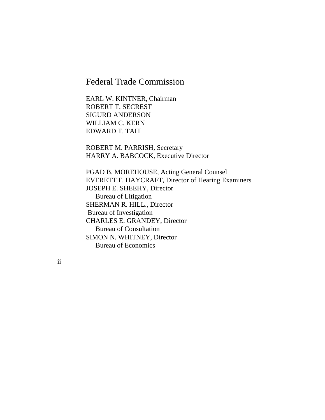Federal Trade Commission

EARL W. KINTNER, Chairman ROBERT T. SECREST SIGURD ANDERSON WILLIAM C. KERN EDWARD T. TAIT

ROBERT M. PARRISH, Secretary HARRY A. BABCOCK, Executive Director

PGAD B. MOREHOUSE, Acting General Counsel EVERETT F. HAYCRAFT, Director of Hearing Examiners JOSEPH E. SHEEHY, Director Bureau of Litigation SHERMAN R. HILL., Director Bureau of Investigation CHARLES E. GRANDEY, Director Bureau of Consultation SIMON N. WHITNEY, Director Bureau of Economics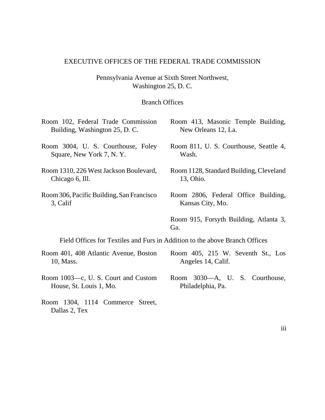# EXECUTIVE OFFICES OF THE FEDERAL TRADE COMMISSION

Pennsylvania Avenue at Sixth Street Northwest, Washington 25, D. C.

## Branch Offices

| Room 102, Federal Trade Commission                                          | Room 413, Masonic Temple Building,            |  |
|-----------------------------------------------------------------------------|-----------------------------------------------|--|
| Building, Washington 25, D. C.                                              | New Orleans 12, La.                           |  |
| Room 3004, U. S. Courthouse, Foley                                          | Room 811, U. S. Courthouse, Seattle 4,        |  |
| Square, New York 7, N.Y.                                                    | Wash.                                         |  |
| Room 1310, 226 West Jackson Boulevard,                                      | Room 1128, Standard Building, Cleveland       |  |
| Chicago 6, Ill.                                                             | 13, Ohio.                                     |  |
| Room 306, Pacific Building, San Francisco                                   | Room 2806, Federal Office Building,           |  |
| 3, Calif                                                                    | Kansas City, Mo.                              |  |
|                                                                             | Room 915, Forsyth Building, Atlanta 3,<br>Ga. |  |
| Field Offices for Textiles and Furs in Addition to the above Branch Offices |                                               |  |
| Room 401, 408 Atlantic Avenue, Boston                                       | Room 405, 215 W. Seventh St., Los             |  |
| 10, Mass.                                                                   | Angeles 14, Calif.                            |  |

Room 1003—c, U. S. Court and Custom House, St. Louis 1, Mo.

Room 3030—A, U. S. Courthouse, Philadelphia, Pa.

Room 1304, 1114 Commerce Street, Dallas 2, Tex

iii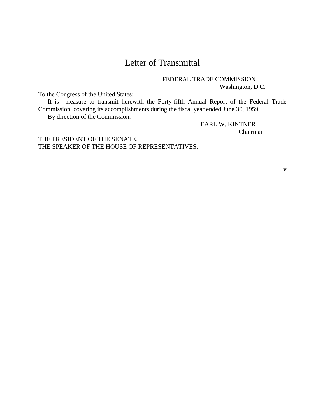# Letter of Transmittal

FEDERAL TRADE COMMISSION Washington, D.C.

To the Congress of the United States:

It is pleasure to transmit herewith the Forty-fifth Annual Report of the Federal Trade Commission, covering its accomplishments during the fiscal year ended June 30, 1959. By direction of the Commission.

> EARL W. KINTNER Chairman

THE PRESIDENT OF THE SENATE. THE SPEAKER OF THE HOUSE OF REPRESENTATIVES.

v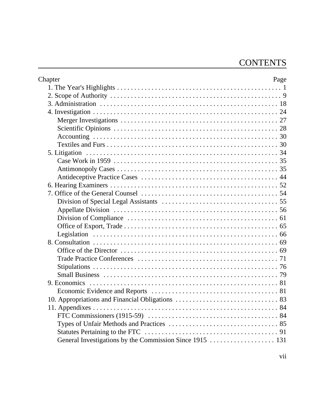# **CONTENTS**

| Chapter | Page |
|---------|------|
|         |      |
|         |      |
|         |      |
|         |      |
|         |      |
|         |      |
|         |      |
|         |      |
|         |      |
|         |      |
|         |      |
|         |      |
|         |      |
|         |      |
|         |      |
|         |      |
|         |      |
|         |      |
|         |      |
|         |      |
|         |      |
|         |      |
|         |      |
|         |      |
|         |      |
|         |      |
|         |      |
|         |      |
|         |      |
|         |      |
|         |      |
|         |      |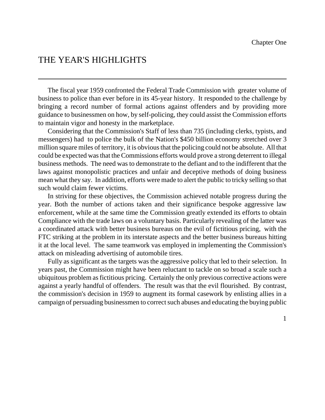# THE YEAR'S HIGHLIGHTS

The fiscal year 1959 confronted the Federal Trade Commission with greater volume of business to police than ever before in its 45-year history. It responded to the challenge by bringing a record number of formal actions against offenders and by providing more guidance to businessmen on how, by self-policing, they could assist the Commission efforts to maintain vigor and honesty in the marketplace.

Considering that the Commission's Staff of less than 735 (including clerks, typists, and messengers) had to police the bulk of the Nation's \$450 billion economy stretched over 3 million square miles of territory, it is obvious that the policing could not be absolute. All that could be expected wasthat the Commissions efforts would prove a strong deterrent to illegal business methods. The need was to demonstrate to the defiant and to the indifferent that the laws against monopolistic practices and unfair and deceptive methods of doing business mean what they say. In addition, efforts were made to alert the public to tricky selling so that such would claim fewer victims.

In striving for these objectives, the Commission achieved notable progress during the year. Both the number of actions taken and their significance bespoke aggressive law enforcement, while at the same time the Commission greatly extended its efforts to obtain Compliance with the trade laws on a voluntary basis. Particularly revealing of the latter was a coordinated attack with better business bureaus on the evil of fictitious pricing, with the FTC striking at the problem in its interstate aspects and the better business bureaus hitting it at the local level. The same teamwork vas employed in implementing the Commission's attack on misleading advertising of automobile tires.

Fully as significant as the targets was the aggressive policy that led to their selection. In years past, the Commission might have been reluctant to tackle on so broad a scale such a ubiquitous problem asfictitious pricing. Certainly the only previous corrective actions were against a yearly handful of offenders. The result was that the evil flourished. By contrast, the commission's decision in 1959 to augment its formal casework by enlisting allies in a campaign of persuading businessmen to correct such abuses and educating the buying public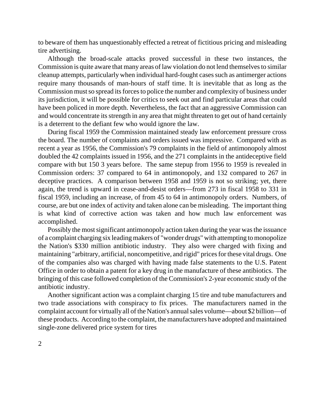to beware of them has unquestionably effected a retreat of fictitious pricing and misleading tire advertising.

Although the broad-scale attacks proved successful in these two instances, the Commission is quite aware that many areas of law violation do not lend themselves to similar cleanup attempts, particularly when individual hard-fought cases such as antimerger actions require many thousands of man-hours of staff time. It is inevitable that as long as the Commission must so spread its forces to police the number and complexity of business under its jurisdiction, it will be possible for critics to seek out and find particular areas that could have been policed in more depth. Nevertheless, the fact that an aggressive Commission can and would concentrate its strength in any area that might threaten to get out of hand certainly is a deterrent to the defiant few who would ignore the law.

During fiscal 1959 the Commission maintained steady law enforcement pressure cross the board. The number of complaints and orders issued was impressive. Compared with as recent a year as 1956, the Commission's 79 complaints in the field of antimonopoly almost doubled the 42 complaints issued in 1956, and the 271 complaints in the antideceptive field compare with but 150 3 years before. The same stepup from 1956 to 1959 is revealed in Commission orders: 37 compared to 64 in antimonopoly, and 132 compared to 267 in deceptive practices. A comparison between 1958 and 1959 is not so striking; yet, there again, the trend is upward in cease-and-desist orders—from 273 in fiscal 1958 to 331 in fiscal 1959, including an increase, of from 45 to 64 in antimonopoly orders. Numbers, of course, are but one index of activity and taken alone can be misleading. The important thing is what kind of corrective action was taken and how much law enforcement was accomplished.

Possibly the most significant antimonopoly action taken during the year was the issuance of a complaint charging six leading makers of "wonder drugs" with attempting to monopolize the Nation's \$330 million antibiotic industry. They also were charged with fixing and maintaining "arbitrary, artificial, noncompetitive, and rigid" pricesforthese vital drugs. One of the companies also was charged with having made false statements to the U.S. Patent Office in order to obtain a patent for a key drug in the manufacture of these antibiotics. The bringing of this case followed completion of the Commission's 2-year economic study of the antibiotic industry.

Another significant action was a complaint charging 15 tire and tube manufacturers and two trade associations with conspiracy to fix prices. The manufacturers named in the complaint account for virtually all of the Nation's annual sales volume—about \$2 billion—of these products. According to the complaint, the manufacturers have adopted and maintained single-zone delivered price system for tires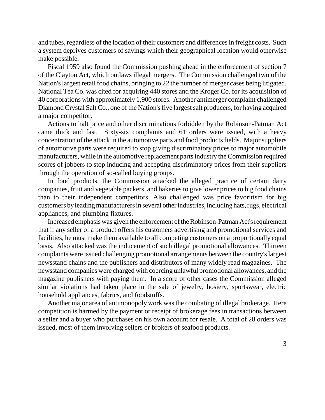and tubes, regardless of the location of their customers and differencesin freight costs. Such a system deprives customers of savings which their geographical location would otherwise make possible.

Fiscal 1959 also found the Commission pushing ahead in the enforcement of section 7 of the Clayton Act, which outlaws illegal mergers. The Commission challenged two of the Nation's largest retail food chains, bringing to 22 the number of merger cases being litigated. National Tea Co. was cited for acquiring 440 stores and the Kroger Co. for its acquisition of 40 corporations with approximately 1,900 stores. Another antimerger complaint challenged Diamond Crystal Salt Co., one of the Nation's five largest salt producers, for having acquired a major competitor.

Actions to halt price and other discriminations forbidden by the Robinson-Patman Act came thick and fast. Sixty-six complaints and 61 orders were issued, with a heavy concentration of the attack in the automotive parts and food products fields. Major suppliers of automotive parts were required to stop giving discriminatory prices to major automobile manufacturers, while in the automotive replacement partsindustry the Commission required scores of jobbers to stop inducing and accepting discriminatory prices from their suppliers through the operation of so-called buying groups.

In food products, the Commission attacked the alleged practice of certain dairy companies, fruit and vegetable packers, and bakeries to give lower prices to big food chains than to their independent competitors. Also challenged was price favoritism for big customers byleadingmanufacturers in several other industries, including hats, rugs, electrical appliances, and plumbing fixtures.

Increased emphasis was given the enforcement of the Robinson-Patman Act's requirement that if any seller of a product offers his customers advertising and promotional services and facilities, he must make them available to all competing customers on a proportionally equal basis. Also attacked was the inducement of such illegal promotional allowances. Thirteen complaints were issued challenging promotional arrangements between the country'slargest newsstand chains and the publishers and distributors of many widely read magazines. The newsstand companies were charged with coercing unlawful promotional allowances, and the magazine publishers with paying them. In a score of other cases the Commission alleged similar violations had taken place in the sale of jewelry, hosiery, sportswear, electric household appliances, fabrics, and foodstuffs.

Another major area of antimonopoly work was the combating of illegal brokerage. Here competition is harmed by the payment or receipt of brokerage fees in transactions between a seller and a buyer who purchases on his own account for resale. A total of 28 orders was issued, most of them involving sellers or brokers of seafood products.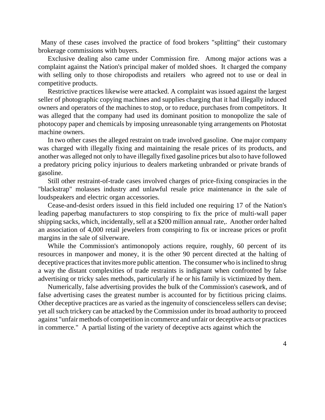Many of these cases involved the practice of food brokers "splitting" their customary brokerage commissions with buyers.

Exclusive dealing also came under Commission fire. Among major actions was a complaint against the Nation's principal maker of molded shoes. It charged the company with selling only to those chiropodists and retailers who agreed not to use or deal in competitive products.

Restrictive practices likewise were attacked. A complaint was issued against the largest seller of photographic copying machines and supplies charging that it had illegally induced owners and operators of the machines to stop, or to reduce, purchases from competitors. It was alleged that the company had used its dominant position to monopolize the sale of photocopy paper and chemicals by imposing unreasonable tying arrangements on Photostat machine owners.

In two other cases the alleged restraint on trade involved gasoline. One major company was charged with illegally fixing and maintaining the resale prices of its products, and another was alleged not only to have illegally fixed gasoline prices but also to have followed a predatory pricing policy injurious to dealers marketing unbranded or private brands of gasoline.

Still other restraint-of-trade cases involved charges of price-fixing conspiracies in the "blackstrap" molasses industry and unlawful resale price maintenance in the sale of loudspeakers and electric organ accessories.

Cease-and-desist orders issued in this field included one requiring 17 of the Nation's leading paperbag manufacturers to stop conspiring to fix the price of multi-wall paper shipping sacks, which, incidentally, sell at a \$200 million annual rate,. Another order halted an association of 4,000 retail jewelers from conspiring to fix or increase prices or profit margins in the sale of silverware.

While the Commission's antimonopoly actions require, roughly, 60 percent of its resources in manpower and money, it is the other 90 percent directed at the halting of deceptive practices that invites more public attention. The consumer who is inclined to shrug a way the distant complexities of trade restraints is indignant when confronted by false advertising or tricky sales methods, particularly if he or his family is victimized by them.

Numerically, false advertising provides the bulk of the Commission's casework, and of false advertising cases the greatest number is accounted for by fictitious pricing claims. Other deceptive practices are as varied as the ingenuity of conscienceless sellers can devise; yet all such trickery can be attacked by the Commission under its broad authority to proceed against "unfair methods of competition in commerce and unfair or deceptive acts or practices in commerce." A partial listing of the variety of deceptive acts against which the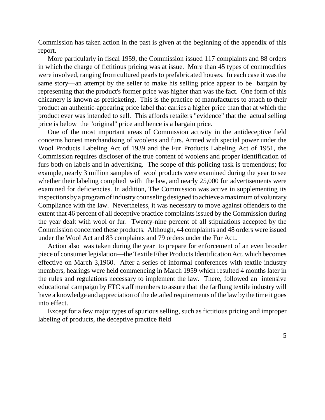Commission has taken action in the past is given at the beginning of the appendix of this report.

More particularly in fiscal 1959, the Commission issued 117 complaints and 88 orders in which the charge of fictitious pricing was at issue. More than 45 types of commodities were involved, ranging from cultured pearls to prefabricated houses. In each case it was the same story—an attempt by the seller to make his selling price appear to be bargain by representing that the product's former price was higher than was the fact. One form of this chicanery is known as preticketing. This is the practice of manufactures to attach to their product an authentic-appearing price label that carries a higher price than that at which the product ever was intended to sell. This affords retailers "evidence" that the actual selling price is below the "original'' price and hence is a bargain price.

One of the most important areas of Commission activity in the antideceptive field concerns honest merchandising of woolens and furs. Armed with special power under the Wool Products Labeling Act of 1939 and the Fur Products Labeling Act of 1951, the Commission requires discloser of the true content of woolens and proper identification of furs both on labels and in advertising. The scope of this policing task is tremendous; for example, nearly 3 million samples of wool products were examined during the year to see whether their labeling complied with the law, and nearly 25,000 fur advertisements were examined for deficiencies. In addition, The Commission was active in supplementing its inspections bya programofindustrycounseling designed to achieve a maximum of voluntary Compliance with the law. Nevertheless, it was necessary to move against offenders to the extent that 46 percent of all deceptive practice complaints issued by the Commission during the year dealt with wool or fur. Twenty-nine percent of all stipulations accepted by the Commission concerned these products. Although, 44 complaints and 48 orders were issued under the Wool Act and 83 complaints and 79 orders under the Fur Act..

Action also was taken during the year to prepare for enforcement of an even broader piece of consumerlegislation—theTextile Fiber Products Identification Act, which becomes effective on March 3,1960. After a series of informal conferences with textile industry members, hearings were held commencing in March 1959 which resulted 4 months later in the rules and regulations necessary to implement the law. There, followed an intensive educational campaign by FTC staff membersto assure that the farflung textile industry will have a knowledge and appreciation of the detailed requirements of the law by the time it goes into effect.

Except for a few major types of spurious selling, such as fictitious pricing and improper labeling of products, the deceptive practice field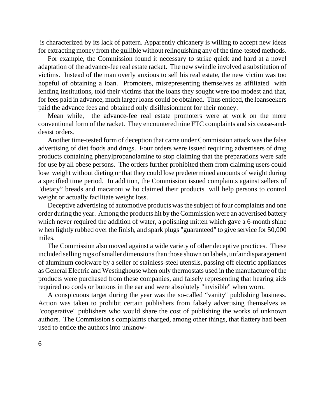is characterized by its lack of pattern. Apparently chicanery is willing to accept new ideas for extracting money from the gullible without relinquishing any of the time-tested methods.

For example, the Commission found it necessary to strike quick and hard at a novel adaptation of the advance-fee real estate racket. The new swindle involved a substitution of victims. Instead of the man overly anxious to sell his real estate, the new victim was too hopeful of obtaining a loan. Promoters, misrepresenting themselves as affiliated with lending institutions, told their victims that the loans they sought were too modest and that, for fees paid in advance, much larger loans could be obtained. Thus enticed, the loanseekers paid the advance fees and obtained only disillusionment for their money.

Mean while, the advance-fee real estate promoters were at work on the more conventional form of the racket. They encountered nine FTC complaints and six cease-anddesist orders.

Another time-tested form of deception that came under Commission attack was the false advertising of diet foods and drugs. Four orders were issued requiring advertisers of drug products containing phenylpropanolamine to stop claiming that the preparations were safe for use by all obese persons. The orders further prohibited them from claiming users could lose weight without dieting or that they could lose predetermined amounts of weight during a specified time period. In addition, the Commission issued complaints against sellers of "dietary" breads and macaroni w ho claimed their products will help persons to control weight or actually facilitate weight loss.

Deceptive advertising of automotive products was the subject of four complaints and one order during the year. Among the products hit by the Commission were an advertised battery which never required the addition of water, a polishing mitten which gave a 6-month shine w hen lightly rubbed over the finish, and spark plugs "guaranteed" to give service for 50,000 miles.

The Commission also moved against a wide variety of other deceptive practices. These included selling rugs of smaller dimensions than those shown on labels, unfair disparagement of aluminum cookware by a seller of stainless-steel utensils, passing off electric appliances as General Electric and Westinghouse when only thermostats used in the manufacture of the products were purchased from these companies, and falsely representing that hearing aids required no cords or buttons in the ear and were absolutely "invisible" when worn.

A conspicuous target during the year was the so-called "vanity" publishing business. Action was taken to prohibit certain publishers from falsely advertising themselves as "cooperative" publishers who would share the cost of publishing the works of unknown authors. The Commission's complaints charged, among other things, that flattery had been used to entice the authors into unknow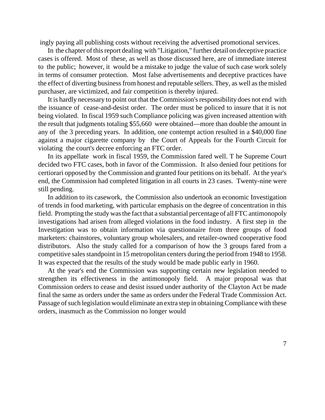ingly paying all publishing costs without receiving the advertised promotional services.

In the chapter of this report dealing with "Litigation," further detail on deceptive practice cases is offered. Most of these, as well as those discussed here, are of immediate interest to the public; however, it would be a mistake to judge the value of such case work solely in terms of consumer protection. Most false advertisements and deceptive practices have the effect of diverting businessfrom honest and reputable sellers. They, as well asthe misled purchaser, are victimized, and fair competition is thereby injured.

It is hardly necessary to point out that the Commission's responsibility does not end with the issuance of cease-and-desist order. The order must be policed to insure that it is not being violated. In fiscal 1959 such Compliance policing was given increased attention with the result that judgments totaling \$55,660 were obtained—more than double the amount in any of the 3 preceding years. In addition, one contempt action resulted in a \$40,000 fine against a major cigarette company by the Court of Appeals for the Fourth Circuit for violating the court's decree enforcing an FTC order.

In its appellate work in fiscal 1959, the Commission fared well. T he Supreme Court decided two FTC cases, both in favor of the Commission. It also denied four petitions for certiorari opposed by the Commission and granted four petitions on its behalf. At the year's end, the Commission had completed litigation in all courts in 23 cases. Twenty-nine were still pending.

In addition to its casework, the Commission also undertook an economic Investigation of trends in food marketing, with particular emphasis on the degree of concentration in this field. Prompting the study was the fact that a substantial percentage of all FTC antimonopoly investigations had arisen from alleged violations in the food industry. A first step in the Investigation was to obtain information via questionnaire from three groups of food marketers: chainstores, voluntary group wholesalers, and retailer-owned cooperative food distributors. Also the study called for a comparison of how the 3 groups fared from a competitive sales standpoint in 15 metropolitan centers during the period from 1948 to 1958. It was expected that the results of the study would be made public early in 1960.

At the year's end the Commission was supporting certain new legislation needed to strengthen its effectiveness in the antimonopoly field. A major proposal was that Commission orders to cease and desist issued under authority of the Clayton Act be made final the same as orders under the same as orders under the Federal Trade Commission Act. Passage of such legislation would eliminate an extra step in obtaining Compliance with these orders, inasmuch as the Commission no longer would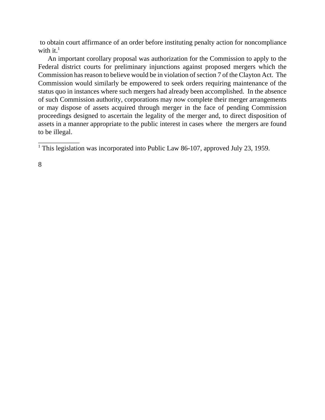to obtain court affirmance of an order before instituting penalty action for noncompliance with it. $<sup>1</sup>$ </sup>

An important corollary proposal was authorization for the Commission to apply to the Federal district courts for preliminary injunctions against proposed mergers which the Commission has reason to believe would be in violation of section 7 of the Clayton Act. The Commission would similarly be empowered to seek orders requiring maintenance of the status quo in instances where such mergers had already been accomplished. In the absence of such Commission authority, corporations may now complete their merger arrangements or may dispose of assets acquired through merger in the face of pending Commission proceedings designed to ascertain the legality of the merger and, to direct disposition of assets in a manner appropriate to the public interest in cases where the mergers are found to be illegal.

\_\_\_\_\_\_\_\_\_\_\_\_

<sup>&</sup>lt;sup>1</sup> This legislation was incorporated into Public Law 86-107, approved July 23, 1959.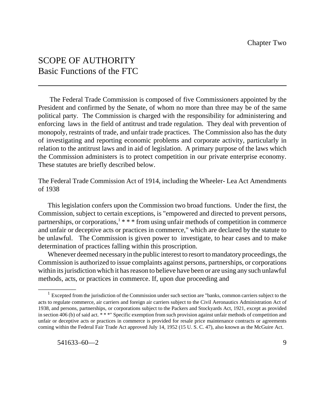# SCOPE OF AUTHORITY Basic Functions of the FTC

The Federal Trade Commission is composed of five Commissioners appointed by the President and confirmed by the Senate, of whom no more than three may be of the same political party. The Commission is charged with the responsibility for administering and enforcing laws in the field of antitrust and trade regulation. They deal with prevention of monopoly, restraints of trade, and unfair trade practices. The Commission also has the duty of investigating and reporting economic problems and corporate activity, particularly in relation to the antitrust laws and in aid of legislation. A primary purpose of the laws which the Commission administers is to protect competition in our private enterprise economy. These statutes are briefly described below.

The Federal Trade Commission Act of 1914, including the Wheeler- Lea Act Amendments of 1938

This legislation confers upon the Commission two broad functions. Under the first, the Commission, subject to certain exceptions, is "empowered and directed to prevent persons, partnerships, or corporations,<sup>1</sup> \* \* \* from using unfair methods of competition in commerce and unfair or deceptive acts or practices in commerce," which are declared by the statute to be unlawful. The Commission is given power to investigate, to hear cases and to make determination of practices falling within this proscription.

Whenever deemed necessaryin the public interest to resort to mandatory proceedings, the Commission is authorized to issue complaints against persons, partnerships, or corporations within its jurisdiction which it has reason to believe have been or are using any such unlawful methods, acts, or practices in commerce. If, upon due proceeding and

\_\_\_\_\_\_\_\_\_\_\_

 $<sup>1</sup>$  Excepted from the jurisdiction of the Commission under such section are "banks, common carriers subject to the</sup> acts to regulate commerce, air carriers and foreign air carriers subject to the Civil Aeronautics Administration Act of 1938, and persons, partnerships, or corporations subject to the Packers and Stockyards Act, 1921, except as provided in section 406 (b) of said act. \* \* \*" Specific exemption from such provision against unfair methods of competition and unfair or deceptive acts or practices in commerce is provided for resale price maintenance contracts or agreements coming within the Federal Fair Trade Act approved July 14, 1952 (15 U. S. C. 47), also known as the McGuire Act.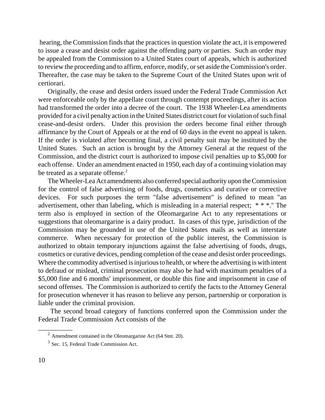hearing, the Commission finds that the practices in question violate the act, it is empowered to issue a cease and desist order against the offending party or parties. Such an order may be appealed from the Commission to a United States court of appeals, which is authorized to review the proceeding and to affirm, enforce, modify, orset aside the Commission's order. Thereafter, the case may be taken to the Supreme Court of the United States upon writ of certiorari.

Originally, the cease and desist orders issued under the Federal Trade Commission Act were enforceable only by the appellate court through contempt proceedings, after its action had transformed the order into a decree of the court. The 1938 Wheeler-Lea amendments provided for a civil penalty action in the United States district court for violation of such final cease-and-desist orders. Under this provision the orders become final either through affirmance by the Court of Appeals or at the end of 60 days in the event no appeal is taken. If the order is violated after becoming final, a civil penalty suit may be instituted by the United States. Such an action is brought by the Attorney General at the request of the Commission, and the district court is authorized to impose civil penalties up to \$5,000 for each offense. Under an amendment enacted in 1950, each day of a continuing violation may be treated as a separate offense.<sup>2</sup>

The Wheeler-Lea Act amendments also conferred special authority upon the Commission for the control of false advertising of foods, drugs, cosmetics and curative or corrective devices. For such purposes the term "false advertisement" is defined to mean "an advertisement, other than labeling, which is misleading in a material respect; \* \* \*." The term also is employed in section of the Oleomargarine Act to any representations or suggestions that oleomargarine is a dairy product. In cases of this type, jurisdiction of the Commission may be grounded in use of the United States mails as well as interstate commerce. When necessary for protection of the public interest, the Commission is authorized to obtain temporary injunctions against the false advertising of foods, drugs, cosmetics or curative devices, pending completion of the cease and desist order proceedings. Where the commodity advertised is injurious to health, or where the advertising is with intent to defraud or mislead, criminal prosecution may also be had with maximum penalties of a \$5,000 fine and 6 months' imprisonment, or double this fine and imprisonment in case of second offenses. The Commission is authorized to certify the facts to the Attorney General for prosecution whenever it has reason to believe any person, partnership or corporation is liable under the criminal provision.

 The second broad category of functions conferred upon the Commission under the Federal Trade Commission Act consists of the

\_\_\_\_\_\_\_\_\_\_

 $2 \text{ Amen}$  contained in the Oleomargarine Act (64 Stnt. 20).

<sup>&</sup>lt;sup>3</sup> Sec. 15, Federal Trade Commission Act.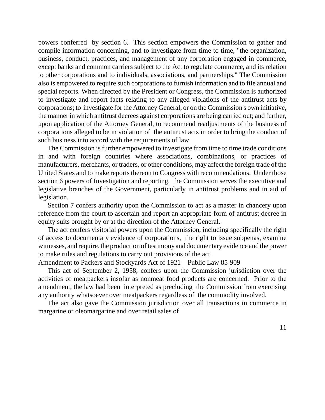powers conferred by section 6. This section empowers the Commission to gather and compile information concerning, and to investigate from time to time, "the organization, business, conduct, practices, and management of any corporation engaged in commerce, except banks and common carriers subject to the Act to regulate commerce, and its relation to other corporations and to individuals, associations, and partnerships." The Commission also is empowered to require such corporations to furnish information and to file annual and special reports. When directed by the President or Congress, the Commission is authorized to investigate and report facts relating to any alleged violations of the antitrust acts by corporations; to investigate for the Attorney General, or on the Commission's own initiative, the manner in which antitrust decrees against corporations are being carried out; and further, upon application of the Attorney General, to recommend readjustments of the business of corporations alleged to be in violation of the antitrust acts in order to bring the conduct of such business into accord with the requirements of law.

The Commission is further empowered to investigate from time to time trade conditions in and with foreign countries where associations, combinations, or practices of manufacturers, merchants, or traders, or other conditions, may affect the foreign trade of the United States and to make reports thereon to Congress with recommendations. Under those section 6 powers of Investigation and reporting, the Commission serves the executive and legislative branches of the Government, particularly in antitrust problems and in aid of legislation.

Section 7 confers authority upon the Commission to act as a master in chancery upon reference from the court to ascertain and report an appropriate form of antitrust decree in equity suits brought by or at the direction of the Attorney General.

The act confers visitorial powers upon the Commission, including specifically the right of access to documentary evidence of corporations, the right to issue subpenas, examine witnesses, and require. the production of testimony and documentary evidence and the power to make rules and regulations to carry out provisions of the act.

Amendment to Packers and Stockyards Act of 1921—Public Law 85-909

This act of September 2, 1958, confers upon the Commission jurisdiction over the activities of meatpackers insofar as nonmeat food products are concerned. Prior to the amendment, the law had been interpreted as precluding the Commission from exercising any authority whatsoever over meatpackers regardless of the commodity involved.

The act also gave the Commission jurisdiction over all transactions in commerce in margarine or oleomargarine and over retail sales of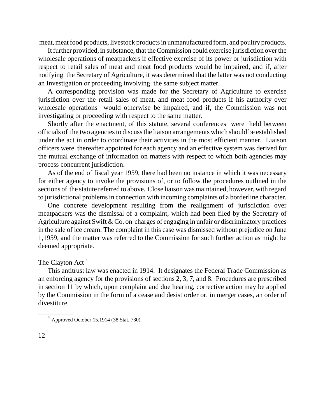meat, meat food products, livestock products in unmanufactured form, and poultry products.

It further provided, in substance, that the Commission could exercise jurisdiction over the wholesale operations of meatpackers if effective exercise of its power or jurisdiction with respect to retail sales of meat and meat food products would be impaired, and if, after notifying the Secretary of Agriculture, it was determined that the latter was not conducting an Investigation or proceeding involving the same subject matter.

A corresponding provision was made for the Secretary of Agriculture to exercise jurisdiction over the retail sales of meat, and meat food products if his authority over wholesale operations would otherwise be impaired, and if, the Commission was not investigating or proceeding with respect to the same matter.

Shortly after the enactment, of this statute, several conferences were held between officials of the two agencies to discuss the liaison arrangements which should be established under the act in order to coordinate their activities in the most efficient manner. Liaison officers were thereafter appointed for each agency and an effective system was derived for the mutual exchange of information on matters with respect to which both agencies may process concurrent jurisdiction.

As of the end of fiscal year 1959, there had been no instance in which it was necessary for either agency to invoke the provisions of, or to follow the procedures outlined in the sections of the statute referred to above. Close liaison was maintained, however, with regard to jurisdictional problems in connection with incoming complaints of a borderline character.

One concrete development resulting from the realignment of jurisdiction over meatpackers was the dismissal of a complaint, which had been filed by the Secretary of Agriculture against Swift & Co. on charges of engaging in unfair or discriminatory practices in the sale of ice cream. The complaint in this case was dismissed without prejudice on June 1,1959, and the matter was referred to the Commission for such further action as might be deemed appropriate.

# The Clayton Act<sup>4</sup>

\_\_\_\_\_\_\_\_\_\_

This antitrust law was enacted in 1914. It designates the Federal Trade Commission as an enforcing agency for the provisions of sections 2, 3, 7, and 8. Procedures are prescribed in section 11 by which, upon complaint and due hearing, corrective action may be applied by the Commission in the form of a cease and desist order or, in merger cases, an order of divestiture.

<sup>4</sup> Approved October 15,1914 (38 Stat. 730).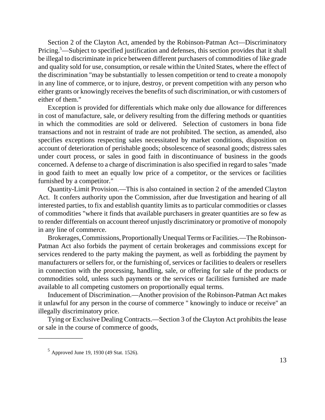Section 2 of the Clayton Act, amended by the Robinson-Patman Act—Discriminatory Pricing.<sup>5</sup>—Subject to specified justification and defenses, this section provides that it shall be illegal to discriminate in price between different purchasers of commodities of like grade and quality sold for use, consumption, or resale within the United States, where the effect of the discrimination "may be substantially to lessen competition or tend to create a monopoly in any line of commerce, or to injure, destroy, or prevent competition with any person who either grants or knowingly receives the benefits of such discrimination, or with customers of either of them."

Exception is provided for differentials which make only due allowance for differences in cost of manufacture, sale, or delivery resulting from the differing methods or quantities in which the commodities are sold or delivered. Selection of customers in bona fide transactions and not in restraint of trade are not prohibited. The section, as amended, also specifies exceptions respecting sales necessitated by market conditions, disposition on account of deterioration of perishable goods; obsolescence of seasonal goods; distress sales under court process, or sales in good faith in discontinuance of business in the goods concerned. A defense to a charge of discrimination is also specified in regard to sales "made in good faith to meet an equally low price of a competitor, or the services or facilities furnished by a competitor."

Quantity-Limit Provision.—This is also contained in section 2 of the amended Clayton Act. It confers authority upon the Commission, after due Investigation and hearing of all interested parties, to fix and establish quantity limits as to particular commodities or classes of commodities "where it finds that available purchasers in greater quantities are so few as to render differentials on account thereof unjustly discriminatory or promotive of monopoly in any line of commerce.

Brokerages, Commissions, Proportionally Unequal Terms or Facilities.—The Robinson-Patman Act also forbids the payment of certain brokerages and commissions except for services rendered to the party making the payment, as well as forbidding the payment by manufacturers or sellers for, or the furnishing of, services or facilities to dealers or resellers in connection with the processing, handling, sale, or offering for sale of the products or commodities sold, unless such payments or the services or facilities furnished are made available to all competing customers on proportionally equal terms.

Inducement of Discrimination.—Another provision of the Robinson-Patman Act makes it unlawful for any person in the course of commerce " knowingly to induce or receive" an illegally discriminatory price.

Tying or Exclusive Dealing Contracts.—Section 3 of the Clayton Act prohibits the lease or sale in the course of commerce of goods,

\_\_\_\_\_\_\_\_\_\_\_\_\_

<sup>5</sup> Approved June 19, 1930 (49 Stat. 1526).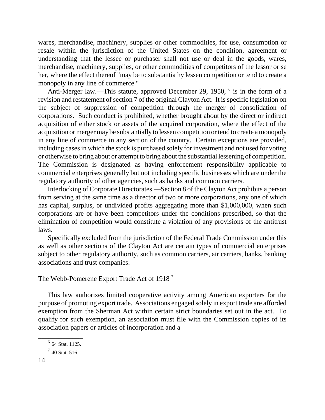wares, merchandise, machinery, supplies or other commodities, for use, consumption or resale within the jurisdiction of the United States on the condition, agreement or understanding that the lessee or purchaser shall not use or deal in the goods, wares, merchandise, machinery, supplies, or other commodities of competitors of the lessor or se her, where the effect thereof "may be to substantia hy lessen competition or tend to create a monopoly in any line of commerce."

Anti-Merger law.—This statute, approved December 29, 1950, <sup>6</sup> is in the form of a revision and restatement of section 7 of the original Clayton Act. It is specific legislation on the subject of suppression of competition through the merger of consolidation of corporations. Such conduct is prohibited, whether brought about by the direct or indirect acquisition of either stock or assets of the acquired corporation, where the effect of the acquisition or merger may be substantially to lessen competition or tend to create a monopoly in any line of commerce in any section of the country. Certain exceptions are provided, including cases in which the stock is purchased solely for investment and not used for voting or otherwise to bring about or attempt to bring about the substantial lessening of competition. The Commission is designated as having enforcement responsibility applicable to commercial enterprises generally but not including specific businesses which are under the regulatory authority of other agencies, such as banks and common carriers.

Interlocking of Corporate Directorates.—Section 8 of the Clayton Act prohibits a person from serving at the same time as a director of two or more corporations, any one of which has capital, surplus, or undivided profits aggregating more than \$1,000,000, when such corporations are or have been competitors under the conditions prescribed, so that the elimination of competition would constitute a violation of any provisions of the antitrust laws.

Specifically excluded from the jurisdiction of the Federal Trade Commission under this as well as other sections of the Clayton Act are certain types of commercial enterprises subject to other regulatory authority, such as common carriers, air carriers, banks, banking associations and trust companies.

# The Webb-Pomerene Export Trade Act of 1918 <sup>7</sup>

This law authorizes limited cooperative activity among American exporters for the purpose of promoting export trade. Associations engaged solely in export trade are afforded exemption from the Sherman Act within certain strict boundaries set out in the act. To qualify for such exemption, an association must file with the Commission copies of its association papers or articles of incorporation and a

\_\_\_\_\_\_\_\_\_\_\_\_\_ 6 64 Stat. 1125.

 $7$  40 Stat. 516.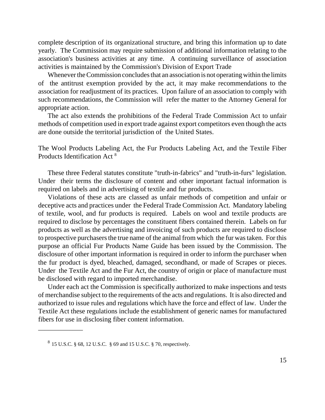complete description of its organizational structure, and bring this information up to date yearly. The Commission may require submission of additional information relating to the association's business activities at any time. A continuing surveillance of association activities is maintained by the Commission's Division of Export Trade

Whenever the Commission concludes that an association is not operating within the limits of the antitrust exemption provided by the act, it may make recommendations to the association for readjustment of its practices. Upon failure of an association to comply with such recommendations, the Commission will refer the matter to the Attorney General for appropriate action.

The act also extends the prohibitions of the Federal Trade Commission Act to unfair methods of competition used in export trade against export competitors even though the acts are done outside the territorial jurisdiction of the United States.

The Wool Products Labeling Act, the Fur Products Labeling Act, and the Textile Fiber Products Identification Act <sup>8</sup>

These three Federal statutes constitute "truth-in-fabrics" and "truth-in-furs" legislation. Under their terms the disclosure of content and other important factual information is required on labels and in advertising of textile and fur products.

Violations of these acts are classed as unfair methods of competition and unfair or deceptive acts and practices under the Federal Trade Commission Act. Mandatory labeling of textile, wool, and fur products is required. Labels on wool and textile products are required to disclose by percentages the constituent fibers contained therein. Labels on fur products as well as the advertising and invoicing of such products are required to disclose to prospective purchasers the true name of the animal from which the fur was taken. For this purpose an official Fur Products Name Guide has been issued by the Commission. The disclosure of other important information is required in order to inform the purchaser when the fur product is dyed, bleached, damaged, secondhand, or made of Scrapes or pieces. Under the Textile Act and the Fur Act, the country of origin or place of manufacture must be disclosed with regard to imported merchandise.

Under each act the Commission is specifically authorized to make inspections and tests of merchandise subject to the requirements of the acts and regulations. It is also directed and authorized to issue rules and regulations which have the force and effect of law. Under the Textile Act these regulations include the establishment of generic names for manufactured fibers for use in disclosing fiber content information.

\_\_\_\_\_\_\_\_\_\_\_\_\_

 $8\,$  15 U.S.C. § 68, 12 U.S.C. § 69 and 15 U.S.C. § 70, respectively.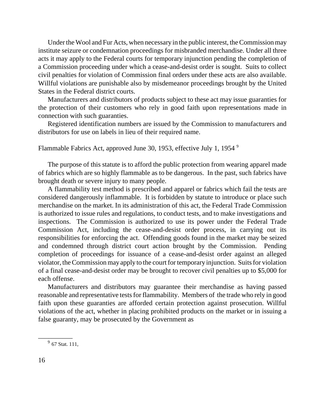Under the Wool and Fur Acts, when necessary in the public interest, the Commission may institute seizure or condemnation proceedings for misbranded merchandise. Under all three acts it may apply to the Federal courts for temporary injunction pending the completion of a Commission proceeding under which a cease-and-desist order is sought. Suits to collect civil penalties for violation of Commission final orders under these acts are also available. Willful violations are punishable also by misdemeanor proceedings brought by the United States in the Federal district courts.

Manufacturers and distributors of products subject to these act may issue guaranties for the protection of their customers who rely in good faith upon representations made in connection with such guaranties.

Registered identification numbers are issued by the Commission to manufacturers and distributors for use on labels in lieu of their required name.

Flammable Fabrics Act, approved June 30, 1953, effective July 1, 1954<sup>9</sup>

The purpose of this statute is to afford the public protection from wearing apparel made of fabrics which are so highly flammable as to be dangerous. In the past, such fabrics have brought death or severe injury to many people.

A flammability test method is prescribed and apparel or fabrics which fail the tests are considered dangerously inflammable. It is forbidden by statute to introduce or place such merchandise on the market. In its administration of this act, the Federal Trade Commission is authorized to issue rules and regulations, to conduct tests, and to make investigations and inspections. The Commission is authorized to use its power under the Federal Trade Commission Act, including the cease-and-desist order process, in carrying out its responsibilities for enforcing the act. Offending goods found in the market may be seized and condemned through district court action brought by the Commission. Pending completion of proceedings for issuance of a cease-and-desist order against an alleged violator, theCommissionmay apply to the court for temporary injunction. Suits for violation of a final cease-and-desist order may be brought to recover civil penalties up to \$5,000 for each offense.

Manufacturers and distributors may guarantee their merchandise as having passed reasonable and representative tests for flammability. Members of the trade who rely in good faith upon these guaranties are afforded certain protection against prosecution. Willful violations of the act, whether in placing prohibited products on the market or in issuing a false guaranty, may be prosecuted by the Government as

\_\_\_\_\_\_\_\_\_\_

<sup>&</sup>lt;sup>9</sup> 67 Stat. 111,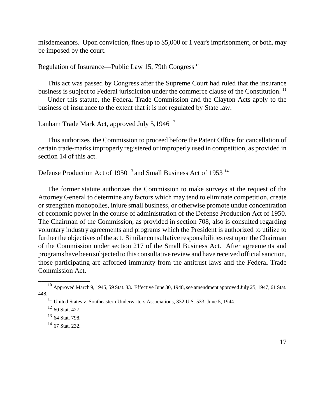misdemeanors. Upon conviction, fines up to \$5,000 or 1 year's imprisonment, or both, may be imposed by the court.

Regulation of Insurance—Public Law 15, 79th Congress "

This act was passed by Congress after the Supreme Court had ruled that the insurance business is subject to Federal jurisdiction under the commerce clause of the Constitution.<sup>11</sup>

Under this statute, the Federal Trade Commission and the Clayton Acts apply to the business of insurance to the extent that it is not regulated by State law.

Lanham Trade Mark Act, approved July 5,1946 <sup>12</sup>

This authorizes the Commission to proceed before the Patent Office for cancellation of certain trade-marks improperly registered or improperly used in competition, as provided in section 14 of this act.

Defense Production Act of 1950<sup>13</sup> and Small Business Act of 1953<sup>14</sup>

The former statute authorizes the Commission to make surveys at the request of the Attorney General to determine any factors which may tend to eliminate competition, create or strengthen monopolies, injure small business, or otherwise promote undue concentration of economic power in the course of administration of the Defense Production Act of 1950. The Chairman of the Commission, as provided in section 708, also is consulted regarding voluntary industry agreements and programs which the President is authorized to utilize to further the objectives of the act. Similar consultative responsibilities rest upon the Chairman of the Commission under section 217 of the Small Business Act. After agreements and programs have been subjected to this consultative review and have received officialsanction, those participating are afforded immunity from the antitrust laws and the Federal Trade Commission Act.

\_\_\_\_\_\_\_\_\_\_\_\_\_\_\_

<sup>&</sup>lt;sup>10</sup> Approved March 9, 1945, 59 Stat. 83. Effective June 30, 1948, see amendment approved July 25, 1947, 61 Stat. 448.

<sup>&</sup>lt;sup>11</sup> United States v. Southeastern Underwriters Associations, 332 U.S. 533, June 5, 1944.

 $12$  60 Stat. 427.

 $13$  64 Stat. 798.

 $^{14}$  67 Stat. 232.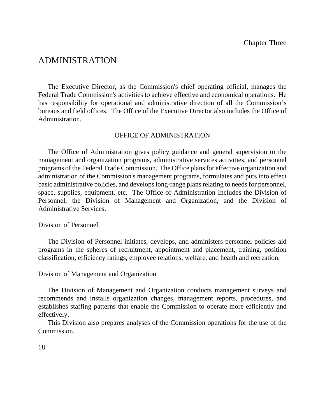# ADMINISTRATION

The Executive Director, as the Commission's chief operating official, manages the Federal Trade Commission's activities to achieve effective and economical operations. He has responsibility for operational and administrative direction of all the Commission's bureaus and field offices. The Office of the Executive Director also includes the Office of Administration.

# OFFICE OF ADMINISTRATION

The Office of Administration gives policy guidance and general supervision to the management and organization programs, administrative services activities, and personnel programs of the Federal Trade Commission. The Office plans for effective organization and administration of the Commission's management programs, formulates and puts into effect basic administrative policies, and develops long-range plans relating to needs for personnel, space, supplies, equipment, etc. The Office of Administration Includes the Division of Personnel, the Division of Management and Organization, and the Division of Administrative Services.

# Division of Personnel

The Division of Personnel initiates, develops, and administers personnel policies aid programs in the spheres of recruitment, appointment and placement, training, position classification, efficiency ratings, employee relations, welfare, and health and recreation.

# Division of Management and Organization

The Division of Management and Organization conducts management surveys and recommends and installs organization changes, management reports, procedures, and establishes staffing patterns that enable the Commission to operate more efficiently and effectively.

This Division also prepares analyses of the Commission operations for the use of the Commission.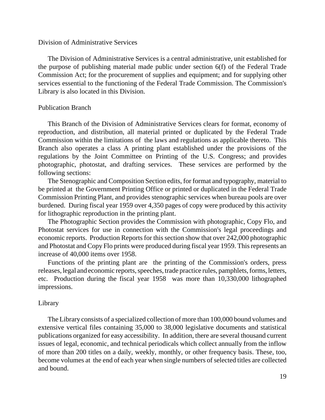#### Division of Administrative Services

The Division of Administrative Services is a central administrative, unit established for the purpose of publishing material made public under section 6(f) of the Federal Trade Commission Act; for the procurement of supplies and equipment; and for supplying other services essential to the functioning of the Federal Trade Commission. The Commission's Library is also located in this Division.

#### Publication Branch

This Branch of the Division of Administrative Services clears for format, economy of reproduction, and distribution, all material printed or duplicated by the Federal Trade Commission within the limitations of the laws and regulations as applicable thereto. This Branch also operates a class A printing plant established under the provisions of the regulations by the Joint Committee on Printing of the U.S. Congress; and provides photographic, photostat, and drafting services. These services are performed by the following sections:

The Stenographic and Composition Section edits, for format and typography, material to be printed at the Government Printing Office or printed or duplicated in the Federal Trade Commission Printing Plant, and provides stenographic services when bureau pools are over burdened. During fiscal year 1959 over 4,350 pages of copy were produced by this activity for lithographic reproduction in the printing plant.

The Photographic Section provides the Commission with photographic, Copy Flo, and Photostat services for use in connection with the Commission's legal proceedings and economic reports. Production Reports for this section show that over 242,000 photographic and Photostat and Copy Flo prints were produced during fiscal year 1959. This represents an increase of 40,000 items over 1958.

Functions of the printing plant are the printing of the Commission's orders, press releases, legal and economic reports, speeches, trade practice rules, pamphlets, forms, letters, etc. Production during the fiscal year 1958 was more than 10,330,000 lithographed impressions.

#### Library

The Library consists of a specialized collection of more than 100,000 bound volumes and extensive vertical files containing 35,000 to 38,000 legislative documents and statistical publications organized for easy accessibility. In addition, there are several thousand current issues of legal, economic, and technical periodicals which collect annually from the inflow of more than 200 titles on a daily, weekly, monthly, or other frequency basis. These, too, become volumes at the end of each year when single numbers of selected titles are collected and bound.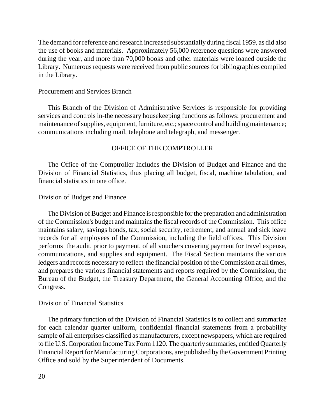The demand for reference and research increased substantially during fiscal 1959, as did also the use of books and materials. Approximately 56,000 reference questions were answered during the year, and more than 70,000 books and other materials were loaned outside the Library. Numerous requests were received from public sources for bibliographies compiled in the Library.

## Procurement and Services Branch

This Branch of the Division of Administrative Services is responsible for providing services and controls in-the necessary housekeeping functions as follows: procurement and maintenance of supplies, equipment, furniture, etc.; space control and building maintenance; communications including mail, telephone and telegraph, and messenger.

## OFFICE OF THE COMPTROLLER

The Office of the Comptroller Includes the Division of Budget and Finance and the Division of Financial Statistics, thus placing all budget, fiscal, machine tabulation, and financial statistics in one office.

#### Division of Budget and Finance

The Division of Budget and Finance is responsible for the preparation and administration of the Commission's budget and maintains the fiscal records of the Commission. This office maintains salary, savings bonds, tax, social security, retirement, and annual and sick leave records for all employees of the Commission, including the field offices. This Division performs the audit, prior to payment, of all vouchers covering payment for travel expense, communications, and supplies and equipment. The Fiscal Section maintains the various ledgers and records necessary to reflect the financial position of the Commission at all times, and prepares the various financial statements and reports required by the Commission, the Bureau of the Budget, the Treasury Department, the General Accounting Office, and the Congress.

#### Division of Financial Statistics

The primary function of the Division of Financial Statistics is to collect and summarize for each calendar quarter uniform, confidential financial statements from a probability sample of all enterprises classified as manufacturers, except newspapers, which are required to file U.S. Corporation Income Tax Form 1120. The quarterly summaries, entitled Quarterly Financial Report for Manufacturing Corporations, are published by the Government Printing Office and sold by the Superintendent of Documents.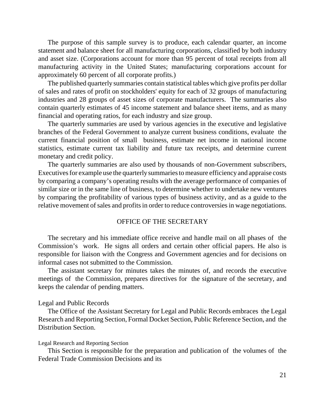The purpose of this sample survey is to produce, each calendar quarter, an income statement and balance sheet for all manufacturing corporations, classified by both industry and asset size. (Corporations account for more than 95 percent of total receipts from all manufacturing activity in the United States; manufacturing corporations account for approximately 60 percent of all corporate profits.)

The published quarterly summaries contain statistical tables which give profits per dollar of sales and rates of profit on stockholders' equity for each of 32 groups of manufacturing industries and 28 groups of asset sizes of corporate manufacturers. The summaries also contain quarterly estimates of 45 income statement and balance sheet items, and as many financial and operating ratios, for each industry and size group.

The quarterly summaries are used by various agencies in the executive and legislative branches of the Federal Government to analyze current business conditions, evaluate the current financial position of small business, estimate net income in national income statistics, estimate current tax liability and future tax receipts, and determine current monetary and credit policy.

The quarterly summaries are also used by thousands of non-Government subscribers, Executives for example use the quarterly summaries to measure efficiency and appraise costs by comparing a company's operating results with the average performance of companies of similar size or in the same line of business, to determine whether to undertake new ventures by comparing the profitability of various types of business activity, and as a guide to the relative movement of sales and profits in order to reduce controversies in wage negotiations.

## OFFICE OF THE SECRETARY

The secretary and his immediate office receive and handle mail on all phases of the Commission's work. He signs all orders and certain other official papers. He also is responsible for liaison with the Congress and Government agencies and for decisions on informal cases not submitted to the Commission.

The assistant secretary for minutes takes the minutes of, and records the executive meetings of the Commission, prepares directives for the signature of the secretary, and keeps the calendar of pending matters.

### Legal and Public Records

The Office of the Assistant Secretary for Legal and Public Records embraces the Legal Research and Reporting Section, Formal Docket Section, Public Reference Section, and the Distribution Section.

#### Legal Research and Reporting Section

This Section is responsible for the preparation and publication of the volumes of the Federal Trade Commission Decisions and its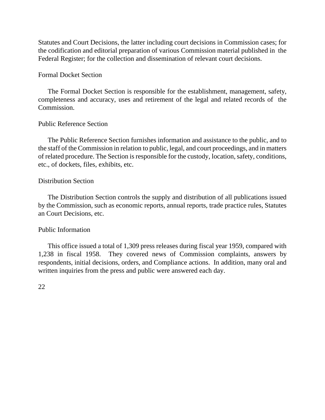Statutes and Court Decisions, the latter including court decisions in Commission cases; for the codification and editorial preparation of various Commission material published in the Federal Register; for the collection and dissemination of relevant court decisions.

# Formal Docket Section

The Formal Docket Section is responsible for the establishment, management, safety, completeness and accuracy, uses and retirement of the legal and related records of the Commission.

# Public Reference Section

The Public Reference Section furnishes information and assistance to the public, and to the staff of the Commission in relation to public, legal, and court proceedings, and in matters of related procedure. The Section is responsible for the custody, location, safety, conditions, etc., of dockets, files, exhibits, etc.

# Distribution Section

The Distribution Section controls the supply and distribution of all publications issued by the Commission, such as economic reports, annual reports, trade practice rules, Statutes an Court Decisions, etc.

# Public Information

This office issued a total of 1,309 press releases during fiscal year 1959, compared with 1,238 in fiscal 1958. They covered news of Commission complaints, answers by respondents, initial decisions, orders, and Compliance actions. In addition, many oral and written inquiries from the press and public were answered each day.

22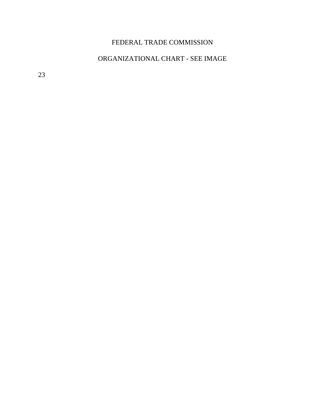# FEDERAL TRADE COMMISSION

# ORGANIZATIONAL CHART - SEE IMAGE

23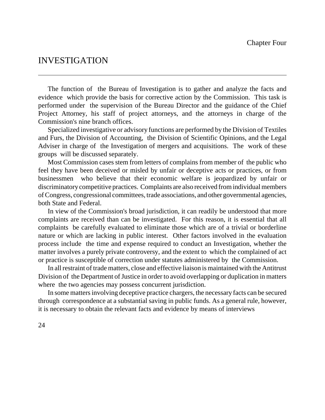# INVESTIGATION

The function of the Bureau of Investigation is to gather and analyze the facts and evidence which provide the basis for corrective action by the Commission. This task is performed under the supervision of the Bureau Director and the guidance of the Chief Project Attorney, his staff of project attorneys, and the attorneys in charge of the Commission's nine branch offices.

Specialized investigative or advisory functions are performed by the Division of Textiles and Furs, the Division of Accounting, the Division of Scientific Opinions, and the Legal Adviser in charge of the Investigation of mergers and acquisitions. The work of these groups will be discussed separately.

Most Commission cases stem from letters of complains from member of the public who feel they have been deceived or misled by unfair or deceptive acts or practices, or from businessmen who believe that their economic welfare is jeopardized by unfair or discriminatorycompetitive practices. Complaints are also received from individual members ofCongress, congressional committees, trade associations, and other governmental agencies, both State and Federal.

In view of the Commission's broad jurisdiction, it can readily be understood that more complaints are received than can be investigated. For this reason, it is essential that all complaints be carefully evaluated to eliminate those which are of a trivial or borderline nature or which are lacking in public interest. Other factors involved in the evaluation process include the time and expense required to conduct an Investigation, whether the matter involves a purely private controversy, and the extent to which the complained of act or practice is susceptible of correction under statutes administered by the Commission.

In allrestraint of trade matters, close and effective liaison is maintained with the Antitrust Division of the Department of Justice in order to avoid overlapping or duplication in matters where the two agencies may possess concurrent jurisdiction.

In some mattersinvolving deceptive practice chargers, the necessary facts can be secured through correspondence at a substantial saving in public funds. As a general rule, however, it is necessary to obtain the relevant facts and evidence by means of interviews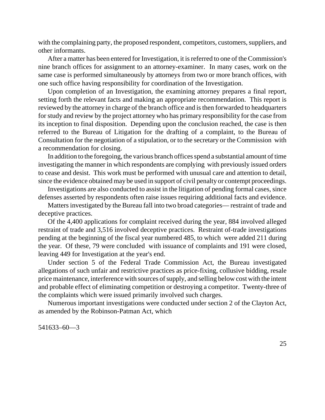with the complaining party, the proposed respondent, competitors, customers, suppliers, and other informants.

After a matter has been entered for Investigation, it is referred to one of the Commission's nine branch offices for assignment to an attorney-examiner. In many cases, work on the same case is performed simultaneously by attorneys from two or more branch offices, with one such office having responsibility for coordination of the Investigation.

Upon completion of an Investigation, the examining attorney prepares a final report, setting forth the relevant facts and making an appropriate recommendation. This report is reviewed by the attorney in charge of the branch office and is then forwarded to headquarters for study and review by the project attorney who has primary responsibility for the case from its inception to final disposition. Depending upon the conclusion reached, the case is then referred to the Bureau of Litigation for the drafting of a complaint, to the Bureau of Consultation for the negotiation of a stipulation, or to the secretary or the Commission with a recommendation for closing.

In addition to the foregoing, the various branch offices spend a substantial amount of time investigating the manner in which respondents are complying with previously issued orders to cease and desist. This work must be performed with unusual care and attention to detail, since the evidence obtained may be used in support of civil penalty or contempt proceedings.

Investigations are also conducted to assist in the litigation of pending formal cases, since defenses asserted by respondents often raise issues requiring additional facts and evidence.

Matters investigated by the Bureau fall into two broad categories— restraint of trade and deceptive practices.

Of the 4,400 applications for complaint received during the year, 884 involved alleged restraint of trade and 3,516 involved deceptive practices. Restraint of-trade investigations pending at the beginning of the fiscal year numbered 485, to which were added 211 during the year. Of these, 79 were concluded with issuance of complaints and 191 were closed, leaving 449 for Investigation at the year's end.

Under section 5 of the Federal Trade Commission Act, the Bureau investigated allegations of such unfair and restrictive practices as price-fixing, collusive bidding, resale price maintenance, interference with sources of supply, and selling below cost with the intent and probable effect of eliminating competition or destroying a competitor. Twenty-three of the complaints which were issued primarily involved such charges.

Numerous important investigations were conducted under section 2 of the Clayton Act, as amended by the Robinson-Patman Act, which

541633–60—3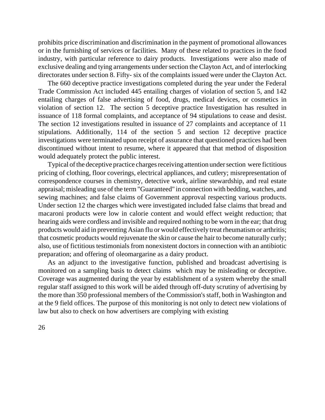prohibits price discrimination and discrimination in the payment of promotional allowances or in the furnishing of services or facilities. Many of these related to practices in the food industry, with particular reference to dairy products. Investigations were also made of exclusive dealing and tying arrangements under section the Clayton Act, and of interlocking directorates under section 8. Fifty- six of the complaints issued were under the Clayton Act.

The 660 deceptive practice investigations completed during the year under the Federal Trade Commission Act included 445 entailing charges of violation of section 5, and 142 entailing charges of false advertising of food, drugs, medical devices, or cosmetics in violation of section 12. The section 5 deceptive practice Investigation has resulted in issuance of 118 formal complaints, and acceptance of 94 stipulations to cease and desist. The section 12 investigations resulted in issuance of 27 complaints and acceptance of 11 stipulations. Additionally, 114 of the section 5 and section 12 deceptive practice investigations were terminated upon receipt of assurance that questioned practices had been discontinued without intent to resume, where it appeared that that method of disposition would adequately protect the public interest.

Typical of the deceptive practice charges receiving attention under section were fictitious pricing of clothing, floor coverings, electrical appliances, and cutlery; misrepresentation of correspondence courses in chemistry, detective work, airline stewardship, and real estate appraisal; misleading use of the term"Guaranteed" in connection with bedding, watches, and sewing machines; and false claims of Government approval respecting various products. Under section 12 the charges which were investigated included false claims that bread and macaroni products were low in calorie content and would effect weight reduction; that hearing aids were cordless and invisible and required nothing to be worn in the ear; that drug products would aid in preventing Asian flu or would effectively treat rheumatism or arthritis; that cosmetic products would rejuvenate the skin or cause the hair to become naturally curly; also, use of fictitious testimonials from nonexistent doctors in connection with an antibiotic preparation; and offering of oleomargarine as a dairy product.

As an adjunct to the investigative function, published and broadcast advertising is monitored on a sampling basis to detect claims which may be misleading or deceptive. Coverage was augmented during the year by establishment of a system whereby the small regular staff assigned to this work will be aided through off-duty scrutiny of advertising by the more than 350 professional members of the Commission'sstaff, both in Washington and at the 9 field offices. The purpose of this monitoring is not only to detect new violations of law but also to check on how advertisers are complying with existing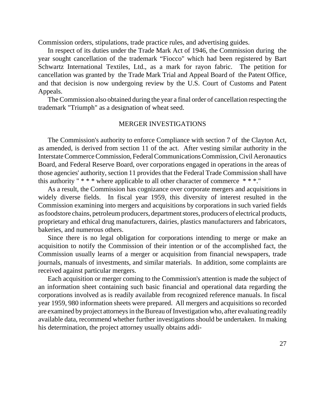Commission orders, stipulations, trade practice rules, and advertising guides.

In respect of its duties under the Trade Mark Act of 1946, the Commission during the year sought cancellation of the trademark "Fiocco" which had been registered by Bart Schwartz International Textiles, Ltd., as a mark for rayon fabric. The petition for cancellation was granted by the Trade Mark Trial and Appeal Board of the Patent Office, and that decision is now undergoing review by the U.S. Court of Customs and Patent Appeals.

The Commission also obtained during the year a final order of cancellation respecting the trademark "Triumph" as a designation of wheat seed.

## MERGER INVESTIGATIONS

The Commission's authority to enforce Compliance with section 7 of the Clayton Act, as amended, is derived from section 11 of the act. After vesting similar authority in the Interstate Commerce Commission, Federal Communications Commission, Civil Aeronautics Board, and Federal Reserve Board, over corporations engaged in operations in the areas of those agencies' authority, section 11 provides that the Federal Trade Commission shall have this authority "  $* * *$  where applicable to all other character of commerce  $* * *$ ."

As a result, the Commission has cognizance over corporate mergers and acquisitions in widely diverse fields. In fiscal year 1959, this diversity of interest resulted in the Commission examining into mergers and acquisitions by corporations in such varied fields asfoodstore chains, petroleumproducers, department stores, producers of electrical products, proprietary and ethical drug manufacturers, dairies, plastics manufacturers and fabricators, bakeries, and numerous others.

Since there is no legal obligation for corporations intending to merge or make an acquisition to notify the Commission of their intention or of the accomplished fact, the Commission usually learns of a merger or acquisition from financial newspapers, trade journals, manuals of investments, and similar materials. In addition, some complaints are received against particular mergers.

Each acquisition or merger coming to the Commission's attention is made the subject of an information sheet containing such basic financial and operational data regarding the corporations involved as is readily available from recognized reference manuals. In fiscal year 1959, 980 information sheets were prepared. All mergers and acquisitions so recorded are examined by project attorneys in the Bureau of Investigation who, after evaluating readily available data, recommend whether further investigations should be undertaken. In making his determination, the project attorney usually obtains addi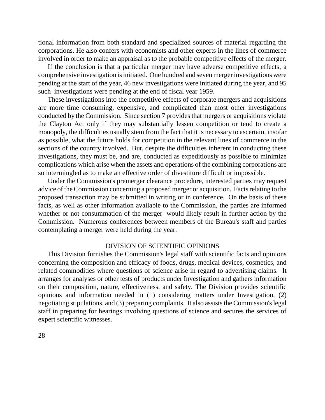tional information from both standard and specialized sources of material regarding the corporations. He also confers with economists and other experts in the lines of commerce involved in order to make an appraisal as to the probable competitive effects of the merger.

If the conclusion is that a particular merger may have adverse competitive effects, a comprehensive investigation isinitiated. One hundred and seven merger investigations were pending at the start of the year, 46 new investigations were initiated during the year, and 95 such investigations were pending at the end of fiscal year 1959.

These investigations into the competitive effects of corporate mergers and acquisitions are more time consuming, expensive, and complicated than most other investigations conducted by the Commission. Since section 7 provides that mergers or acquisitions violate the Clayton Act only if they may substantially lessen competition or tend to create a monopoly, the difficulties usually stem from the fact that it is necessary to ascertain, insofar as possible, what the future holds for competition in the relevant lines of commerce in the sections of the country involved. But, despite the difficulties inherent in conducting these investigations, they must be, and are, conducted as expeditiously as possible to minimize complications which arise when the assets and operations of the combining corporations are so intermingled as to make an effective order of divestiture difficult or impossible.

Under the Commission's premerger clearance procedure, interested parties may request advice of theCommission concerning a proposed merger or acquisition. Facts relating to the proposed transaction may be submitted in writing or in conference. On the basis of these facts, as well as other information available to the Commission, the parties are informed whether or not consummation of the merger would likely result in further action by the Commission. Numerous conferences between members of the Bureau's staff and parties contemplating a merger were held during the year.

# DIVISION OF SCIENTIFIC OPINIONS

This Division furnishes the Commission's legal staff with scientific facts and opinions concerning the composition and efficacy of foods, drugs, medical devices, cosmetics, and related commodities where questions of science arise in regard to advertising claims. It arranges for analyses or other tests of products under Investigation and gathers information on their composition, nature, effectiveness. and safety. The Division provides scientific opinions and information needed in (1) considering matters under Investigation, (2) negotiating stipulations, and (3) preparing complaints. It also assists the Commission's legal staff in preparing for hearings involving questions of science and secures the services of expert scientific witnesses.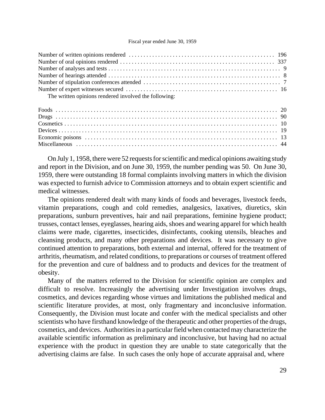#### Fiscal year ended June 30, 1959

| The written opinions rendered involved the following: |  |
|-------------------------------------------------------|--|
|                                                       |  |
|                                                       |  |
|                                                       |  |
|                                                       |  |
|                                                       |  |
|                                                       |  |

On July 1, 1958, there were 52 requestsforscientific andmedical opinions awaiting study and report in the Division, and on June 30, 1959, the number pending was 50. On June 30, 1959, there were outstanding 18 formal complaints involving matters in which the division was expected to furnish advice to Commission attorneys and to obtain expert scientific and medical witnesses.

The opinions rendered dealt with many kinds of foods and beverages, livestock feeds, vitamin preparations, cough and cold remedies, analgesics, laxatives, diuretics, skin preparations, sunburn preventives, hair and nail preparations, feminine hygiene product; trusses, contact lenses, eyeglasses, hearing aids, shoes and wearing apparel for which health claims were made, cigarettes, insecticides, disinfectants, cooking utensils, bleaches and cleansing products, and many other preparations and devices. It was necessary to give continued attention to preparations, both external and internal, offered for the treatment of arthritis, rheumatism, and related conditions, to preparations or courses of treatment offered for the prevention and cure of baldness and to products and devices for the treatment of obesity.

Many of the matters referred to the Division for scientific opinion are complex and difficult to resolve. Increasingly the advertising under Investigation involves drugs, cosmetics, and devices regarding whose virtues and limitations the published medical and scientific literature provides, at most, only fragmentary and inconclusive information. Consequently, the Division must locate and confer with the medical specialists and other scientists who have firsthand knowledge of the therapeutic and other properties of the drugs, cosmetics, and devices. Authorities in a particular field when contacted may characterize the available scientific information as preliminary and inconclusive, but having had no actual experience with the product in question they are unable to state categorically that the advertising claims are false. In such cases the only hope of accurate appraisal and, where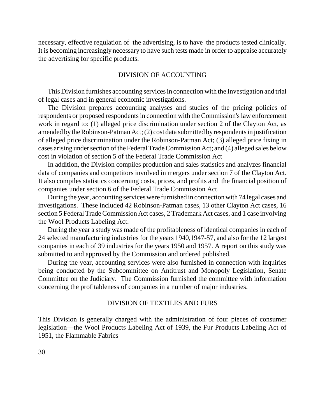necessary, effective regulation of the advertising, is to have the products tested clinically. It is becoming increasingly necessary to have such tests made in order to appraise accurately the advertising for specific products.

### DIVISION OF ACCOUNTING

This Division furnishes accounting services in connection with the Investigation and trial of legal cases and in general economic investigations.

The Division prepares accounting analyses and studies of the pricing policies of respondents or proposed respondents in connection with the Commission's law enforcement work in regard to: (1) alleged price discrimination under section 2 of the Clayton Act, as amended by the Robinson-Patman Act; (2) cost data submitted by respondents in justification of alleged price discrimination under the Robinson-Patman Act; (3) alleged price fixing in cases arising under section of the Federal Trade Commission Act; and (4) alleged sales below cost in violation of section 5 of the Federal Trade Commission Act

In addition, the Division compiles production and sales statistics and analyzes financial data of companies and competitors involved in mergers under section 7 of the Clayton Act. It also compiles statistics concerning costs, prices, and profits and the financial position of companies under section 6 of the Federal Trade Commission Act.

During the year, accounting services were furnished in connection with 74 legal cases and investigations. These included 42 Robinson-Patman cases, 13 other Clayton Act cases, 16 section 5 Federal Trade Commission Act cases, 2 Trademark Act cases, and 1 case involving the Wool Products Labeling Act.

During the year a study was made of the profitableness of identical companies in each of 24 selected manufacturing industries for the years 1940,1947-57, and also for the 12 largest companies in each of 39 industries for the years 1950 and 1957. A report on this study was submitted to and approved by the Commission and ordered published.

During the year, accounting services were also furnished in connection with inquiries being conducted by the Subcommittee on Antitrust and Monopoly Legislation, Senate Committee on the Judiciary. The Commission furnished the committee with information concerning the profitableness of companies in a number of major industries.

# DIVISION OF TEXTILES AND FURS

This Division is generally charged with the administration of four pieces of consumer legislation—the Wool Products Labeling Act of 1939, the Fur Products Labeling Act of 1951, the Flammable Fabrics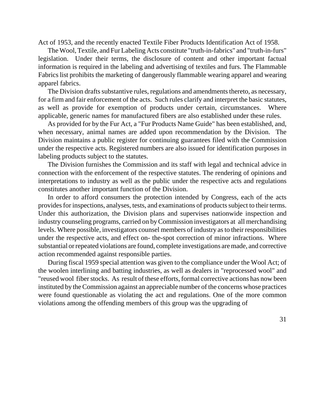Act of 1953, and the recently enacted Textile Fiber Products Identification Act of 1958.

TheWool,Textile, and FurLabeling Acts constitute "truth-in-fabrics" and "truth-in-furs" legislation. Under their terms, the disclosure of content and other important factual information is required in the labeling and advertising of textiles and furs. The Flammable Fabrics list prohibits the marketing of dangerously flammable wearing apparel and wearing apparel fabrics.

The Division drafts substantive rules, regulations and amendments thereto, as necessary, for a firm and fair enforcement of the acts. Such rules clarify and interpret the basic statutes, as well as provide for exemption of products under certain, circumstances. Where applicable, generic names for manufactured fibers are also established under these rules.

As provided for by the Fur Act, a "Fur Products Name Guide" has been established, and, when necessary, animal names are added upon recommendation by the Division. The Division maintains a public register for continuing guarantees filed with the Commission under the respective acts. Registered numbers are also issued for identification purposes in labeling products subject to the statutes.

The Division furnishes the Commission and its staff with legal and technical advice in connection with the enforcement of the respective statutes. The rendering of opinions and interpretations to industry as well as the public under the respective acts and regulations constitutes another important function of the Division.

In order to afford consumers the protection intended by Congress, each of the acts provides for inspections, analyses, tests, and examinations of products subject to their terms. Under this authorization, the Division plans and supervises nationwide inspection and industry counseling programs, carried on byCommission investigators at all merchandising levels. Where possible, investigators counsel members of industry asto their responsibilities under the respective acts, and effect on- the-spot correction of minor infractions. Where substantial or repeated violations are found, complete investigations are made, and corrective action recommended against responsible parties.

During fiscal 1959 special attention was given to the compliance under the Wool Act; of the woolen interlining and batting industries, as well as dealers in "reprocessed wool" and "reused wool fiber stocks. As result of these efforts, formal corrective actions has now been instituted by the Commission against an appreciable number of the concerns whose practices were found questionable as violating the act and regulations. One of the more common violations among the offending members of this group was the upgrading of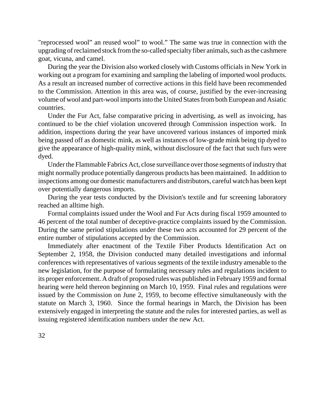"reprocessed wool" an reused wool" to wool." The same was true in connection with the upgrading of reclaimed stock from the so-called specialty fiber animals, such as the cashmere goat, vicuna, and camel.

During the year the Division also worked closely with Customs officials in New York in working out a program for examining and sampling the labeling of imported wool products. As a result an increased number of corrective actions in this field have been recommended to the Commission. Attention in this area was, of course, justified by the ever-increasing volume of wool and part-wool importsinto the United Statesfromboth European and Asiatic countries.

Under the Fur Act, false comparative pricing in advertising, as well as invoicing, has continued to be the chief violation uncovered through Commission inspection work. In addition, inspections during the year have uncovered various instances of imported mink being passed off as domestic mink, as well as instances of low-grade mink being tip dyed to give the appearance of high-quality mink, without disclosure of the fact that such furs were dyed.

Under the Flammable Fabrics Act, close surveillance over those segments of industry that might normally produce potentially dangerous products has been maintained. In addition to inspections among our domestic manufacturers and distributors, careful watch has been kept over potentially dangerous imports.

During the year tests conducted by the Division's textile and fur screening laboratory reached an alltime high.

Formal complaints issued under the Wool and Fur Acts during fiscal 1959 amounted to 46 percent of the total number of deceptive-practice complaints issued by the Commission. During the same period stipulations under these two acts accounted for 29 percent of the entire number of stipulations accepted by the Commission.

Immediately after enactment of the Textile Fiber Products Identification Act on September 2, 1958, the Division conducted many detailed investigations and informal conferences with representatives of various segments of the textile industry amenable to the new legislation, for the purpose of formulating necessary rules and regulations incident to its proper enforcement. A draft of proposed rules was published in February 1959 and formal hearing were held thereon beginning on March 10, 1959. Final rules and regulations were issued by the Commission on June 2, 1959, to become effective simultaneously with the statute on March 3, 1960. Since the formal hearings in March, the Division has been extensively engaged in interpreting the statute and the rules for interested parties, as well as issuing registered identification numbers under the new Act.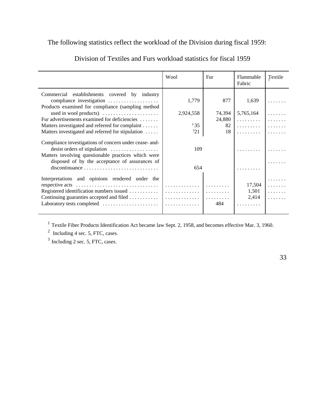The following statistics reflect the workload of the Division during fiscal 1959:

|                                                                                                                                                                                             | Wool             | Fur                                            | Flammable<br>Fabric           | Textile                         |
|---------------------------------------------------------------------------------------------------------------------------------------------------------------------------------------------|------------------|------------------------------------------------|-------------------------------|---------------------------------|
| Commercial establishments covered by industry<br>compliance investigation                                                                                                                   | 1,779            | 877                                            | 1,639                         | 1.1.1.1.1.1                     |
| Products examined for compliance (sampling method)<br>used in wool products) $\dots \dots \dots \dots \dots \dots$<br>Fur advertisements examined for deficiencies                          | 2,924,558        | 74,394<br>24,880                               | 5,765,164<br>.                | 1.1.1.1.1.1                     |
| Matters investigated and referred for complaint<br>Matters investigated and referred for stipulation                                                                                        | $^{2}35$<br>321  | 82<br>18                                       | .<br>.                        | 1.1.1.1.1.1<br>1.1.1.1.1.1<br>. |
| Compliance investigations of concern under cease- and-<br>$\text{design}$ desist orders of stipulation $\ldots \ldots \ldots \ldots$<br>Matters involving questionable practices which were | 109              |                                                |                               |                                 |
| disposed of by the acceptance of assurances of<br>$discontinuance \ldots \ldots \ldots \ldots \ldots \ldots \ldots \ldots$                                                                  | 654              |                                                |                               |                                 |
| Interpretations and opinions rendered under the<br>Registered identification numbers issued<br>Continuing guaranties accepted and filed<br>Laboratory tests completed                       | .<br>.<br>.<br>. | 1.1.1.1.1.1.1.1<br>1.1.1.1.1.1.1.1<br>.<br>484 | 17,504<br>1,501<br>2,414<br>. | .<br>1.1.1.1.1.1<br>1.1.1.1.1.1 |

Division of Textiles and Furs workload statistics for fiscal 1959

<sup>1</sup> Textile Fiber Products Identification Act became law Sept. 2, 1958, and becomes effective Mar. 3, 1960.

<sup>2</sup> Including 4 sec. 5, FTC, cases.

 $3$  Including 2 sec. 5, FTC, cases.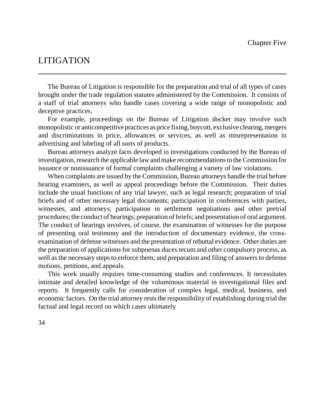# LITIGATION

The Bureau of Litigation is responsible for the preparation and trial of all types of cases brought under the trade regulation statutes administered by the Commission. It consists of a staff of trial attorneys who handle cases covering a wide range of monopolistic and deceptive practices.

For example, proceedings on the Bureau of Litigation docket may involve such monopolistic or anticompetitive practices as price fixing, boycott, exclusive clearing, mergers and discriminations in price, allowances or services, as well as misrepresentation in advertising and labeling of all sorts of products.

Bureau attorneys analyze facts developed in investigations conducted by the Bureau of investigation, research the applicable law and make recommendations to the Commission for issuance or nonissuance of formal complaints challenging a variety of law violations.

When complaints are issued by the Commission, Bureau attorneys handle the trial before hearing examiners, as well as appeal proceedings before the Commission. Their duties include the usual functions of any trial lawyer, such as legal research; preparation of trial briefs and of other necessary legal documents; participation in conferences with parties, witnesses, and attorneys; participation in settlement negotiations and other pretrial procedures; the conduct of hearings; preparation of briefs; and presentation of oral argument. The conduct of hearings involves, of course, the examination of witnesses for the purpose of presenting oral testimony and the introduction of documentary evidence, the crossexamination of defense witnesses and the presentation of rebuttal evidence. Other duties are the preparation of applications for subpoenas duces tecum and other compulsory process, as well as the necessary steps to enforce them; and preparation and filing of answers to defense motions, petitions, and appeals.

This work usually requires time-consuming studies and conferences. It necessitates intimate and detailed knowledge of the voluminous material in investigational files and reports. It frequently calls for consideration of complex legal, medical, business, and economic factors. On the trial attorney rests the responsibility of establishing during trial the factual and legal record on which cases ultimately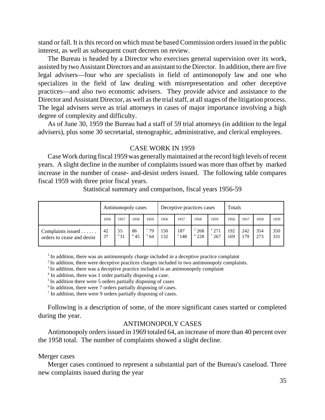stand or fall. It is this record on which must be based Commission orders issued in the public interest, as well as subsequent court decrees on review.

The Bureau is headed by a Director who exercises general supervision over its work, assisted by two Assistant Directors and an assistant to the Director. In addition, there are five legal advisers—four who are specialists in field of antimonopoly law and one who specializes in the field of law dealing with misrepresentation and other deceptive practices—and also two economic advisers. They provide advice and assistance to the Director and Assistant Director, as well as the trial staff, at all stages of the litigation process. The legal advisers serve as trial attorneys in cases of major importance involving a high degree of complexity and difficulty.

As of June 30, 1959 the Bureau had a staff of 59 trial attorneys (in addition to the legal advisers), plus some 30 secretarial, stenographic, administrative, and clerical employees.

## CASE WORK IN 1959

CaseWork during fiscal 1959 was generallymaintained at the record high levels of recent years. A slight decline in the number of complaints issued was more than offset by marked increase in the number of cease- and-desist orders issued. The following table compares fiscal 1959 with three prior fiscal years.

|                                                            | Antimonopoly cases |           | Deceptive practices cases |                       |            | Totals      |              |              |            |           |            |            |
|------------------------------------------------------------|--------------------|-----------|---------------------------|-----------------------|------------|-------------|--------------|--------------|------------|-----------|------------|------------|
|                                                            | 1956               | 1957      | 1958                      | 1959                  | 1956       | 1957        | 1958         | 1959         | 1956       | 1957      | 1958       | 1959       |
| Complaints issued $\ldots$ .<br>orders to cease and desist | 42<br>37           | 55<br>431 | 86<br>445                 | 79<br><sup>5</sup> 64 | 150<br>132 | 187<br>5148 | 2268<br>6228 | 3271<br>'267 | 192<br>169 | 242<br>79 | 354<br>273 | 350<br>331 |

Statistical summary and comparison, fiscal years 1956-59

 $1$ In addition, there was an antimonopoly charge included in a deceptive practice complaint

 $2$ In addition, there were deceptive practices charges included in two antimonopoly complaints.

<sup>3</sup>In addition, there was a deceptive practice included in an antimonopoly complaint

<sup>4</sup> In addition, there was 1 order partially disposing a case.

 $<sup>5</sup>$  In addition there were 5 orders partially disposing of cases</sup>

 $6$ In addition, there were  $7$  orders partially disposing of cases.

 $<sup>7</sup>$  In addition, there were 9 orders partially disposing of cases.</sup>

Following is a description of some, of the more significant cases started or completed during the year.

## ANTIMONOPOLY CASES

Antimonopoly ordersissued in 1969 totaled 64, an increase of more than 40 percent over the 1958 total. The number of complaints showed a slight decline.

### Merger cases

Merger cases continued to represent a substantial part of the Bureau's caseload. Three new complaints issued during the year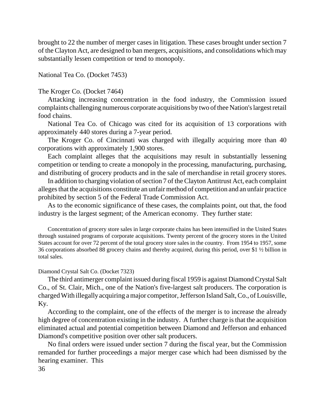brought to 22 the number of merger cases in litigation. These cases brought under section 7 of the Clayton Act, are designed to ban mergers, acquisitions, and consolidations which may substantially lessen competition or tend to monopoly.

National Tea Co. (Docket 7453)

## The Kroger Co. (Docket 7464)

Attacking increasing concentration in the food industry, the Commission issued complaints challenging numerous corporate acquisitions by two of thee Nation's largest retail food chains.

National Tea Co. of Chicago was cited for its acquisition of 13 corporations with approximately 440 stores during a 7-year period.

The Kroger Co. of Cincinnati was charged with illegally acquiring more than 40 corporations with approximately 1,900 stores.

Each complaint alleges that the acquisitions may result in substantially lessening competition or tending to create a monopoly in the processing, manufacturing, purchasing, and distributing of grocery products and in the sale of merchandise in retail grocery stores.

In addition to charging violation of section 7 of the Clayton Antitrust Act, each complaint allegesthat the acquisitions constitute an unfair method of competition and an unfair practice prohibited by section 5 of the Federal Trade Commission Act.

As to the economic significance of these cases, the complaints point, out that, the food industry is the largest segment; of the American economy. They further state:

Concentration of grocery store sales in large corporate chains has been intensified in the United States through sustained programs of corporate acquisitions. Twenty percent of the grocery stores in the United States account for over 72 percent of the total grocery store sales in the country. From 1954 to 1957, some 36 corporations absorbed 88 grocery chains and thereby acquired, during this period, over \$1 ½ billion in total sales.

### Diamond Crystal Salt Co. (Docket 7323)

The third antimerger complaint issued during fiscal 1959 is against DiamondCrystal Salt Co., of St. Clair, Mich., one of the Nation's five-largest salt producers. The corporation is chargedWith illegallyacquiring a major competitor,Jefferson Island Salt,Co., of Louisville, Ky.

According to the complaint, one of the effects of the merger is to increase the already high degree of concentration existing in the industry. A further charge is that the acquisition eliminated actual and potential competition between Diamond and Jefferson and enhanced Diamond's competitive position over other salt producers.

No final orders were issued under section 7 during the fiscal year, but the Commission remanded for further proceedings a major merger case which had been dismissed by the hearing examiner. This

36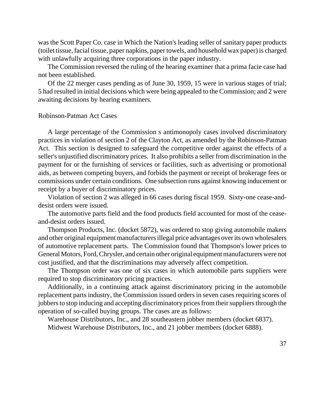was the Scott Paper Co. case in Which the Nation's leading seller of sanitary paper products (toilet tissue,facial tissue, paper napkins, paper towels, and household wax paper) is charged with unlawfully acquiring three corporations in the paper industry.

The Commission reversed the ruling of the hearing examiner that a prima facie case had not been established.

Of the 22 merger cases pending as of June 30, 1959, 15 were in various stages of trial; 5 had resulted in initial decisions which were being appealed to the Commission; and 2 were awaiting decisions by hearing examiners.

## Robinson-Patman Act Cases

A large percentage of the Commission s antimonopoly cases involved discriminatory practices in violation of section 2 of the Clayton Act, as amended by the Robinson-Patman Act. This section is designed to safeguard the competitive order against the effects of a seller's unjustified discriminatory prices. It also prohibits a seller from discrimination in the payment for or the furnishing of services or facilities, such as advertising or promotional aids, as between competing buyers, and forbids the payment or receipt of brokerage fees or commissions under certain conditions. One subsection runs against knowing inducement or receipt by a buyer of discriminatory prices.

Violation of section 2 was alleged in 66 cases during fiscal 1959. Sixty-one cease-anddesist orders were issued.

The automotive parts field and the food products field accounted for most of the ceaseand-desist orders issued.

Thompson Products, Inc. (docket 5872), was ordered to stop giving automobile makers and other original equipment manufacturers illegal price advantages over its own wholesalers of automotive replacement parts. The Commission found that Thompson's lower prices to General Motors, Ford, Chrysler, and certain other original equipment manufacturers were not cost justified, and that the discriminations may adversely affect competition.

The Thompson order was one of six cases in which automobile parts suppliers were required to stop discriminatory pricing practices.

Additionally, in a continuing attack against discriminatory pricing in the automobile replacement parts industry, the Commission issued orders in seven cases requiring scores of jobbers to stop inducing and accepting discriminatory prices from their suppliers through the operation of so-called buying groups. The cases are as follows:

Warehouse Distributors, Inc., and 28 southeastern jobber members (docket 6837). Midwest Warehouse Distributors, Inc., and 21 jobber members (docket 6888).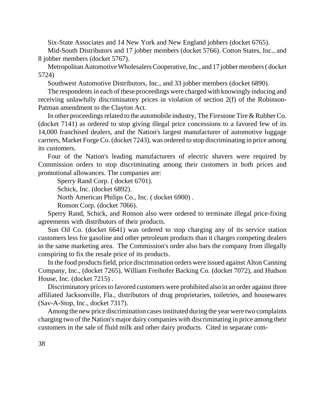Six-State Associates and 14 New York and New England jobbers (docket 6765).

Mid-South Distributors and 17 jobber members (docket 5766). Cotton States, Inc., and 8 jobber members (docket 5767).

Metropolitan Automotive Wholesalers Cooperative, Inc., and 17 jobber members ( docket 5724)

Southwest Automotive Distributors, Inc., and 33 jobber members (docket 6890).

The respondents in each of these proceedings were charged with knowingly inducing and receiving unlawfully discriminatory prices in violation of section 2(f) of the Robinson-Patman amendment to the Clayton Act.

In other proceedings related to the automobile industry, The Firestone Tire & Rubber Co. (docket 7141) as ordered to stop giving illegal price concessions to a favored few of its 14,000 franchised dealers, and the Nation's largest manufacturer of automotive luggage carriers, Market Forge Co. (docket 7243), was ordered to stop discriminating in price among its customers.

Four of the Nation's leading manufacturers of electric shavers were required by Commission orders to stop discriminating among their customers in both prices and promotional allowances. The companies are:

Sperry Rand Corp. ( docket 6701).

Schick, Inc. (docket 6892).

North American Philips Co., Inc. ( docket 6900) .

Ronson Corp. (docket 7066).

Sperry Rand, Schick, and Ronson also were ordered to terminate illegal price-fixing agreements with distributors of their products.

Sun Oil Co. (docket 6641) was ordered to stop charging any of its service station customers less for gasoline and other petroleum products than it charges competing dealers in the same marketing area. The Commission's order also bars the company from illegally conspiring to fix the resale price of its products.

In the food products field, price discrimination orders were issued against Alton Canning Company, Inc., (docket 7265), William Freihofer Backing Co. (docket 7072), and Hudson House, Inc. (docket 7215) .

Discriminatory prices to favored customers were prohibited also in an order against three affiliated Jacksonville, Fla., distributors of drug proprietaries, toiletries, and housewares (Sav-A-Stop, Inc., docket 7317).

Among the new price discrimination casesinstituted during the year were two complaints charging two of the Nation's major dairy companies with discriminating in price among their customers in the sale of fluid milk and other dairy products. Cited in separate com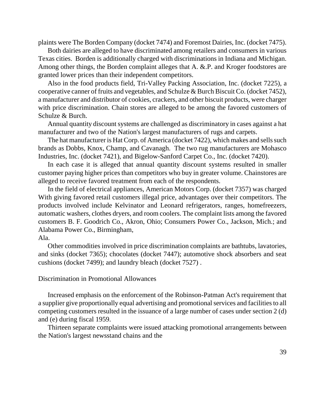plaints were The Borden Company (docket 7474) and Foremost Dairies, Inc. (docket 7475).

Both dairies are alleged to have discriminated among retailers and consumers in various Texas cities. Borden is additionally charged with discriminations in Indiana and Michigan. Among other things, the Borden complaint alleges that A. &.P. and Kroger foodstores are granted lower prices than their independent competitors.

Also in the food products field, Tri-Valley Packing Association, Inc. (docket 7225), a cooperative canner of fruits and vegetables, and Schulze & Burch Biscuit Co. (docket 7452), a manufacturer and distributor of cookies, crackers, and other biscuit products, were charger with price discrimination. Chain stores are alleged to be among the favored customers of Schulze & Burch.

Annual quantity discount systems are challenged as discriminatory in cases against a hat manufacturer and two of the Nation's largest manufacturers of rugs and carpets.

The hat manufacturer is Hat Corp. of America (docket 7422), which makes and sells such brands as Dobbs, Knox, Champ, and Cavanagh. The two rug manufacturers are Mohasco Industries, Inc. (docket 7421), and Bigelow-Sanford Carpet Co., Inc. (docket 7420).

In each case it is alleged that annual quantity discount systems resulted in smaller customer paying higher prices than competitors who buy in greater volume. Chainstores are alleged to receive favored treatment from each of the respondents.

In the field of electrical appliances, American Motors Corp. (docket 7357) was charged With giving favored retail customers illegal price, advantages over their competitors. The products involved include Kelvinator and Leonard refrigerators, ranges, homefreezers, automatic washers, clothes dryers, and room coolers. The complaint lists among the favored customers B. F. Goodrich Co., Akron, Ohio; Consumers Power Co., Jackson, Mich.; and Alabama Power Co., Birmingham,

Ala.

Other commodities involved in price discrimination complaints are bathtubs, lavatories, and sinks (docket 7365); chocolates (docket 7447); automotive shock absorbers and seat cushions (docket 7499); and laundry bleach (docket 7527) .

## Discrimination in Promotional Allowances

Increased emphasis on the enforcement of the Robinson-Patman Act's requirement that a supplier give proportionally equal advertising and promotional services and facilities to all competing customers resulted in the issuance of a large number of cases under section 2 (d) and (e) during fiscal 1959.

Thirteen separate complaints were issued attacking promotional arrangements between the Nation's largest newsstand chains and the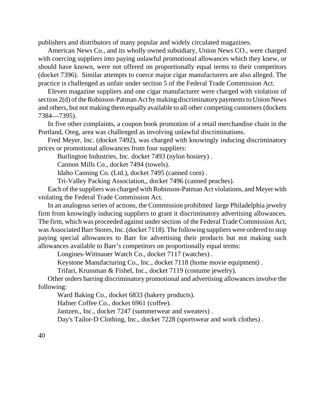publishers and distributors of many popular and widely circulated magazines.

American News Co., and its wholly owned subsidiary, Union News CO., were charged with coercing suppliers into paying unlawful promotional allowances which they knew, or should have known, were not offered on proportionally equal terms to their competitors (docket 7396). Similar attempts to coerce major cigar manufacturers are also alleged. The practice is challenged as unfair under section 5 of the Federal Trade Commission Act.

Eleven magazine suppliers and one cigar manufacturer were charged with violation of section  $2(d)$  of the Robinson-Patman Act by making discriminatory payments to Union News and others, but not making them equally available to all other competing customers(dockets 7384—7395).

In five other complaints, a coupon book promotion of a retail merchandise chain in the Portland, Oreg, area was challenged as involving unlawful discriminations.

Fred Meyer, Inc. (docket 7492), was charged with knowingly inducing discriminatory prices or promotional allowances from four suppliers:

Burlington Industries, Inc. docket 7493 (nylon hosiery) .

Cannon Mills Co., docket 7494 (towels).

Idaho Canning Co. (Ltd.), docket 7495 (canned corn) .

Tri-Valley Packing Association,, docket 7496 (canned peaches).

Each of the suppliers was charged with Robinson-Patman Act violations, and Meyer with violating the Federal Trade Commission Act.

In an analogous series of actions, the Commission prohibited large Philadelphia jewelry firm from knowingly inducing suppliers to grant it discriminatory advertising allowances. The firm, which was proceeded against undersection of the Federal Trade Commission Act, was Associated Barr Stores, Inc. (docket 7118). The following suppliers were ordered to stop paying special allowances to Barr for advertising their products but not making such allowances available to Barr's competitors on proportionally equal terms:

Longines-Wittnauer Watch Co., docket 7117 (watches) .

Keystone Manufacturing Co., Inc., docket 7118 (home movie equipment) .

Trifari, Krussman & Fishel, Inc., docket 7119 (costume jewelry).

Other orders barring discriminatory promotional and advertising allowances involve the following:

Ward Baking Co., docket 6833 (bakery products).

Hafner Coffee Co., docket 6961 (coffee).

Jantzen., Inc., docket 7247 (summerwear and sweaters) .

Day's Tailor-D Clothing, Inc., docket 7228 (sportswear and work clothes) .

40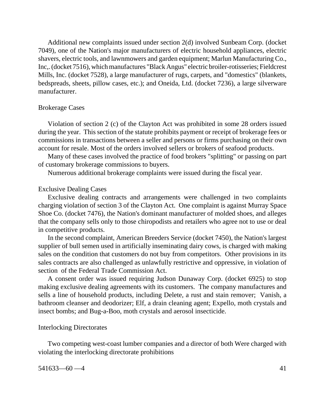Additional new complaints issued under section 2(d) involved Sunbeam Corp. (docket 7049), one of the Nation's major manufacturers of electric household appliances, electric shavers, electric tools, and lawnmowers and garden equipment; Marlun Manufacturing Co., Inc,. (docket 7516), which manufactures "Black Angus" electric broiler-rotisseries; Fieldcrest Mills, Inc. (docket 7528), a large manufacturer of rugs, carpets, and "domestics" (blankets, bedspreads, sheets, pillow cases, etc.); and Oneida, Ltd. (docket 7236), a large silverware manufacturer.

### Brokerage Cases

Violation of section 2 (c) of the Clayton Act was prohibited in some 28 orders issued during the year. This section of the statute prohibits payment or receipt of brokerage fees or commissions in transactions between a seller and persons or firms purchasing on their own account for resale. Most of the orders involved sellers or brokers of seafood products.

Many of these cases involved the practice of food brokers "splitting" or passing on part of customary brokerage commissions to buyers.

Numerous additional brokerage complaints were issued during the fiscal year.

### Exclusive Dealing Cases

Exclusive dealing contracts and arrangements were challenged in two complaints charging violation of section 3 of the Clayton Act. One complaint is against Murray Space Shoe Co. (docket 7476), the Nation's dominant manufacturer of molded shoes, and alleges that the company sells only to those chiropodists and retailers who agree not to use or deal in competitive products.

In the second complaint, American Breeders Service (docket 7450), the Nation's largest supplier of bull semen used in artificially inseminating dairy cows, is charged with making sales on the condition that customers do not buy from competitors. Other provisions in its sales contracts are also challenged as unlawfully restrictive and oppressive, in violation of section of the Federal Trade Commission Act.

A consent order was issued requiring Judson Dunaway Corp. (docket 6925) to stop making exclusive dealing agreements with its customers. The company manufactures and sells a line of household products, including Delete, a rust and stain remover; Vanish, a bathroom cleanser and deodorizer; Elf, a drain cleaning agent; Expello, moth crystals and insect bombs; and Bug-a-Boo, moth crystals and aerosol insecticide.

### Interlocking Directorates

Two competing west-coast lumber companies and a director of both Were charged with violating the interlocking directorate prohibitions

 $541633 - 60 - 4$  41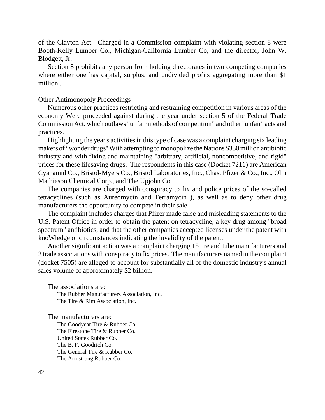of the Clayton Act. Charged in a Commission complaint with violating section 8 were Booth-Kelly Lumber Co., Michigan-California Lumber Co, and the director, John W. Blodgett, Jr.

Section 8 prohibits any person from holding directorates in two competing companies where either one has capital, surplus, and undivided profits aggregating more than \$1 million..

## Other Antimonopoly Proceedings

Numerous other practices restricting and restraining competition in various areas of the economy Were proceeded against during the year under section 5 of the Federal Trade Commission Act, which outlaws "unfair methods of competition" and other ''unfair'' acts and practices.

Highlighting the year's activities in this type of case was a complaint charging six leading makers of "wonder drugs" With attempting to monopolize the Nations \$330 million antibiotic industry and with fixing and maintaining "arbitrary, artificial, noncompetitive, and rigid" prices for these lifesaving drugs. The respondents in this case (Docket 7211) are American Cyanamid Co., Bristol-Myers Co., Bristol Laboratories, Inc., Chas. Pfizer & Co., Inc., Olin Mathieson Chemical Corp., and The Upjohn Co.

The companies are charged with conspiracy to fix and police prices of the so-called tetracyclines (such as Aureomycin and Terramycin ), as well as to deny other drug manufacturers the opportunity to compete in their sale.

The complaint includes charges that Pfizer made false and misleading statements to the U.S. Patent Office in order to obtain the patent on tetracycline, a key drug among "broad spectrum" antibiotics, and that the other companies accepted licenses under the patent with knoWledge of circumstances indicating the invalidity of the patent.

Another significant action was a complaint charging 15 tire and tube manufacturers and 2 trade asscciations with conspiracy to fix prices. The manufacturers named in the complaint (docket 7505) are alleged to account for substantially all of the domestic industry's annual sales volume of approximately \$2 billion.

The associations are:

The Rubber Manufacturers Association, Inc. The Tire & Rim Association, Inc.

The manufacturers are:

The Goodyear Tire & Rubber Co. The Firestone Tire & Rubber Co. United States Rubber Co. The B. F. Goodrich Co. The General Tire & Rubber Co. The Armstrong Rubber Co.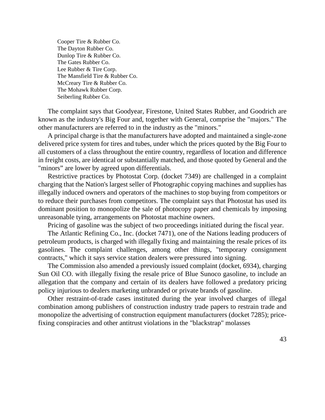Cooper Tire & Rubber Co. The Dayton Rubber Co. Dunlop Tire & Rubber Co. The Gates Rubber Co. Lee Rubber & Tire Corp. The Mansfield Tire & Rubber Co. McCreary Tire & Rubber Co. The Mohawk Rubber Corp. Seiberling Rubber Co.

The complaint says that Goodyear, Firestone, United States Rubber, and Goodrich are known as the industry's Big Four and, together with General, comprise the "majors." The other manufacturers are referred to in the industry as the "minors."

A principal charge is that the manufacturers have adopted and maintained a single-zone delivered price system for tires and tubes, under which the prices quoted by the Big Four to all customers of a class throughout the entire country, regardless of location and difference in freight costs, are identical or substantially matched, and those quoted by General and the "minors" are lower by agreed upon differentials.

Restrictive practices by Photostat Corp. (docket 7349) are challenged in a complaint charging that the Nation's largest seller of Photographic copying machines and supplies has illegally induced owners and operators of the machines to stop buying from competitors or to reduce their purchases from competitors. The complaint says that Photostat has used its dominant position to monopolize the sale of photocopy paper and chemicals by imposing unreasonable tying, arrangements on Photostat machine owners.

Pricing of gasoline was the subject of two proceedings initiated during the fiscal year.

The Atlantic Refining Co., Inc. (docket 7471), one of the Nations leading producers of petroleum products, is charged with illegally fixing and maintaining the resale prices of its gasolines. The complaint challenges, among other things, "temporary consignment contracts," which it says service station dealers were pressured into signing.

The Commission also amended a previously issued complaint (docket, 6934), charging Sun Oil CO. with illegally fixing the resale price of Blue Sunoco gasoline, to include an allegation that the company and certain of its dealers have followed a predatory pricing policy injurious to dealers marketing unbranded or private brands of gasoline.

Other restraint-of-trade cases instituted during the year involved charges of illegal combination among publishers of construction industry trade papers to restrain trade and monopolize the advertising of construction equipment manufacturers (docket 7285); pricefixing conspiracies and other antitrust violations in the "blackstrap" molasses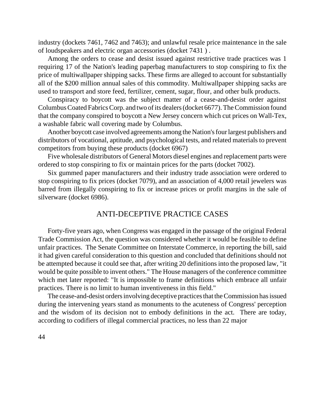industry (dockets 7461, 7462 and 7463); and unlawful resale price maintenance in the sale of loudspeakers and electric organ accessories (docket 7431 ) .

Among the orders to cease and desist issued against restrictive trade practices was 1 requiring 17 of the Nation's leading paperbag manufacturers to stop conspiring to fix the price of multiwallpaper shipping sacks. These firms are alleged to account for substantially all of the \$200 million annual sales of this commodity. Multiwallpaper shipping sacks are used to transport and store feed, fertilizer, cement, sugar, flour, and other bulk products.

Conspiracy to boycott was the subject matter of a cease-and-desist order against ColumbusCoated FabricsCorp. and two of its dealers (docket 6677). The Commission found that the company conspired to boycott a New Jersey concern which cut prices on Wall-Tex, a washable fabric wall covering made by Columbus.

Another boycott case involved agreements among the Nation's four largest publishers and distributors of vocational, aptitude, and psychological tests, and related materials to prevent competitors from buying these products (docket 6967)

Five wholesale distributors of General Motors diesel engines and replacement parts were ordered to stop conspiring to fix or maintain prices for the parts (docket 7002).

Six gummed paper manufacturers and their industry trade association were ordered to stop conspiring to fix prices (docket 7079), and an association of 4,000 retail jewelers was barred from illegally conspiring to fix or increase prices or profit margins in the sale of silverware (docket 6986).

# ANTI-DECEPTIVE PRACTICE CASES

Forty-five years ago, when Congress was engaged in the passage of the original Federal Trade Commission Act, the question was considered whether it would be feasible to define unfair practices. The Senate Committee on Interstate Commerce, in reporting the bill, said it had given careful consideration to this question and concluded that definitions should not be attempted because it could see that, after writing 20 definitions into the proposed law, "it would be quite possible to invent others." The House managers of the conference committee which met later reported: "It is impossible to frame definitions which embrace all unfair practices. There is no limit to human inventiveness in this field."

The cease-and-desist orders involving deceptive practices that the Commission has issued during the intervening years stand as monuments to the acuteness of Congress' perception and the wisdom of its decision not to embody definitions in the act. There are today, according to codifiers of illegal commercial practices, no less than 22 major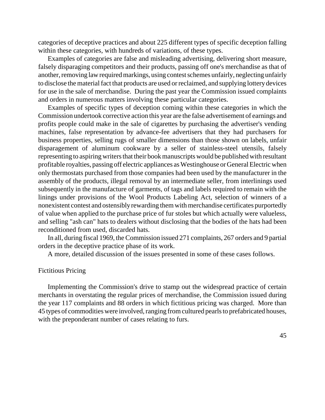categories of deceptive practices and about 225 different types of specific deception falling within these categories, with hundreds of variations, of these types.

Examples of categories are false and misleading advertising, delivering short measure, falsely disparaging competitors and their products, passing off one's merchandise as that of another, removing law required markings, using contest schemes unfairly, neglecting unfairly to disclose the material fact that products are used or reclaimed, and supplying lottery devices for use in the sale of merchandise. During the past year the Commission issued complaints and orders in numerous matters involving these particular categories.

Examples of specific types of deception coming within these categories in which the Commission undertook corrective action this year are the false advertisement of earnings and profits people could make in the sale of cigarettes by purchasing the advertiser's vending machines, false representation by advance-fee advertisers that they had purchasers for business properties, selling rugs of smaller dimensions than those shown on labels, unfair disparagement of aluminum cookware by a seller of stainless-steel utensils, falsely representing to aspiring writers that their book manuscripts would be published with resultant profitable royalties, passing off electric appliances as Westinghouse or General Electric when only thermostats purchased from those companies had been used by the manufacturer in the assembly of the products, illegal removal by an intermediate seller, from interlinings used subsequently in the manufacture of garments, of tags and labels required to remain with the linings under provisions of the Wool Products Labeling Act, selection of winners of a nonexistent contest and ostensiblyrewarding them with merchandise certificates purportedly of value when applied to the purchase price of fur stoles but which actually were valueless, and selling "ash can" hats to dealers without disclosing that the bodies of the hats had been reconditioned from used, discarded hats.

In all, during fiscal 1969, the Commission issued 271 complaints, 267 orders and 9 partial orders in the deceptive practice phase of its work.

A more, detailed discussion of the issues presented in some of these cases follows.

## Fictitious Pricing

Implementing the Commission's drive to stamp out the widespread practice of certain merchants in overstating the regular prices of merchandise, the Commission issued during the year 117 complaints and 88 orders in which fictitious pricing was charged. More than 45 types of commodities were involved, ranging from cultured pearls to prefabricated houses, with the preponderant number of cases relating to furs.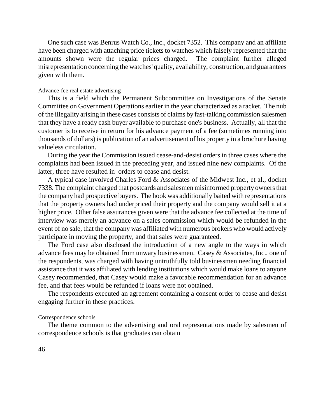One such case was Benrus Watch Co., Inc., docket 7352. This company and an affiliate have been charged with attaching price tickets to watches which falsely represented that the amounts shown were the regular prices charged. The complaint further alleged misrepresentation concerning the watches' quality, availability, construction, and guarantees given with them.

## Advance-fee real estate advertising

This is a field which the Permanent Subcommittee on Investigations of the Senate Committee on Government Operations earlier in the year characterized as a racket. The nub of the illegality arising in these cases consists of claims by fast-talking commission salesmen that they have a ready cash buyer available to purchase one's business. Actually, all that the customer is to receive in return for his advance payment of a fee (sometimes running into thousands of dollars) is publication of an advertisement of his property in a brochure having valueless circulation.

During the year the Commission issued cease-and-desist orders in three cases where the complaints had been issued in the preceding year, and issued nine new complaints. Of the latter, three have resulted in orders to cease and desist.

A typical case involved Charles Ford & Associates of the Midwest Inc., et al., docket 7338. The complaint charged that postcards and salesmen misinformed property owners that the company had prospective buyers. The hook was additionally baited with representations that the property owners had underpriced their property and the company would sell it at a higher price. Other false assurances given were that the advance fee collected at the time of interview was merely an advance on a sales commission which would be refunded in the event of no sale, that the company was affiliated with numerous brokers who would actively participate in moving the property, and that sales were guaranteed.

The Ford case also disclosed the introduction of a new angle to the ways in which advance fees may be obtained from unwary businessmen. Casey & Associates, Inc., one of the respondents, was charged with having untruthfully told businessmen needing financial assistance that it was affiliated with lending institutions which would make loans to anyone Casey recommended, that Casey would make a favorable recommendation for an advance fee, and that fees would be refunded if loans were not obtained.

The respondents executed an agreement containing a consent order to cease and desist engaging further in these practices.

#### Correspondence schools

The theme common to the advertising and oral representations made by salesmen of correspondence schools is that graduates can obtain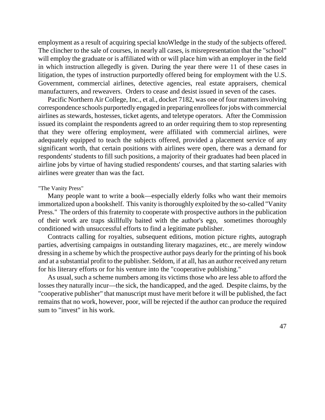employment as a result of acquiring special knoWledge in the study of the subjects offered. The clincher to the sale of courses, in nearly all cases, is misrepresentation that the "school" will employ the graduate or is affiliated with or will place him with an employer in the field in which instruction allegedly is given. During the year there were 11 of these cases in litigation, the types of instruction purportedly offered being for employment with the U.S. Government, commercial airlines, detective agencies, real estate appraisers, chemical manufacturers, and reweavers. Orders to cease and desist issued in seven of the cases.

Pacific Northern Air College, Inc., et al., docket 7182, was one of four matters involving correspondence schools purportedly engaged in preparing enrollees for jobs with commercial airlines as stewards, hostesses, ticket agents, and teletype operators. After the Commission issued its complaint the respondents agreed to an order requiring them to stop representing that they were offering employment, were affiliated with commercial airlines, were adequately equipped to teach the subjects offered, provided a placement service of any significant worth, that certain positions with airlines were open, there was a demand for respondents' students to fill such positions, a majority of their graduates had been placed in airline jobs by virtue of having studied respondents' courses, and that starting salaries with airlines were greater than was the fact.

### "The Vanity Press"

Many people want to write a book—especially elderly folks who want their memoirs immortalized upon a bookshelf. This vanity is thoroughly exploited by the so-called "Vanity Press." The orders of this fraternity to cooperate with prospective authors in the publication of their work are traps skillfully baited with the author's ego, sometimes thoroughly conditioned with unsuccessful efforts to find a legitimate publisher.

Contracts calling for royalties, subsequent editions, motion picture rights, autograph parties, advertising campaigns in outstanding literary magazines, etc., are merely window dressing in a scheme by which the prospective author pays dearly for the printing of his book and at a substantial profit to the publisher. Seldom, if at all, has an author received any return for his literary efforts or for his venture into the "cooperative publishing."

As usual, such a scheme numbers among its victims those who are less able to afford the losses they naturally incur—the sick, the handicapped, and the aged. Despite claims, by the "cooperative publisher" that manuscript must have merit before it will be published, the fact remains that no work, however, poor, will be rejected if the author can produce the required sum to "invest" in his work.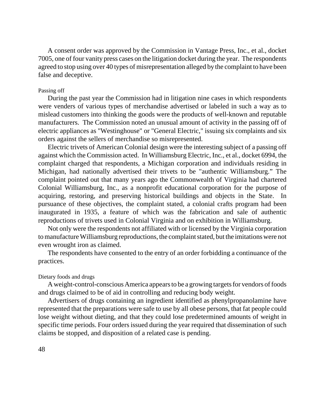A consent order was approved by the Commission in Vantage Press, Inc., et al., docket 7005, one of four vanity press cases on the litigation docket during the year. The respondents agreed to stop using over 40 types of misrepresentation alleged by the complaint to have been false and deceptive.

### Passing off

During the past year the Commission had in litigation nine cases in which respondents were venders of various types of merchandise advertised or labeled in such a way as to mislead customers into thinking the goods were the products of well-known and reputable manufacturers. The Commission noted an unusual amount of activity in the passing off of electric appliances as "Westinghouse" or "General Electric," issuing six complaints and six orders against the sellers of merchandise so misrepresented.

Electric trivets of American Colonial design were the interesting subject of a passing off against which the Commission acted. In Williamsburg Electric, Inc., et al., docket 6994, the complaint charged that respondents, a Michigan corporation and individuals residing in Michigan, had nationally advertised their trivets to be "authentic Williamsburg." The complaint pointed out that many years ago the Commonwealth of Virginia had chartered Colonial Williamsburg, Inc., as a nonprofit educational corporation for the purpose of acquiring, restoring, and preserving historical buildings and objects in the State. In pursuance of these objectives, the complaint stated, a colonial crafts program had been inaugurated in 1935, a feature of which was the fabrication and sale of authentic reproductions of trivets used in Colonial Virginia and on exhibition in Williamsburg.

Not only were the respondents not affiliated with or licensed by the Virginia corporation to manufacture Williamsburg reproductions, the complaint stated, but the imitations were not even wrought iron as claimed.

The respondents have consented to the entry of an order forbidding a continuance of the practices.

### Dietary foods and drugs

A weight-control-conscious America appearsto be a growing targets for vendors of foods and drugs claimed to be of aid in controlling and reducing body weight.

Advertisers of drugs containing an ingredient identified as phenylpropanolamine have represented that the preparations were safe to use by all obese persons, that fat people could lose weight without dieting, and that they could lose predetermined amounts of weight in specific time periods. Four orders issued during the year required that dissemination of such claims be stopped, and disposition of a related case is pending.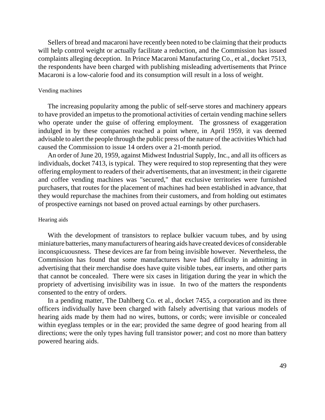Sellers of bread and macaroni have recently been noted to be claiming that their products will help control weight or actually facilitate a reduction, and the Commission has issued complaints alleging deception. In Prince Macaroni Manufacturing Co., et al., docket 7513, the respondents have been charged with publishing misleading advertisements that Prince Macaroni is a low-calorie food and its consumption will result in a loss of weight.

### Vending machines

The increasing popularity among the public of self-serve stores and machinery appears to have provided an impetus to the promotional activities of certain vending machine sellers who operate under the guise of offering employment. The grossness of exaggeration indulged in by these companies reached a point where, in April 1959, it vas deemed advisable to alert the people through the public press of the nature of the activities Which had caused the Commission to issue 14 orders over a 21-month period.

An order of June 20, 1959, against Midwest Industrial Supply, Inc., and all its officers as individuals, docket 7413, is typical. They were required to stop representing that they were offering employment to readers of their advertisements, that an investment; in their cigarette and coffee vending machines was "secured," that exclusive territories were furnished purchasers, that routes for the placement of machines had been established in advance, that they would repurchase the machines from their customers, and from holding out estimates of prospective earnings not based on proved actual earnings by other purchasers.

#### Hearing aids

With the development of transistors to replace bulkier vacuum tubes, and by using miniature batteries, many manufacturers of hearing aids have created devices of considerable inconspicuousness. These devices are far from being invisible however. Nevertheless, the Commission has found that some manufacturers have had difficulty in admitting in advertising that their merchandise does have quite visible tubes, ear inserts, and other parts that cannot be concealed. There were six cases in litigation during the year in which the propriety of advertising invisibility was in issue. In two of the matters the respondents consented to the entry of orders.

In a pending matter, The Dahlberg Co. et al., docket 7455, a corporation and its three officers individually have been charged with falsely advertising that various models of hearing aids made by them had no wires, buttons, or cords; were invisible or concealed within eyeglass temples or in the ear; provided the same degree of good hearing from all directions; were the only types having full transistor power; and cost no more than battery powered hearing aids.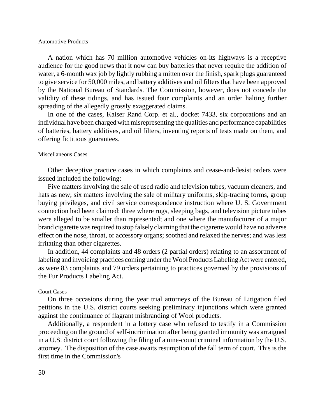#### Automotive Products

A nation which has 70 million automotive vehicles on-its highways is a receptive audience for the good news that it now can buy batteries that never require the addition of water, a 6-month wax job by lightly rubbing a mitten over the finish, spark plugs guaranteed to give service for 50,000 miles, and battery additives and oil filters that have been approved by the National Bureau of Standards. The Commission, however, does not concede the validity of these tidings, and has issued four complaints and an order halting further spreading of the allegedly grossly exaggerated claims.

In one of the cases, Kaiser Rand Corp. et al., docket 7433, six corporations and an individual have been charged with misrepresenting the qualities and performance capabilities of batteries, battery additives, and oil filters, inventing reports of tests made on them, and offering fictitious guarantees.

### Miscellaneous Cases

Other deceptive practice cases in which complaints and cease-and-desist orders were issued included the following:

Five matters involving the sale of used radio and television tubes, vacuum cleaners, and hats as new; six matters involving the sale of military uniforms, skip-tracing forms, group buying privileges, and civil service correspondence instruction where U. S. Government connection had been claimed; three where rugs, sleeping bags, and television picture tubes were alleged to be smaller than represented; and one where the manufacturer of a major brand cigarette was required to stop falsely claiming that the cigarette would have no adverse effect on the nose, throat, or accessory organs; soothed and relaxed the nerves; and was less irritating than other cigarettes.

In addition, 44 complaints and 48 orders (2 partial orders) relating to an assortment of labeling and invoicing practices coming under the Wool Products Labeling Act were entered, as were 83 complaints and 79 orders pertaining to practices governed by the provisions of the Fur Products Labeling Act.

### Court Cases

On three occasions during the year trial attorneys of the Bureau of Litigation filed petitions in the U.S. district courts seeking preliminary injunctions which were granted against the continuance of flagrant misbranding of Wool products.

Additionally, a respondent in a lottery case who refused to testify in a Commission proceeding on the ground of self-incrimination after being granted immunity was arraigned in a U.S. district court following the filing of a nine-count criminal information by the U.S. attorney. The disposition of the case awaits resumption of the fall term of court. This is the first time in the Commission's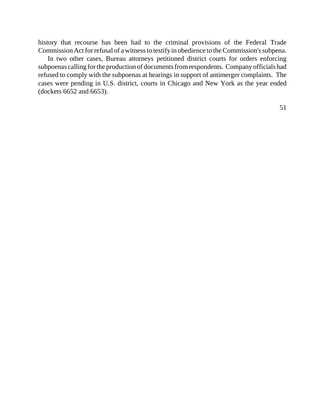history that recourse has been had to the criminal provisions of the Federal Trade Commission Act for refusal of a witness to testify in obedience to the Commission's subpena.

In two other cases, Bureau attorneys petitioned district courts for orders enforcing subpoenas calling for the production of documents from respondents. Company officials had refused to comply with the subpoenas at hearings in support of antimerger complaints. The cases were pending in U.S. district, courts in Chicago and New York as the year ended (dockets 6652 and 6653).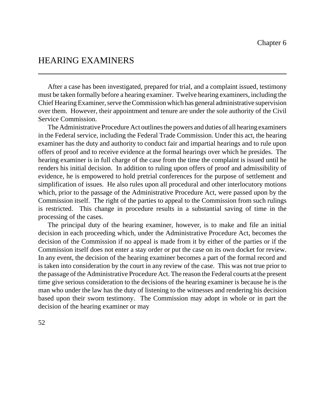# HEARING EXAMINERS

After a case has been investigated, prepared for trial, and a complaint issued, testimony must be taken formally before a hearing examiner. Twelve hearing examiners, including the Chief Hearing Examiner, serve the Commission which has general administrative supervision over them. However, their appointment and tenure are under the sole authority of the Civil Service Commission.

The Administrative Procedure Act outlines the powers and duties of all hearing examiners in the Federal service, including the Federal Trade Commission. Under this act, the hearing examiner has the duty and authority to conduct fair and impartial hearings and to rule upon offers of proof and to receive evidence at the formal hearings over which he presides. The hearing examiner is in full charge of the case from the time the complaint is issued until he renders his initial decision. In addition to ruling upon offers of proof and admissibility of evidence, he is empowered to hold pretrial conferences for the purpose of settlement and simplification of issues. He also rules upon all procedural and other interlocutory motions which, prior to the passage of the Administrative Procedure Act, were passed upon by the Commission itself. The right of the parties to appeal to the Commission from such rulings is restricted. This change in procedure results in a substantial saving of time in the processing of the cases.

The principal duty of the hearing examiner, however, is to make and file an initial decision in each proceeding which, under the Administrative Procedure Act, becomes the decision of the Commission if no appeal is made from it by either of the parties or if the Commission itself does not enter a stay order or put the case on its own docket for review. In any event, the decision of the hearing examiner becomes a part of the formal record and is taken into consideration by the court in any review of the case. This was not true prior to the passage of the Administrative Procedure Act. The reason the Federal courts at the present time give serious consideration to the decisions of the hearing examiner is because he is the man who under the law has the duty of listening to the witnesses and rendering his decision based upon their sworn testimony. The Commission may adopt in whole or in part the decision of the hearing examiner or may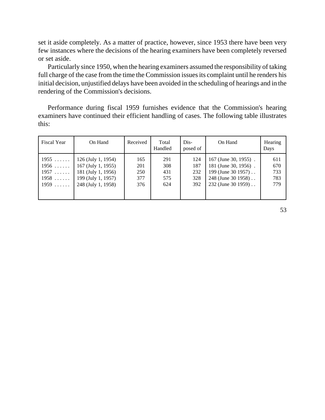set it aside completely. As a matter of practice, however, since 1953 there have been very few instances where the decisions of the hearing examiners have been completely reversed or set aside.

Particularly since 1950, when the hearing examiners assumed the responsibility of taking full charge of the case from the time the Commission issuesits complaint until he renders his initial decision, unjustified delays have been avoided in the scheduling of hearings and in the rendering of the Commission's decisions.

Performance during fiscal 1959 furnishes evidence that the Commission's hearing examiners have continued their efficient handling of cases. The following table illustrates this:

| <b>Fiscal Year</b> | On Hand            | Received | Total<br>Handled | $Dis-$<br>posed of | On Hand              | Hearing<br>Days |
|--------------------|--------------------|----------|------------------|--------------------|----------------------|-----------------|
| $1955 \ldots$      | 126 (July 1, 1954) | 165      | 291              | 124                | 167 (June 30, 1955). | 611             |
| $1956 \ldots$      | 167 (July 1, 1955) | 201      | 308              | 187                | 181 (June 30, 1956). | 670             |
| $1957 \ldots$      | 181 (July 1, 1956) | 250      | 431              | 232                | 199 (June 30 1957)   | 733             |
| $1958 \ldots$      | 199 (July 1, 1957) | 377      | 575              | 328                | 248 (June 30 1958)   | 783             |
| 1959               | 248 (July 1, 1958) | 376      | 624              | 392                | 232 (June 30 1959)   | 779             |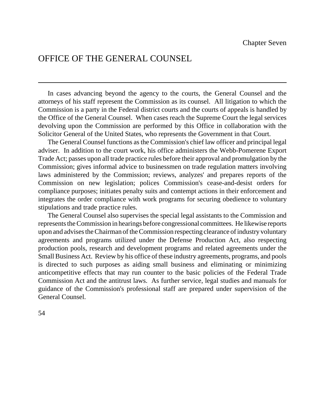# OFFICE OF THE GENERAL COUNSEL

In cases advancing beyond the agency to the courts, the General Counsel and the attorneys of his staff represent the Commission as its counsel. All litigation to which the Commission is a party in the Federal district courts and the courts of appeals is handled by the Office of the General Counsel. When cases reach the Supreme Court the legal services devolving upon the Commission are performed by this Office in collaboration with the Solicitor General of the United States, who represents the Government in that Court.

The General Counsel functions as the Commission's chief law officer and principal legal adviser. In addition to the court work, his office administers the Webb-Pomerene Export Trade Act; passes upon all trade practice rules before their approval and promulgation by the Commission; gives informal advice to businessmen on trade regulation matters involving laws administered by the Commission; reviews, analyzes' and prepares reports of the Commission on new legislation; polices Commission's cease-and-desist orders for compliance purposes; initiates penalty suits and contempt actions in their enforcement and integrates the order compliance with work programs for securing obedience to voluntary stipulations and trade practice rules.

The General Counsel also supervises the special legal assistants to the Commission and represents the Commission in hearings before congressional committees. He likewise reports upon and advises the Chairman of the Commission respecting clearance of industry voluntary agreements and programs utilized under the Defense Production Act, also respecting production pools, research and development programs and related agreements under the Small Business Act. Review by his office of these industry agreements, programs, and pools is directed to such purposes as aiding small business and eliminating or minimizing anticompetitive effects that may run counter to the basic policies of the Federal Trade Commission Act and the antitrust laws. As further service, legal studies and manuals for guidance of the Commission's professional staff are prepared under supervision of the General Counsel.

54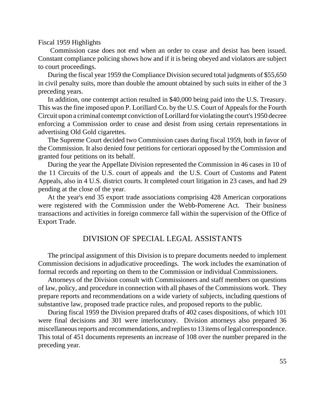### Fiscal 1959 Highlights

 Commission case does not end when an order to cease and desist has been issued. Constant compliance policing shows how and if it is being obeyed and violators are subject to court proceedings.

During the fiscal year 1959 the Compliance Division secured total judgments of \$55,650 in civil penalty suits, more than double the amount obtained by such suits in either of the 3 preceding years.

In addition, one contempt action resulted in \$40,000 being paid into the U.S. Treasury. This was the fine imposed upon P. Lorillard Co. by the U.S. Court of Appeals for the Fourth Circuit upon a criminal contempt conviction of Lorillard for violating the court's 1950 decree enforcing a Commission order to cease and desist from using certain representations in advertising Old Gold cigarettes.

The Supreme Court decided two Commission cases during fiscal 1959, both in favor of the Commission. It also denied four petitions for certiorari opposed by the Commission and granted four petitions on its behalf.

During the year the Appellate Division represented the Commission in 46 cases in 10 of the 11 Circuits of the U.S. court of appeals and the U.S. Court of Customs and Patent Appeals, also in 4 U.S. district courts. It completed court litigation in 23 cases, and had 29 pending at the close of the year.

At the year's end 35 export trade associations comprising 428 American corporations were registered with the Commission under the Webb-Pomerene Act. Their business transactions and activities in foreign commerce fall within the supervision of the Office of Export Trade.

# DIVISION OF SPECIAL LEGAL ASSISTANTS

The principal assignment of this Division is to prepare documents needed to implement Commission decisions in adjudicative proceedings. The work includes the examination of formal records and reporting on them to the Commission or individual Commissioners.

Attorneys of the Division consult with Commissioners and staff members on questions of law, policy, and procedure in connection with all phases of the Commissions work. They prepare reports and recommendations on a wide variety of subjects, including questions of substantive law, proposed trade practice rules, and proposed reports to the public.

During fiscal 1959 the Division prepared drafts of 402 cases dispositions, of which 101 were final decisions and 301 were interlocutory. Division attorneys also prepared 36 miscellaneous reports and recommendations, and replies to 13 items of legal correspondence. This total of 451 documents represents an increase of 108 over the number prepared in the preceding year.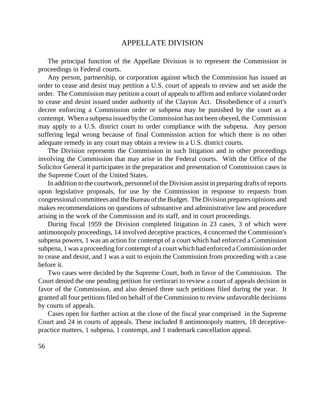# APPELLATE DIVISION

The principal function of the Appellate Division is to represent the Commission in proceedings in Federal courts.

Any person, partnership, or corporation against which the Commission has issued an order to cease and desist may petition a U.S. court of appeals to review and set aside the order. The Commission may petition a court of appeals to affirm and enforce violated order to cease and desist issued under authority of the Clayton Act. Disobedience of a court's decree enforcing a Commission order or subpena may be punished by the court as a contempt. When a subpena issued by the Commission has not been obeyed, the Commission may apply to a U.S. district court to order compliance with the subpena. Any person suffering legal wrong because of final Commission action for which there is no other adequate remedy in any court may obtain a review in a U.S. district courts.

The Division represents the Commission in such litigation and in other proceedings involving the Commission that may arise in the Federal courts. With the Office of the Solicitor General it participates in the preparation and presentation of Commission cases in the Supreme Court of the United States.

In addition to the courtwork, personnel of the Division assist in preparing drafts of reports upon legislative proposals, for use by the Commission in response to requests from congressional committees and the Bureau of the Budget. The Division prepares opinions and makes recommendations on questions of substantive and administrative law and procedure arising in the work of the Commission and its staff, and in court proceedings.

During fiscal 1959 the Division completed litigation in 23 cases, 3 of which were antimonopoly proceedings, 14 involved deceptive practices, 4 concerned the Commission's subpena powers, 1 was an action for contempt of a court which had enforced a Commission subpena, 1 was a proceeding for contempt of a court which had enforced a Commission order to cease and desist, and 1 was a suit to enjoin the Commission from proceeding with a case before it.

Two cases were decided by the Supreme Court, both in favor of the Commission. The Court denied the one pending petition for certiorari to review a court of appeals decision in favor of the Commission, and also denied three such petitions filed during the year. It granted all four petitionsfiled on behalf of the Commission to review unfavorable decisions by courts of appeals.

Cases open for further action at the close of the fiscal year comprised in the Supreme Court and 24 in courts of appeals. These included 8 antimonopoly matters, 18 deceptivepractice matters, 1 subpena, 1 contempt, and 1 trademark cancellation appeal.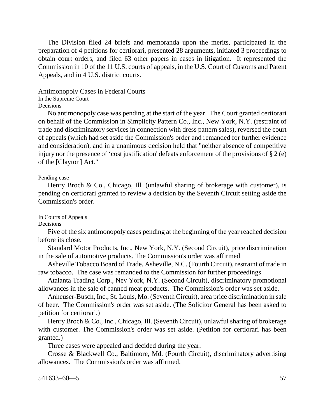The Division filed 24 briefs and memoranda upon the merits, participated in the preparation of 4 petitions for certiorari, presented 28 arguments, initiated 3 proceedings to obtain court orders, and filed 63 other papers in cases in litigation. It represented the Commission in 10 of the 11 U.S. courts of appeals, in the U.S. Court of Customs and Patent Appeals, and in 4 U.S. district courts.

Antimonopoly Cases in Federal Courts In the Supreme Court Decisions

No antimonopoly case was pending at the start of the year. The Court granted certiorari on behalf of the Commission in Simplicity Pattern Co., Inc., New York, N.Y. (restraint of trade and discriminatory services in connection with dress pattern sales), reversed the court of appeals (which had set aside the Commission's order and remanded for further evidence and consideration), and in a unanimous decision held that "neither absence of competitive injury nor the presence of 'cost justification' defeats enforcement of the provisions of § 2 (e) of the [Clayton] Act."

## Pending case

Henry Broch & Co., Chicago, Ill. (unlawful sharing of brokerage with customer), is pending on certiorari granted to review a decision by the Seventh Circuit setting aside the Commission's order.

In Courts of Appeals

Decisions

Five of the six antimonopoly cases pending at the beginning of the year reached decision before its close.

Standard Motor Products, Inc., New York, N.Y. (Second Circuit), price discrimination in the sale of automotive products. The Commission's order was affirmed.

Asheville Tobacco Board of Trade, Asheville, N.C. (Fourth Circuit), restraint of trade in raw tobacco. The case was remanded to the Commission for further proceedings

Atalanta Trading Corp., Nev York, N.Y. (Second Circuit), discriminatory promotional allowances in the sale of canned meat products. The Commission's order was set aside.

Anheuser-Busch, Inc., St. Louis, Mo. (Seventh Circuit), area price discrimination in sale of beer. The Commission's order was set aside. (The Solicitor General has been asked to petition for certiorari.)

Henry Broch & Co., Inc., Chicago, Ill. (Seventh Circuit), unlawful sharing of brokerage with customer. The Commission's order was set aside. (Petition for certiorari has been granted.)

Three cases were appealed and decided during the year.

Crosse & Blackwell Co., Baltimore, Md. (Fourth Circuit), discriminatory advertising allowances. The Commission's order was affirmed.

541633–60—5 57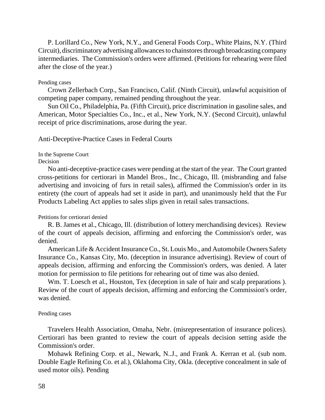P. Lorillard Co., New York, N.Y., and General Foods Corp., White Plains, N.Y. (Third Circuit), discriminatory advertising allowances to chainstores through broadcasting company intermediaries. The Commission's orders were affirmed. (Petitions for rehearing were filed after the close of the year.)

### Pending cases

Crown Zellerbach Corp., San Francisco, Calif. (Ninth Circuit), unlawful acquisition of competing paper company, remained pending throughout the year.

Sun Oil Co., Philadelphia, Pa. (Fifth Circuit), price discrimination in gasoline sales, and American, Motor Specialties Co., Inc., et al., New York, N.Y. (Second Circuit), unlawful receipt of price discriminations, arose during the year.

Anti-Deceptive-Practice Cases in Federal Courts

## In the Supreme Court

### Decision

No anti-deceptive-practice cases were pending at the start of the year. The Court granted cross-petitions for certiorari in Mandel Bros., Inc., Chicago, Ill. (misbranding and false advertising and invoicing of furs in retail sales), affirmed the Commission's order in its entirety (the court of appeals had set it aside in part), and unanimously held that the Fur Products Labeling Act applies to sales slips given in retail sales transactions.

### Petitions for certiorari denied

R. B. James et al., Chicago, Ill. (distribution of lottery merchandising devices). Review of the court of appeals decision, affirming and enforcing the Commission's order, was denied.

American Life & Accident Insurance Co., St. Louis Mo., and Automobile Owners Safety Insurance Co., Kansas City, Mo. (deception in insurance advertising). Review of court of appeals decision, affirming and enforcing the Commission's orders, was denied. A later motion for permission to file petitions for rehearing out of time was also denied.

Wm. T. Loesch et al., Houston, Tex (deception in sale of hair and scalp preparations). Review of the court of appeals decision, affirming and enforcing the Commission's order, was denied.

### Pending cases

Travelers Health Association, Omaha, Nebr. (misrepresentation of insurance polices). Certiorari has been granted to review the court of appeals decision setting aside the Commission's order.

Mohawk Refining Corp. et al., Newark, N..J., and Frank A. Kerran et al. (sub nom. Double Eagle Refining Co. et al.), Oklahoma City, Okla. (deceptive concealment in sale of used motor oils). Pending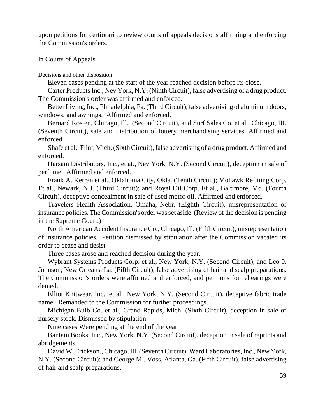upon petitions for certiorari to review courts of appeals decisions affirming and enforcing the Commission's orders.

ln Courts of Appeals

Decisions and other disposition

Eleven cases pending at the start of the year reached decision before its close.

Carter Products Inc., Nev York, N.Y. (Ninth Circuit), false advertising of a drug product. The Commission's order was affirmed and enforced.

BetterLiving, Inc., Philadelphia, Pa. (Third Circuit), false advertising of aluminum doors, windows, and awnings. Affirmed and enforced.

Bernard Rosten, Chicago, Ill. (Second Circuit), and Surf Sales Co. et al., Chicago, III. (Seventh Circuit), sale and distribution of lottery merchandising services. Affirmed and enforced.

Shafe et al., Flint, Mich. (Sixth Circuit), false advertising of a drug product. Affirmed and enforced.

Harsam Distributors, Inc., et at., Nev York, N.Y. (Second Circuit), deception in sale of perfume. Affirmed and enforced.

Frank A. Kerran et al., Oklahoma City, Okla. (Tenth Circuit); Mohawk Refining Corp. Et al., Newark, N.J. (Third Circuit); and Royal Oil Corp. Et al., Baltimore, Md. (Fourth Circuit), deceptive concealment in sale of used motor oil. Affirmed and enforced.

Travelers Health Association, Omaha, Nebr. (Eighth Circuit), misrepresentation of insurance policies. The Commission's order was set aside. (Review of the decision is pending in the Supreme Court.)

North American Accident Insurance Co., Chicago, Ill. (Fifth Circuit), misrepresentation of insurance policies. Petition dismissed by stipulation after the Commission vacated its order to cease and desist

Three cases arose and reached decision during the year.

Wybrant Systems Products Corp. et al., New York, N.Y. (Second Circuit), and Leo 0. Johnson, New Orleans, La. (Fifth Circuit), false advertising of hair and scalp preparations. The Commission's orders were affirmed and enforced, and petitions for rehearings were denied.

Elliot Knitwear, Inc., et al., New York, N.Y. (Second Circuit), deceptive fabric trade name. Remanded to the Commission for further proceedings.

Michigan Bulb Co. et al., Grand Rapids, Mich. (Sixth Circuit), deception in sale of nursery stock. Dismissed by stipulation.

Nine cases Were pending at the end of the year.

Bantam Books, Inc., New York, N.Y. (Second Circuit), deception in sale of reprints and abridgements.

David W. Erickson., Chicago, Ill. (Seventh Circuit); Ward Laboratories, Inc., New York, N.Y. (Second Circuit); and George M.. Voss, Atlanta, Ga. (Fifth Circuit), false advertising of hair and scalp preparations.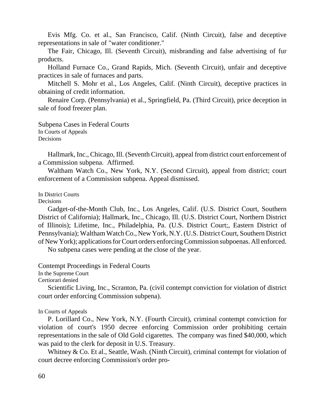Evis Mfg. Co. et al., San Francisco, Calif. (Ninth Circuit), false and deceptive representations in sale of "water conditioner."

The Fair, Chicago, Ill. (Seventh Circuit), misbranding and false advertising of fur products.

Holland Furnace Co., Grand Rapids, Mich. (Seventh Circuit), unfair and deceptive practices in sale of furnaces and parts.

Mitchell S. Mohr et al., Los Angeles, Calif. (Ninth Circuit), deceptive practices in obtaining of credit information.

Renaire Corp. (Pennsylvania) et al., Springfield, Pa. (Third Circuit), price deception in sale of food freezer plan.

Subpena Cases in Federal Courts In Courts of Appeals Decisions

Hallmark, Inc., Chicago, Ill. (Seventh Circuit), appeal from district court enforcement of a Commission subpena. Affirmed.

Waltham Watch Co., New York, N.Y. (Second Circuit), appeal from district; court enforcement of a Commission subpena. Appeal dismissed.

In District Courts

Decisions

Gadget-of-the-Month Club, Inc., Los Angeles, Calif. (U.S. District Court, Southern District of California); Hallmark, Inc., Chicago, Ill. (U.S. District Court, Northern District of Illinois); Lifetime, Inc., Philadelphia, Pa. (U.S. District Court;, Eastern District of Pennsylvania); Waltham Watch Co., New York, N.Y. (U.S. District Court, Southern District of New York); applicationsforCourt orders enforcingCommission subpoenas. All enforced.

No subpena cases were pending at the close of the year.

Contempt Proceedings in Federal Courts

In the Supreme Court

Certiorari denied

Scientific Living, Inc., Scranton, Pa. (civil contempt conviction for violation of district court order enforcing Commission subpena).

### In Courts of Appeals

P. Lorillard Co., New York, N.Y. (Fourth Circuit), criminal contempt conviction for violation of court's 1950 decree enforcing Commission order prohibiting certain representations in the sale of Old Gold cigarettes. The company was fined \$40,000, which was paid to the clerk for deposit in U.S. Treasury.

Whitney & Co. Et al., Seattle, Wash. (Ninth Circuit), criminal contempt for violation of court decree enforcing Commission's order pro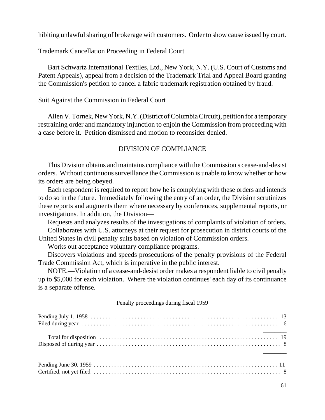hibiting unlawful sharing of brokerage with customers. Order to show cause issued by court.

Trademark Cancellation Proceeding in Federal Court

Bart Schwartz International Textiles, Ltd., New York, N.Y. (U.S. Court of Customs and Patent Appeals), appeal from a decision of the Trademark Trial and Appeal Board granting the Commission's petition to cancel a fabric trademark registration obtained by fraud.

## Suit Against the Commission in Federal Court

Allen V. Tornek, New York, N.Y.(District of ColumbiaCircuit), petition for a temporary restraining order and mandatory injunction to enjoin the Commission from proceeding with a case before it. Petition dismissed and motion to reconsider denied.

## DIVISION OF COMPLIANCE

This Division obtains and maintains compliance with the Commission's cease-and-desist orders. Without continuous surveillance the Commission is unable to know whether or how its orders are being obeyed.

Each respondent is required to report how he is complying with these orders and intends to do so in the future. Immediately following the entry of an order, the Division scrutinizes these reports and augments them where necessary by conferences, supplemental reports, or investigations. In addition, the Division—

Requests and analyzes results of the investigations of complaints of violation of orders. Collaborates with U.S. attorneys at their request for prosecution in district courts of the United States in civil penalty suits based on violation of Commission orders.

Works out acceptance voluntary compliance programs.

Discovers violations and speeds prosecutions of the penalty provisions of the Federal Trade Commission Act, which is imperative in the public interest.

NOTE.—Violation of a cease-and-desist order makes a respondent liable to civil penalty up to \$5,000 for each violation. Where the violation continues' each day of its continuance is a separate offense.

### Penalty proceedings during fiscal 1959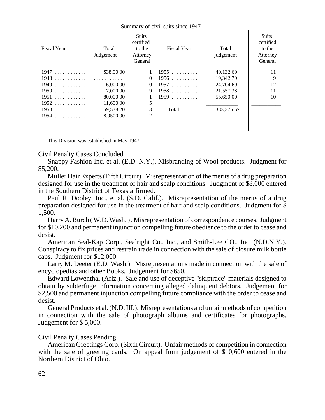| <b>Fiscal Year</b>                                                   | Total<br>Judgement                                                                           | <b>Suits</b><br>certified<br>to the<br>Attorney<br>General | <b>Fiscal Year</b>                                         | Total<br>judgement                                                            | <b>Suits</b><br>certified<br>to the<br>Attorney<br>General |  |  |  |
|----------------------------------------------------------------------|----------------------------------------------------------------------------------------------|------------------------------------------------------------|------------------------------------------------------------|-------------------------------------------------------------------------------|------------------------------------------------------------|--|--|--|
| 1947<br>$1948$<br>1949<br>$1950$<br>1951<br>$1952$<br>1953<br>$1954$ | \$38,00.00<br>.<br>16,000.00<br>7,000.00<br>80,000.00<br>11,600.00<br>59,538.20<br>8,9500.00 | 9                                                          | 1955<br>1956<br>1957<br>$1958$<br>1959<br>Total $\ldots$ . | 40,132.69<br>19,342.70<br>24,704.60<br>21,557.38<br>55,650.00<br>383, 375. 57 | 11<br>9<br>12<br>11<br>10                                  |  |  |  |

Summary of civil suits since  $1947<sup>1</sup>$ 

This Division was established in May 1947

## Civil Penalty Cases Concluded

Snappy Fashion Inc. et al. (E.D. N.Y.). Misbranding of Wool products. Judgment for \$5,200.

Muller Hair Experts(FifthCircuit). Misrepresentation of the merits of a drug preparation designed for use in the treatment of hair and scalp conditions. Judgment of \$8,000 entered in the Southern District of Texas affirmed.

Paul R. Dooley, Inc., et al. (S.D. Calif.). Misrepresentation of the merits of a drug preparation designed for use in the treatment of hair and scalp conditions. Judgment for \$ 1,500.

HarryA.Burch (W.D.Wash.).Misrepresentation of correspondence courses. Judgment for \$10,200 and permanent injunction compelling future obedience to the order to cease and desist.

American Seal-Kap Corp., Sealright Co., Inc., and Smith-Lee CO., Inc. (N.D.N.Y.). Conspiracy to fix prices and restrain trade in connection with the sale of closure milk bottle caps. Judgment for \$12,000.

Larry M. Deeter (E.D. Wash.). Misrepresentations made in connection with the sale of encyclopedias and other Books. Judgement for \$650.

Edward Lowenthal (Ariz.). Sale and use of deceptive "skiptrace" materials designed to obtain by subterfuge information concerning alleged delinquent debtors. Judgement for \$2,500 and permanent injunction compelling future compliance with the order to cease and desist.

General Products et al.(N.D.III.). Misrepresentations and unfair methods of competition in connection with the sale of photograph albums and certificates for photographs. Judgement for \$ 5,000.

## Civil Penalty Cases Pending

American Greetings Corp. (Sixth Circuit). Unfair methods of competition in connection with the sale of greeting cards. On appeal from judgement of \$10,600 entered in the Northern District of Ohio.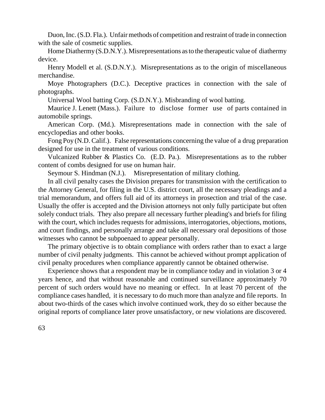Duon, Inc. (S.D. Fla.). Unfair methods of competition and restraint of trade in connection with the sale of cosmetic supplies.

Home Diathermy (S.D.N.Y.). Misrepresentations as to the therapeutic value of diathermy device.

Henry Modell et al. (S.D.N.Y.). Misrepresentations as to the origin of miscellaneous merchandise.

Moye Photographers (D.C.). Deceptive practices in connection with the sale of photographs.

Universal Wool batting Corp. (S.D.N.Y.). Misbranding of wool batting.

Maurice J. Lenett (Mass.). Failure to disclose former use of parts contained in automobile springs.

American Corp. (Md.). Misrepresentations made in connection with the sale of encyclopedias and other books.

Fong Poy (N.D. Calif.). False representations concerning the value of a drug preparation designed for use in the treatment of various conditions.

Vulcanized Rubber & Plastics Co. (E.D. Pa.). Misrepresentations as to the rubber content of combs designed for use on human hair.

Seymour S. Hindman (N.J.). Misrepresentation of military clothing.

In all civil penalty cases the Division prepares for transmission with the certification to the Attorney General, for filing in the U.S. district court, all the necessary pleadings and a trial memorandum, and offers full aid of its attorneys in prosection and trial of the case. Usually the offer is accepted and the Division attorneys not only fully participate but often solely conduct trials. They also prepare all necessary further pleading's and briefs for filing with the court, which includes requests for admissions, interrogatories, objections, motions, and court findings, and personally arrange and take all necessary oral depositions of those witnesses who cannot be subpoenaed to appear personally.

The primary objective is to obtain compliance with orders rather than to exact a large number of civil penalty judgments. This cannot be achieved without prompt application of civil penalty procedures when compliance apparently cannot be obtained otherwise.

Experience shows that a respondent may be in compliance today and in violation 3 or 4 years hence, and that without reasonable and continued surveillance approximately 70 percent of such orders would have no meaning or effect. In at least 70 percent of the compliance cases handled, it is necessary to do much more than analyze and file reports. In about two-thirds of the cases which involve continued work, they do so either because the original reports of compliance later prove unsatisfactory, or new violations are discovered.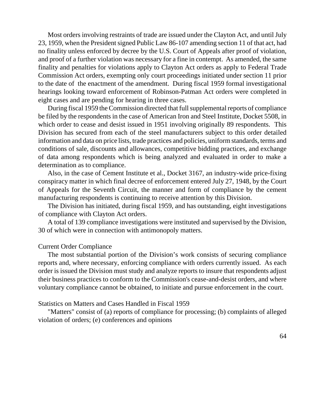Most orders involving restraints of trade are issued under the Clayton Act, and until July 23, 1959, when the President signed Public Law 86-107 amending section 11 of that act, had no finality unless enforced by decree by the U.S. Court of Appeals after proof of violation, and proof of a further violation was necessary for a fine in contempt. As amended, the same finality and penalties for violations apply to Clayton Act orders as apply to Federal Trade Commission Act orders, exempting only court proceedings initiated under section 11 prior to the date of the enactment of the amendment. During fiscal 1959 formal investigational hearings looking toward enforcement of Robinson-Patman Act orders were completed in eight cases and are pending for hearing in three cases.

During fiscal 1959 the Commission directed that full supplemental reports of compliance be filed by the respondents in the case of American Iron and Steel Institute, Docket 5508, in which order to cease and desist issued in 1951 involving originally 89 respondents. This Division has secured from each of the steel manufacturers subject to this order detailed information and data on price lists, trade practices and policies, uniform standards, terms and conditions of sale, discounts and allowances, competitive bidding practices, and exchange of data among respondents which is being analyzed and evaluated in order to make a determination as to compliance.

Also, in the case of Cement Institute et al., Docket 3167, an industry-wide price-fixing conspiracy matter in which final decree of enforcement entered July 27, 1948, by the Court of Appeals for the Seventh Circuit, the manner and form of compliance by the cement manufacturing respondents is continuing to receive attention by this Division.

The Division has initiated, during fiscal 1959, and has outstanding, eight investigations of compliance with Clayton Act orders.

A total of 139 compliance investigations were instituted and supervised by the Division, 30 of which were in connection with antimonopoly matters.

### Current Order Compliance

The most substantial portion of the Division's work consists of securing compliance reports and, where necessary, enforcing compliance with orders currently issued. As each order is issued the Division must study and analyze reports to insure that respondents adjust their business practices to conform to the Commission's cease-and-desist orders, and where voluntary compliance cannot be obtained, to initiate and pursue enforcement in the court.

### Statistics on Matters and Cases Handled in Fiscal 1959

"Matters" consist of (a) reports of compliance for processing; (b) complaints of alleged violation of orders; (e) conferences and opinions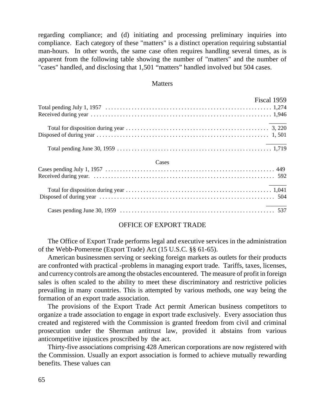regarding compliance; and (d) initiating and processing preliminary inquiries into compliance. Each category of these "matters" is a distinct operation requiring substantial man-hours. In other words, the same case often requires handling several times, as is apparent from the following table showing the number of "matters" and the number of "cases" handled, and disclosing that 1,501 "matters" handled involved but 504 cases.

### **Matters**

|       | Fiscal 1959 |
|-------|-------------|
|       |             |
|       |             |
|       |             |
|       |             |
|       |             |
| Cases |             |
|       |             |
|       |             |
|       |             |
|       |             |
|       |             |

## OFFICE OF EXPORT TRADE

The Office of Export Trade performs legal and executive services in the administration of the Webb-Pomerene (Export Trade) Act (15 U.S.C. §§ 61-65).

American businessmen serving or seeking foreign markets as outlets for their products are confronted with practical -problems in managing export trade. Tariffs, taxes, licenses, and currency controls are among the obstacles encountered. The measure of profit in foreign sales is often scaled to the ability to meet these discriminatory and restrictive policies prevailing in many countries. This is attempted by various methods, one way being the formation of an export trade association.

The provisions of the Export Trade Act permit American business competitors to organize a trade association to engage in export trade exclusively. Every association thus created and registered with the Commission is granted freedom from civil and criminal prosecution under the Sherman antitrust law, provided it abstains from various anticompetitive injustices proscribed by the act.

Thirty-five associations comprising 428 American corporations are now registered with the Commission. Usually an export association is formed to achieve mutually rewarding benefits. These values can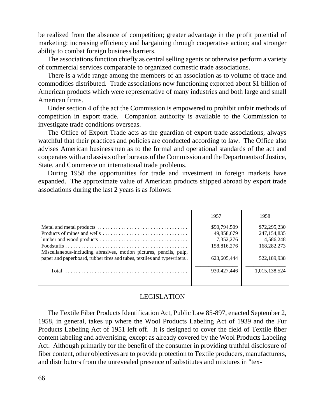be realized from the absence of competition; greater advantage in the profit potential of marketing; increasing efficiency and bargaining through cooperative action; and stronger ability to combat foreign business barriers.

The associations function chiefly as central selling agents or otherwise perform a variety of commercial services comparable to organized domestic trade associations.

There is a wide range among the members of an association as to volume of trade and commodities distributed. Trade associations now functioning exported about \$1 billion of American products which were representative of many industries and both large and small American firms.

Under section 4 of the act the Commission is empowered to prohibit unfair methods of competition in export trade. Companion authority is available to the Commission to investigate trade conditions overseas.

The Office of Export Trade acts as the guardian of export trade associations, always watchful that their practices and policies are conducted according to law. The Office also advises American businessmen as to the formal and operational standards of the act and cooperates with and assists other bureaus of the Commission and the Departments of Justice, State, and Commerce on international trade problems.

During 1958 the opportunities for trade and investment in foreign markets have expanded. The approximate value of American products shipped abroad by export trade associations during the last 2 years is as follows:

|                                                                                                                                              | 1957                                                                  | 1958                                                                     |
|----------------------------------------------------------------------------------------------------------------------------------------------|-----------------------------------------------------------------------|--------------------------------------------------------------------------|
| Miscellaneous-including abrasives, motion pictures, pencils, pulp,<br>paper and paperboard, rubber tires and tubes, textiles and typewriters | \$90,794,509<br>49,858,679<br>7.352.276<br>158,816,276<br>623,605,444 | \$72,295,230<br>247, 154, 835<br>4.586.248<br>168,282,273<br>522,189,938 |
|                                                                                                                                              | 930.427.446                                                           | 1,015,138,524                                                            |

### LEGISLATION

The Textile Fiber Products Identification Act, Public Law 85-897, enacted September 2, 1958, in general, takes up where the Wool Products Labeling Act of 1939 and the Fur Products Labeling Act of 1951 left off. It is designed to cover the field of Textile fiber content labeling and advertising, except as already covered by the Wool Products Labeling Act. Although primarily for the benefit of the consumer in providing truthful disclosure of fiber content, other objectives are to provide protection to Textile producers, manufacturers, and distributors from the unrevealed presence of substitutes and mixtures in "tex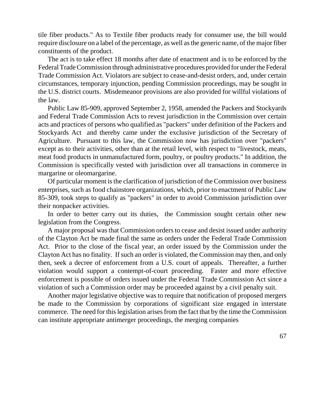tile fiber products." As to Textile fiber products ready for consumer use, the bill would require disclosure on a label of the percentage, as well asthe generic name, of the major fiber constituents of the product.

The act is to take effect 18 months after date of enactment and is to be enforced by the Federal Trade Commission through administrative procedures provided for under the Federal Trade Commission Act. Violators are subject to cease-and-desist orders, and, under certain circumstances, temporary injunction, pending Commission proceedings, may be sought in the U.S. district courts. Misdemeanor provisions are also provided for willful violations of the law.

Public Law 85-909, approved September 2, 1958, amended the Packers and Stockyards and Federal Trade Commission Acts to revest jurisdiction in the Commission over certain acts and practices of persons who qualified as "packers" under definition of the Packers and Stockyards Act and thereby came under the exclusive jurisdiction of the Secretary of Agriculture. Pursuant to this law, the Commission now has jurisdiction over "packers" except as to their activities, other than at the retail level, with respect to "livestock, meats, meat food products in unmanufactured form, poultry, or poultry products." In addition, the Commission is specifically vested with jurisdiction over all transactions in commerce in margarine or oleomargarine.

Of particular moment is the clarification of jurisdiction of the Commission over business enterprises, such as food chainstore organizations, which, prior to enactment of Public Law 85-309, took steps to qualify as "packers" in order to avoid Commission jurisdiction over their nonpacker activities.

In order to better carry out its duties, the Commission sought certain other new legislation from the Congress.

A major proposal was that Commission orders to cease and desist issued under authority of the Clayton Act be made final the same as orders under the Federal Trade Commission Act. Prior to the close of the fiscal year, an order issued by the Commission under the Clayton Act has no finality. If such an order is violated, the Commission may then, and only then, seek a decree of enforcement from a U.S. court of appeals. Thereafter, a further violation would support a contempt-of-court proceeding. Faster and more effective enforcement is possible of orders issued under the Federal Trade Commission Act since a violation of such a Commission order may be proceeded against by a civil penalty suit.

Another major legislative objective was to require that notification of proposed mergers be made to the Commission by corporations of significant size engaged in interstate commerce. The need for this legislation arises from the fact that by the time the Commission can institute appropriate antimerger proceedings, the merging companies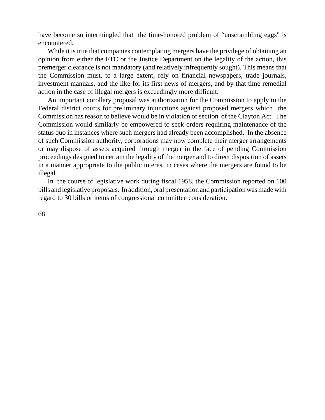have become so intermingled that the time-honored problem of "unscrambling eggs" is encountered.

While it is true that companies contemplating mergers have the privilege of obtaining an opinion from either the FTC or the Justice Department on the legality of the action, this premerger clearance is not mandatory (and relatively infrequently sought). This means that the Commission must, to a large extent, rely on financial newspapers, trade journals, investment manuals, and the like for its first news of mergers, and by that time remedial action in the case of illegal mergers is exceedingly more difficult.

An important corollary proposal was authorization for the Commission to apply to the Federal district courts for preliminary injunctions against proposed mergers which the Commission has reason to believe would be in violation of section of the Clayton Act. The Commission would similarly be empowered to seek orders requiring maintenance of the status quo in instances where such mergers had already been accomplished. In the absence of such Commission authority, corporations may now complete their merger arrangements or may dispose of assets acquired through merger in the face of pending Commission proceedings designed to certain the legality of the merger and to direct disposition of assets in a manner appropriate to the public interest in cases where the mergers are found to be illegal.

In the course of legislative work during fiscal 1958, the Commission reported on 100 bills and legislative proposals. In addition, oral presentation and participation was made with regard to 30 bills or items of congressional committee consideration.

68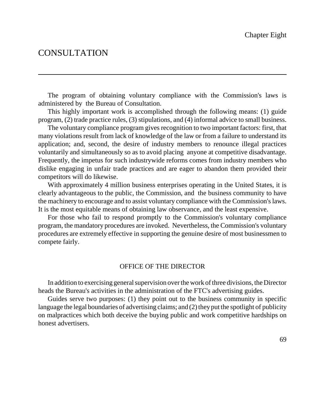## CONSULTATION

The program of obtaining voluntary compliance with the Commission's laws is administered by the Bureau of Consultation.

This highly important work is accomplished through the following means: (1) guide program, (2) trade practice rules, (3) stipulations, and (4) informal advice to small business.

The voluntary compliance program gives recognition to two important factors: first, that many violations result from lack of knowledge of the law or from a failure to understand its application; and, second, the desire of industry members to renounce illegal practices voluntarily and simultaneously so as to avoid placing anyone at competitive disadvantage. Frequently, the impetus for such industrywide reforms comes from industry members who dislike engaging in unfair trade practices and are eager to abandon them provided their competitors will do likewise.

With approximately 4 million business enterprises operating in the United States, it is clearly advantageous to the public, the Commission, and the business community to have the machinery to encourage and to assist voluntary compliance with the Commission's laws. It is the most equitable means of obtaining law observance, and the least expensive.

For those who fail to respond promptly to the Commission's voluntary compliance program, the mandatory procedures are invoked. Nevertheless, the Commission's voluntary procedures are extremely effective in supporting the genuine desire of most businessmen to compete fairly.

### OFFICE OF THE DIRECTOR

In addition to exercising general supervision over the work of three divisions, the Director heads the Bureau's activities in the administration of the FTC's advertising guides.

Guides serve two purposes: (1) they point out to the business community in specific language the legal boundaries of advertising claims; and  $(2)$  they put the spotlight of publicity on malpractices which both deceive the buying public and work competitive hardships on honest advertisers.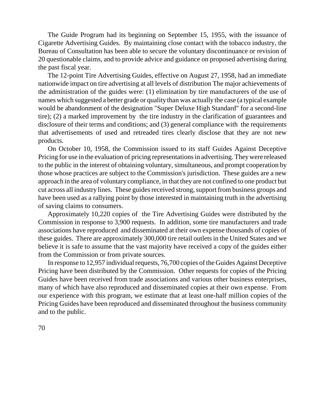The Guide Program had its beginning on September 15, 1955, with the issuance of Cigarette Advertising Guides. By maintaining close contact with the tobacco industry, the Bureau of Consultation has been able to secure the voluntary discontinuance or revision of 20 questionable claims, and to provide advice and guidance on proposed advertising during the past fiscal year.

The 12-point Tire Advertising Guides, effective on August 27, 1958, had an immediate nationwide impact on tire advertising at all levels of distribution The major achievements of the administration of the guides were: (1) elimination by tire manufacturers of the use of names which suggested a better grade or quality than was actually the case (a typical example would be abandonment of the designation "Super Deluxe High Standard" for a second-line tire); (2) a marked improvement by the tire industry in the clarification of guarantees and disclosure of their terms and conditions; and (3) general compliance with the requirements that advertisements of used and retreaded tires clearly disclose that they are not new products.

On October 10, 1958, the Commission issued to its staff Guides Against Deceptive Pricing for use in the evaluation of pricing representations in advertising. They were released to the public in the interest of obtaining voluntary, simultaneous, and prompt cooperation by those whose practices are subject to the Commission's jurisdiction. These guides are a new approach in the area of voluntary compliance, in that they are not confined to one product but cut across all industry lines. These guides received strong, support from business groups and have been used as a rallying point by those interested in maintaining truth in the advertising of saving claims to consumers.

Approximately 10,220 copies of the Tire Advertising Guides were distributed by the Commission in response to 3,900 requests. In addition, some tire manufacturers and trade associations have reproduced and disseminated at their own expense thousands of copies of these guides. There are approximately 300,000 tire retail outlets in the United States and we believe it is safe to assume that the vast majority have received a copy of the guides either from the Commission or from private sources.

In response to 12,957 individual requests, 76,700 copies of the Guides Against Deceptive Pricing have been distributed by the Commission. Other requests for copies of the Pricing Guides have been received from trade associations and various other business enterprises, many of which have also reproduced and disseminated copies at their own expense. From our experience with this program, we estimate that at least one-half million copies of the Pricing Guides have been reproduced and disseminated throughout the business community and to the public.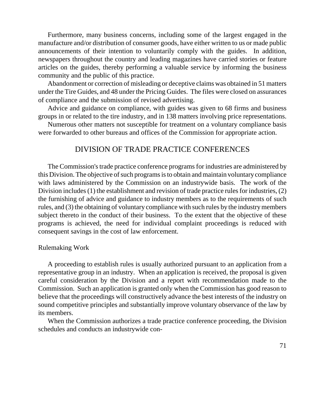Furthermore, many business concerns, including some of the largest engaged in the manufacture and/or distribution of consumer goods, have either written to us or made public announcements of their intention to voluntarily comply with the guides. In addition, newspapers throughout the country and leading magazines have carried stories or feature articles on the guides, thereby performing a valuable service by informing the business community and the public of this practice.

Abandonment or correction of misleading or deceptive claims was obtained in 51 matters under the Tire Guides, and 48 under the Pricing Guides. The files were closed on assurances of compliance and the submission of revised advertising.

Advice and guidance on compliance, with guides was given to 68 firms and business groups in or related to the tire industry, and in 138 matters involving price representations.

Numerous other matters not susceptible for treatment on a voluntary compliance basis were forwarded to other bureaus and offices of the Commission for appropriate action.

## DIVISION OF TRADE PRACTICE CONFERENCES

The Commission's trade practice conference programs for industries are administered by this Division. The objective of such programs is to obtain and maintain voluntary compliance with laws administered by the Commission on an industrywide basis. The work of the Division includes  $(1)$  the establishment and revision of trade practice rules for industries,  $(2)$ the furnishing of advice and guidance to industry members as to the requirements of such rules, and (3) the obtaining of voluntary compliance with such rules by the industrymembers subject thereto in the conduct of their business. To the extent that the objective of these programs is achieved, the need for individual complaint proceedings is reduced with consequent savings in the cost of law enforcement.

#### Rulemaking Work

A proceeding to establish rules is usually authorized pursuant to an application from a representative group in an industry. When an application is received, the proposal is given careful consideration by the Division and a report with recommendation made to the Commission. Such an application is granted only when the Commission has good reason to believe that the proceedings will constructively advance the best interests of the industry on sound competitive principles and substantially improve voluntary observance of the law by its members.

When the Commission authorizes a trade practice conference proceeding, the Division schedules and conducts an industrywide con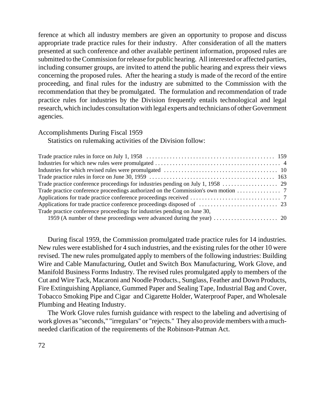ference at which all industry members are given an opportunity to propose and discuss appropriate trade practice rules for their industry. After consideration of all the matters presented at such conference and other available pertinent information, proposed rules are submitted to the Commission for release for public hearing. All interested or affected parties, including consumer groups, are invited to attend the public hearing and express their views concerning the proposed rules. After the hearing a study is made of the record of the entire proceeding, and final rules for the industry are submitted to the Commission with the recommendation that they be promulgated. The formulation and recommendation of trade practice rules for industries by the Division frequently entails technological and legal research, which includes consultation with legal experts and technicians of other Government agencies.

### Accomplishments During Fiscal 1959

Statistics on rulemaking activities of the Division follow:

| Trade practice conference proceedings for industries pending on June 30, |  |
|--------------------------------------------------------------------------|--|
|                                                                          |  |

During fiscal 1959, the Commission promulgated trade practice rules for 14 industries. New rules were established for 4 such industries, and the existing rules for the other 10 were revised. The new rules promulgated apply to members of the following industries: Building Wire and Cable Manufacturing, Outlet and Switch Box Manufacturing, Work Glove, and Manifold Business Forms Industry. The revised rules promulgated apply to members of the Cut and Wire Tack, Macaroni and Noodle Products., Sunglass, Feather and Down Products, Fire Extinguishing Appliance, Gummed Paper and Sealing Tape, Industrial Bag and Cover, Tobacco Smoking Pipe and Cigar and Cigarette Holder, Waterproof Paper, and Wholesale Plumbing and Heating Industry.

The Work Glove rules furnish guidance with respect to the labeling and advertising of work gloves as "seconds," "irregulars" or "rejects." They also provide members with a muchneeded clarification of the requirements of the Robinson-Patman Act.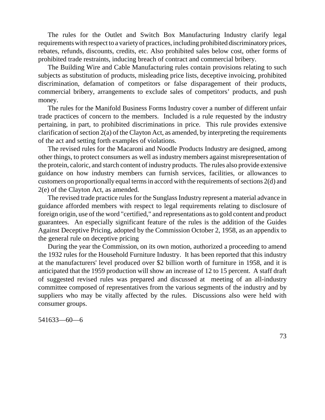The rules for the Outlet and Switch Box Manufacturing Industry clarify legal requirements with respect to a varietyof practices, including prohibited discriminatory prices, rebates, refunds, discounts, credits, etc. Also prohibited sales below cost, other forms of prohibited trade restraints, inducing breach of contract and commercial bribery.

The Building Wire and Cable Manufacturing rules contain provisions relating to such subjects as substitution of products, misleading price lists, deceptive invoicing, prohibited discrimination, defamation of competitors or false disparagement of their products, commercial bribery, arrangements to exclude sales of competitors' products, and push money.

The rules for the Manifold Business Forms Industry cover a number of different unfair trade practices of concern to the members. Included is a rule requested by the industry pertaining, in part, to prohibited discriminations in price. This rule provides extensive clarification of section  $2(a)$  of the Clayton Act, as amended, by interpreting the requirements of the act and setting forth examples of violations.

The revised rules for the Macaroni and Noodle Products Industry are designed, among other things, to protect consumers as well as industry members against misrepresentation of the protein, caloric, and starch content of industry products. The rules also provide extensive guidance on how industry members can furnish services, facilities, or allowances to customers on proportionally equal terms in accord with the requirements of sections  $2(d)$  and 2(e) of the Clayton Act, as amended.

The revised trade practice rules for the Sunglass Industry represent a material advance in guidance afforded members with respect to legal requirements relating to disclosure of foreign origin, use of the word "certified," and representations asto gold content and product guarantees. An especially significant feature of the rules is the addition of the Guides Against Deceptive Pricing, adopted by the Commission October 2, 1958, as an appendix to the general rule on deceptive pricing

During the year the Commission, on its own motion, authorized a proceeding to amend the 1932 rules for the Household Furniture Industry. It has been reported that this industry at the manufacturers' level produced over \$2 billion worth of furniture in 1958, and it is anticipated that the 1959 production will show an increase of 12 to 15 percent. A staff draft of suggested revised rules was prepared and discussed at meeting of an all-industry committee composed of representatives from the various segments of the industry and by suppliers who may be vitally affected by the rules. Discussions also were held with consumer groups.

541633—60—6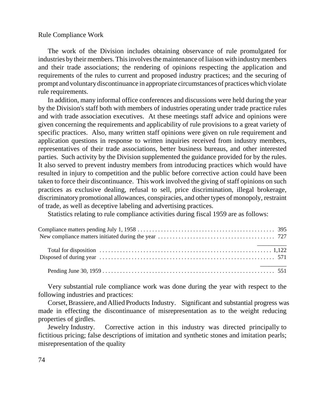### Rule Compliance Work

The work of the Division includes obtaining observance of rule promulgated for industries by their members. This involves the maintenance of liaison with industry members and their trade associations; the rendering of opinions respecting the application and requirements of the rules to current and proposed industry practices; and the securing of prompt and voluntarydiscontinuance in appropriate circumstances of practices which violate rule requirements.

In addition, many informal office conferences and discussions were held during the year by the Division's staff both with members of industries operating under trade practice rules and with trade association executives. At these meetings staff advice and opinions were given concerning the requirements and applicability of rule provisions to a great variety of specific practices. Also, many written staff opinions were given on rule requirement and application questions in response to written inquiries received from industry members, representatives of their trade associations, better business bureaus, and other interested parties. Such activity by the Division supplemented the guidance provided for by the rules. It also served to prevent industry members from introducing practices which would have resulted in injury to competition and the public before corrective action could have been taken to force their discontinuance. This work involved the giving of staff opinions on such practices as exclusive dealing, refusal to sell, price discrimination, illegal brokerage, discriminatory promotional allowances, conspiracies, and other types of monopoly, restraint of trade, as well as deceptive labeling and advertising practices.

Statistics relating to rule compliance activities during fiscal 1959 are as follows:

Very substantial rule compliance work was done during the year with respect to the following industries and practices:

Corset, Brassiere, and Allied Products Industry. Significant and substantial progress was made in effecting the discontinuance of misrepresentation as to the weight reducing properties of girdles.

Jewelry Industry. Corrective action in this industry was directed principally to fictitious pricing; false descriptions of imitation and synthetic stones and imitation pearls; misrepresentation of the quality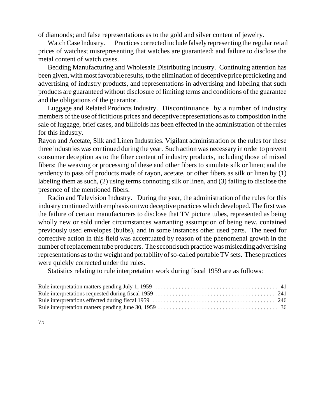of diamonds; and false representations as to the gold and silver content of jewelry.

Watch Case Industry. Practices corrected include falsely representing the regular retail prices of watches; misrepresenting that watches are guaranteed; and failure to disclose the metal content of watch cases.

Bedding Manufacturing and Wholesale Distributing Industry. Continuing attention has been given, with most favorable results, to the elimination of deceptive price preticketing and advertising of industry products, and representations in advertising and labeling that such products are guaranteed without disclosure of limiting terms and conditions of the guarantee and the obligations of the guarantor.

Luggage and Related Products Industry. Discontinuance by a number of industry members of the use of fictitious prices and deceptive representations asto composition in the sale of luggage, brief cases, and billfolds has been effected in the administration of the rules for this industry.

Rayon and Acetate, Silk and Linen Industries. Vigilant administration or the rules for these three industries was continued during the year. Such action was necessary in order to prevent consumer deception as to the fiber content of industry products, including those of mixed fibers; the weaving or processing of these and other fibers to simulate silk or linen; and the tendency to pass off products made of rayon, acetate, or other fibers as silk or linen by (1) labeling them as such, (2) using terms connoting silk or linen, and (3) failing to disclose the presence of the mentioned fibers.

Radio and Television Industry. During the year, the administration of the rules for this industry continued with emphasis on two deceptive practices which developed. The first was the failure of certain manufacturers to disclose that TV picture tubes, represented as being wholly new or sold under circumstances warranting assumption of being new, contained previously used envelopes (bulbs), and in some instances other used parts. The need for corrective action in this field was accentuated by reason of the phenomenal growth in the number of replacement tube producers. The second such practice was misleading advertising representations as to the weight and portability of so-called portable TV sets. These practices were quickly corrected under the rules.

Statistics relating to rule interpretation work during fiscal 1959 are as follows: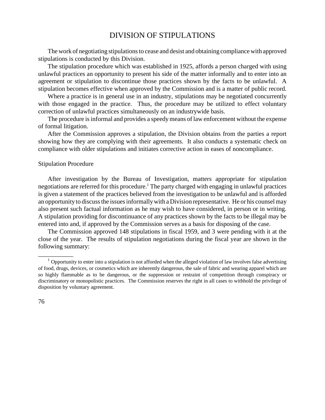## DIVISION OF STIPULATIONS

The work of negotiating stipulations to cease and desist and obtaining compliance with approved stipulations is conducted by this Division.

The stipulation procedure which was established in 1925, affords a person charged with using unlawful practices an opportunity to present his side of the matter informally and to enter into an agreement or stipulation to discontinue those practices shown by the facts to be unlawful. A stipulation becomes effective when approved by the Commission and is a matter of public record.

Where a practice is in general use in an industry, stipulations may be negotiated concurrently with those engaged in the practice. Thus, the procedure may be utilized to effect voluntary correction of unlawful practices simultaneously on an industrywide basis.

The procedure is informal and provides a speedy means of law enforcement without the expense of formal litigation.

After the Commission approves a stipulation, the Division obtains from the parties a report showing how they are complying with their agreements. It also conducts a systematic check on compliance with older stipulations and initiates corrective action in eases of noncompliance.

#### Stipulation Procedure

After investigation by the Bureau of Investigation, matters appropriate for stipulation negotiations are referred for this procedure.<sup>1</sup> The party charged with engaging in unlawful practices is given a statement of the practices believed from the investigation to be unlawful and is afforded an opportunity to discuss the issues informally with a Division representative. He or his counsel may also present such factual information as he may wish to have considered, in person or in writing. A stipulation providing for discontinuance of any practices shown by the facts to be illegal may be entered into and, if approved by the Commission serves as a basis for disposing of the case.

The Commission approved 148 stipulations in fiscal 1959, and 3 were pending with it at the close of the year. The results of stipulation negotiations during the fiscal year are shown in the following summary:

\_\_\_\_\_\_\_\_\_\_\_

 $1$  Opportunity to enter into a stipulation is not afforded when the alleged violation of law involves false advertising of food, drugs, devices, or cosmetics which are inherently dangerous, the sale of fabric and wearing apparel which are so highly flammable as to be dangerous, or the suppression or restraint of competition through conspiracy or discriminatory or monopolistic practices. The Commission reserves the right in all cases to withhold the privilege of disposition by voluntary agreement.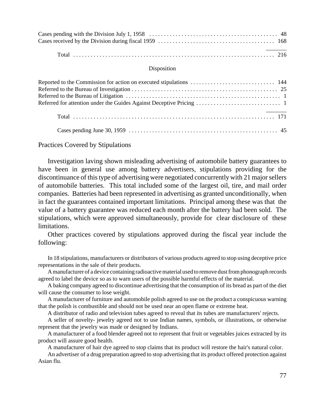#### Disposition

Total ..................................................................... 216

#### Practices Covered by Stipulations

Investigation laving shown misleading advertising of automobile battery guarantees to have been in general use among battery advertisers, stipulations providing for the discontinuance of this type of advertising were negotiated concurrently with 21 major sellers of automobile batteries. This total included some of the largest oil, tire, and mail order companies. Batteries had been represented in advertising as granted unconditionally, when in fact the guarantees contained important limitations. Principal among these was that the value of a battery guarantee was reduced each month after the battery had been sold. The stipulations, which were approved simultaneously, provide for clear disclosure of these limitations.

Other practices covered by stipulations approved during the fiscal year include the following:

In 18 stipulations, manufacturers or distributors of various products agreed to stop using deceptive price representations in the sale of their products.

Amanufacturer of a device containing radioactive material used to remove dust from phonograph records agreed to label the device so as to warn users of the possible harmful effects of the material.

A baking company agreed to discontinue advertising that the consumption of its bread as part of the diet will cause the consumer to lose weight.

A manufacturer of furniture and automobile polish agreed to use on the product a conspicuous warning that the polish is combustible and should not be used near an open flame or extreme heat.

A distributor of radio and television tubes agreed to reveal that its tubes are manufacturers' rejects.

A seller of novelty- jewelry agreed not to use Indian names, symbols, or illustrations, or otherwise represent that the jewelry was made or designed by Indians.

A manufacturer of a food blender agreed not to represent that fruit or vegetables juices extracted by its product will assure good health.

A manufacturer of hair dye agreed to stop claims that its product will restore the hair's natural color.

An advertiser of a drug preparation agreed to stop advertising that its product offered protection against Asian flu.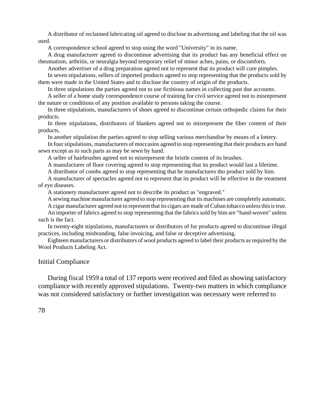A distributor of reclaimed lubricating oil agreed to disclose in advertising and labeling that the oil was used.

A correspondence school agreed to stop using the word "University" in its name.

A drug manufacturer agreed to discontinue advertising that its product has any beneficial effect on rheumatism, arthritis, or neuralgia beyond temporary relief of minor aches, pains, or discomforts.

Another advertiser of a drug preparation agreed not to represent that its product will cure pimples.

In seven stipulations, sellers of imported products agreed to stop representing that the products sold by them were made in the United States and to disclose the country of origin of the products.

In three stipulations the parties agreed not to use fictitious names in collecting past due accounts.

A seller of a home study correspondence course of training for civil service agreed not to misrepresent the nature or conditions of any position available to persons taking the course.

In three stipulations, manufacturers of shoes agreed to discontinue certain orthopedic claims for their products.

In three stipulations, distributors of blankets agreed not to misrepresent the fiber content of their products.

In another stipulation the parties agreed to stop selling various merchandise by means of a lottery.

In fourstipulations, manufacturers of moccasins agreed to stop representing that their products are hand sewn except as to such parts as may be sewn by hand.

A seller of hairbrushes agreed not to misrepresent the bristle content of its brushes.

A manufacturer of floor covering agreed to stop representing that its product would last a lifetime.

A distributor of combs agreed to stop representing that he manufactures tho product sold by him.

A manufacturer of spectacles agreed not to represent that its product will be effective in the treatment of eye diseases.

A stationery manufacturer agreed not to describe its product as "engraved."

A sewing machine manufacturer agreed to stop representing that its machines are completely automatic.

A cigar manufacturer agreed not to represent that its cigars are made of Cuban tobacco unlessthisistrue.

An importer of fabrics agreed to stop representing that the fabrics sold by him are "hand-woven" unless such is the fact.

In twenty-eight stipulations, manufacturers or distributors of fur products agreed to discontinue illegal practices, including misbranding, false invoicing, and false or deceptive advertising.

Eighteen manufacturers or distributors of wool products agreed to label their products asrequired by the Wool Products Labeling Act.

#### Initial Compliance

During fiscal 1959 a total of 137 reports were received and filed as showing satisfactory compliance with recently approved stipulations. Twenty-two matters in which compliance was not considered satisfactory or further investigation was necessary were referred to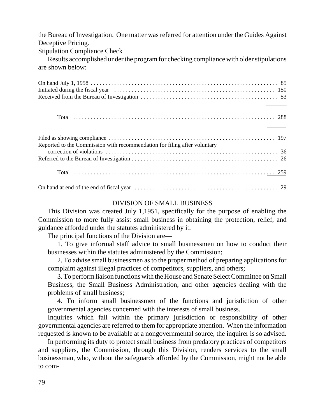the Bureau of Investigation. One matter was referred for attention under the Guides Against Deceptive Pricing.

Stipulation Compliance Check

Results accomplished under the program for checking compliance with older stipulations are shown below:

| Reported to the Commission with recommendation for filing after voluntary |  |
|---------------------------------------------------------------------------|--|
|                                                                           |  |
|                                                                           |  |
|                                                                           |  |

### DIVISION OF SMALL BUSINESS

This Division was created July 1,1951, specifically for the purpose of enabling the Commission to more fully assist small business in obtaining the protection, relief, and guidance afforded under the statutes administered by it.

The principal functions of the Division are—

1. To give informal staff advice to small businessmen on how to conduct their businesses within the statutes administered by the Commission;

2. To advise small businessmen as to the proper method of preparing applications for complaint against illegal practices of competitors, suppliers, and others;

3. To perform liaison functions with the House and Senate Select Committee on Small Business, the Small Business Administration, and other agencies dealing with the problems of small business;

4. To inform small businessmen of the functions and jurisdiction of other governmental agencies concerned with the interests of small business.

Inquiries which fall within the primary jurisdiction or responsibility of other governmental agencies are referred to them for appropriate attention. When the information requested is known to be available at a nongovernmental source, the inquirer is so advised.

In performing its duty to protect small business from predatory practices of competitors and suppliers, the Commission, through this Division, renders services to the small businessman, who, without the safeguards afforded by the Commission, might not be able to com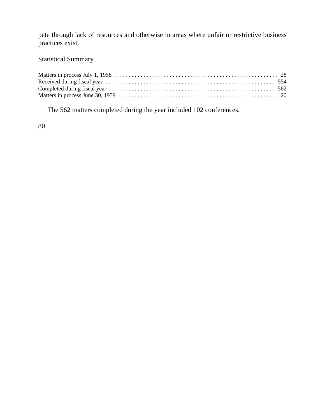pete through lack of resources and otherwise in areas where unfair or restrictive business practices exist.

Statistical Summary

The 562 matters completed during the year included 102 conferences.

80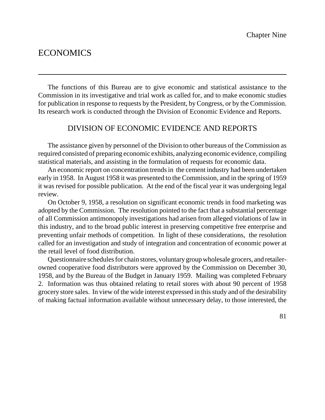## **ECONOMICS**

The functions of this Bureau are to give economic and statistical assistance to the Commission in its investigative and trial work as called for, and to make economic studies for publication in response to requests by the President, byCongress, or by the Commission. Its research work is conducted through the Division of Economic Evidence and Reports.

### DIVISION OF ECONOMIC EVIDENCE AND REPORTS

The assistance given by personnel of the Division to other bureaus of the Commission as required consisted of preparing economic exhibits, analyzing economic evidence, compiling statistical materials, and assisting in the formulation of requests for economic data.

An economic report on concentration trends in the cement industry had been undertaken early in 1958. In August 1958 it was presented to the Commission, and in the spring of 1959 it was revised for possible publication. At the end of the fiscal year it was undergoing legal review.

On October 9, 1958, a resolution on significant economic trends in food marketing was adopted by the Commission. The resolution pointed to the fact that a substantial percentage of all Commission antimonopoly investigations had arisen from alleged violations of law in this industry, and to the broad public interest in preserving competitive free enterprise and preventing unfair methods of competition. In light of these considerations, the resolution called for an investigation and study of integration and concentration of economic power at the retail level of food distribution.

Questionnaire schedules for chain stores, voluntary group wholesale grocers, and retailerowned cooperative food distributors were approved by the Commission on December 30, 1958, and by the Bureau of the Budget in January 1959. Mailing was completed February 2. Information was thus obtained relating to retail stores with about 90 percent of 1958 grocery store sales. In view of the wide interest expressed in this study and of the desirability of making factual information available without unnecessary delay, to those interested, the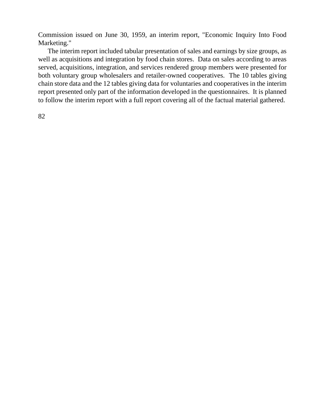Commission issued on June 30, 1959, an interim report, "Economic Inquiry Into Food Marketing."

The interim report included tabular presentation of sales and earnings by size groups, as well as acquisitions and integration by food chain stores. Data on sales according to areas served, acquisitions, integration, and services rendered group members were presented for both voluntary group wholesalers and retailer-owned cooperatives. The 10 tables giving chain store data and the 12 tables giving data for voluntaries and cooperatives in the interim report presented only part of the information developed in the questionnaires. It is planned to follow the interim report with a full report covering all of the factual material gathered.

82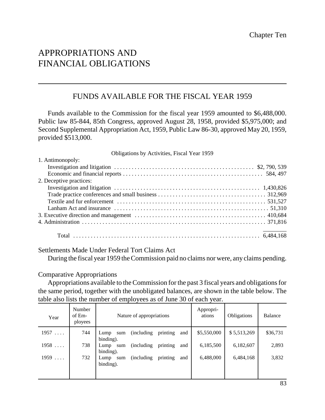# APPROPRIATIONS AND FINANCIAL OBLIGATIONS

## FUNDS AVAILABLE FOR THE FISCAL YEAR 1959

Funds available to the Commission for the fiscal year 1959 amounted to \$6,488,000. Public law 85-844, 85th Congress, approved August 28, 1958, provided \$5,975,000; and Second Supplemental Appropriation Act, 1959, Public Law 86-30, approved May 20, 1959, provided \$513,000.

Obligations by Activities, Fiscal Year 1959

| 1. Antimonopoly:        |  |
|-------------------------|--|
|                         |  |
|                         |  |
| 2. Deceptive practices: |  |
|                         |  |
|                         |  |
|                         |  |
|                         |  |
|                         |  |
|                         |  |
|                         |  |

## Settlements Made Under Federal Tort Claims Act

During the fiscal year 1959 theCommission paid no claims nor were, any claims pending.

## Comparative Appropriations

Appropriations available to the Commission for the past 3 fiscal years and obligations for the same period, together with the unobligated balances, are shown in the table below. The table also lists the number of employees as of June 30 of each year.

| Number<br>of Em-<br>ployees | Nature of appropriations                                   | Appropri-<br>ations | <b>Obligations</b> | Balance  |
|-----------------------------|------------------------------------------------------------|---------------------|--------------------|----------|
| 744                         | (including)<br>printing<br>and<br>Lump<br>sum              | \$5,550,000         | \$5,513,269        | \$36,731 |
| 738                         | printing<br>(including)<br>and<br>Lump<br>sum<br>binding). | 6,185,500           | 6,182,607          | 2,893    |
| 732                         | (including)<br>printing<br>and<br>Lump<br>sum<br>binding). | 6,488,000           | 6,484,168          | 3,832    |
|                             |                                                            | binding).           |                    |          |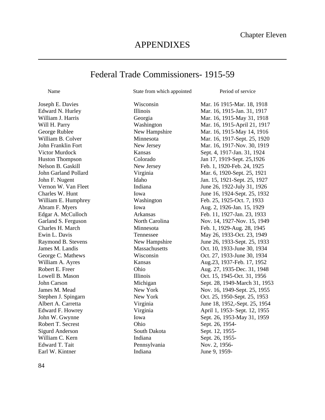## APPENDIXES

## Federal Trade Commissioners- 1915-59

Name State from which appointed Period of service

Robert T. Secrest Chio Sept. 26, 1954-Sigurd Anderson South Dakota Sept. 12, 1955-William C. Kern Indiana Sept. 26, 1955-Edward T. Tait Pennsylvania Nov. 2, 1956- Earl W. Kintner Indiana June 9, 1959-

Joseph E. Davies Wisconsin Mar. 16 1915-Mar. 18, 1918 Edward N. Hurley Illinois Mar. 16, 1915-Jan. 31, 1917 William J. Harris Georgia Mar. 16, 1915-May 31, 1918 Will H. Parry Washington Mar. 16, 1915-April 21, 1917 George Rublee New Hampshire Mar. 16, 1915-May 14, 1916 William B. Colver Minnesota Mar. 16, 1917-Sept. 25, 1920 John Franklin Fort New Jersey Mar. 16, 1917-Nov. 30, 1919 Victor Murdock Kansas Sept. 4, 1917-Jan. 31, 1924 Huston Thompson Colorado Jan 17, 1919-Sept. 25,1926 Nelson B. Gaskill New Jersey Feb. 1, 1920-Feb. 24, 1925 John Garland Pollard Virginia Mar. 6, 1920-Sept. 25, 1921 John F. Nugent Idaho Jan. 15, 1921-Sept. 25, 1927 Vernon W. Van Fleet Indiana June 26, 1922-July 31, 1926 Charles W. Hunt Iowa June 16, 1924-Sept. 25, 1932 William E. Humphrey Washington Feb. 25, 1925-Oct. 7, 1933 Abram F. Myers Iowa Iowa Aug. 2, 1926-Jan. 15, 1929 Edgar A. McCulloch Arkansas Feb. 11, 1927-Jan. 23, 1933 Garland S. Ferguson North Carolina Nov. 14, 1927-Nov. 15, 1949 Charles H. March Minnesota Feb. 1, 1929-Aug. 28, 1945 Ewin L. Davis **Tennessee** May 26, 1933-Oct. 23, 1949 Raymond B. Stevens New Hampshire June 26, 1933-Sept. 25, 1933 James M. Landis Massachusetts Oct. 10, 1933-June 30, 1934 George C. Mathews Wisconsin Det. 27, 1933-June 30, 1934 William A. Ayres Kansas Aug. 23, 1937-Feb. 17, 1952 Robert E. Freer Ohio Aug. 27, 1935-Dec. 31, 1948 Lowell B. Mason Illinois Oct. 15, 1945-Oct. 31, 1956 John Carson Michigan Sept. 28, 1949-March 31, 1953 James M. Mead New York Nov. 16, 1949-Sept. 25, 1955 Stephen J. Spingarn New York Oct. 25, 1950-Sept. 25, 1953 Albert A. Carretta **Virginia** Virginia June 18, 1952,-Sept. 25, 1954 Edward F. Howrey Virginia April 1, 1953- Sept. 12, 1955 John W. Gwynne Iowa Sept. 26, 1953-May 31, 1959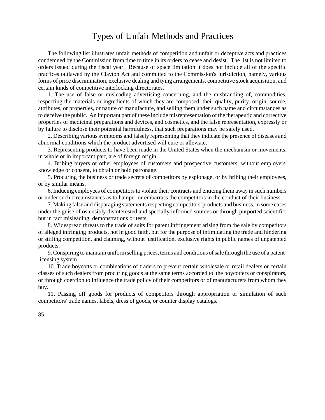## Types of Unfair Methods and Practices

The following list illustrates unfair methods of competition and unfair or deceptive acts and practices condemned by the Commission from time to time in its orders to cease and desist. The list is not limited to orders issued during the fiscal year. Because of space limitation it does not include all of the specific practices outlawed by the Clayton Act and committed to the Commission's jurisdiction, namely, various forms of price discrimination, exclusive dealing and tying arrangements, competitive stock acquisition, and certain kinds of competitive interlocking directorates.

1. The use of false or misleading advertising concerning, and the misbranding of, commodities, respecting the materials or ingredients of which they are composed, their quality, purity, origin, source, attributes, or properties, or nature of manufacture, and selling them under such name and circumstances as to deceive the public. An important part of these include misrepresentation of the therapeutic and corrective properties of medicinal preparations and devices, and cosmetics, and the false representation, expressly or by failure to disclose their potential harmfulness, that such preparations may be safely used.

2. Describing various symptoms and falsely representing that they indicate the presence of diseases and abnormal conditions which the product advertised will cure or alleviate.

3. Representing products to have been made in the United States when the mechanism or movements, in whole or in important part, are of foreign origin

4. Bribing buyers or other employees of customers and prospective customers, without employers' knowledge or consent, to obtain or hold patronage.

5. Procuring the business or trade secrets of competitors by espionage, or by bribing their employees, or by similar means.

6. Inducing employees of competitors to violate their contracts and enticing them away in such numbers or under such circumstances as to hamper or embarrass the competitors in the conduct of their business.

7. Making false and disparaging statements respecting competitors' products and business, in some cases under the guise of ostensibly disinterested and specially informed sources or through purported scientific, but in fact misleading, demonstrations or tests.

8. Widespread threats to the trade of suits for patent infringement arising from the sale by competitors of alleged infringing products, not in good faith, but for the purpose of intimidating the trade and hindering or stifling competition, and claiming, without justification, exclusive rights in public names of unpatented products.

9.Conspiring to maintain uniformselling prices, terms and conditions ofsale through the use of a patentlicensing system.

10. Trade boycotts or combinations of traders to prevent certain wholesale or retail dealers or certain classes of such dealers from procuring goods at the same terms accorded to the boycotters or conspirators, or through coercion to influence the trade policy of their competitors or of manufacturers from whom they buy.

11. Passing off goods for products of competitors through appropriation or simulation of such competitors' trade names, labels, dress of goods, or counter display catalogs.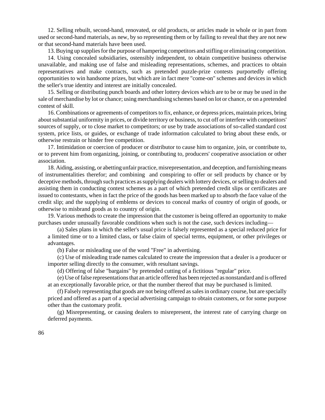12. Selling rebuilt, second-hand, renovated, or old products, or articles made in whole or in part from used or second-hand materials, as new, by so representing them or by failing to reveal that they are not new or that second-hand materials have been used.

13.Buying up suppliesforthe purpose of hampering competitors and stifling or eliminating competition.

14. Using concealed subsidiaries, ostensibly independent, to obtain competitive business otherwise unavailable, and making use of false and misleading representations, schemes, and practices to obtain representatives and make contracts, such as pretended puzzle-prize contests purportedly offering opportunities to win handsome prizes, but which are in fact mere "come-on" schemes and devices in which the seller's true identity and interest are initially concealed.

15. Selling or distributing punch boards and other lottery devices which are to be or may be used in the sale of merchandise by lot or chance; using merchandising schemes based on lot or chance, or on a pretended contest of skill.

16. Combinations or agreements of competitors to fix, enhance, or depress prices, maintain prices, bring about substantial uniformity in prices, or divide territory or business, to cut off or interfere with competitors' sources of supply, or to close market to competitors; or use by trade associations of so-called standard cost system, price lists, or guides, or exchange of trade information calculated to bring about these ends, or otherwise restrain or hinder free competition.

17. Intimidation or coercion of producer or distributor to cause him to organize, join, or contribute to, or to prevent him from organizing, joining, or contributing to, producers' cooperative association or other association.

18. Aiding, assisting, or abetting unfair practice, misrepresentation, and deception, and furnishing means of instrumentalities therefor; and combining and conspiring to offer or sell products by chance or by deceptive methods, through such practices assupplying dealers with lottery devices, orselling to dealers and assisting them in conducting contest schemes as a part of which pretended credit slips or certificates are issued to contestants, when in fact the price of the goods has been marked up to absorb the face value of the credit slip; and the supplying of emblems or devices to conceal marks of country of origin of goods, or otherwise to misbrand goods as to country of origin.

19. Various methods to create the impression that the customer is being offered an opportunity to make purchases under unusually favorable conditions when such is not the case, such devices including—

(a) Sales plans in which the seller's usual price is falsely represented as a special reduced price for a limited time or to a limited class, or false claim of special terms, equipment, or other privileges or advantages.

(b) False or misleading use of the word "Free" in advertising.

(c) Use of misleading trade names calculated to create the impression that a dealer is a producer or importer selling directly to the consumer, with resultant savings.

(d) Offering of false "bargains" by pretended cutting of a fictitious "regular" price.

(e) Use offalse representationsthat an article offered has been rejected as nonstandard and is offered at an exceptionally favorable price, or that the number thereof that may be purchased is limited.

(f) Falsely representing that goods are not being offered assalesin ordinary course, but are specially priced and offered as a part of a special advertising campaign to obtain customers, or for some purpose other than the customary profit.

(g) Misrepresenting, or causing dealers to misrepresent, the interest rate of carrying charge on deferred payments.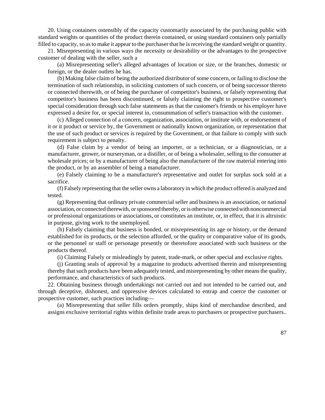20. Using containers ostensibly of the capacity customarily associated by the purchasing public with standard weights or quantities of the product therein contained, or using standard containers only partially filled to capacity, so as to make it appear to the purchaser that he is receiving the standard weight or quantity.

21. Misrepresenting in various ways the necessity or desirability or the advantages to the prospective customer of dealing with the seller, such a

(a) Misrepresenting seller's alleged advantages of location or size, or the branches, domestic or foreign, or the dealer outlets he has.

(b) Making false claim of being the authorized distributor ofsome concern, or failing to disclose the termination of such relationship, in soliciting customers of such concern, or of being successor thereto or connected therewith, or of being the purchaser of competitor's business, or falsely representing that competitor's business has been discontinued, or falsely claiming the right to prospective customer's special consideration through such false statements as that the customer's friends or his employer have expressed a desire for, or special interest in, consummation of seller's transaction with the customer.

(c) Alleged connection of a concern, organization, association, or institute with, or endorsement of it or it product or service by, the Government or nationally known organization, or representation that the use of such product or services is required by the Government, or that failure to comply with such requirement is subject to penalty.

(d) False claim by a vendor of being an importer, or a technician, or a diagnostician, or a manufacturer, grower, or nurseryman, or a distiller, or of being a wholesaler, selling to the consumer at wholesale prices; or by a manufacturer of being also the manufacturer of the raw material entering into the product, or by an assembler of being a manufacturer.

(e) Falsely claiming to be a manufacturer's representative and outlet for surplus sock sold at a sacrifice.

(f) Falsely representing that the seller owns a laboratory in which the product offered is analyzed and tested.

(g) Representing that ordinary private commercial seller and business is an association, or national association, or connected therewith, orsponsored thereby, or is otherwise connected with noncommercial or professional organizations or associations, or constitutes an institute, or, in effect, that it is altruistic in purpose, giving work to the unemployed.

(h) Falsely claiming that business is bonded, or misrepresenting its age or history, or the demand established for its products, or the selection afforded, or the quality or comparative value of its goods, or the personnel or staff or personage presently or theretofore associated with such business or the products thereof.

(i) Claiming Falsely or misleadingly by patent, trade-mark, or other special and exclusive rights.

(j) Granting seals of approval by a magazine to products advertised therein and misrepresenting thereby that such products have been adequately tested, and misrepresenting by other means the quality, performance, and characteristics of such products.

22. Obtaining business through undertakings not carried out and not intended to be carried out, and through deceptive, dishonest, and oppressive devices calculated to entrap and coerce the customer or prospective customer, such practices including—

(a) Misrepresenting that seller fills orders promptly, ships kind of merchandise described, and assigns exclusive territorial rights within definite trade areas to purchasers or prospective purchasers..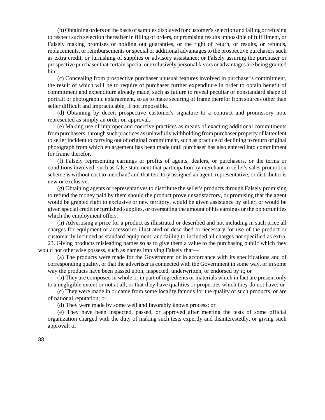(b)Obtaining orders on the basis ofsamples displayed for customer'sselection and failing orrefusing to respect such selection thereafter in filling of orders, or promising results impossible of fulfillment, or Falsely making promises or holding out guaranties, or the right of return, or results, or refunds, replacements, or reimbursements or special or additional advantages to the prospective purchasers such as extra credit, or furnishing of supplies or advisory assistance; or Falsely assuring the purchaser or prospective purchaser that certain special or exclusively personalfavors or advantages are being granted him.

(c) Concealing from prospective purchaser unusual features involved in purchaser's commitment, the result of which will be to require of purchaser further expenditure in order to obtain benefit of commitment and expenditure already made, such as failure to reveal peculiar or nonstandard shape of portrait or photographic enlargement, so as to make securing of frame therefor from sources other than seller difficult and impracticable, if not impossible.

(d) Obtaining by deceit prospective customer's signature to a contract and promissory note represented as simply an order on approval.

(e) Making use of improper and coercive practices as means of exacting additional commitments from purchasers, through such practices as unlawfully withholding from purchaser property of latter lent to seller incident to carrying out of original commitment, such as practice of declining to return original photograph from which enlargement has been made until purchaser has also entered into commitment for frame therefor.

(f) Falsely representing earnings or profits of agents, dealers, or purchasers, or the terms or conditions involved, such as false statement that participation by merchant in seller's sales promotion scheme is without cost to merchant' and that territory assigned an agent, representative, or distributor is new or exclusive.

(g) Obtaining agents or representatives to distribute the seller's products through Falsely promising to refund the money paid by them should the product prove unsatisfactory, or promising that the agent would be granted right to exclusive or new territory, would be given assistance by seller, or would be given special credit or furnished supplies, or overstating the amount of his earnings or the opportunities which the employment offers.

(h) Advertising a price for a product as illustrated or described and not including in such price all charges for equipment or accessories illustrated or described or necessary for use of the product or customarily included as standard equipment, and failing to included all charges not specified as extra. 23. Giving products misleading names so as to give them a value to the purchasing public which they would not otherwise possess, such as names implying Falsely that—

(a) The products were made for the Government or in accordance with its specifications and of corresponding quality, or that the advertiser is connected with the Government in some way, or in some way the products have been passed upon, inspected, underwritten, or endorsed by it; or

(b) They are composed in whole or in part of ingredients or materials which in fact are present only to a negligible extent or not at all, or that they have qualities or properties which they do not have; or

(c) They were made in or came from some locality famous for the quality of such products, or are of national reputation; or

(d) They were made by some well and favorably known process; or

(e) They have been inspected, passed, or approved after meeting the tests of some official organization charged with the duty of making such tests expertly and disinterestedly, or giving such approval; or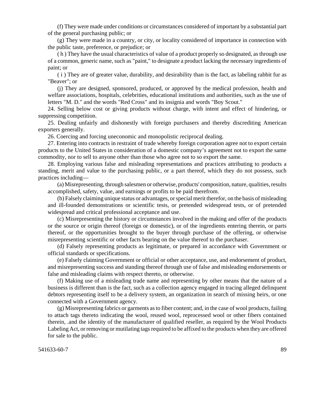(f) They were made under conditions or circumstances considered of important by a substantial part of the general purchasing public; or

(g) They were made in a country, or city, or locality considered of importance in connection with the public taste, preference, or prejudice; or

( h ) They have the usual characteristics of value of a product properly so designated, as through use of a common, generic name, such as "paint," to designate a product lacking the necessary ingredients of paint; or

( i ) They are of greater value, durability, and desirability than is the fact, as labeling rabbit fur as "Beaver"; or

(j) They are designed, sponsored, produced, or approved by the medical profession, health and welfare associations, hospitals, celebrities, educational institutions and authorities, such as the use of letters "M. D." and the words "Red Cross" and its insignia and words "Boy Scout."

24. Selling below cost or giving products without charge, with intent and effect of hindering, or suppressing competition.

25. Dealing unfairly and dishonestly with foreign purchasers and thereby discrediting American exporters generally.

26. Coercing and forcing uneconomic and monopolistic reciprocal dealing.

27. Entering into contracts in restraint of trade whereby foreign corporation agree not to export certain products to the United States in consideration of a domestic company's agreement not to export the same commodity, nor to sell to anyone other than those who agree not to so export the same.

28. Employing various false and misleading representations and practices attributing to products a standing, merit and value to the purchasing public, or a part thereof, which they do not possess, such practices including—

(a) Misrepresenting, through salesmen or otherwise, products' composition, nature, qualities,results accomplished, safety, value, and earnings or profits to be paid therefrom.

(b) Falsely claiming unique status or advantages, orspecial merit therefor, on the basis ofmisleading and ill-founded demonstrations or scientific tests, or pretended widespread tests, or of pretended widespread and critical professional acceptance and use.

(c) Misrepresenting the history or circumstances involved in the making and offer of the products or the source or origin thereof (foreign or domestic), or of the ingredients entering therein, or parts thereof, or the opportunities brought to the buyer through purchase of the offering, or otherwise misrepresenting scientific or other facts bearing on the value thereof to the purchaser.

(d) Falsely representing products as legitimate, or prepared in accordance with Government or official standards or specifications.

(e) Falsely claiming Government or official or other acceptance, use, and endorsement of product, and misrepresenting success and standing thereof through use of false and misleading endorsements or false and misleading claims with respect thereto, or otherwise.

(f) Making use of a misleading trade name and representing by other means that the nature of a business is different than is the fact, such as a collection agency engaged in tracing alleged delinquent debtors representing itself to be a delivery system, an organization in search of missing heirs, or one connected with a Government agency.

(g) Misrepresenting fabrics or garments asto fiber content; and, in the case of wool products, failing to attach tags thereto indicating the wool, reused wool, reprocessed wool or other fibers contained therein, .and the identity of the manufacturer of qualified reseller, as required by the Wool Products Labeling Act, or removing or mutilating tags required to be affixed to the products when they are offered for sale to the public.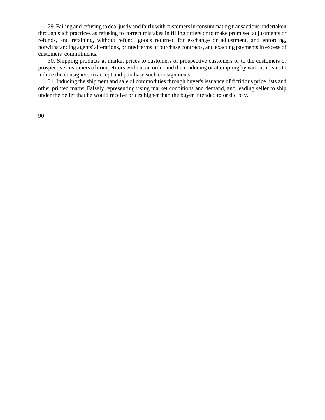29. Failing and refusing to deal justly and fairly with customers in consummating transactions undertaken through such practices as refusing to correct mistakes in filling orders or to make promised adjustments or refunds, and retaining, without refund, goods returned for exchange or adjustment, and enforcing, notwithstanding agents' alterations, printed terms of purchase contracts, and exacting payments in excess of customers' commitments.

30. Shipping products at market prices to customers or prospective customers or to the customers or prospective customers of competitors without an order and then inducing or attempting by various meansto induce the consignees to accept and purchase such consignments.

31. Inducing the shipment and sale of commodities through buyer's issuance of fictitious price lists and other printed matter Falsely representing rising market conditions and demand, and leading seller to ship under the belief that he would receive prices higher than the buyer intended to or did pay.

90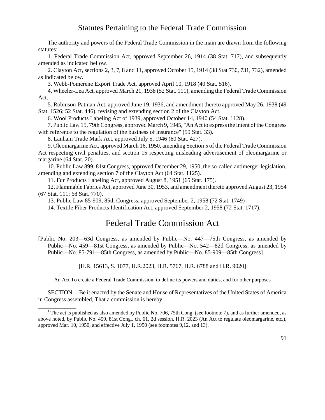## Statutes Pertaining to the Federal Trade Commission

The authority and powers of the Federal Trade Commission in the main are drawn from the following statutes:

1. Federal Trade Commission Act, approved September 26, 1914 (38 Stat. 717), and subsequently amended as indicated bellow.

2. Clayton Act, sections 2, 3, 7, 8 and 11, approved October 15, 1914 (38 Stat 730, 731, 732), amended as indicated below.

3. Webb-Pomerene Export Trade Act, approved April 10, 1918 (40 Stat. 516).

4. Wheeler-Lea Act, approved March 21, 1938 (52 Stat. 111), amending the Federal Trade Commission Act.

5. Robinson-Patman Act, approved June 19, 1936, and amendment thereto approved May 26, 1938 (49 Stat. 1526; 52 Stat. 446), revising and extending section 2 of the Clayton Act.

6. Wool Products Labeling Act of 1939, approved October 14, 1940 (54 Stat. 1128).

7. Public Law 15, 79th Congress, approved March 9, 1945, "An Act to expressthe intent of the Congress with reference to the regulation of the business of insurance" (59 Stat. 33).

8. Lanham Trade Mark Act, approved July 5, 1946 (60 Stat. 427).

9. Oleomargarine Act, approved March 16, 1950, amending Section 5 of the Federal Trade Commission Act respecting civil penalties, and section 15 respecting misleading advertisement of oleomargarine or margarine (64 Stat. 20).

10. Public Law 899, 81st Congress, approved December 29, 1950, the so-called antimerger legislation, amending and extending section 7 of the Clayton Act (64 Stat. 1125).

11. Fur Products Labeling Act, approved August 8, 1951 (65 Stat. 175).

\_\_\_\_\_\_\_\_\_\_\_\_\_

12. Flammable Fabrics Act, approved June 30, 1953, and amendment thereto approved August 23, 1954 (67 Stat. 111; 68 Stat. 770).

13. Public Law 85-909, 85th Congress, approved September 2, 1958 (72 Stat. 1749) .

14. Textile Fiber Products Identification Act, approved September 2, 1958 (72 Stat. 1717).

## Federal Trade Commission Act

[Public No. 203—63d Congress, as amended by Public—No. 447—75th Congress, as amended by Public—No. 459—81st Congress, as amended by Public—No. 542—82d Congress, as amended by Public—No. 85-791—85th Congress, as amended by Public—No. 85-909—85th Congress]<sup>1</sup>

[H.R. 15613, S. 1077, H.R.2023, H.R. 5767, H.R. 6788 and H.R. 9020]

An Act To create a Federal Trade Commission, to define its powers and duties, and for other purposes

SECTION 1. Be it enacted by the Senate and House of Representatives of the United States of America in Congress assembled, That a commission is hereby

<sup>&</sup>lt;sup>1</sup> The act is published as also amended by Public No. 706, 75th Cong. (see footnote 7), and as further amended, as above noted, by Public No. 459, 81st Cong., ch. 61, 2d session, H.R. 2023 (An Act to regulate oleomargarine, etc.), approved Mar. 10, 1950, and effective July 1, 1950 (see footnotes 9,12, and 13).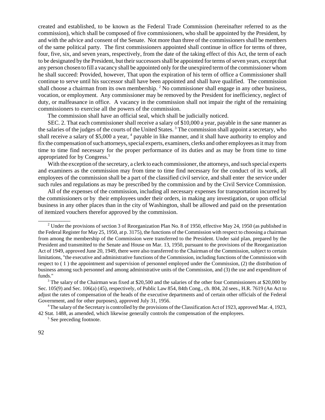created and established, to be known as the Federal Trade Commission (hereinafter referred to as the commission), which shall be composed of five commissioners, who shall be appointed by the President, by and with the advice and consent of the Senate. Not more than three of the commissioners shall be members of the same political party. The first commissioners appointed shall continue in office for terms of three, four, five, six, and seven years, respectively, from the date of the taking effect of this Act, the term of each to be designated by the President, but their successors shall be appointed for terms of seven years, except that any person chosen to fill a vacancy shall be appointed only forthe unexpired termofthe commissioner whom he shall succeed: Provided, however, That upon the expiration of his term of office a Commissioner shall continue to serve until his successor shall have been appointed and shall have qualified. The commission shall choose a chairman from its own membership.  $2$  No commissioner shall engage in any other business, vocation, or employment. Any commissioner may be removed by the President for inefficiency, neglect of duty, or malfeasance in office. A vacancy in the commission shall not impair the right of the remaining commissioners to exercise all the powers of the commission.

The commission shall have an official seal, which shall be judicially noticed.

SEC. 2. That each commissioner shall receive a salary of \$10,000 a year, payable in the sane manner as the salaries of the judges of the courts of the United States. <sup>3</sup> The commission shall appoint a secretary, who shall receive a salary of \$5,000 a year, <sup>4</sup> payable in like manner, and it shall have authority to employ and fix the compensation of such attorneys, special experts, examiners, clerks and other employees as it may from time to time find necessary for the proper performance of its duties and as may be from time to time appropriated for by Congress.<sup>5</sup>

With the exception of the secretary, a clerk to each commissioner, the attorneys, and such special experts and examiners as the commission may from time to time find necessary for the conduct of its work, all employees of the commission shall be a part of the classified civil service, and shall enter the service under such rules and regulations as may be prescribed by the commission and by the Civil Service Commission.

All of the expenses of the commission, including all necessary expenses for transportation incurred by the commissioners or by their employees under their orders, in making any investigation, or upon official business in any other places than in the city of Washington, shall be allowed and paid on the presentation of itemized vouchers therefor approved by the commission.

\_\_\_\_\_\_\_\_\_\_\_

<sup>&</sup>lt;sup>2</sup> Under the provisions of section 3 of Reorganization Plan No. 8 of 1950, effective May 24, 1950 (as published in the Federal Register for May 25, 1950, at p. 3175), the functions of the Commission with respect to choosing a chairman from among the membership of the Commission were transferred to the President. Under said plan, prepared by the President and transmitted to the Senate and House on Mar. 13, 1950, pursuant to the provisions of the Reorganization Act of 1949, approved June 20, 1949, there were also transferred to the Chairman of the Commission, subject to certain limitations, "the executive and administrative functions of the Commission, including functions of the Commission with respect to ( 1 ) the appointment and supervision of personnel employed under the Commission, (2) the distribution of business among such personnel and among administrative units of the Commission, and (3) the use and expenditure of funds."

<sup>&</sup>lt;sup>3</sup> The salary of the Chairman was fixed at \$20,500 and the salaries of the other four Commissioners at \$20,000 by Sec. 105(9) and Sec. 106(a) (45), respectively, of Public Law 854, 84th Cong., ch. 804, 2d sees., H.R. 7619 (An Act to adjust the rates of compensation of the heads of the executive departments and of certain other officials of the Federal Government, and for other purposes), approved July 31, 1956.

<sup>&</sup>lt;sup>4</sup> The salary of the Secretary is controlled by the provisions of the Classification Act of 1923, approved Mar. 4, 1923, 42 Stat. 1488, as amended, which likewise generally controls the compensation of the employees.

<sup>&</sup>lt;sup>5</sup> See preceding footnote.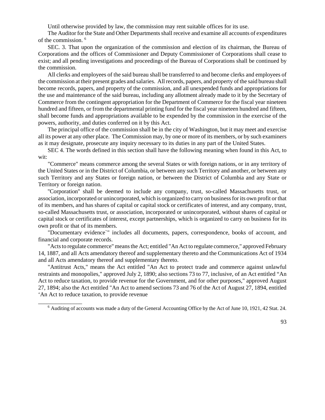Until otherwise provided by law, the commission may rent suitable offices for its use.

The Auditor for the State and Other Departmentsshall receive and examine all accounts of expenditures of the commission. <sup>6</sup>

SEC. 3. That upon the organization of the commission and election of its chairman, the Bureau of Corporations and the offices of Commissioner and Deputy Commissioner of Corporations shall cease to exist; and all pending investigations and proceedings of the Bureau of Corporations shall be continued by the commission.

All clerks and employees of the said bureau shall be transferred to and become clerks and employees of the commission at their present grades and salaries. All records, papers, and property of the said bureau shall become records, papers, and property of the commission, and all unexpended funds and appropriations for the use and maintenance of the said bureau, including any allotment already made to it by the Secretary of Commerce from the contingent appropriation for the Department of Commerce for the fiscal year nineteen hundred and fifteen, or from the departmental printing fund for the fiscal year nineteen hundred and fifteen, shall become funds and appropriations available to be expended by the commission in the exercise of the powers, authority, and duties conferred on it by this Act.

The principal office of the commission shall be in the city of Washington, but it may meet and exercise all its power at any other place. The Commission may, by one or more of its members, or by such examiners as it may designate, prosecute any inquiry necessary to its duties in any part of the United States.

SEC 4. The words defined in this section shall have the following meaning when found in this Act, to wit:

"Commerce" means commerce among the several States or with foreign nations, or in any territory of the United States or in the District of Columbia, or between any such Territory and another, or between any such Territory and any States or foreign nation, or between the District of Columbia and any State or Territory or foreign nation.

''Corporation'' shall be deemed to include any company, trust, so-called Massachusetts trust, or association, incorporated or unincorporated, which is organized to carry on businessfor its own profit or that of its members, and has shares of capital or capital stock or certificates of interest, and any company, trust, so-called Massachusetts trust, or association, incorporated or unincorporated, without shares of capital or capital stock or certificates of interest, except partnerships, which is organized to carry on business for its own profit or that of its members.

"Documentary evidence`" includes all documents, papers, correspondence, books of account, and financial and corporate records.

"Actsto regulate commerce" meansthe Act; entitled "An Act to regulate commerce," approved February 14, 1887, and all Acts amendatory thereof and supplementary thereto and the Communications Act of 1934 and all Acts amendatory thereof and supplementary thereto.

"Antitrust Acts," means the Act entitled "An Act to protect trade and commerce against unlawful restraints and monopolies," approved July 2, 1890; also sections 73 to 77, inclusive, of an Act entitled "An Act to reduce taxation, to provide revenue for the Government, and for other purposes," approved August 27, 1894; also the Act entitled "An Act to amend sections 73 and 76 of the Act of August 27, 1894, entitled 'An Act to reduce taxation, to provide revenue

\_\_\_\_\_\_\_\_\_\_\_\_\_\_\_

<sup>6</sup> Auditing of accounts was made a duty of the General Accounting Office by the Act of June 10, 1921, 42 Stat. 24.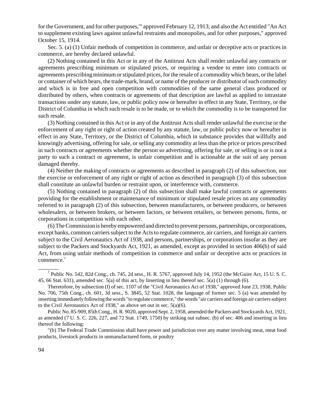for the Government, and for other purposes,'" approved February 12, 1913; and also the Act entitled "An Act to supplement existing laws against unlawful restraints and monopolies, and for other purposes," approved October 15, 1914.

Sec. 5. (a) (1) Unfair methods of competition in commerce, and unfair or deceptive acts or practices in commerce, are hereby declared unlawful.

(2) Nothing contained in this Act or in any of the Antitrust Acts shall render unlawful any contracts or agreements prescribing minimum or stipulated prices, or requiring a vendee to enter into contracts or agreements prescribing minimum or stipulated prices, for the resale of a commodity which bears, or the label or container of which bears, the trade-mark, brand, or name of the producer or distributor of such commodity and which is in free and open competition with commodities of the same general class produced or distributed by others, when contracts or agreements of that description are lawful as applied to intrastate transactions under any statute, law, or public policy now or hereafter in effect in any State, Territory, or the District of Columbia in which such resale is to be made, or to which the commodity is to be transported for such resale.

(3) Nothing contained in this Act or in any of the Antitrust Actsshall render unlawful the exercise or the enforcement of any right or right of action created by any statute, law, or public policy now or hereafter in effect in any State, Territory, or the District of Columbia, which in substance provides that willfully and knowingly advertising, offering for sale, or selling any commodity at less than the price or prices prescribed in such contracts or agreements whether the person so advertising, offering for sale, or selling is or is not a party to such a contract or agreement, is unfair competition and is actionable at the suit of any person damaged thereby.

(4) Neither the making of contracts or agreements as described in paragraph (2) of this subsection, nor the exercise or enforcement of any right or right of action as described in paragraph (3) of this subsection shall constitute an unlawful burden or restraint upon, or interference with, commerce.

(5) Nothing contained in paragraph (2) of this subsection shall make lawful contracts or agreements providing for the establishment or maintenance of minimum or stipulated resale prices on any commodity referred to in paragraph (2) of this subsection, between manufacturers, or between producers, or between wholesalers, or between brokers, or between factors, or between retailers, or between persons, firms, or corporations in competition with each other.

(6) TheCommission is hereby empowered and directed to prevent persons, partnerships, or corporations, except banks, common carriers subject to the Acts to regulate commerce, air carriers, and foreign air carriers subject to the Civil Aeronautics Act of 1938, and persons, partnerships, or corporations insofar as they are subject to the Packers and Stockyards Act, 1921, as amended, except as provided in section 406(b) of said Act, from using unfair methods of competition in commerce and unfair or deceptive acts or practices in commerce.<sup>7</sup>

"(b) The Federal Trade Commission shall have power and jurisdiction over any matter involving meat, meat food products, livestock products in unmanufactured form, or poultry

<sup>&</sup>lt;sup>7</sup> Public No. 542, 82d Cong., ch. 745, 2d sess., H. R. 5767, approved July 14, 1952 (the McGuire Act, 15 U. S. C. 45, 66 Stat. 631), amended sec. 5(a) of this act, by Inserting in lieu thereof sec. 5(a) (1) through (6).

Theretofore, by subsection (f) of sec. 1107 of the "Civil Aeronautics Act of 1938," approved June 23, 1938, Public No. 706, 75th Cong., ch. 601, 3d sess., S. 3845, 52 Stat. 1028, the language of former sec. 5 (a) was amended by inserting immediately following the words "to regulate commerce," the words "air carriers and foreign air carrierssubject to the Civil Aeronautics Act of 1938," as above set out in sec. 5(a)(6).

Public No. 85-909, 85th Cong., H.R. 9020, approved Sept. 2, 1958, amended the Packers and Stockyards Act, 1921, as amended (7 U. S. C. 226, 227, and 72 Stat. 1749, 1750) by striking out subsec. (b) of sec. 406 and inserting in lieu thereof the following: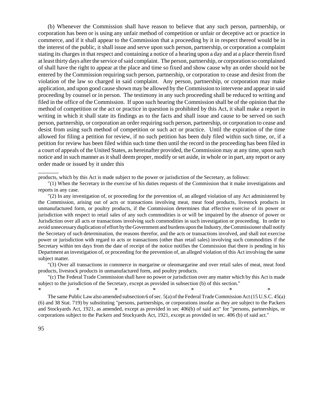(b) Whenever the Commission shall have reason to believe that any such person, partnership, or corporation has been or is using any unfair method of competition or unfair or deceptive act or practice in commerce, and if it shall appear to the Commission that a proceeding by it in respect thereof would be in the interest of the public, it shall issue and serve upon such person, partnership, or corporation a complaint stating its charges in that respect and containing a notice of a hearing upon a day and at a place therein fixed at least thirty days afterthe service ofsaid complaint. The person, partnership, or corporation so complained of shall have the right to appear at the place and time so fixed and show cause why an order should not be entered by the Commission requiring such person, partnership, or corporation to cease and desist from the violation of the law so charged in said complaint. Any person, partnership, or corporation may make application, and upon good cause shown may be allowed by the Commission to intervene and appear in said proceeding by counsel or in person. The testimony in any such proceeding shall be reduced to writing and filed in the office of the Commission. If upon such hearing the Commission shall be of the opinion that the method of competition or the act or practice in question is prohibited by this Act, it shall make a report in writing in which it shall state its findings as to the facts and shall issue and cause to be served on such person, partnership, or corporation an order requiring such person, partnership, or corporation to cease and desist from using such method of competition or such act or practice. Until the expiration of the time allowed for filing a petition for review, if no such petition has been duly filed within such time, or, if a petition for review has been filed within such time then until the record in the proceeding has been filed in a court of appeals of the United States, as hereinafter provided, the Commission may at any time, upon such notice and in such manner as it shall deem proper, modify or set aside, in whole or in part, any report or any order made or issued by it under this

products, which by this Act is made subject to the power or jurisdiction of the Secretary, as follows:

"(3) Over all transactions in commerce in margarine or oleomargarine and over retail sales of meat, meat food products, livestock products in unmanufactured form, and poultry products.

"(c) The Federal Trade Commission shall have no power or jurisdiction over any matter which by this Act is made subject to the jurisdiction of the Secretary, except as provided in subsection (b) of this section." \* \* \* \* \* \* \* \* \* \* \*

The same Public Law also amended subsection 6 of sec.  $5(a)$  of the Federal Trade Commission Act (15 U.S.C. 45(a) (6) and 38 Stat. 719) by substituting "persons, partnerships, or corporations insofar as they are subject to the Packers and Stockyards Act, 1921, as amended, except as provided in sec 406(b) of said act" for "persons, partnerships, or corporations subject to the Packers and Stockyards Act, 1921, except as provided in sec. 406 (b) of said act."

<sup>&</sup>quot;(1) When the Secretary in the exercise of his duties requests of the Commission that it make investigations and reports in any case.

<sup>&</sup>quot;(2) In any investigation of, or proceeding for the prevention of, an alleged violation of any Act administered by the Commission, arising out of acts or transactions involving meat, meat food products, livestock products in unmanufactured form, or poultry products, if the Commission determines that effective exercise of its power or jurisdiction with respect to retail sales of any such commodities is or will be impaired by the absence of power or Jurisdiction over all acts or transactions involving such commodities in such investigation or proceeding. In order to avoid unnecessaryduplication of effort by the Government and burdens upon the Industry, the Commissioner shall notify the Secretary of such determination, the reasons therefor, and the acts or transactions involved, and shall not exercise power or jurisdiction with regard to acts or transactions (other than retail sales) involving such commodities if the Secretary within ten days from the date of receipt of the notice notifies the Commission that there is pending in his Department an investigation of, or proceeding for the prevention of, an alleged violation of this Act involving the same subject matter.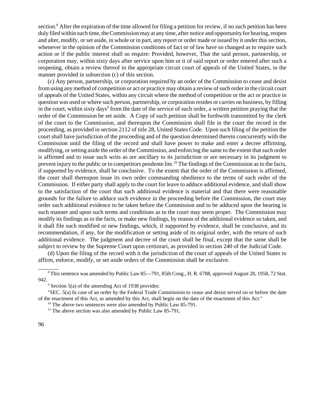section.<sup>8</sup> After the expiration of the time allowed for filing a petition for review, if no such petition has been duly filed within such time, the Commission may at any time, after notice and opportunity for hearing, reopen and alter, modify, or set aside, in whole or in part, any report or order made or issued by it under this section, whenever in the opinion of the Commission conditions of fact or of law have so changed as to require such action or if the public interest shall so require: Provided, however, That the said person, partnership, or corporation may, within sixty days after service upon him or it of said report or order entered after such a reopening, obtain a review thereof in the appropriate circuit court of appeals of the United States, in the manner provided in subsection (c) of this section.

(c) Any person, partnership, or corporation required by an order of the Commission to cease and desist fromusing anymethod of competition or act or practice may obtain a review ofsuch order in the circuit court of appeals of the United States, within any circuit where the method of competition or the act or practice in question was used or where such person, partnership, or corporation resides or carries on business, by filling in the court, within sixty days<sup>9</sup> from the date of the service of such order, a written petition praying that the order of the Commission be set aside. A Copy of such petition shall be forthwith transmitted by the clerk of the court to the Commission, and thereupon the Commission shall file in the court the record in the proceeding, as provided in section 2112 of title 28, United States Code. Upon such filing of the petition the court shall have jurisdiction of the proceeding and of the question determined therein concurrently with the Commission until the filing of the record and shall have power to make and enter a decree affirming, modifying, or setting aside the order of the Commission, and enforcing the same to the extent that such order is affirmed and to issue such writs as are ancillary to its jurisdiction or are necessary in its judgment to prevent injury to the public or to competitors pendente lite.<sup>10</sup> The findings of the Commission as to the facts, if supported by evidence, shall be conclusive. To the extent that the order of the Commission is affirmed, the court shall thereupon issue its own order commanding obedience to the terms of such order of the Commission. If either party shall apply to the court for leave to adduce additional evidence, and shall show to the satisfaction of the court that such additional evidence is material and that there were reasonable grounds for the failure to adduce such evidence in the proceeding before the Commission, the court may order such additional evidence to be taken before the Commission and to be adduced upon the hearing in such manner and upon such terms and conditions as to the court may seem proper. The Commission may modify its findings as to the facts, or make new findings, by reason of the additional evidence so taken, and it shall file such modified or new findings, which, if supported by evidence, shall be conclusive, and its recommendation, if any, for the modification or setting aside of its original order, with the return of such additional evidence. The judgment and decree of the court shall be final, except that the same shall be subject to review by the Supreme Court upon certiorari, as provided in section 240 of the Judicial Code.

(d) Upon the filing of the record with it the jurisdiction of the court of appeals of the United States to affirm, enforce, modify, or set aside orders of the Commission shall be exclusive.

<sup>8</sup> This sentence was amended by Public Law 85—791, 85th Cong., H. R. 6788, approved August 28, 1958, 72 Stat. 942.

<sup>&</sup>lt;sup>9</sup> Section 5(a) of the amending Act of 1938 provides:

<sup>&</sup>quot;SEC. 5(a) In case of an order by the Federal Trade Commission to cease and desist served on or before the date of the enactment of this Act, as amended by this Act, shall begin on the date of the enactment of this Act."

<sup>&</sup>lt;sup>10</sup> The above two sentences were also amended by Public Law 85-791.

 $11$  The above section was also amended by Public Law 85-791.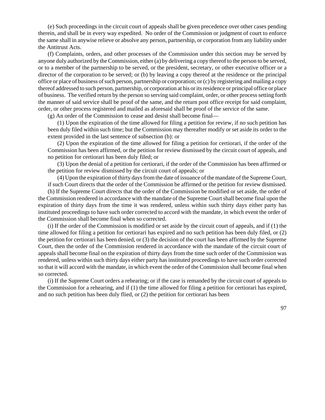(e) Such proceedings in the circuit court of appeals shall be given precedence over other cases pending therein, and shall be in every way expedited. No order of the Commission or judgment of court to enforce the same shall in anywise relieve or absolve any person, partnership, or corporation from any liability under the Antitrust Acts.

(f) Complaints, orders, and other processes of the Commission under this section may be served by anyone duly authorized by the Commission, either (a) by delivering a copy thereof to the person to be served, or to a member of the partnership to be served, or the president, secretary, or other executive officer or a director of the corporation to be served; or (b) by leaving a copy thereof at the residence or the principal office or place of business ofsuch person, partnership or corporation; or(c) by registering and mailing a copy thereof addressed to such person, partnership, or corporation at his oritsresidence or principal office or place of business. The verified return by the person so serving said complaint, order, or other process setting forth the manner of said service shall be proof of the same, and the return post office receipt for said complaint, order, or other process registered and mailed as aforesaid shall be proof of the service of the same.

(g) An order of the Commission to cease and desist shall become final—

(1) Upon the expiration of the time allowed for filing a petition for review, if no such petition has been duly filed within such time; but the Commission may thereafter modify or set aside its order to the extent provided in the last sentence of subsection (b): or

(2) Upon the expiration of the time allowed for filing a petition for certiorari, if the order of the Commission has been affirmed, or the petition for review dismissed by the circuit court of appeals, and no petition for certiorari has been duly filed; or

(3) Upon the denial of a petition for certiorari, if the order of the Commission has been affirmed or the petition for review dismissed by the circuit court of appeals; or

(4) Upon the expiration ofthirty daysfromthe date ofissuance ofthe mandate ofthe Supreme Court, if such Court directs that the order of the Commission be affirmed or the petition for review dismissed.

(h) If the Supreme Court directs that the order of the Commission be modified or set aside, the order of the Commission rendered in accordance with the mandate of the Supreme Courtshall become final upon the expiration of thirty days from the time it was rendered, unless within such thirty days either party has instituted proceedings to have such order corrected to accord with the mandate, in which event the order of the Commission shall become final when so corrected.

(i) If the order of the Commission is modified or set aside by the circuit court of appeals, and if (1) the time allowed for filing a petition for certiorari has expired and no such petition has been duly filed, or (2) the petition for certiorari has been denied, or (3) the decision of the court has been affirmed by the Supreme Court, then the order of the Commission rendered in accordance with the mandate of the circuit court of appeals shall become final on the expiration of thirty days from the time such order of the Commission was rendered, unless within such thirty days either party has instituted proceedings to have such order corrected so that it will accord with the mandate, in which event the order of the Commission shall become final when so corrected.

(i) If the Supreme Court orders a rehearing; or if the case is remanded by the circuit court of appeals to the Commission for a rehearing, and if (1) the time allowed for filing a petition for certiorari has expired, and no such petition has been duly flied, or (2) the petition for certiorari has been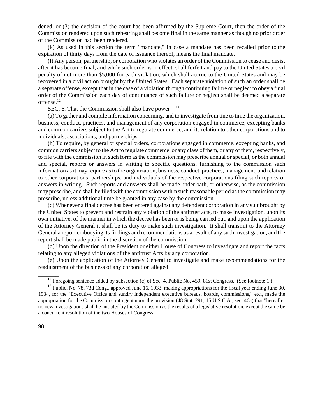dened, or (3) the decision of the court has been affirmed by the Supreme Court, then the order of the Commission rendered upon such rehearing shall become final in the same manner as though no prior order of the Commission had been rendered.

(k) As used in this section the term "mandate," in case a mandate has been recalled prior to the expiration of thirty days from the date of issuance thereof, means the final mandate.

(l) Any person, partnership, or corporation who violates an order of the Commission to cease and desist after it has become final, and while such order is in effect, shall forfeit and pay to the United States a civil penalty of not more than \$5,000 for each violation, which shall accrue to the United States and may be recovered in a civil action brought by the United States. Each separate violation of such an order shall be a separate offense, except that in the case of a violation through continuing failure or neglect to obey a final order of the Commission each day of continuance of such failure or neglect shall be deemed a separate offense.<sup>12</sup>

SEC. 6. That the Commission shall also have power— $13$ 

(a) To gather and compile information concerning, and to investigate fromtine to time the organization, business, conduct, practices, and management of any corporation engaged in commerce, excepting banks and common carriers subject to the Act to regulate commerce, and its relation to other corporations and to individuals, associations, and partnerships.

(b) To require, by general or special orders, corporations engaged in commerce, excepting banks, and common carriers subject to the Act to regulate commerce, or any class of them, or any of them, respectively, to file with the commission in such form as the commission may prescribe annual or special, or both annual and special, reports or answers in writing to specific questions, furnishing to the commission such information as it may require as to the organization, business, conduct, practices, management, and relation to other corporations, partnerships, and individuals of the respective corporations filing such reports or answers in writing. Such reports and answers shall be made under oath, or otherwise, as the commission may prescribe, and shall be filed with the commission within such reasonable period asthe commission may prescribe, unless additional time be granted in any case by the commission.

(c) Whenever a final decree has been entered against any defendent corporation in any suit brought by the United States to prevent and restrain any violation of the antitrust acts, to make investigation, upon its own initiative, of the manner in which the decree has been or is being carried out, and upon the application of the Attorney General it shall be its duty to make such investigation. It shall transmit to the Attorney General a report embodying its findings and recommendations as a result of any such investigation, and the report shall be made public in the discretion of the commission.

(d) Upon the direction of the President or either House of Congress to investigate and report the facts relating to any alleged violations of the antitrust Acts by any corporation.

(e) Upon the application of the Attorney General to investigate and make recommendations for the readjustment of the business of any corporation alleged

\_\_\_\_\_\_\_

<sup>&</sup>lt;sup>12</sup> Foregoing sentence added by subsection (c) of Sec. 4, Public No. 459, 81st Congress. (See footnote 1.)

<sup>&</sup>lt;sup>13</sup> Public, No. 78, 73d Cong., approved June 16, 1933, making appropriations for the fiscal year ending June 30, 1934, for the "Executive Office and sundry independent executive bureaus, boards, commissions," etc., made the appropriation for the Commission contingent upon the provision (48 Stat. 291; 15 U.S.C.A., sec. 46a) that "hereafter no new investigations shall be initiated by the Commission as the results of a legislative resolution, except the same be a concurrent resolution of the two Houses of Congress."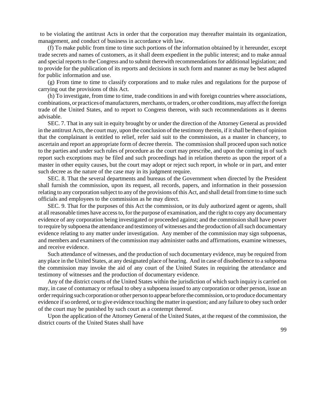to be violating the antitrust Acts in order that the corporation may thereafter maintain its organization, management, and conduct of business in accordance with law.

(f) To make public from time to time such portions of the information obtained by it hereunder, except trade secrets and names of customers, as it shall deem expedient in the public interest; and to make annual and special reports to the Congress and to submit therewith recommendations for additional legislation; and to provide for the publication of its reports and decisions in such form and manner as may be best adapted for public information and use.

(g) From time to time to classify corporations and to make rules and regulations for the purpose of carrying out the provisions of this Act.

(h) To investigate, from time to time, trade conditions in and with foreign countries where associations, combinations, or practices of manufacturers, merchants, or traders, or other conditions, may affect the foreign trade of the United States, and to report to Congress thereon, with such recommendations as it deems advisable.

SEC. 7. That in any suit in equity brought by or under the direction of the Attorney General as provided in the antitrust Acts, the court may, upon the conclusion of the testimony therein, if it shall be then of opinion that the complainant is entitled to relief, refer said suit to the commission, as a master in chancery, to ascertain and report an appropriate form of decree therein. The commission shall proceed upon such notice to the parties and under such rules of procedure as the court may prescribe, and upon the coming in of such report such exceptions may be filed and such proceedings had in relation thereto as upon the report of a master in other equity causes, but the court may adopt or reject such report, in whole or in part, and enter such decree as the nature of the case may in its judgment require.

SEC. 8. That the several departments and bureaus of the Government when directed by the President shall furnish the commission, upon its request, all records, papers, and information in their possession relating to any corporation subject to any of the provisions of this Act, and shall detail fromtime to time such officials and employees to the commission as he may direct.

SEC. 9. That for the purposes of this Act the commission, or its duly authorized agent or agents, shall at all reasonable times have accessto, for the purpose of examination, and the right to copy any documentary evidence of any corporation being investigated or proceeded against; and the commission shall have power to require by subpoena the attendance and testimony of witnesses and the production of all such documentary evidence relating to any matter under investigation. Any member of the commission may sign subpoenas, and members and examiners of the commission may administer oaths and affirmations, examine witnesses, and receive evidence.

Such attendance of witnesses, and the production of such documentary evidence, may be required from any place in the United States, at any designated place of hearing. And in case of disobedience to a subpoena the commission may invoke the aid of any court of the United States in requiring the attendance and testimony of witnesses and the production of documentary evidence.

Any of the district courts of the United States within the jurisdiction of which such inquiry is carried on may, in case of contumacy or refusal to obey a subpoena issued to any corporation or other person, issue an orderrequiring such corporation or other person to appear before the commission, orto produce documentary evidence if so ordered, or to give evidence touching the matter in question; and any failure to obey such order of the court may be punished by such court as a contempt thereof.

Upon the application of the Attorney General of the United States, at the request of the commission, the district courts of the United States shall have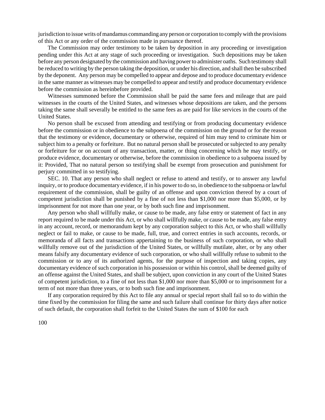jurisdiction to issue writs of mandamus commanding any person or corporation to comply with the provisions of this Act or any order of the commission made in pursuance thereof.

The Commission may order testimony to be taken by deposition in any proceeding or investigation pending under this Act at any stage of such proceeding or investigation. Such depositions may be taken before any person designated by the commission and having powerto administer oaths. Such testimony shall be reduced to writing by the person taking the deposition, or under his direction, and shall then be subscribed by the deponent. Any person may be compelled to appear and depose and to produce documentary evidence in the same manner as witnesses may be compelled to appear and testify and produce documentary evidence before the commission as hereinbefore provided.

Witnesses summoned before the Commission shall be paid the same fees and mileage that are paid witnesses in the courts of the United States, and witnesses whose depositions are taken, and the persons taking the same shall severally be entitled to the same fees as are paid for like services in the courts of the United States.

No person shall be excused from attending and testifying or from producing documentary evidence before the commission or in obedience to the subpoena of the commission on the ground or for the reason that the testimony or evidence, documentary or otherwise, required of him may tend to criminate him or subject him to a penalty or forfeiture. But no natural person shall be prosecuted or subjected to any penalty or forfeiture for or on account of any transaction, matter, or thing concerning which he may testify, or produce evidence, documentary or otherwise, before the commission in obedience to a subpoena issued by it: Provided, That no natural person so testifying shall be exempt from prosecution and punishment for perjury committed in so testifying.

SEC. 10. That any person who shall neglect or refuse to attend and testify, or to answer any lawful inquiry, or to produce documentary evidence, if in his power to do so, in obedience to the subpoena or lawful requirement of the commission, shall be guilty of an offense and upon conviction thereof by a court of competent jurisdiction shall be punished by a fine of not less than \$1,000 nor more than \$5,000, or by imprisonment for not more than one year, or by both such fine and imprisonment.

Any person who shall willfully make, or cause to be made, any false entry or statement of fact in any report required to be made under this Act, or who shall willfully make, or cause to be made, any false entry in any account, record, or memorandum kept by any corporation subject to this Act, or who shall willfully neglect or fail to make, or cause to be made, full, true, and correct entries in such accounts, records, or memoranda of all facts and transactions appertaining to the business of such corporation, or who shall willfully remove out of the jurisdiction of the United States, or willfully mutilate, alter, or by any other means falsify any documentary evidence of such corporation, or who shall willfully refuse to submit to the commission or to any of its authorized agents, for the purpose of inspection and taking copies, any documentary evidence of such corporation in his possession or within his control, shall be deemed guilty of an offense against the United States, and shall be subject, upon conviction in any court of the United States of competent jurisdiction, to a fine of not less than \$1,000 nor more than \$5,000 or to imprisonment for a term of not more than three years, or to both such fine and imprisonment.

If any corporation required by this Act to file any annual or special report shall fail so to do within the time fixed by the commission for filing the same and such failure shall continue for thirty days after notice of such default, the corporation shall forfeit to the United States the sum of \$100 for each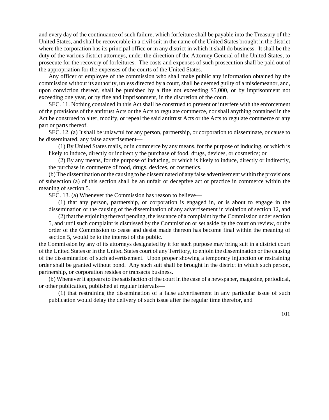and every day of the continuance of such failure, which forfeiture shall be payable into the Treasury of the United States, and shall be recoverable in a civil suit in the name of the United States brought in the district where the corporation has its principal office or in any district in which it shall do business. It shall be the duty of the various district attorneys, under the direction of the Attorney General of the United States, to prosecute for the recovery of forfeitures. The costs and expenses of such prosecution shall be paid out of the appropriation for the expenses of the courts of the United States.

Any officer or employee of the commission who shall make public any information obtained by the commission without its authority, unless directed by a court, shall be deemed guilty of a misdemeanor, and, upon conviction thereof, shall be punished by a fine not exceeding \$5,000, or by imprisonment not exceeding one year, or by fine and imprisonment, in the discretion of the court.

SEC. 11. Nothing contained in this Act shall be construed to prevent or interfere with the enforcement of the provisions of the antitrust Acts or the Acts to regulate commerce, nor shall anything contained in the Act be construed to alter, modify, or repeal the said antitrust Acts or the Acts to regulate commerce or any part or parts thereof.

SEC. 12. (a) It shall be unlawful for any person, partnership, or corporation to disseminate, or cause to be disseminated, any false advertisement—

(1) By United States mails, or in commerce by any means, for the purpose of inducing, or which is likely to induce, directly or indirectly the purchase of food, drugs, devices, or cosmetics; or

(2) By any means, for the purpose of inducing, or which is likely to induce, directly or indirectly, the purchase in commerce of food, drugs, devices, or cosmetics.

(b) The dissemination orthe causing to be disseminated of any false advertisement within the provisions of subsection (a) of this section shall be an unfair or deceptive act or practice in commerce within the meaning of section 5.

SEC. 13. (a) Whenever the Commission has reason to believe—

(1) that any person, partnership, or corporation is engaged in, or is about to engage in the dissemination or the causing of the dissemination of any advertisement in violation of section 12, and

(2) that the enjoining thereof pending, the issuance of a complaint by the Commission under section 5, and until such complaint is dismissed by the Commission or set aside by the court on review, or the order of the Commission to cease and desist made thereon has become final within the meaning of section 5, would be to the interest of the public.

the Commission by any of its attorneys designated by it for such purpose may bring suit in a district court of the United States or in the United States court of any Territory, to enjoin the dissemination or the causing of the dissemination of such advertisement. Upon proper showing a temporary injunction or restraining order shall be granted without bond. Any such suit shall be brought in the district in which such person, partnership, or corporation resides or transacts business.

(b) Whenever it appears to the satisfaction of the court in the case of a newspaper, magazine, periodical, or other publication, published at regular intervals—

(1) that restraining the dissemination of a false advertisement in any particular issue of such publication would delay the delivery of such issue after the regular time therefor, and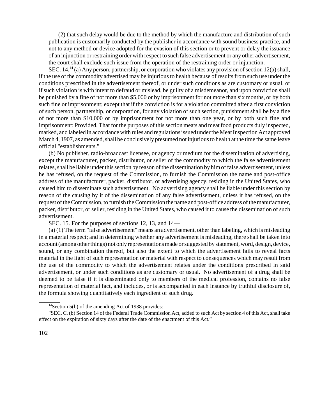(2) that such delay would be due to the method by which the manufacture and distribution of such publication is customarily conducted by the publisher in accordance with sound business practice, and not to any method or device adopted for the evasion of this section or to prevent or delay the issuance of an injunction orrestraining order with respect to such false advertisement or any other advertisement, the court shall exclude such issue from the operation of the restraining order or injunction.

SEC. 14.<sup>14</sup> (a) Any person, partnership, or corporation who violates any provision of section 12(a) shall, if the use of the commodity advertised may be injurious to health because of results from such use under the conditions prescribed in the advertisement thereof, or under such conditions as are customary or usual, or if such violation is with intent to defraud or mislead, be guilty of a misdemeanor, and upon conviction shall be punished by a fine of not more than \$5,000 or by imprisonment for not more than six months, or by both such fine or imprisonment; except that if the conviction is for a violation committed after a first conviction of such person, partnership, or corporation, for any violation of such section, punishment shall be by a fine of not more than \$10,000 or by imprisonment for not more than one year, or by both such fine and imprisonment: Provided, That for the purposes of thissection meats and meat food products duly inspected, marked, and labeled in accordance with rules and regulations issued under the Meat Inspection Act approved March 4, 1907, as amended, shall be conclusively presumed not injurious to health at the time the same leave official "establishments."

(b) No publisher, radio-broadcast licensee, or agency or medium for the dissemination of advertising, except the manufacturer, packer, distributor, or seller of the commodity to which the false advertisement relates, shall be liable under this section by reason of the dissemination by him of false advertisement, unless he has refused, on the request of the Commission, to furnish the Commission the name and post-office address of the manufacturer, packer, distributor, or advertising agency, residing in the United States, who caused him to disseminate such advertisement. No advertising agency shall be liable under this section by reason of the causing by it of the dissemination of any false advertisement, unless it has refused, on the request oftheCommission, to furnish theCommission the name and post-office address ofthemanufacturer, packer, distributor, or seller, residing in the United States, who caused it to cause the dissemination of such advertisement.

SEC. 15. For the purposes of sections 12, 13, and 14—

(a) (1) The term "false advertisement" means an advertisement, other than labeling, which is misleading in a material respect; and in determining whether any advertisement is misleading, there shall be taken into account (among other things) not only representations made or suggested by statement, word, design, device, sound, or any combination thereof, but also the extent to which the advertisement fails to reveal facts material in the light of such representation or material with respect to consequences which may result from the use of the commodity to which the advertisement relates under the conditions prescribed in said advertisement, or under such conditions as are customary or usual. No advertisement of a drug shall be deemed to be false if it is disseminated only to members of the medical profession, contains no false representation of material fact, and includes, or is accompanied in each instance by truthful disclosure of, the formula showing quantitatively each ingredient of such drug.

\_\_\_\_\_\_\_

 $14$ Section 5(b) of the amending Act of 1938 provides:

<sup>&</sup>quot;SEC. C. (b) Section 14 of the Federal Trade Commission Act, added to such Act by section 4 of this Act, shall take effect on the expiration of sixty days after the date of the enactment of this Act."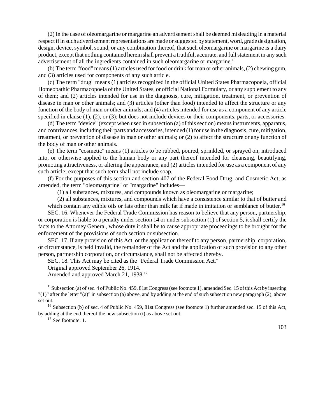(2) In the case of oleomargarine or margarine an advertisementshall be deemed misleading in a material respect if in such advertisement representations are made or suggested by statement, word, grade designation, design, device, symbol, sound, or any combination thereof, that such oleomargarine or margarine is a dairy product, except that nothing contained herein shall prevent a truthful, accurate, and fullstatement in any such advertisement of all the ingredients contained in such oleomargarine or margarine.<sup>15</sup>

(b) The term "food" means(1) articles used for food or drink for man or other animals, (2) chewing gum, and (3) articles used for components of any such article.

(c) The term "drug" means (1) articles recognized in the official United States Pharmacopoeia, official Homeopathic Pharmacopoeia of the United States, or official National Formulary, or any supplement to any of them; and (2) articles intended for use in the diagnosis, cure, mitigation, treatment, or prevention of disease in man or other animals; and (3) articles (other than food) intended to affect the structure or any function of the body of man or other animals; and (4) articles intended for use as a component of any article specified in clause (1), (2), or (3); but does not include devices or their components, parts, or accessories.

(d) The term "device" (except when used in subsection (a) of thissection) meansinstruments, apparatus, and contrivances, including their parts and accessories, intended  $(1)$  for use in the diagnosis, cure, mitigation, treatment, or prevention of disease in man or other animals; or (2) to affect the structure or any function of the body of man or other animals.

(e) The term "cosmetic" means (1) articles to be rubbed, poured, sprinkled, or sprayed on, introduced into, or otherwise applied to the human body or any part thereof intended for cleansing, beautifying, promoting attractiveness, or altering the appearance, and (2) articles intended for use as a component of any such article; except that such term shall not include soap.

(f) For the purposes of this section and section 407 of the Federal Food Drug, and Cosmetic Act, as amended, the term "oleomargarine" or "margarine" includes—

(1) all substances, mixtures, and compounds known as oleomargarine or margarine;

(2) all substances, mixtures, and compounds which have a consistence similar to that of butter and which contain any edible oils or fats other than milk fat if made in imitation or semblance of butter.<sup>16</sup>

SEC. 16. Whenever the Federal Trade Commission has reason to believe that any person, partnership, or corporation is liable to a penalty under section 14 or under subsection (1) of section 5, it shall certify the facts to the Attorney General, whose duty it shall be to cause appropriate proceedings to be brought for the enforcement of the provisions of such section or subsection.

SEC. 17. If any provision of this Act, or the application thereof to any person, partnership, corporation, or circumstance, is held invalid, the remainder of the Act and the application of such provision to any other person, partnership corporation, or circumstance, shall not be affected thereby.

SEC. 18. This Act may be cited as the "Federal Trade Commission Act."

Original approved September 26, 1914.

Amended and approved March 21, 1938.<sup>17</sup>

<sup>&</sup>lt;sup>15</sup>Subsection (a) of sec. 4 of Public No. 459, 81st Congress (see footnote 1), amended Sec. 15 of this Act by inserting "(1)" after the letter "(a)" in subsection (a) above, and by adding at the end of such subsection new paragraph (2), above set out.

 $^{16}$  Subsection (b) of sec. 4 of Public No. 459, 81st Congress (see footnote 1) further amended sec. 15 of this Act, by adding at the end thereof the new subsection (i) as above set out.

 $17$  See footnote. 1.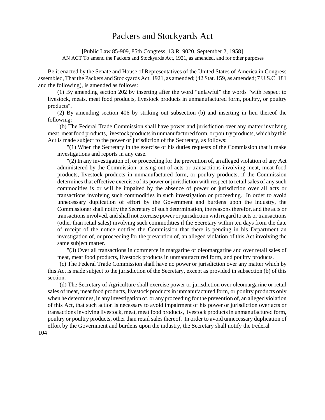# Packers and Stockyards Act

[Public Law 85-909, 85th Congress, 13.R. 9020, September 2, 1958] AN ACT To amend the Packers and Stockyards Act, 1921, as amended, and for other purposes

Be it enacted by the Senate and House of Representatives of the United States of America in Congress assembled, That the Packers and Stockyards Act, 1921, as amended;(42 Stat. 159, as amended; 7 U.S.C. 181 and the following), is amended as follows:

(1) By amending section 202 by inserting after the word "unlawful" the words "with respect to livestock, meats, meat food products, livestock products in unmanufactured form, poultry, or poultry products".

(2) By amending section 406 by striking out subsection (b) and inserting in lieu thereof the following:

"(b) The Federal Trade Commission shall have power and jurisdiction over any matter involving meat, meat food products, livestock products in unmanufactured form, or poultry products, which by this Act is made subject to the power or jurisdiction of the Secretary, as follows:

"(1) When the Secretary in the exercise of his duties requests of the Commission that it make investigations and reports in any case.

"(2) In any investigation of, or proceeding for the prevention of, an alleged violation of any Act administered by the Commission, arising out of acts or transactions involving meat, meat food products, livestock products in unmanufactured form, or poultry products, if the Commission determines that effective exercise of its power or jurisdiction with respect to retail sales of any such commodities is or will be impaired by the absence of power or jurisdiction over all acts or transactions involving such commodities in such investigation or proceeding. In order to avoid unnecessary duplication of effort by the Government and burdens upon the industry, the Commissioner shall notify the Secretary of such determination, the reasons therefor, and the acts or transactions involved, and shall not exercise power or jurisdiction with regard to acts or transactions (other than retail sales) involving such commodities if the Secretary within ten days from the date of receipt of the notice notifies the Commission that there is pending in his Department an investigation of, or proceeding for the prevention of, an alleged violation of this Act involving the same subject matter.

"(3) Over all transactions in commerce in margarine or oleomargarine and over retail sales of meat, meat food products, livestock products in unmanufactured form, and poultry products.

"(c) The Federal Trade Commission shall have no power or jurisdiction over any matter which by this Act is made subject to the jurisdiction of the Secretary, except as provided in subsection (b) of this section.

"(d) The Secretary of Agriculture shall exercise power or jurisdiction over oleomargarine or retail sales of meat, meat food products, livestock products in unmanufactured form, or poultry products only when he determines, in any investigation of, or any proceeding for the prevention of, an alleged violation of this Act, that such action is necessary to avoid impairment of his power or jurisdiction over acts or transactions involving livestock, meat, meat food products, livestock products in unmanufactured form, poultry or poultry products, other than retail sales thereof. In order to avoid unnecessary duplication of

effort by the Government and burdens upon the industry, the Secretary shall notify the Federal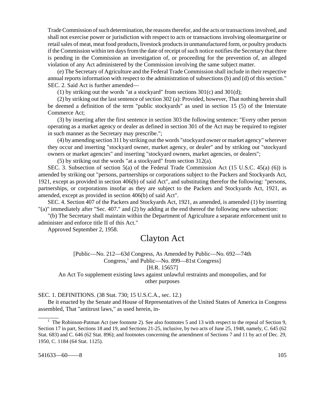Trade Commission of such determination, the reasons therefor, and the acts or transactions involved, and shall not exercise power or jurisdiction with respect to acts or transactions involving oleomargarine or retail sales of meat, meat food products, livestock products in unmanufactured form, or poultry products if the Commission within ten days from the date of receipt of such notice notifies the Secretary that there is pending in the Commission an investigation of, or proceeding for the prevention of, an alleged violation of any Act administered by the Commission involving the same subject matter.

(e) The Secretary of Agriculture and the Federal Trade Commission shall include in their respective annual reports information with respect to the administration of subsections (b) and (d) of this section." SEC. 2. Said Act is further amended—

(1) by striking out the words "at a stockyard" from sections 301(c) and 301(d);

(2) by striking out the last sentence of section 302 (a): Provided, however, That nothing herein shall be deemed a definition of the term "public stockyards" as used in section 15 (5) of the Interstate Commerce Act;

(3) by inserting after the first sentence in section 303 the following sentence: "Every other person operating as a market agency or dealer as defined in section 301 of the Act may be required to register in such manner as the Secretary may prescribe.";

(4) by amending section 311 by striking out the words "stockyard owner or market agency" wherever they occur and inserting "stockyard owner, market agency, or dealer" and by striking out "stockyard owners or market agencies" and inserting "stockyard owners, market agencies, or dealers";

(5) by striking out the words "at a stockyard" from section 312(a).

SEC. 3. Subsection of section 5(a) of the Federal Trade Commission Act (15 U.S.C. 45(a) (6)) is amended by striking out "persons, partnerships or corporations subject to the Packers and Stockyards Act, 1921, except as provided in section 406(b) of said Act", and substituting therefor the following: "persons, partnerships, or corporations insofar as they are subject to the Packers and Stockyards Act, 1921, as amended, except as provided in section 406(b) of said Act".

SEC. 4. Section 407 of the Packers and Stockyards Act, 1921, as amended, is amended (1) by inserting "(a)" immediately after "Sec. 407." and (2) by adding at the end thereof the following new subsection:

"(b) The Secretary shall maintain within the Department of Agriculture a separate enforcement unit to administer and enforce title II of this Act."

Approved September 2, 1958.

# Clayton Act

[Public—No. 212—63d Congress, As Amended by Public—No. 692—74th Congress,<sup>1</sup> and Public—No. 899—81st Congress]

## [H.R. 15657]

An Act To supplement existing laws against unlawful restraints and monopolies, and for other purposes

#### SEC. 1. DEFINITIONS. (38 Stat. 730; 15 U.S.C.A., sec. 12.)

Be it enacted by the Senate and House of Representatives of the United States of America in Congress assembled, That "antitrust laws," as used herein, in-

541633—60——8 105

 $\overline{\phantom{a}}$ 

<sup>&</sup>lt;sup>1</sup> The Robinson-Patman Act (see footnote 2). See also footnotes 5 and 13 with respect to the repeal of Section 9, Section 17 in part, Sections 18 and 19, and Sections 21-25, inclusive, by two acts of June 25, 1948, namely, C. 645 (62 Stat. 683) and C. 646 (62 Stat. 896); and footnotes concerning the amendment of Sections 7 and 11 by act of Dec. 29, 1950, C. 1184 (64 Stat. 1125).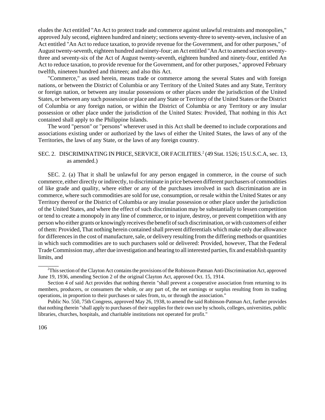eludes the Act entitled "An Act to protect trade and commerce against unlawful restraints and monopolies," approved July second, eighteen hundred and ninety; sectionsseventy-three to seventy-seven, inclusive of an Act entitled "An Act to reduce taxation, to provide revenue for the Government, and for other purposes," of August twenty-seventh, eighteen hundred and ninety-four; an Act entitled "An Act to amend section seventythree and seventy-six of the Act of August twenty-seventh, eighteen hundred and ninety-four, entitled An Act to reduce taxation, to provide revenue for the Government, and for other purposes," approved February twelfth, nineteen hundred and thirteen; and also this Act.

"Commerce," as used herein, means trade or commerce among the several States and with foreign nations, or between the District of Columbia or any Territory of the United States and any State, Territory or foreign nation, or between any insular possessions or other places under the jurisdiction of the United States, or between any such possession or place and any State or Territory of the United States or the District of Columbia or any foreign nation, or within the District of Columbia or any Territory or any insular possession or other place under the jurisdiction of the United States: Provided, That nothing in this Act contained shall apply to the Philippine Islands.

The word "person" or "persons" wherever used in this Act shall be deemed to include corporations and associations existing under or authorized by the laws of either the United States, the laws of any of the Territories, the laws of any State, or the laws of any foreign country.

## SEC. 2. DISCRIMINATING IN PRICE, SERVICE, OR FACILITIES.<sup>2</sup> (49 Stat. 1526; 15 U.S.C.A, sec. 13, as amended.)

SEC. 2. (a) That it shall be unlawful for any person engaged in commerce, in the course of such commerce, either directly orindirectly, to discriminate in price between different purchasers of commodities of like grade and quality, where either or any of the purchases involved in such discrimination are in commerce, where such commodities are sold for use, consumption, or resale within the United States or any Territory thereof or the District of Columbia or any insular possession or other place under the jurisdiction of the United States, and where the effect of such discrimination may be substantially to lessen competition or tend to create a monopoly in any line of commerce, or to injure, destroy, or prevent competition with any person who either grants or knowingly receivesthe benefit ofsuch discrimination, or with customers of either of them: Provided, That nothing herein contained shall prevent differentials which make only due allowance for differences in the cost of manufacture, sale, or delivery resulting from the differing methods or quantities in which such commodities are to such purchasers sold or delivered: Provided, however, That the Federal TradeCommissionmay, after due investigation and hearing to all interested parties,fix and establish quantity limits, and

<sup>&</sup>lt;sup>2</sup>This section of the Clayton Act contains the provisions of the Robinson-Patman Anti-Discrimination Act, approved June 19, 1936, amending Section 2 of the original Clayton Act, approved Oct. 15, 1914.

Section 4 of said Act provides that nothing therein "shall prevent a cooperative association from returning to its members, producers, or consumers the whole, or any part of, the net earnings or surplus resulting from its trading operations, in proportion to their purchases or sales from, to, or through the association."

Public No. 550, 75th Congress, approved May 26, 1938, to amend the said Robinson-Patman Act, further provides that nothing therein "shall apply to purchases of their supplies for their own use by schools, colleges, universities, public libraries, churches, hospitals, and charitable institutions not operated for profit."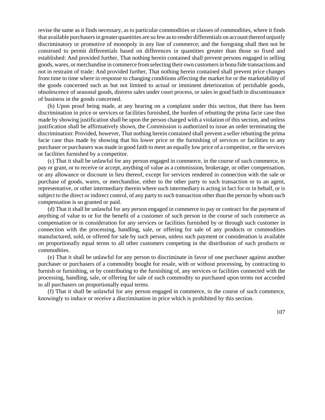revise the same as it finds necessary, as to particular commodities or classes of commodities, where it finds that available purchasersin greater quantities are so few asto render differentials on account thereof unjustly discriminatory or promotive of monopoly in any line of commerce; and the foregoing shall then not be construed to permit differentials based on differences in quantities greater than those so fixed and established: And provided further, That nothing herein contained shall prevent persons engaged in selling goods, wares, or merchandise in commerce fromselecting their own customersin bona fide transactions and not in restraint of trade: And provided further, That nothing herein contained shall prevent price changes from time to time where in response to changing conditions affecting the market for or the marketability of the goods concerned such as but not limited to actual or imminent deterioration of perishable goods, obsolescence of seasonal goods, distress sales under court process, or sales in good faith in discontinuance of business in the goods concerned.

(b) Upon proof being made, at any hearing on a complaint under this section, that there has been discrimination in price or services or facilities furnished, the burden of rebutting the prima facie case thus made by showing justification shall be upon the person charged with a violation of this section, and unless justification shall be affirmatively shown, the Commission is authorized to issue an order terminating the discrimination: Provided, however, That nothing herein contained shall prevent a seller rebutting the prima facie case thus made by showing that his lower price or the furnishing of services or facilities to any purchaser or purchasers was made in good faith to meet an equally low price of a competitor, or the services or facilities furnished by a competitor.

(c) That it shall be unlawful for any person engaged in commerce, in the course of such commerce, to pay or grant, or to receive or accept, anything of value as a commission, brokerage, or other compensation, or any allowance or discount in lieu thereof, except for services rendered in connection with the sale or purchase of goods, wares, or merchandise, either to the other party to such transaction or to an agent, representative, or other intermediary therein where such intermediary is acting in fact for or in behalf, or is subject to the direct or indirect control, of any party to such transaction other than the person by whom such compensation is so granted or paid.

(d) That it shall be unlawful for any person engaged in commerce to pay or contract for the payment of anything of value to or for the benefit of a customer of such person in the course of such commerce as compensation or in consideration for any services or facilities furnished by or through such customer in connection with the processing, handling, sale, or offering for sale of any products or commodities manufactured, sold, or offered for sale by such person, unless such payment or consideration is available on proportionally equal terms to all other customers competing in the distribution of such products or commodities.

(e) That it shall be unlawful for any person to discriminate in favor of one purchaser against another purchaser or purchasers of a commodity bought for resale, with or without processing, by contracting to furnish or furnishing, or by contributing to the furnishing of, any services or facilities connected with the processing, handling, sale, or offering for sale of such commodity so purchased upon terms not accorded to all purchasers on proportionally equal terms.

(f) That it shall be unlawful for any person engaged in commerce, in the course of such commerce, knowingly to induce or receive a discrimination in price which is prohibited by this section.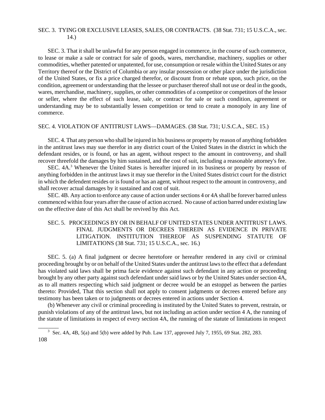## SEC. 3. TYING OR EXCLUSIVE LEASES, SALES, OR CONTRACTS. (38 Stat. 731; 15 U.S.C.A., sec. 14.)

SEC. 3. That it shall be unlawful for any person engaged in commerce, in the course of such commerce, to lease or make a sale or contract for sale of goods, wares, merchandise, machinery, supplies or other commodities, whether patented or unpatented, for use, consumption or resale within the United States or any Territory thereof or the District of Columbia or any insular possession or other place under the jurisdiction of the United States, or fix a price charged therefor, or discount from or rebate upon, such price, on the condition, agreement or understanding that the lessee or purchaser thereof shall not use or deal in the goods, wares, merchandise, machinery, supplies, or other commodities of a competitor or competitors of the lessor or seller, where the effect of such lease, sale, or contract for sale or such condition, agreement or understanding may be to substantially lessen competition or tend to create a monopoly in any line of commerce.

#### SEC. 4. VIOLATION OF ANTITRUST LAWS—DAMAGES. (38 Stat. 731; U.S.C.A., SEC. 15.)

SEC. 4. That any person who shall be injured in his business or property by reason of anything forbidden in the antitrust laws may sue therefor in any district court of the United States in the district in which the defendant resides, or is found, or has an agent, without respect to the amount in controversy, and shall recover threefold the damages by him sustained, and the cost of suit, including a reasonable attorney's fee.

SEC. 4A.<sup>3</sup> Whenever the United States is hereafter injured in its business or property by reason of anything forbidden in the antitrust laws it may sue therefor in the United States district court for the district in which the defendent resides or isfound or has an agent, without respect to the amount in controversy, and shall recover actual damages by it sustained and cost of suit.

SEC. 4B. Any action to enforce any cause of action under sections 4 or 4A shall be forever barred unless commenced within four years after the cause of action accrued. No cause of action barred under existing law on the effective date of this Act shall be revived by this Act.

## SEC. 5. PROCEEDINGS BY OR IN BEHALF OF UNITED STATES UNDER ANTITRUST LAWS. FINAL JUDGMENTS OR DECREES THEREIN AS EVIDENCE IN PRIVATE LITIGATION. INSTITUTION THEREOF AS SUSPENDING STATUTE OF LIMITATIONS (38 Stat. 731; 15 U.S.C.A., sec. 16.)

SEC. 5. (a) A final judgment or decree heretofore or hereafter rendered in any civil or criminal proceeding brought by or on behalf of the United States under the antitrust lawsto the effect that a defendant has violated said laws shall be prima facie evidence against such defendant in any action or proceeding brought by any other party against such defendant under said laws or by the United States under section 4A, as to all matters respecting which said judgment or decree would be an estoppel as between the parties thereto: Provided, That this section shall not apply to consent judgments or decrees entered before any testimony has been taken or to judgments or decrees entered in actions under Section 4.

(b) Whenever any civil or criminal proceeding is instituted by the United States to prevent, restrain, or punish violations of any of the antitrust laws, but not including an action under section 4 A, the running of the statute of limitations in respect of every section 4A, the running of the statute of limitations in respect

<sup>&</sup>lt;sup>3</sup> Sec. 4A, 4B, 5(a) and 5(b) were added by Pub. Law 137, approved July 7, 1955, 69 Stat. 282, 283. 108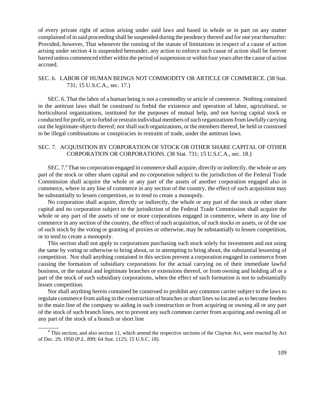of every private right of action arising under said laws and based in whole or in part on any matter complained of in said proceeding shall be suspended during the pendency thereof and for one year thereafter: Provided, however, That whenever the running of the statute of limitations in respect of a cause of action arising under section 4 is suspended hereunder, any action to enforce such cause of action shall be forever barred unless commenced either within the period of suspension or within four years after the cause of action accrued.

## SEC. 6. LABOR OF HUMAN BEINGS NOT COMMODITY OR ARTICLE OF COMMERCE. (38 Stat. 731; 15 U.S.C.A., sec. 17.)

SEC. 6. That the labor of a human being is not a commodity or article of commerce. Nothing contained in the antitrust laws shall be construed to forbid the existence and operation of labor, agricultural, or horticultural organizations, instituted for the purposes of mutual help, and not having capital stock or conducted for profit, or to forbid or restrain individual members of such organizations from lawfully carrying out the legitimate objects thereof; nor shall such organizations, or the members thereof, be held or construed to be illegal combinations or conspiracies in restraint of trade, under the antitrust laws.

## SEC. 7. ACQUISITION BY CORPORATION OF STOCK OR OTHER SHARE CAPITAL OF OTHER CORPORATION OR CORPORATIONS. (38 Stat. 731; 15 U.S.C.A., sec. 18.)

SEC. 7.<sup>4</sup> That no corporation engaged in commerce shall acquire, directly or indirectly, the whole or any part of the stock or other share capital and no corporation subject to the jurisdiction of the Federal Trade Commission shall acquire the whole or any part of the assets of another corporation engaged also in commerce, where in any line of commerce in any section of the country, the effect of such acquisition may be substantially to lessen competition, or to tend to create a monopoly.

No corporation shall acquire, directly or indirectly, the whole or any part of the stock or other share capital and no corporation subject to the jurisdiction of the Federal Trade Commission shall acquire the whole or any part of the assets of one or more corporations engaged in commerce, where in any line of commerce in any section of the country, the effect of such acquisition, of such stocks or assets, or of the use of such stock by the voting or granting of proxies or otherwise, may be substantially to lessen competition, or to tend to create a monopoly.

This section shall not apply to corporations purchasing such stock solely for investment and not using the same by voting or otherwise to bring about, or in attempting to bring about, the substantial lessening of competition. Nor shall anything contained in this section prevent a corporation engaged in commerce from causing the formation of subsidiary corporations for the actual carrying on of their immediate lawful business, or the natural and legitimate branches or extensions thereof, or from owning and holding all or a part of the stock of such subsidiary corporations, when the effect of such formation is not to substantially lessen competition.

Nor shall anything herein contained be construed to prohibit any common carrier subject to the laws to regulate commerce fromaiding in the construction of branches orshort linesso located asto become feeders to the main line of the company so aiding in such construction or from acquiring or owning all or any part of the stock of such branch lines, nor to prevent any such common carrier from acquiring and owning all or any part of the stock of a branch or short line

<sup>&</sup>lt;sup>4</sup> This section, and also section 11, which amend the respective sections of the Clayton Act, were enacted by Act of Dec. 29, 1950 (P.L. 899; 64 Stat. 1125; 15 U.S.C. 18).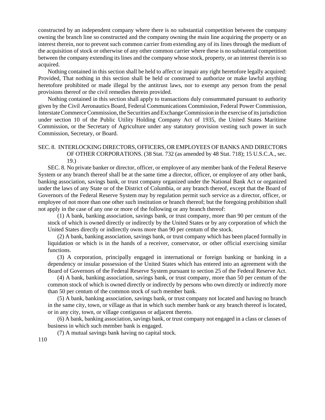constructed by an independent company where there is no substantial competition between the company owning the branch line so constructed and the company owning the main line acquiring the property or an interest therein, nor to prevent such common carrier from extending any of its lines through the medium of the acquisition of stock or otherwise of any other common carrier where these is no substantial competition between the company extending its lines and the company whose stock, property, or an interest therein is so acquired.

Nothing contained in this section shall be held to affect or impair any right heretofore legally acquired: Provided, That nothing in this section shall be held or construed to authorize or make lawful anything heretofore prohibited or made illegal by the antitrust laws, nor to exempt any person from the penal provisions thereof or the civil remedies therein provided.

Nothing contained in this section shall apply to transactions duly consummated pursuant to authority given by the Civil Aeronautics Board, Federal Communications Commission, Federal Power Commission, Interstate Commerce Commission, the Securities and Exchange Commission in the exercise of its jurisdiction under section 10 of the Public Utility Holding Company Act of 1935, the United States Maritime Commission, or the Secretary of Agriculture under any statutory provision vesting such power in such Commission, Secretary, or Board.

## SEC. 8. INTERLOCKING DIRECTORS, OFFICERS, OR EMPLOYEES OF BANKS AND DIRECTORS OF OTHER CORPORATIONS. (38 Stat. 732 (as amended by 48 Stat. 718); 15 U.S.C.A., sec. 19.)

SEC. 8. No private banker or director, officer, or employee of any member bank of the Federal Reserve System or any branch thereof shall be at the same time a director, officer, or employee of any other bank, banking association, savings bank, or trust company organized under the National Bank Act or organized under the laws of any State or of the District of Columbia, or any branch thereof, except that the Board of Governors of the Federal Reserve System may by regulation permit such service as a director, officer, or employee of not more than one other such institution or branch thereof; but the foregoing prohibition shall not apply in the case of any one or more of the following or any branch thereof:

(1) A bank, banking association, savings bank, or trust company, more than 90 per centum of the stock of which is owned directly or indirectly by the United States or by any corporation of which the United States directly or indirectly owns more than 90 per centum of the stock.

(2) A bank, banking association, savings bank, or trust company which has been placed formally in liquidation or which is in the hands of a receiver, conservator, or other official exercising similar functions.

(3) A corporation, principally engaged in international or foreign banking or banking in a dependency or insular possession of the United States which has entered into an agreement with the Board of Governors of the Federal Reserve System pursuant to section 25 of the Federal Reserve Act.

(4) A bank, banking association, savings bank, or trust company, more than 50 per centum of the common stock of which is owned directly or indirectly by persons who own directly or indirectly more than 50 per centum of the common stock of such member bank.

(5) A bank, banking association, savings bank, or trust company not located and having no branch in the same city, town, or village as that in which such member bank or any branch thereof is located, or in any city, town, or village contiguous or adjacent thereto.

(6) A bank, banking association, savings bank, or trust company not engaged in a class or classes of business in which such member bank is engaged.

(7) A mutual savings bank having no capital stock.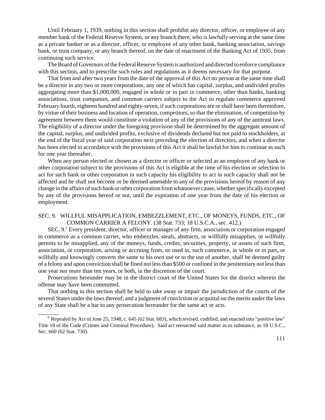Until February 1, 1939, nothing in this section shall prohibit any director, officer, or employee of any member bank of the Federal Reserve System, or any branch there, who is lawfully serving at the same time as a private banker or as a director, officer, or employee of any other bank, banking association, savings bank, or trust company, or any branch thereof, on the date of enactment of the Banking Act of 1935, from continuing such service.

The Board of Governors of the Federal Reserve System is authorized and directed to enforce compliance with this section, and to prescribe such rules and regulations as it deems necessary for that purpose.

That from and after two years from the date of the approval of this Act no person at the same time shall be a director in any two or more corporations, any one of which has capital, surplus, and undivided profits aggregating more than \$1,000,000, engaged in whole or in part in commerce, other than banks, banking associations, trust companies, and common carriers subject to the Act to regulate commerce approved February fourth, eighteen hundred and eighty-seven, if such corporations are or shall have been theretofore, by virtue of their business and location of operation, competitors, so that the elimination, of competition by agreement between them would constitute a violation of any of the provisions of any of the antitrust laws. The eligibility of a director under the foregoing provision shall be determined by the aggregate amount of the capital, surplus, and undivided profits, exclusive of dividends declared but not paid to stockholders, at the end of the fiscal year of said corporation next preceding the election of directors, and when a director has been elected in accordance with the provisions of this Act it shall be lawful for him to continue as such for one year thereafter.

When any person elected or chosen as a director or officer or selected as an employee of any bank or other corporation subject to the provisions of this Act is eligible at the time of his election or selection to act for such bank or other corporation in such capacity his eligibility to act in such capacity shall not be affected and he shall not become or be deemed amenable to any of the provisions hereof by reason of any change in the affairs of such bank or other corporation from whatsoever cause, whether specifically excepted by any of the provisions hereof or not, until the expiration of one year from the date of his election or employment.

## SEC. 9. WILLFUL MISAPPLICATION, EMBEZZLEMENT, ETC., OF MONEYS, FUNDS, ETC., OF COMMON CARRIER A FELONY. (38 Stat. 733; 18 U.S.C.A., sec. 412.)

SEC. 9.<sup>5</sup> Every president, director, officer or manager of any firm, association or corporation engaged in commerce as a common carrier, who embezzles, steals, abstracts, or willfully misapplies, or willfully permits to be misapplied, any of the moneys, funds, credits, securities, property, or assets of such firm, association, or corporation, arising or accruing from, or used in, such commerce, in whole or in part, or willfully and knowingly converts the same to his own use or to the use of another, shall be deemed guilty of a felony and upon conviction shall be fined not lessthan \$500 or confined in the penitentiary not lessthan one year nor more than ten years, or both, in the discretion of the court.

Prosecutions hereunder may be in the district court of the United States for the district wherein the offense may have been committed.

That nothing in this section shall be held to take away or impair the jurisdiction of the courts of the several States under the laws thereof; and a judgment of conviction or acquittal on the merits under the laws of any State shall be a bar to any prosecution hereunder for the same act or acts.

 $6$  Repealed by Act of June 25, 1948, c. 645 (62 Stat. 683), which revised, codified, and enacted into "positive law" Title 18 of the Code (Crimes and Criminal Procedure). Said act reenacted said matter as to substance, as 18 U.S.C., Sec. 660 (62 Stat. 730).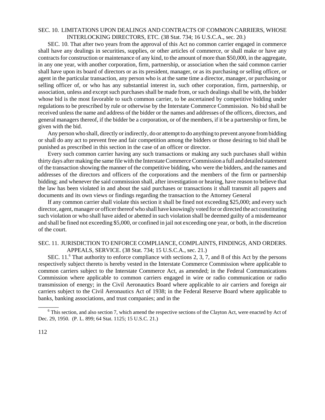## SEC. 10. LIMITATIONS UPON DEALINGS AND CONTRACTS OF COMMON CARRIERS, WHOSE INTERLOCKING DIRECTORS, ETC. (38 Stat. 734; 16 U.S.C.A., sec. 20.)

SEC. 10. That after two years from the approval of this Act no common carrier engaged in commerce shall have any dealings in securities, supplies, or other articles of commerce, or shall make or have any contracts for construction or maintenance of any kind, to the amount of more than \$50,000, in the aggregate, in any one year, with another corporation, firm, partnership, or association when the said common carrier shall have upon its board of directors or as its president, manager, or as its purchasing or selling officer, or agent in the particular transaction, any person who is at the same time a director, manager, or purchasing or selling officer of, or who has any substantial interest in, such other corporation, firm, partnership, or association, unless and except such purchases shall be made from, or such dealings shall be with, the bidder whose bid is the most favorable to such common carrier, to be ascertained by competitive bidding under regulations to be prescribed by rule or otherwise by the Interstate Commerce Commission. No bid shall be received unless the name and address of the bidder or the names and addresses of the officers, directors, and general managers thereof, if the bidder be a corporation, or of the members, if it be a partnership or firm, be given with the bid.

Any person who shall, directly orindirectly, do or attempt to do anything to prevent anyone frombidding or shall do any act to prevent free and fair competition among the bidders or those desiring to bid shall be punished as prescribed in this section in the case of an officer or director.

Every such common carrier having any such transactions or making any such purchases shall within thirty days after making the same file with the InterstateCommerceCommission a full and detailed statement of the transaction showing the manner of the competitive bidding, who were the bidders, and the names and addresses of the directors and officers of the corporations and the members of the firm or partnership bidding; and whenever the said commission shall, after investigation or hearing, have reason to believe that the law has been violated in and about the said purchases or transactions it shall transmit all papers and documents and its own views or findings regarding the transaction to the Attorney General

If any common carrier shall violate this section it shall be fined not exceeding \$25,000; and every such director, agent, manager or officer thereof who shall have knowingly voted for or directed the act constituting such violation or who shall have aided or abetted in such violation shall be deemed guilty of a misdemeanor and shall be fined not exceeding \$5,000, or confined in jail not exceeding one year, or both, in the discretion of the court.

### SEC. 11. JURISDICTION TO ENFORCE COMPLIANCE, COMPLAINTS, FINDINGS, AND ORDERS. APPEALS, SERVICE. (38 Stat. 734; 15 U.S.C.A., sec. 21.)

SEC. 11.<sup>6</sup> That authority to enforce compliance with sections 2, 3, 7, and 8 of this Act by the persons respectively subject thereto is hereby vested in the Interstate Commerce Commission where applicable to common carriers subject to the Interstate Commerce Act, as amended; in the Federal Communications Commission where applicable to common carriers engaged in wire or radio communication or radio transmission of energy; in the Civil Aeronautics Board where applicable to air carriers and foreign air carriers subject to the Civil Aeronautics Act of 1938; in the Federal Reserve Board where applicable to banks, banking associations, and trust companies; and in the

 $\overline{\phantom{a}}$ 

 $6$  This section, and also section 7, which amend the respective sections of the Clayton Act, were enacted by Act of Dec. 29, 1950. (P. L. 899; 64 Stat. 1125; 15 U.S.C. 21.)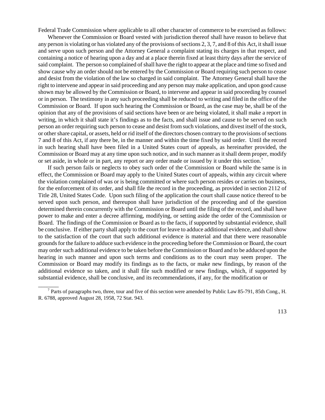Federal Trade Commission where applicable to all other character of commerce to be exercised as follows:

Whenever the Commission or Board vested with jurisdiction thereof shall have reason to believe that any person is violating or has violated any of the provisions of sections 2, 3, 7, and 8 of this Act, it shall issue and serve upon such person and the Attorney General a complaint stating its charges in that respect, and containing a notice of hearing upon a day and at a place therein fixed at least thirty days after the service of said complaint. The person so complained of shall have the right to appear at the place and time so fixed and show cause why an order should not be entered by the Commission or Board requiring such person to cease and desist from the violation of the law so charged in said complaint. The Attorney General shall have the right to intervene and appear in said proceeding and any person may make application, and upon good cause shown may be allowed by the Commission or Board, to intervene and appear in said proceeding by counsel or in person. The testimony in any such proceeding shall be reduced to writing and filed in the office of the Commission or Board. If upon such hearing the Commission or Board, as the case may be, shall be of the opinion that any of the provisions of said sections have been or are being violated, it shall make a report in writing, in which it shall state it's findings as to the facts, and shall issue and cause to be served on such person an order requiring such person to cease and desist from such violations, and divest itself of the stock, or other share capital, or assets, held or rid itself of the directors chosen contrary to the provisions of sections 7 and 8 of this Act, if any there be, in the manner and within the time fixed by said order. Until the record in such hearing shall have been filed in a United States court of appeals, as hereinafter provided, the Commission or Board may at any time upon such notice, and in such manner as it shall deem proper, modify or set aside, in whole or in part, any report or any order made or issued by it under this section.<sup>7</sup>

If such person fails or neglects to obey such order of the Commission or Board while the same is in effect, the Commission or Board may apply to the United States court of appeals, within any circuit where the violation complained of was or is being committed or where such person resides or carries on business, for the enforcement of its order, and shall file the record in the proceeding, as provided in section 2112 of Title 28, United States Code. Upon such filing of the application the court shall cause notice thereof to be served upon such person, and thereupon shall have jurisdiction of the proceeding and of the question determined therein concurrently with the Commission or Board until the filing of the record, and shall have power to make and enter a decree affirming, modifying, or setting aside the order of the Commission or Board. The findings of the Commission or Board as to the facts, if supported by substantial evidence, shall be conclusive. If either party shall apply to the court for leave to adduce additional evidence, and shall show to the satisfaction of the court that such additional evidence is material and that there were reasonable groundsfor the failure to adduce such evidence in the proceeding before the Commission or Board, the court may order such additional evidence to be taken before the Commission or Board and to be adduced upon the hearing in such manner and upon such terms and conditions as to the court may seem proper. The Commission or Board may modify its findings as to the facts, or make new findings, by reason of the additional evidence so taken, and it shall file such modified or new findings, which, if supported by substantial evidence, shall be conclusive, and its recommendations, if any, for the modification or

<sup>&</sup>lt;sup>7</sup> Parts of paragraphs two, three, tour and five of this section were amended by Public Law 85-791, 85th Cong., H. R. 6788, approved August 28, 1958, 72 Stat. 943.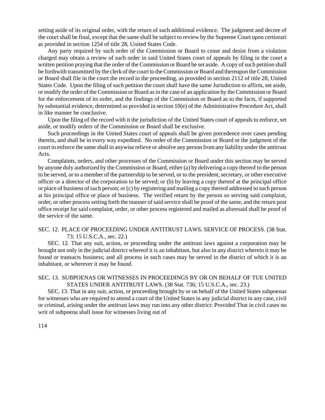setting aside of its original order, with the return of such additional evidence. The judgment and decree of the court shall be final, except that the same shall be subject to review by the Supreme Court upon certiorari as provided in section 1254 of title 28, United States Code.

Any party required by such order of the Commission or Board to cease and desist from a violation charged may obtain a review of such order in said United States court of appeals by filing in the court a written petition praying that the order of the Commission or Board be set aside. A copy of such petition shall be forthwith transmitted by the clerk of the court to the Commission or Board and thereupon the Commission or Board shall file in the court the record in the proceeding, as provided in section 2112 of title 28, United States Code. Upon the filing of such petition the court shall have the same Jurisdiction to affirm, set aside, or modify the order of the Commission or Board asin the case of an application by the Commission or Board for the enforcement of its order, and the findings of the Commission or Board as to the facts, if supported by substantial evidence, determined as provided in section 10(e) of the Administrative Procedure Act, shall in like manner be conclusive.

Upon the filing of the record with it the jurisdiction of the United States court of appeals to enforce, set aside, or modify orders of the Commission or Board shall be exclusive.

Such proceedings in the United States court of appeals shall be given precedence over cases pending therein, and shall be in every way expedited. No order of the Commission or Board or the judgment of the court to enforce the same shall in anywise relieve or absolve any person fromany liability under the antitrust Acts.

Complaints, orders, and other processes of the Commission or Board under this section may be served by anyone duly authorized by the Commission or Board, either (a) by delivering a copy thereof to the person to be served, or to a member of the partnership to be served, or to the president, secretary, or other executive officer or a director of the corporation to be served; or (b) by leaving a copy thereof at the principal office or place of business ofsuch person; or (c) by registering and mailing a copy thereof addressed to such person at his principal office or place of business. The verified return by the person so serving said complaint, order, or other process setting forth the manner ofsaid service shall be proof of the same, and the return post office receipt for said complaint, order, or other process registered and mailed as aforesaid shall be proof of the service of the same.

## SEC. 12. PLACE OF PROCEEDING UNDER ANTITRUST LAWS. SERVICE OF PROCESS. (38 Stat. 73; 15 U.S.C.A., sec. 22.)

SEC. 12. That any suit, action, or proceeding under the antitrust laws against a corporation may be brought not only in the judicial district whereof it is an inhabitant, but also in any district wherein it may be found or transacts business; and all process in such cases may be served in the district of which it is an inhabitant, or wherever it may be found.

## SEC. 13. SUBPOENAS OR WITNESSES IN PROCEEDINGS BY OR ON BEHALF OF TUE UNITED STATES UNDER ANTITRUST LAWS. (38 Stat. 736; 15 U.S.C.A., sec. 23.)

SEC. 13. That in any suit, action, or proceeding brought by or on behalf of the United States subpoenas for witnesses who are required to attend a court of the United States in any judicial district in any case, civil or criminal, arising under the antitrust laws may run into any other district: Provided That in civil cases no writ of subpoena shall issue for witnesses living out of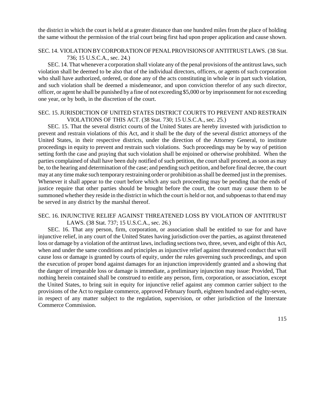the district in which the court is held at a greater distance than one hundred miles from the place of holding the same without the permission of the trial court being first had upon proper application and cause shown.

## SEC. 14. VIOLATION BY CORPORATION OF PENAL PROVISIONS OF ANTITRUST LAWS. (38 Stat. 736; 15 U.S.C.A., sec. 24.)

SEC. 14. That whenever a corporation shall violate any of the penal provisions of the antitrust laws, such violation shall be deemed to be also that of the individual directors, officers, or agents of such corporation who shall have authorized, ordered, or done any of the acts constituting in whole or in part such violation, and such violation shall be deemed a misdemeanor, and upon conviction therefor of any such director, officer, or agent he shall be punished by a fine of not exceeding \$5,000 or by imprisonment for not exceeding one year, or by both, in the discretion of the court.

## SEC. 15. JURISDICTION OF UNITED STATES DISTRICT COURTS TO PREVENT AND RESTRAIN VIOLATIONS OF THIS ACT. (38 Stat. 730; 15 U.S.C.A., sec. 25.)

SEC. 15. That the several district courts of the United States are hereby invested with jurisdiction to prevent and restrain violations of this Act, and it shall be the duty of the several district attorneys of the United States, in their respective districts, under the direction of the Attorney General, to institute proceedings in equity to prevent and restrain such violations. Such proceedings may be by way of petition setting forth the case and praying that such violation shall be enjoined or otherwise prohibited. When the parties complained of shall have been duly notified of such petition, the court shall proceed, as soon as may be, to the hearing and determination of the case; and pending such petition, and before final decree, the court may at any time make such temporary restraining order or prohibition asshall be deemed just in the premises. Whenever it shall appear to the court before which any such proceeding may be pending that the ends of justice require that other parties should be brought before the court, the court may cause them to be summoned whether they reside in the district in which the court is held or not, and subpoenasto that end may be served in any district by the marshal thereof.

## SEC. 16. INJUNCTIVE RELIEF AGAINST THREATENED LOSS BY VIOLATION OF ANTITRUST LAWS. (38 Stat. 737; 15 U.S.C.A., sec. 26.)

SEC. 16. That any person, firm, corporation, or association shall be entitled to sue for and have injunctive relief, in any court of the United States having jurisdiction over the parties, as against threatened loss or damage by a violation of the antitrust laws, including sections two, three, seven, and eight of this Act, when and under the same conditions and principles as injunctive relief against threatened conduct that will cause loss or damage is granted by courts of equity, under the rules governing such proceedings, and upon the execution of proper bond against damages for an injunction improvidently granted and a showing that the danger of irreparable loss or damage is immediate, a preliminary injunction may issue: Provided, That nothing herein contained shall be construed to entitle any person, firm, corporation, or association, except the United States, to bring suit in equity for injunctive relief against any common carrier subject to the provisions of the Act to regulate commerce, approved February fourth, eighteen hundred and eighty-seven, in respect of any matter subject to the regulation, supervision, or other jurisdiction of the Interstate Commerce Commission.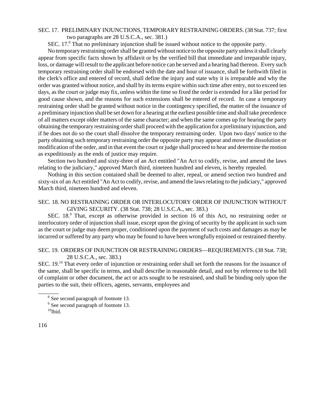## SEC. 17. PRELIMINARY INJUNCTIONS, TEMPORARY RESTRAINING ORDERS. (38 Stat. 737; first two paragraphs are 28 U.S.C.A., sec. 381.)

SEC. 17.<sup>8</sup> That no preliminary injunction shall be issued without notice to the opposite party.

No temporary restraining order shall be granted without notice to the opposite party unless it shall clearly appear from specific facts shown by affidavit or by the verified bill that immediate and irreparable injury, loss, or damage will result to the applicant before notice can be served and a hearing had thereon. Every such temporary restraining order shall be endorsed with the date and hour of issuance, shall be forthwith filed in the clerk's office and entered of record, shall define the injury and state why it is irreparable and why the order was granted without notice, and shall by itsterms expire within such time after entry, not to exceed ten days, as the court or judge may fix, unless within the time so fixed the order is extended for a like period for good cause shown, and the reasons for such extensions shall be entered of record. In case a temporary restraining order shall be granted without notice in the contingency specified, the matter of the issuance of a preliminary injunction shall be set down for a hearing at the earliest possible time and shall take precedence of all matters except older matters of the same character; and when the same comes up for hearing the party obtaining the temporary restraining ordershall proceed with the application for a preliminary injunction, and if he does not do so the court shall dissolve the temporary restraining order. Upon two days' notice to the party obtaining such temporary restraining order the opposite party may appear and move the dissolution or modification of the order, and in that event the court or judge shall proceed to hear and determine the motion as expeditiously as the ends of justice may require.

Section two hundred and sixty-three of an Act entitled "An Act to codify, revise, and amend the laws relating to the judiciary," approved March third, nineteen hundred and eleven, is hereby repealed.

Nothing in this section contained shall be deemed to alter, repeal, or amend section two hundred and sixty-six of an Act entitled "An Act to codify, revise, and amend the lawsrelating to the judiciary," approved March third, nineteen hundred and eleven.

## SEC. 18. NO RESTRAINING ORDER OR INTERLOCUTORY ORDER OF INJUNCTION WITHOUT GIVING SECURITY. (38 Stat. 738; 28 U.S.C.A., sec. 383.)

SEC. 18.<sup>9</sup> That, except as otherwise provided in section 16 of this Act, no restraining order or interlocutory order of injunction shall issue, except upon the giving of security by the applicant in such sum as the court or judge may deem proper, conditioned upon the payment of such costs and damages as may be incurred or suffered by any party who may be found to have been wrongfully enjoined or restrained thereby.

## SEC. 19. ORDERS OF INJUNCTION OR RESTRAINING ORDERS—REQUIREMENTS. (38 Stat. 738; 28 U.S.C.A., sec. 383.)

SEC. 19.<sup>10</sup> That every order of injunction or restraining order shall set forth the reasons for the issuance of the same, shall be specific in terms, and shall describe in reasonable detail, and not by reference to the bill of complaint or other document, the act or acts sought to be restrained, and shall be binding only upon the parties to the suit, their officers, agents, servants, employees and

<sup>&</sup>lt;sup>8</sup> See second paragraph of footnote 13.

<sup>&</sup>lt;sup>9</sup> See second paragraph of footnote 13.

 $10$ Ibid.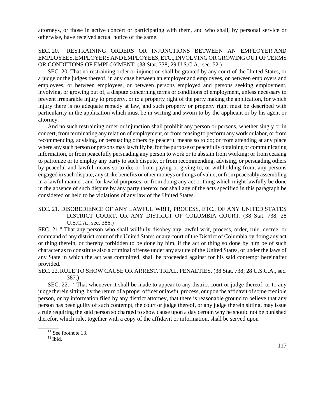attorneys, or those in active concert or participating with them, and who shall, by personal service or otherwise, have received actual notice of the same.

# SEC. 20. RESTRAINING ORDERS OR INJUNCTIONS BETWEEN AN EMPLOYER AND EMPLOYEES,EMPLOYERSANDEMPLOYEES,ETC., INVOLVING OR GROWING OUT OF TERMS OR CONDITIONS OF EMPLOYMENT. (38 Stat. 738; 29 U.S.C.A., sec. 52.)

SEC. 20. That no restraining order or injunction shall be granted by any court of the United States, or a judge or the judges thereof, in any case between an employer and employees, or between employers and employees, or between employees, or between persons employed and persons seeking employment, involving, or growing out of, a dispute concerning terms or conditions of employment, unless necessary to prevent irreparable injury to property, or to a property right of the party making the application, for which injury there is no adequate remedy at law, and such property or property right must be described with particularity in the application which must be in writing and sworn to by the applicant or by his agent or attorney.

And no such restraining order or injunction shall prohibit any person or persons, whether singly or in concert, fromterminating any relation of employment, orfromceasing to performany work or labor, or from recommending, advising, or persuading others by peaceful means so to do; or from attending at any place where any such person or persons may lawfully be, for the purpose of peacefully obtaining or communicating information, or from peacefully persuading any person to work or to abstain from working; or from ceasing to patronize or to employ any party to such dispute, or from recommending, advising, or persuading others by peaceful and lawful means so to do; or from paying or giving to, or withholding from, any persons engaged in such dispute, any strike benefits or othermoneys orthings of value; orfrompeaceably assembling in a lawful manner, and for lawful purposes; or from doing any act or thing which might lawfully be done in the absence of such dispute by any party thereto; nor shall any of the acts specified in this paragraph be considered or held to be violations of any law of the United States.

## SEC. 21. DISOBEDIENCE OF ANY LAWFUL WRIT, PROCESS, ETC., OF ANY UNITED STATES DISTRICT COURT, OR ANY DISTRICT OF COLUMBIA COURT. (38 Stat. 738; 28 U.S.C.A., sec. 386.)

SEC. 21." That any person who shall willfully disobey any lawful writ, process, order, rule, decree, or command of any district court of the United States or any court of the District of Columbia by doing any act or thing therein, or thereby forbidden to be done by him, if the act or thing so done by him be of such character as to constitute also a criminal offense under any statute of the United States, or under the laws of any State in which the act was committed, shall be proceeded against for his said contempt hereinafter provided.

## SEC. 22. RULE TO SHOW CAUSE OR ARREST. TRIAL. PENALTIES. (38 Stat. 738; 28 U.S.C.A., sec. 387.)

SEC. 22. <sup>12</sup> That whenever it shall be made to appear to any district court or judge thereof, or to any judge therein sitting, by the return of a proper officer or lawful process, or upon the affidavit of some credible person, or by information filed by any district attorney, that there is reasonable ground to believe that any person has been guilty of such contempt, the court or judge thereof, or any judge therein sitting, may issue a rule requiring the said person so charged to show cause upon a day certain why he should not be punished therefor, which rule, together with a copy of the affidavit or information, shall be served upon

 $11$  See footnote 13.

 $12$  Ibid.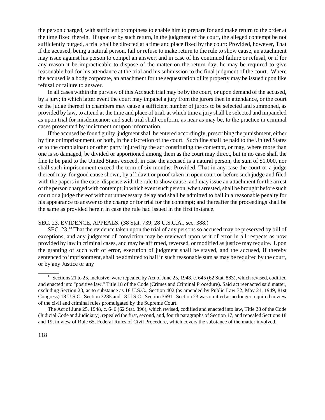the person charged, with sufficient promptness to enable him to prepare for and make return to the order at the time fixed therein. If upon or by such return, in the judgment of the court, the alleged contempt be not sufficiently purged, a trial shall be directed at a time and place fixed by the court: Provided, however, That if the accused, being a natural person, fail or refuse to make return to the rule to show cause, an attachment may issue against his person to compel an answer, and in case of his continued failure or refusal, or if for any reason it be impracticable to dispose of the matter on the return day, he may be required to give reasonable bail for his attendance at the trial and his submission to the final judgment of the court. Where the accused is a body corporate, an attachment for the sequestration of its property may be issued upon like refusal or failure to answer.

In all cases within the purview of this Act such trial may be by the court, or upon demand of the accused, by a jury; in which latter event the court may impanel a jury from the jurors then in attendance, or the court or the judge thereof in chambers may cause a sufficient number of jurors to be selected and summoned, as provided by law, to attend at the time and place of trial, at which time a jury shall be selected and impaneled as upon trial for misdemeanor; and such trial shall conform, as near as may be, to the practice in criminal cases prosecuted by indictment or upon information.

If the accused be found guilty, judgment shall be entered accordingly, prescribing the punishment, either by fine or imprisonment, or both, in the discretion of the court. Such fine shall be paid to the United States or to the complainant or other party injured by the act constituting the contempt, or may, where more than one is so damaged, be divided or apportioned among them as the court may direct, but in no case shall the fine to be paid to the United States exceed, in case the accused is a natural person, the sum of \$1,000, nor shall such imprisonment exceed the term of six months: Provided, That in any case the court or a judge thereof may, for good cause shown, by affidavit or proof taken in open court or before such judge and filed with the papers in the case, dispense with the rule to show cause, and may issue an attachment for the arrest of the person charged with contempt; in which event such person, when arrested, shall be brought before such court or a judge thereof without unnecessary delay and shall be admitted to bail in a reasonable penalty for his appearance to answer to the charge or for trial for the contempt; and thereafter the proceedings shall be the same as provided herein in case the rule had issued in the first instance.

#### SEC. 23. EVIDENCE, APPEALS. (38 Stat. 739; 28 U.S.C.A., sec. 388.)

SEC. 23.<sup>13</sup> That the evidence taken upon the trial of any persons so accused may be preserved by bill of exceptions, and any judgment of conviction may be reviewed upon writ of error in all respects as now provided by law in criminal cases, and may be affirmed, reversed, or modified as justice may require. Upon the granting of such writ of error, execution of judgment shall be stayed, and the accused, if thereby sentenced to imprisonment, shall be admitted to bail in such reasonable sum as may be required by the court, or by any Justice or any

<sup>&</sup>lt;sup>13</sup> Sections 21 to 25, inclusive, were repealed by Act of June 25, 1948, c. 645 (62 Stat. 883), which revised, codified and enacted into "positive law," Title 18 of the Code (Crimes and Criminal Procedure). Said act reenacted said matter, excluding Section 23, as to substance as 18 U.S.C., Section 402 (as amended by Public Law 72, May 21, 1949, 81st Congress) 18 U.S.C., Section 3285 and 18 U.S.C., Section 3691. Section 23 was omitted as no longer required in view of the civil and criminal rules promulgated by the Supreme Court.

The Act of June 25, 1948, c. 646 (62 Stat. 896), which revised, codified and enacted into law, Title 28 of the Code (Judicial Code and Judiciary), repealed the first, second, and, fourth paragraphs of Section 17, and repealed Sections 18 and 19, in view of Rule 65, Federal Rules of Civil Procedure, which covers the substance of the matter involved.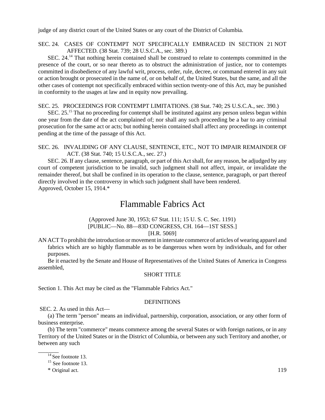judge of any district court of the United States or any court of the District of Columbia.

SEC. 24. CASES OF CONTEMPT NOT SPECIFICALLY EMBRACED IN SECTION 21 NOT AFFECTED. (38 Stat. 739; 28 U.S.C.A., sec. 389.)

SEC. 24.<sup>14</sup> That nothing herein contained shall be construed to relate to contempts committed in the presence of the court, or so near thereto as to obstruct the administration of justice, nor to contempts committed in disobedience of any lawful writ, process, order, rule, decree, or command entered in any suit or action brought or prosecuted in the name of, or on behalf of, the United States, but the same, and all the other cases of contempt not specifically embraced within section twenty-one of this Act, may be punished in conformity to the usages at law and in equity now prevailing.

SEC. 25. PROCEEDINGS FOR CONTEMPT LIMITATIONS. (38 Stat. 740; 2S U.S.C.A., sec. 390.)

SEC. 25.<sup>15</sup> That no proceeding for contempt shall be instituted against any person unless begun within one year from the date of the act complained of; nor shall any such proceeding be a bar to any criminal prosecution for the same act or acts; but nothing herein contained shall affect any proceedings in contempt pending at the time of the passage of this Act.

## SEC. 26. INVALIDING OF ANY CLAUSE, SENTENCE, ETC., NOT TO IMPAIR REMAINDER OF ACT. (38 Stat. 740; 15 U.S.C.A., sec. 27.)

SEC. 26. If any clause, sentence, paragraph, or part of this Act shall, for any reason, be adjudged by any court of competent jurisdiction to be invalid, such judgment shall not affect, impair, or invalidate the remainder thereof, but shall be confined in its operation to the clause, sentence, paragraph, or part thereof directly involved in the controversy in which such judgment shall have been rendered. Approved, October 15, 1914.\*

# Flammable Fabrics Act

## (Approved June 30, 1953; 67 Stat. 111; 15 U. S. C. Sec. 1191) [PUBLIC—No. 88—83D CONGRESS, CH. 164—1ST SESS.] [H.R. 5069]

AN ACT To prohibit the introduction or movement in interstate commerce of articles of wearing apparel and fabrics which are so highly flammable as to be dangerous when worn by individuals, and for other purposes.

Be it enacted by the Senate and House of Representatives of the United States of America in Congress assembled,

## SHORT TITLE

Section 1. This Act may be cited as the "Flammable Fabrics Act."

## **DEFINITIONS**

SEC. 2. As used in this Act—

(a) The term "person" means an individual, partnership, corporation, association, or any other form of business enterprise.

(b) The term "commerce" means commerce among the several States or with foreign nations, or in any Territory of the United States or in the District of Columbia, or between any such Territory and another, or between any such

 $\frac{14}{14}$  See footnote 13.

 $15$  See footnote 13.

<sup>\*</sup> Original act. 119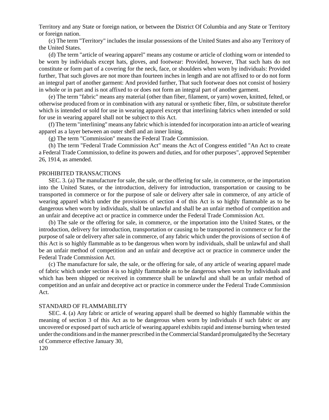Territory and any State or foreign nation, or between the District Of Columbia and any State or Territory or foreign nation.

(c) The term "Territory" includes the insular possessions of the United States and also any Territory of the United States.

(d) The term "article of wearing apparel" means any costume or article of clothing worn or intended to be worn by individuals except hats, gloves, and footwear: Provided, however, That such hats do not constitute or form part of a covering for the neck, face, or shoulders when worn by individuals: Provided further, That such gloves are not more than fourteen inches in length and are not affixed to or do not form an integral part of another garment: And provided further, That such footwear does not consist of hosiery in whole or in part and is not affixed to or does not form an integral part of another garment.

(e) The term "fabric" means any material (other than fiber, filament, or yarn) woven, knitted, felted, or otherwise produced from or in combination with any natural or synthetic fiber, film, or substitute therefor which is intended or sold for use in wearing apparel except that interlining fabrics when intended or sold for use in wearing apparel shall not be subject to this Act.

(f) The term"interlining" means any fabric which isintended forincorporation into an article of wearing apparel as a layer between an outer shell and an inner lining.

(g) The term "Commission" means the Federal Trade Commission.

(h) The term "Federal Trade Commission Act" means the Act of Congress entitled "An Act to create a Federal Trade Commission, to define its powers and duties, and for other purposes", approved September 26, 1914, as amended.

#### PROHIBITED TRANSACTIONS

SEC. 3. (a) The manufacture for sale, the sale, or the offering for sale, in commerce, or the importation into the United States, or the introduction, delivery for introduction, transportation or causing to be transported in commerce or for the purpose of sale or delivery after sale in commerce, of any article of wearing apparel which under the provisions of section 4 of this Act is so highly flammable as to be dangerous when worn by individuals, shall be unlawful and shall be an unfair method of competition and an unfair and deceptive act or practice in commerce under the Federal Trade Commission Act.

(b) The sale or the offering for sale, in commerce, or the importation into the United States, or the introduction, delivery for introduction, transportation or causing to be transported in commerce or for the purpose of sale or delivery after sale in commerce, of any fabric which under the provisions of section 4 of this Act is so highly flammable as to be dangerous when worn by individuals, shall be unlawful and shall be an unfair method of competition and an unfair and deceptive act or practice in commerce under the Federal Trade Commission Act.

(c) The manufacture for sale, the sale, or the offering for sale, of any article of wearing apparel made of fabric which under section 4 is so highly flammable as to be dangerous when worn by individuals and which has been shipped or received in commerce shall be unlawful and shall be an unfair method of competition and an unfair and deceptive act or practice in commerce under the Federal Trade Commission Act.

#### STANDARD OF FLAMMABILITY

SEC. 4. (a) Any fabric or article of wearing apparel shall be deemed so highly flammable within the meaning of section 3 of this Act as to be dangerous when worn by individuals if such fabric or any uncovered or exposed part of such article of wearing apparel exhibits rapid and intense burning when tested under the conditions and in the manner prescribed in the Commercial Standard promulgated by the Secretary of Commerce effective January 30,

120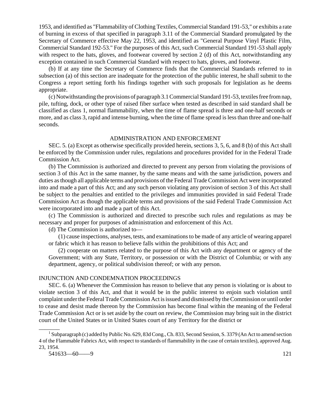1953, and identified as "Flammability of Clothing Textiles, Commercial Standard 191-53," or exhibits a rate of burning in excess of that specified in paragraph 3.11 of the Commercial Standard promulgated by the Secretary of Commerce effective May 22, 1953, and identified as "General Purpose Vinyl Plastic Film, Commercial Standard 192-53." For the purposes of this Act, such Commercial Standard 191-53 shall apply with respect to the hats, gloves, and footwear covered by section 2 (d) of this Act, notwithstanding any exception contained in such Commercial Standard with respect to hats, gloves, and footwear.

(b) If at any time the Secretary of Commerce finds that the Commercial Standards referred to in subsection (a) of this section are inadequate for the protection of the public interest, he shall submit to the Congress a report setting forth his findings together with such proposals for legislation as he deems appropriate.

(c) Notwithstanding the provisions of paragraph 3.1Commercial Standard 191-53, textiles free from nap, pile, tufting, dock, or other type of raised fiber surface when tested as described in said standard shall be classified as class 1, normal flammability, when the time of flame spread is three and one-half seconds or more, and as class 3, rapid and intense burning, when the time of flame spread islessthan three and one-half seconds.

## ADMINISTRATION AND ENFORCEMENT

SEC. 5. (a) Except as otherwise specifically provided herein, sections 3, 5, 6, and 8 (b) of this Act shall be enforced by the Commission under rules, regulations and procedures provided for in the Federal Trade Commission Act.

(b) The Commission is authorized and directed to prevent any person from violating the provisions of section 3 of this Act in the same manner, by the same means and with the same jurisdiction, powers and duties as though all applicable terms and provisions of the Federal Trade Commission Act were incorporated into and made a part of this Act; and any such person violating any provision of section 3 of this Act shall be subject to the penalties and entitled to the privileges and immunities provided in said Federal Trade Commission Act as though the applicable terms and provisions of the said Federal Trade Commission Act were incorporated into and made a part of this Act.

(c) The Commission is authorized and directed to prescribe such rules and regulations as may be necessary and proper for purposes of administration and enforcement of this Act.

(d) The Commission is authorized to—

(1) cause inspections, analyses, tests, and examinationsto be made of any article of wearing apparel or fabric which it has reason to believe falls within the prohibitions of this Act; and

(2) cooperate on matters related to the purpose of this Act with any department or agency of the Government; with any State, Territory, or possession or with the District of Columbia; or with any department, agency, or political subdivision thereof; or with any person.

#### INJUNCTION AND CONDEMNATION PROCEEDINGS

SEC. 6. (a) Whenever the Commission has reason to believe that any person is violating or is about to violate section 3 of this Act, and that it would be in the public interest to enjoin such violation until complaint under the Federal Trade Commission Act is issued and dismissed by the Commission or until order to cease and desist made thereon by the Commission has become final within the meaning of the Federal Trade Commission Act or is set aside by the court on review, the Commission may bring suit in the district court of the United States or in United States court of any Territory for the district or

<sup>&</sup>lt;sup>1</sup> Subparagraph (c) added by Public No. 629, 83d Cong., Ch. 833, Second Session, S. 3379 (An Act to amend section 4 of the Flammable Fabrics Act, with respect to standards of flammability in the case of certain textiles), approved Aug. 23, 1954.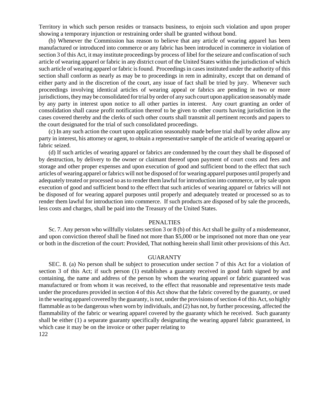Territory in which such person resides or transacts business, to enjoin such violation and upon proper showing a temporary injunction or restraining order shall be granted without bond.

(b) Whenever the Commission has reason to believe that any article of wearing apparel has been manufactured or introduced into commerce or any fabric has been introduced in commerce in violation of section 3 of this Act, it may institute proceedings by process of libel for the seizure and confiscation of such article of wearing apparel or fabric in any district court of the United States within the jurisdiction of which such article of wearing apparel or fabric is found. Proceedings in cases instituted under the authority of this section shall conform as nearly as may be to proceedings in rem in admiralty, except that on demand of either party and in the discretion of the court, any issue of fact shall be tried by jury. Whenever such proceedings involving identical articles of wearing appeal or fabrics are pending in two or more jurisdictions, theymay be consolidated fortrial by order of any such court upon application seasonablymade by any party in interest upon notice to all other parties in interest. Any court granting an order of consolidation shall cause profit notification thereof to be given to other courts having jurisdiction in the cases covered thereby and the clerks of such other courts shall transmit all pertinent records and papers to the court designated for the trial of such consolidated proceedings.

(c) In any such action the court upon application seasonably made before trial shall by order allow any party in interest, his attorney or agent, to obtain a representative sample of the article of wearing apparel or fabric seized.

(d) If such articles of wearing apparel or fabrics are condemned by the court they shall be disposed of by destruction, by delivery to the owner or claimant thereof upon payment of court costs and fees and storage and other proper expenses and upon execution of good and sufficient bond to the effect that such articles of wearing apparel or fabrics will not be disposed of for wearing apparel purposes until properly and adequately treated or processed so asto render them lawful for introduction into commerce, or by sale upon execution of good and sufficient bond to the effect that such articles of wearing apparel or fabrics will not be disposed of for wearing apparel purposes until properly and adequately treated or processed so as to render them lawful for introduction into commerce. If such products are disposed of by sale the proceeds, less costs and charges, shall be paid into the Treasury of the United States.

#### PENALTIES

Sc. 7. Any person who willfully violates section 3 or 8 (b) of this Act shall be guilty of a misdemeanor, and upon conviction thereof shall be fined not more than \$5,000 or be imprisoned not more than one year or both in the discretion of the court: Provided, That nothing herein shall limit other provisions of this Act.

#### GUARANTY

SEC. 8. (a) No person shall be subject to prosecution under section 7 of this Act for a violation of section 3 of this Act; if such person (1) establishes a guaranty received in good faith signed by and containing, the name and address of the person by whom the wearing apparel or fabric guaranteed was manufactured or from whom it was received, to the effect that reasonable and representative tests made under the procedures provided in section 4 of this Act show that the fabric covered by the guaranty, or used in the wearing apparel covered by the guaranty, is not, under the provisions of section 4 of this Act, so highly flammable asto be dangerous when worn by individuals, and (2) has not, by further processing, affected the flammability of the fabric or wearing apparel covered by the guaranty which he received. Such guaranty shall be either (1) a separate guaranty specifically designating the wearing apparel fabric guaranteed, in which case it may be on the invoice or other paper relating to 122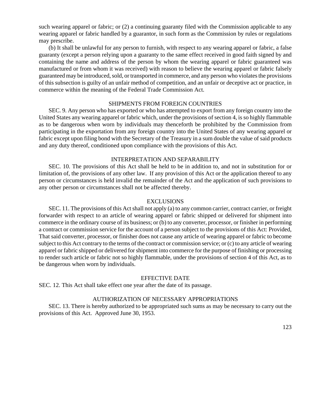such wearing apparel or fabric; or (2) a continuing guaranty filed with the Commission applicable to any wearing apparel or fabric handled by a guarantor, in such form as the Commission by rules or regulations may prescribe.

(b) It shall be unlawful for any person to furnish, with respect to any wearing apparel or fabric, a false guaranty (except a person relying upon a guaranty to the same effect received in good faith signed by and containing the name and address of the person by whom the wearing apparel or fabric guaranteed was manufactured or from whom it was received) with reason to believe the wearing apparel or fabric falsely guaranteed may be introduced, sold, or transported in commerce, and any person who violates the provisions of this subsection is guilty of an unfair method of competition, and an unfair or deceptive act or practice, in commerce within the meaning of the Federal Trade Commission Act.

### SHIPMENTS FROM FOREIGN COUNTRIES

SEC. 9. Any person who has exported or who has attempted to export from any foreign country into the United States any wearing apparel or fabric which, under the provisions of section 4, is so highly flammable as to be dangerous when worn by individuals may thenceforth be prohibited by the Commission from participating in the exportation from any foreign country into the United States of any wearing apparel or fabric except upon filing bond with the Secretary of the Treasury in a sum double the value of said products and any duty thereof, conditioned upon compliance with the provisions of this Act.

## INTERPRETATION AND SEPARABILITY

SEC. 10. The provisions of this Act shall be held to be in addition to, and not in substitution for or limitation of, the provisions of any other law. If any provision of this Act or the application thereof to any person or circumstances is held invalid the remainder of the Act and the application of such provisions to any other person or circumstances shall not be affected thereby.

### **EXCLUSIONS**

SEC. 11. The provisions of this Actshall not apply (a) to any common carrier, contract carrier, or freight forwarder with respect to an article of wearing apparel or fabric shipped or delivered for shipment into commerce in the ordinary course of its business; or (b) to any converter, processor, or finisher in performing a contract or commission service for the account of a person subject to the provisions of this Act: Provided, That said converter, processor, or finisher does not cause any article of wearing apparel or fabric to become subject to this Act contrary to the terms of the contract or commission service; or (c) to any article of wearing apparel or fabric shipped or delivered forshipment into commerce for the purpose of finishing or processing to render such article or fabric not so highly flammable, under the provisions of section 4 of this Act, as to be dangerous when worn by individuals.

#### EFFECTIVE DATE

SEC. 12. This Act shall take effect one year after the date of its passage.

## AUTHORIZATION OF NECESSARY APPROPRIATIONS

SEC. 13. There is hereby authorized to be appropriated such sums as may be necessary to carry out the provisions of this Act. Approved June 30, 1953.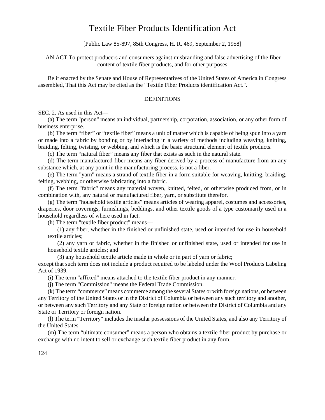# Textile Fiber Products Identification Act

[Public Law 85-897, 85th Congress, H. R. 469, September 2, 1958]

 AN ACT To protect producers and consumers against misbranding and false advertising of the fiber content of textile fiber products, and for other purposes

Be it enacted by the Senate and House of Representatives of the United States of America in Congress assembled, That this Act may be cited as the "Textile Fiber Products identification Act.".

#### **DEFINITIONS**

SEC. 2. As used in this Act—

(a) The term "person" means an individual, partnership, corporation, association, or any other form of business enterprise.

(b) The term "fiber" or "textile fiber" means a unit of matter which is capable of being spun into a yarn or made into a fabric by bonding or by interlacing in a variety of methods including weaving, knitting, braiding, felting, twisting, or webbing, and which is the basic structural element of textile products.

(c) The term "natural fiber" means any fiber that exists as such in the natural state.

(d) The term manufactured fiber means any fiber derived by a process of manufacture from an any substance which, at any point in the manufacturing process, is not a fiber.

(e) The term "yarn" means a strand of textile fiber in a form suitable for weaving, knitting, braiding, felting, webbing, or otherwise fabricating into a fabric.

(f) The term "fabric" means any material woven, knitted, felted, or otherwise produced from, or in combination with, any natural or manufactured fiber, yarn, or substitute therefor.

(g) The term "household textile articles" means articles of wearing apparel, costumes and accessories, draperies, door coverings, furnishings, beddings, and other textile goods of a type customarily used in a household regardless of where used in fact.

(h) The term "textile fiber product" means—

(1) any fiber, whether in the finished or unfinished state, used or intended for use in household textile articles;

(2) any yarn or fabric, whether in the finished or unfinished state, used or intended for use in household textile articles; and

(3) any household textile article made in whole or in part of yarn or fabric;

except that such term does not include a product required to be labeled under the Wool Products Labeling Act of 1939.

(i) The term "affixed" means attached to the textile fiber product in any manner.

(j) The term "Commission" means the Federal Trade Commission.

(k) The term "commerce" means commerce among the several States or with foreign nations, or between any Territory of the United States or in the District of Columbia or between any such territory and another, or between any such Territory and any State or foreign nation or between the District of Columbia and any State or Territory or foreign nation.

(l) The term "Territory" includes the insular possessions of the United States, and also any Territory of the United States.

(m) The term "ultimate consumer" means a person who obtains a textile fiber product by purchase or exchange with no intent to sell or exchange such textile fiber product in any form.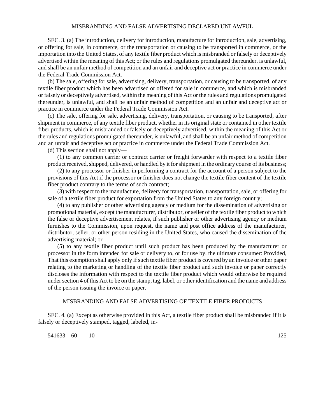#### MISBRANDING AND FALSE ADVERTISING DECLARED UNLAWFUL

SEC. 3. (a) The introduction, delivery for introduction, manufacture for introduction, sale, advertising, or offering for sale, in commerce, or the transportation or causing to be transported in commerce, or the importation into the United States, of any textile fiber product which is misbranded or falsely or deceptively advertised within the meaning of this Act; or the rules and regulations promulgated thereunder, is unlawful, and shall be an unfair method of competition and an unfair and deceptive act or practice in commerce under the Federal Trade Commission Act.

(b) The sale, offering for sale, advertising, delivery, transportation, or causing to be transported, of any textile fiber product which has been advertised or offered for sale in commerce, and which is misbranded or falsely or deceptively advertised, within the meaning of this Act or the rules and regulations promulgated thereunder, is unlawful, and shall be an unfair method of competition and an unfair and deceptive act or practice in commerce under the Federal Trade Commission Act.

(c) The sale, offering for sale, advertising, delivery, transportation, or causing to be transported, after shipment in commerce, of any textile fiber product, whether in its original state or contained in other textile fiber products, which is misbranded or falsely or deceptively advertised, within the meaning of this Act or the rules and regulations promulgated thereunder, is unlawful, and shall be an unfair method of competition and an unfair and deceptive act or practice in commerce under the Federal Trade Commission Act.

(d) This section shall not apply—

(1) to any common carrier or contract carrier or freight forwarder with respect to a textile fiber product received, shipped, delivered, or handled by it for shipment in the ordinary course of its business;

(2) to any processor or finisher in performing a contract for the account of a person subject to the provisions of this Act if the processor or finisher does not change the textile fiber content of the textile fiber product contrary to the terms of such contract;

(3) with respect to the manufacture, delivery for transportation, transportation, sale, or offering for sale of a textile fiber product for exportation from the United States to any foreign country;

(4) to any publisher or other advertising agency or medium for the dissemination of advertising or promotional material, except the manufacturer, distributor, or seller of the textile fiber product to which the false or deceptive advertisement relates, if such publisher or other advertising agency or medium furnishes to the Commission, upon request, the name and post office address of the manufacturer, distributor, seller, or other person residing in the United States, who caused the dissemination of the advertising material; or

(5) to any textile fiber product until such product has been produced by the manufacturer or processor in the form intended for sale or delivery to, or for use by, the ultimate consumer: Provided, That this exemption shall apply only if such textile fiber product is covered by an invoice or other paper relating to the marketing or handling of the textile fiber product and such invoice or paper correctly discloses the information with respect to the textile fiber product which would otherwise be required under section 4 of this Act to be on the stamp, tag, label, or other identification and the name and address of the person issuing the invoice or paper.

## MISBRANDING AND FALSE ADVERTISING OF TEXTILE FIBER PRODUCTS

SEC. 4. (a) Except as otherwise provided in this Act, a textile fiber product shall be misbranded if it is falsely or deceptively stamped, tagged, labeled, in-

541633—60——10 125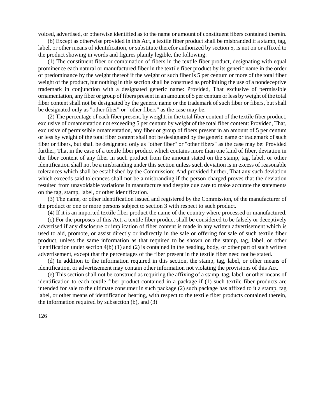voiced, advertised, or otherwise identified as to the name or amount of constituent fibers contained therein.

(b) Except as otherwise provided in this Act, a textile fiber product shall be misbranded if a stamp, tag, label, or other means of identification, or substitute therefor authorized by section 5, is not on or affixed to the product showing in words and figures plainly legible, the following:

(1) The constituent fiber or combination of fibers in the textile fiber product, designating with equal prominence each natural or manufactured fiber in the textile fiber product by its generic name in the order of predominance by the weight thereof if the weight of such fiber is 5 per centum or more of the total fiber weight of the product, but nothing in this section shall be construed as prohibiting the use of a nondeceptive trademark in conjunction with a designated generic name: Provided, That exclusive of permissible ornamentation, any fiber or group of fibers present in an amount of 5 per centumor less by weight of the total fiber content shall not be designated by the generic name or the trademark of such fiber or fibers, but shall be designated only as "other fiber" or "other fibers" as the case may be.

(2) The percentage of each fiber present, by weight, in the total fiber content of the textile fiber product, exclusive of ornamentation not exceeding 5 per centum by weight of the total fiber content: Provided, That, exclusive of permissible ornamentation, any fiber or group of fibers present in an amount of 5 per centum or less by weight of the total fiber content shall not be designated by the generic name or trademark of such fiber or fibers, but shall be designated only as "other fiber" or "other fibers" as the case may be: Provided further, That in the case of a textile fiber product which contains more than one kind of fiber, deviation in the fiber content of any fiber in such product from the amount stated on the stamp, tag, label, or other identification shall not be a misbranding under this section unless such deviation is in excess of reasonable tolerances which shall be established by the Commission: And provided further, That any such deviation which exceeds said tolerances shall not be a misbranding if the person charged proves that the deviation resulted from unavoidable variations in manufacture and despite due care to make accurate the statements on the tag, stamp, label, or other identification.

(3) The name, or other identification issued and registered by the Commission, of the manufacturer of the product or one or more persons subject to section 3 with respect to such product.

(4) If it is an imported textile fiber product the name of the country where processed or manufactured.

(c) For the purposes of this Act, a textile fiber product shall be considered to be falsely or deceptively advertised if any disclosure or implication of fiber content is made in any written advertisement which is used to aid, promote, or assist directly or indirectly in the sale or offering for sale of such textile fiber product, unless the same information as that required to be shown on the stamp, tag, label, or other identification under section 4(b) (1) and (2) is contained in the heading, body, or other part of such written advertisement, except that the percentages of the fiber present in the textile fiber need not be stated.

(d) In addition to the information required in this section, the stamp, tag, label, or other means of identification, or advertisement may contain other information not violating the provisions of this Act.

(e) This section shall not be construed as requiring the affixing of a stamp, tag, label, or other means of identification to each textile fiber product contained in a package if (1) such textile fiber products are intended for sale to the ultimate consumer in such package (2) such package has affixed to it a stamp, tag label, or other means of identification bearing, with respect to the textile fiber products contained therein, the information required by subsection (b), and (3)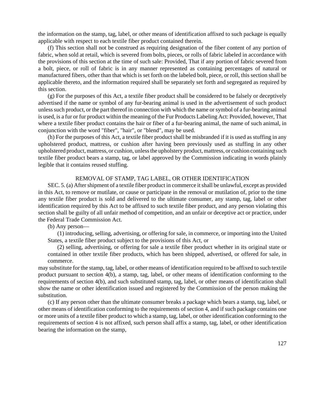the information on the stamp, tag, label, or other means of identification affixed to such package is equally applicable with respect to each textile fiber product contained therein.

(f) This section shall not be construed as requiring designation of the fiber content of any portion of fabric, when sold at retail, which is severed from bolts, pieces, or rolls of fabric labeled in accordance with the provisions of this section at the time of such sale: Provided, That if any portion of fabric severed from a bolt, piece, or roll of fabric is in any manner represented as containing percentages of natural or manufactured fibers, other than that which is set forth on the labeled bolt, piece, or roll, this section shall be applicable thereto, and the information required shall be separately set forth and segregated as required by this section.

(g) For the purposes of this Act, a textile fiber product shall be considered to be falsely or deceptively advertised if the name or symbol of any fur-bearing animal is used in the advertisement of such product unlesssuch product, or the part thereof in connection with which the name orsymbol of a fur-bearing animal is used, is a fur or fur product within the meaning of the Fur Products Labeling Act: Provided, however, That where a textile fiber product contains the hair or fiber of a fur-bearing animal, the name of such animal, in conjunction with the word "fiber", "hair", or "blend", may be used.

(h) For the purposes of this Act, a textile fiber product shall be misbranded if it is used as stuffing in any upholstered product, mattress, or cushion after having been previously used as stuffing in any other upholstered product, mattress, or cushion, unless the upholstery product, mattress, or cushion containing such textile fiber product bears a stamp, tag, or label approved by the Commission indicating in words plainly legible that it contains reused stuffing.

## REMOVAL OF STAMP, TAG LABEL, OR OTHER IDENTIFICATION

SEC. 5. (a) After shipment of a textile fiber product in commerce it shall be unlawful, except as provided in this Act, to remove or mutilate, or cause or participate in the removal or mutilation of, prior to the time any textile fiber product is sold and delivered to the ultimate consumer, any stamp, tag, label or other identification required by this Act to be affixed to such textile fiber product, and any person violating this section shall be guilty of all unfair method of competition, and an unfair or deceptive act or practice, under the Federal Trade Commission Act.

(b) Any person—

(1) introducing, selling, advertising, or offering for sale, in commerce, or importing into the United States, a textile fiber product subject to the provisions of this Act, or

(2) selling, advertising, or offering for sale a textile fiber product whether in its original state or contained in other textile fiber products, which has been shipped, advertised, or offered for sale, in commerce.

may substitute for the stamp, tag, label, or other means of identification required to be affixed to such textile product pursuant to section 4(b), a stamp, tag, label, or other means of identification conforming to the requirements of section 4(b), and such substituted stamp, tag, label, or other means of identification shall show the name or other identification issued and registered by the Commission of the person making the substitution.

(c) If any person other than the ultimate consumer breaks a package which bears a stamp, tag, label, or other means of identification conforming to the requirements of section 4, and if such package contains one or more units of a textile fiber product to which a stamp, tag, label, or other identification conforming to the requirements of section 4 is not affixed, such person shall affix a stamp, tag, label, or other identification bearing the information on the stamp,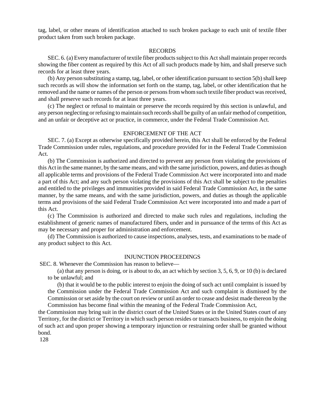tag, label, or other means of identification attached to such broken package to each unit of textile fiber product taken from such broken package.

#### RECORDS

SEC. 6. (a) Every manufacturer of textile fiber products subject to this Act shall maintain proper records showing the fiber content as required by this Act of all such products made by him, and shall preserve such records for at least three years.

(b) Any person substituting a stamp, tag, label, or other identification pursuant to section 5(b) shall keep such records as will show the information set forth on the stamp, tag, label, or other identification that he removed and the name or names of the person or personsfromwhomsuch textile fiber product wasreceived, and shall preserve such records for at least three years.

(c) The neglect or refusal to maintain or preserve the records required by this section is unlawful, and any person neglecting or refusing to maintain such records shall be guilty of an unfair method of competition, and an unfair or deceptive act or practice, in commerce, under the Federal Trade Commission Act.

#### ENFORCEMENT OF THE ACT

SEC. 7. (a) Except as otherwise specifically provided herein, this Act shall be enforced by the Federal Trade Commission under rules, regulations, and procedure provided for in the Federal Trade Commission Act.

(b) The Commission is authorized and directed to prevent any person from violating the provisions of this Act in the same manner, by the same means, and with the same jurisdiction, powers, and duties asthough all applicable terms and provisions of the Federal Trade Commission Act were incorporated into and made a part of this Act; and any such person violating the provisions of this Act shall be subject to the penalties and entitled to the privileges and immunities provided in said Federal Trade Commission Act, in the same manner, by the same means, and with the same jurisdiction, powers, and duties as though the applicable terms and provisions of the said Federal Trade Commission Act were incorporated into and made a part of this Act.

(c) The Commission is authorized and directed to make such rules and regulations, including the establishment of generic names of manufactured fibers, under and in pursuance of the terms of this Act as may be necessary and proper for administration and enforcement.

(d) The Commission is authorized to cause inspections, analyses, tests, and examinations to be made of any product subject to this Act.

## INJUNCTION PROCEEDINGS

SEC. 8. Whenever the Commission has reason to believe—

(a) that any person is doing, or is about to do, an act which by section 3, 5, 6, 9, or 10 (b) is declared to be unlawful; and

(b) that it would be to the public interest to enjoin the doing of such act until complaint is issued by the Commission under the Federal Trade Commission Act and such complaint is dismissed by the Commission or set aside by the court on review or until an order to cease and desist made thereon by the Commission has become final within the meaning of the Federal Trade Commission Act,

the Commission may bring suit in the district court of the United States or in the United States court of any Territory, for the district or Territory in which such person resides or transacts business, to enjoin the doing of such act and upon proper showing a temporary injunction or restraining order shall be granted without bond.

128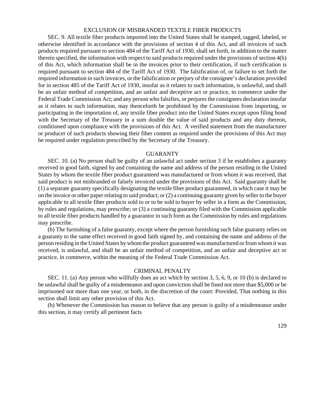## EXCLUSION OF MISBRANDED TEXTILE FIBER PRODUCTS

SEC. 9. All textile fiber products imported into the United States shall be stamped, tagged, labeled, or otherwise identified in accordance with the provisions of section 4 of this Act, and all invoices of such products required pursuant to section 484 of the Tariff Act of 1930, shall set forth, in addition to the matter therein specified, the information with respect to said productsrequired under the provisions of section 4(b) of this Act, which information shall be in the invoices prior to their certification, if such certification is required pursuant to section 484 of the Tariff Act of 1930. The falsification of, or failure to set forth the required information in such invoices, or the falsification or perjury of the consignee's declaration provided for in section 485 of the Tariff Act of 1930, insofar as it relates to such information, is unlawful, and shall be an unfair method of competition, and an unfair and deceptive act or practice, in commerce under the Federal Trade Commission Act; and any person who falsifies, or perjures the consignees declaration insofar as it relates to such information, may thenceforth be prohibited by the Commission from importing, or participating in the importation of, any textile fiber product into the United States except upon filing bond with the Secretary of the Treasury in a sum double the value of said products and any duty thereon, conditioned upon compliance with the provisions of this Act. A verified statement from the manufacturer or producer of such products showing their fiber content as required under the provisions of this Act may be required under regulation prescribed by the Secretary of the Treasury.

#### GUARANTY

SEC. 10. (a) No person shall be guilty of an unlawful act under section 3 if he establishes a guaranty received in good faith, signed by and containing the name and address of the person residing in the United States by whom the textile fiber product guaranteed was manufactured or from whom it was received, that said product is not misbranded or falsely invoiced under the provisions of this Act. Said guaranty shall be (1) a separate guaranty specifically designating the textile fiber product guaranteed, in which case it may be on the invoice or other paperrelating to said product; or (2) a continuing guaranty given by seller to the buyer applicable to all textile fiber products sold to or to be sold to buyer by seller in a form as the Commission, by rules and regulations, may prescribe; or (3) a continuing guaranty filed with the Commission applicable to all textile fiber products handled by a guarantor in such form as the Commission by rules and regulations may prescribe.

(b) The furnishing of a false guaranty, except where the person furnishing such false guaranty relies on a guaranty to the same effect received in good faith signed by, and containing the name and address of the person residing in the United States by whom the product guaranteed was manufactured or from whom it was received, is unlawful, and shall be an unfair method of competition, and an unfair and deceptive act or practice, in commerce, within the meaning of the Federal Trade Commission Act.

## CRIMINAL PENALTY

SEC. 11. (a) Any person who willfully does an act which by section 3, 5, 6, 9, or 10 (b) is declared to be unlawful shall be guilty of a misdemeanor and upon conviction shall be fined not more than \$5,000 or be imprisoned not more than one year, or both, in the discretion of the court: Provided, That nothing in this section shall limit any other provision of this Act.

(b) Whenever the Commission has reason to believe that any person is guilty of a misdemeanor under this section, it may certify all pertinent facts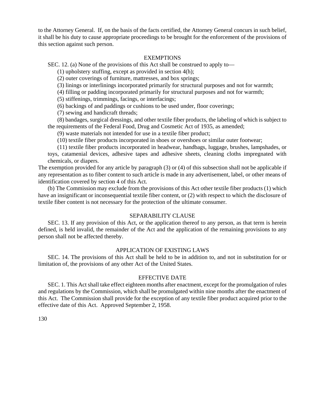to the Attorney General. If, on the basis of the facts certified, the Attorney General concurs in such belief, it shall be his duty to cause appropriate proceedings to be brought for the enforcement of the provisions of this section against such person.

### EXEMPTIONS

SEC. 12. (a) None of the provisions of this Act shall be construed to apply to—

(1) upholstery stuffing, except as provided in section 4(h);

(2) outer coverings of furniture, mattresses, and box springs;

(3) linings or interlinings incorporated primarily for structural purposes and not for warmth;

(4) filling or padding incorporated primarily for structural purposes and not for warmth;

(5) stiffenings, trimmings, facings, or interfacings;

(6) backings of and paddings or cushions to be used under, floor coverings;

(7) sewing and handicraft threads;

(8) bandages, surgical dressings, and other textile fiber products, the labeling of which is subject to the requirements of the Federal Food, Drug and Cosmetic Act of 1935, as amended;

(9) waste materials not intended for use in a textile fiber product;

(10) textile fiber products incorporated in shoes or overshoes or similar outer footwear;

(11) textile fiber products incorporated in headwear, handbags, luggage, brushes, lampshades, or toys, catamenial devices, adhesive tapes and adhesive sheets, cleaning cloths impregnated with chemicals, or diapers.

The exemption provided for any article by paragraph (3) or (4) of this subsection shall not be applicable if any representation as to fiber content to such article is made in any advertisement, label, or other means of identification covered by section 4 of this Act.

(b) The Commission may exclude from the provisions of this Act other textile fiber products (1) which have an insignificant or inconsequential textile fiber content, or (2) with respect to which the disclosure of textile fiber content is not necessary for the protection of the ultimate consumer.

## SEPARABILITY CLAUSE

SEC. 13. If any provision of this Act, or the application thereof to any person, as that term is herein defined, is held invalid, the remainder of the Act and the application of the remaining provisions to any person shall not be affected thereby.

#### APPLICATION OF EXISTING LAWS

SEC. 14. The provisions of this Act shall be held to be in addition to, and not in substitution for or limitation of, the provisions of any other Act of the United States.

## EFFECTIVE DATE

SEC. 1. This Act shall take effect eighteen months after enactment, except for the promulgation of rules and regulations by the Commission, which shall be promulgated within nine months after the enactment of this Act. The Commission shall provide for the exception of any textile fiber product acquired prior to the effective date of this Act. Approved September 2, 1958.

130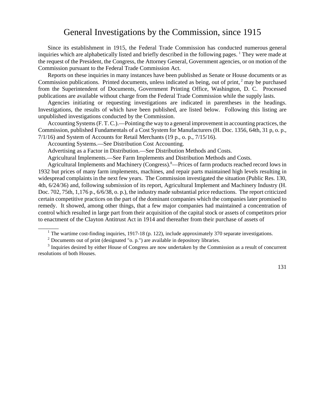# General Investigations by the Commission, since 1915

Since its establishment in 1915, the Federal Trade Commission has conducted numerous general inquiries which are alphabetically listed and briefly described in the following pages. <sup>1</sup> They were made at the request of the President, the Congress, the Attorney General, Government agencies, or on motion of the Commission pursuant to the Federal Trade Commission Act.

Reports on these inquiries in many instances have been published as Senate or House documents or as Commission publications. Printed documents, unless indicated as being, out of print, <sup>2</sup> may be purchased from the Superintendent of Documents, Government Printing Office, Washington, D. C. Processed publications are available without charge from the Federal Trade Commission while the supply lasts.

Agencies initiating or requesting investigations are indicated in parentheses in the headings. Investigations, the results of which have been published, are listed below. Following this listing are unpublished investigations conducted by the Commission.

Accounting Systems(F. T.C.).—Pointing the way to a general improvement in accounting practices, the Commission, published Fundamentals of a Cost System for Manufacturers (H. Doc. 1356, 64th, 31 p, o. p., 7/1/16) and System of Accounts for Retail Merchants (19 p., o. p., 7/15/16).

Accounting Systems.—See Distribution Cost Accounting.

\_\_\_\_\_\_\_

Advertising as a Factor in Distribution.—See Distribution Methods and Costs.

Agricultural Implements.—See Farm Implements and Distribution Methods and Costs.

Agricultural Implements and Machinery (Congress).<sup>8</sup>—Prices of farm products reached record lows in 1932 but prices of many farm implements, machines, and repair parts maintained high levels resulting in widespread complaints in the next few years. The Commission investigated the situation (Public Res. 130, 4th, 6/24/36) and, following submission of its report, Agricultural Implement and Machinery Industry (H. Doc. 702, 75th, 1,176 p., 6/6/38, o. p.), the industry made substantial price reductions. The report criticized certain competitive practices on the part of the dominant companies which the companies later promised to remedy. It showed, among other things, that a few major companies had maintained a concentration of control which resulted in large part from their acquisition of the capital stock or assets of competitors prior to enactment of the Clayton Antitrust Act in 1914 and thereafter from their purchase of assets of

<sup>1</sup> The wartime cost-finding inquiries, 1917-18 (p. 122), include approximately 370 separate investigations.

 $2$  Documents out of print (designated "o. p.") are available in depository libraries.

 $3$  Inquiries desired by either House of Congress are now undertaken by the Commission as a result of concurrent resolutions of both Houses.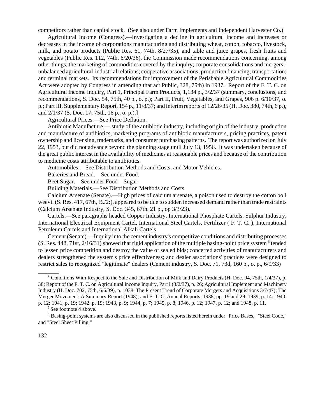competitors rather than capital stock. (See also under Farm Implements and Independent Harvester Co.)

Agricultural Income (Congress).—Investigating a decline in agricultural income and increases or decreases in the income of corporations manufacturing and distributing wheat, cotton, tobacco, livestock, milk, and potato products (Public Res. 61, 74th, 8/27/35), and table and juice grapes, fresh fruits and vegetables (Public Res. 112, 74th, 6/20/36), the Commission made recommendations concerning, among other things, the marketing of commodities covered by the inquiry; corporate consolidations and mergers;<sup>5</sup> unbalanced agricultural-industrial relations; cooperative associations; production financing; transportation; and terminal markets. Its recommendations for improvement of the Perishable Agricultural Commodities Act were adopted by Congress in amending that act Public, 328, 75th) in 1937. [Report of the F. T. C. on Agricultural Income Inquiry, Part 1, Principal Farm Products, 1,134 p., 3/2/37 (summary, conclusions, and recommendations, S. Doc. 54, 75th, 40 p., o. p.); Part II, Fruit, Vegetables, and Grapes, 906 p. 6/10/37, o. p.; Part III, Supplementary Report, 154 p., 11/8/37; and interim reports of 12/26/35 (H. Doc. 380, 74th, 6 p.), and 2/1/37 (S. Doc. 17, 75th, 16 p., o. p.).]

Agricultural Prices.—See Price Deflation.

Antibiotic Manufacture.— study of the antibiotic industry, including origin of the industry, production and manufacture of antibiotics, marketing programs of antibiotic manufacturers, pricing practices, patent ownership and licensing, trademarks, and consumer purchasing patterns. The report was authorized on July 22, 1953, but did not advance beyond the planning stage until July 13, 1956. It was undertaken because of the great public interest in the availability of medicines at reasonable prices and because of the contribution to medicine costs attributable to antibiotics.

Automobiles.—See Distribution Methods and Costs, and Motor Vehicles.

Bakeries and Bread.—See under Food.

Beet Sugar.—See under Food—Sugar.

Building Materials.—See Distribution Methods and Costs.

Calcium Arsenate (Senate).—High prices of calcium arsenate, a poison used to destroy the cotton boll weevil (S. Res. 417, 67th, ½./2:), appeared to be due to sudden increased demand rather than trade restraints (Calcium Arsenate Industry, S. Doc. 345, 67th. 21 p., op 3/3/23).

Cartels.—See paragraphs headed Copper Industry, International Phosphate Cartels, Sulphur Industry, International Electrical Equipment Cartel, International Steel Cartels, Fertilizer ( F. T. C. ), International Petroleum Cartels and International Alkali Cartels.

Cement (Senate).—Inquiry into the cement industry's competitive conditions and distributing processes (S. Res. 448, 71st,  $2/16/31$ ) showed that rigid application of the multiple basing-point price system  $6$  tended to lessen price competition and destroy the value of sealed bids; concerted activities of manufacturers and dealers strengthened the system's price effectiveness; and dealer associations' practices were designed to restrict sales to recognized "legitimate" dealers (Cement industry, S. Doc. 71, 73d, 160 p., o. p., 6/9/33)

<sup>4</sup> Conditions With Respect to the Sale and Distribution of Milk and Dairy Products (H. Doc. 94, 75th, 1/4/37), p. 38; Report of the F. T. C. on Agricultural Income Inquiry, Part I (3/2/37), p. 26; Agricultural Implement and Machinery Industry (H. Doc. 702, 75th, 6/6/39), p. 1038; The Present Trend of Corporate Mergers and Acquisitions 3/7/47); The Merger Movement: A Summary Report (1948); and F. T. C. Annual Reports: 1938, pp. 19 and 29: 1939, p. 14: 1940, p. 12: 1941, p. 19; 1942. p. 19; 1943, p. 9; 1944, p. 7; 1945, p. 8; 1946, p. 12; 1947, p. 12; and 1948, p. 11.

 $5$  See footnote 4 above.

<sup>6</sup> Basing-point systems are also discussed in the published reports listed herein under "Price Bases," "Steel Code," and "Steel Sheet Pilling."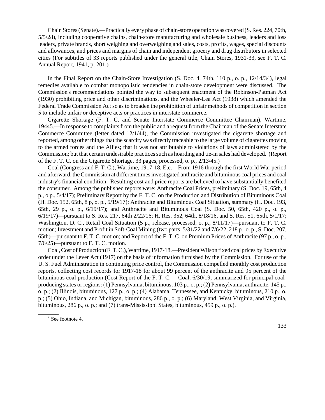Chain Stores(Senate).—Practically every phase of chain-store operation was covered (S.Res. 224, 70th, 5/5/28), including cooperative chains, chain-store manufacturing and wholesale business, leaders and loss leaders, private brands, short weighing and overweighing and sales, costs, profits, wages, special discounts and allowances, and prices and margins of chain and independent grocery and drug distributors in selected cities (For subtitles of 33 reports published under the general title, Chain Stores, 1931-33, see F. T. C. Annual Report, 1941, p. 201.)

In the Final Report on the Chain-Store Investigation (S. Doc. 4, 74th, 110 p., o. p., 12/14/34), legal remedies available to combat monopolistic tendencies in chain-store development were discussed. The Commission's recommendations pointed the way to subsequent enactment of the Robinson-Patman Act (1930) prohibiting price and other discriminations, and the Wheeler-Lea Act (1938) which amended the Federal Trade Commission Act so as to broaden the prohibition of unfair methods of competition in section 5 to include unfair or deceptive acts or practices in interstate commerce.

Cigarette Shortage (F. T. C. and Senate Interstate Commerce Committee Chairman), Wartime, 19445.—In response to complaints from the public and a request from the Chairman of the Senate Interstate Commerce Committee (letter dated 12/1/44), the Commission investigated the cigarette shortage and reported, among other things that the scarcity was directly traceable to the large volume of cigarettes moving to the armed forces and the Allies; that it was not attributable to violations of laws administered by the Commission; but that certain undesirable practices such as hoarding and tie-in sales had developed. (Report of the F. T. C. on the Cigarette Shortage, 33 pages, processed, o. p., 2/13/45.)

Coal (Congress and F. T. C.), Wartime, 1917-18, Etc.—From 1916 through the first World War period and afterward, theCommission at different timesinvestigated anthracite and bituminous coal prices and coal industry's financial condition. Resulting cost and price reports are believed to have substantially benefited the consumer. Among the published reports were: Anthracite Coal Prices, preliminary (S. Doc. 19, 65th, 4 p., o p., 5/4/17); Preliminary Report by the F. T. C. on the Production and Distribution of Bituminous Coal (H. Doc. 152, 65th, 8 p, o. p., 5/19/17); Anthracite and Bituminous Coal Situation, summary (H. Doc. 193, 65th, 29 p., o. p., 6/19/17); and Anthracite and Bituminous Coal (S. Doc. 50, 65th, 420 p., o. p., 6/19/17)—pursuant to S. Res. 217, 64th 2/22/16; H. Res. 352, 64th, 8/18/16, and S. Res. 51, 65th, 5/1/17; Washington, D. C., Retail Coal Situation (5 p., release, processed, o. p.,  $8/11/17$ )—pursuant to F. T. C. motion; Investment and Profit in Soft-Coal Mining (two parts, 5/31/22 and 7/6/22, 218 p., o. p., S. Doc. 207, 65th)—pursuant to F. T. C. motion; and Report of the F. T. C. on Premium Prices of Anthracite (97 p., o. p., 7/6/25)—pursuant to F. T. C. motion.

Coal,Cost of Production (F.T.C.),Wartime, 1917-18.—PresidentWilson fixed coal prices by Executive order under the Lever Act (1917) on the basis of information furnished by the Commission. For use of the U. S. Fuel Administration in continuing price control, the Commission compelled monthly cost production reports, collecting cost records for 1917-18 for about 99 percent of the anthracite and 95 percent of the bituminous coal production (Cost Report of the F. T. C.— Coal, 6/30/19, summarized for principal coalproducing states or regions: (1) Pennsylvania, bituminous, 103 p., o. p.; (2) Pennsylvania, anthracite, 145 p., o. p.; (2) Illinois, bituminous, 127 p., o. p.; (4) Alabama, Tennessee, and Kentucky, bituminous, 210 p., o. p.; (5) Ohio, Indiana, and Michigan, bituminous, 286 p., o. p.; (6) Maryland, West Virginia, and Virginia, bituminous, 286 p., o. p.; and (7) trans-Mississippi States, bituminous, 459 p., o. p.).

<sup>&</sup>lt;sup>7</sup> See footnote 4.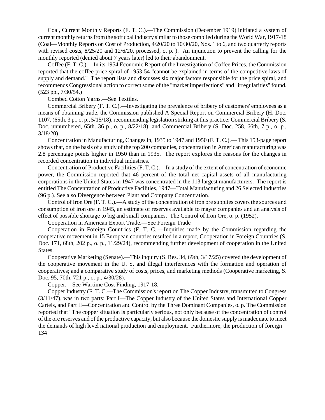Coal, Current Monthly Reports (F. T. C.).—The Commission (December 1919) initiated a system of current monthly returns from the soft coal industry similar to those compiled during the World War, 1917-18 (Coal—Monthly Reports on Cost of Production, 4/20/20 to 10/30/20, Nos. 1 to 6, and two quarterly reports with revised costs,  $8/25/20$  and  $12/6/20$ , processed, o. p. ). An injunction to prevent the calling for the monthly reported (denied about 7 years later) led to their abandonment.

Coffee (F. T. C.).—In its 1954 Economic Report of the Investigation of Coffee Prices, the Commission reported that the coffee price spiral of 1953-54 "cannot be explained in terms of the competitive laws of supply and demand." The report lists and discusses six major factors responsible for the price spiral, and recommends Congressional action to correct some of the "market imperfections" and "irregularities" found. (523 pp., 7/30/54.)

Combed Cotton Yarns.—See Textiles.

Commercial Bribery (F. T. C.).—Investigating the prevalence of bribery of customers' employees as a means of obtaining trade, the Commission published A Special Report on Commercial Bribery (H. Doc. 1107, (65th, 3 p., o. p., 5/15/18), recommending legislation striking at this practice; Commercial Bribery (S. Doc. unnumbered, 65th. 36 p., o. p., 8/22/18); and Commercial Bribery (S. Doc. 258, 66th, 7 p., o. p., 3/18/20).

Concentration in Manufacturing, Changesin, 1935 to 1947 and 1950 (F. T. C.).— This 153-page report shows that, on the basis of a study of the top 200 companies, concentration in American manufacturing was 2.8 percentage points higher in 1950 than in 1935. The report explores the reasons for the changes in recorded concentration in individual industries.

Concentration of Productive Facilities(F. T. C.).—In a study of the extent of concentration of economic power, the Commission reported that 46 percent of the total net capital assets of all manufacturing corporations in the United States in 1947 was concentrated in the 113 largest manufacturers. The report is entitled The Concentration of Productive Facilities, 1947—Total Manufacturing and 26 Selected Industries (96 p.). See also Divergence between Plant and Company Concentration.

Control of Iron Ore (F. T. C.).—A study of the concentration of iron ore supplies covers the sources and consumption of iron ore in 1945, an estimate of reserves available to mayor companies and an analysis of effect of possible shortage to big and small companies. The Control of Iron Ore, o. p. (1952).

Cooperation in American Export Trade.—See Foreign Trade

Cooperation in Foreign Countries (F. T. C..—Inquiries made by the Commission regarding the cooperative movement in 15 European countries resulted in a report, Cooperation in Foreign Countries (S. Doc. 171, 68th, 202 p., o. p., 11/29/24), recommending further development of cooperation in the United States.

Cooperative Marketing (Senate).—This inquiry (S. Res. 34, 69th, 3/17/25) covered the development of the cooperative movement in the U. S. and illegal interferences with the formation and operation of cooperatives; and a comparative study of costs, prices, and marketing methods (Cooperative marketing, S. Doc. 95, 70th, 721 p., o. p., 4/30/28).

Copper.—See Wartime Cost Finding, 1917-18.

Copper Industry (F. T. C.—The Commission's report on The Copper Industry, transmitted to Congress (3/11/47), was in two parts: Part I—The Copper Industry of the United States and International Copper Cartels, and Part II—Concentration and Control by the Three Dominant Companies, o. p. The Commission reported that "The copper situation is particularly serious, not only because of the concentration of control of the ore reserves and of the productive capacity, but also because the domestic supply isinadequate to meet the demands of high level national production and employment. Furthermore, the production of foreign 134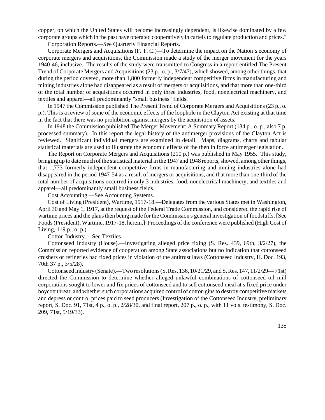copper, on which the United States will become increasingly dependent, is likewise dominated by a few corporate groups which in the past have operated cooperatively in cartelsto regulate production and prices."

Corporation Reports.—See Quarterly Financial Reports.

Corporate Mergers and Acquisitions (F. T. C.)—To determine the impact on the Nation's economy of corporate mergers and acquisitions, the Commission made a study of the merger movement for the years 1940-46, inclusive. The results of the study were transmitted to Congress in a report entitled The Present Trend of Corporate Mergers and Acquisitions (23 p., o. p., 3/7/47), which showed, among other things, that during the period covered, more than 1,800 formerly independent competitive firms in manufacturing and mining industries alone had disappeared as a result of mergers or acquisitions, and that more than one-third of the total number of acquisitions occurred in only three industries, food, nonelectrical machinery, and textiles and apparel—all predominantly "small business" fields.

In 1947 the Commission published The Present Trend of Corporate Mergers and Acquisitions (23 p., o. p.). This is a review of some of the economic effects of the loophole in the Clayton Act existing at that time in the fact that there was no prohibition against mergers by the acquisition of assets.

In 1948 the Commission published The Merger Movement: A Summary Report (134 p., o. p., also 7 p. processed summary). In this report the legal history of the antimerger provisions of the Clayton Act is reviewed. Significant individual mergers are examined in detail. Maps, diagrams, charts and tabular statistical materials are used to illustrate the economic effects of the then in force antimerger legislation.

The Report on Corporate Mergers and Acquisitions (210 p.) was published in May 1955. This study, bringing up to date much of the statistical material in the 1947 and 1948 reports, showed, among other things, that 1,773 formerly independent competitive firms in manufacturing and mining industries alone had disappeared in the period 1947-54 as a result of mergers or acquisitions, and that more than one-third of the total number of acquisitions occurred in only 3 industries, food, nonelectrical machinery, and textiles and apparel—all predominantly small business fields.

Cost Accounting.—See Accounting Systems.

Cost of Living (President), Wartime, 1917-18.—Delegates from the various States met in Washington, April 30 and May 1, 1917, at the request of the Federal Trade Commission, and considered the rapid rise of wartime prices and the plans then being made for the Commission's general investigation of foodstuffs. [See Foods(President), Wartime, 1917-18, herein.] Proceedings of the conference were published (High Cost of Living, 119 p., o. p.).

Cotton Industry.—See Textiles.

Cottonseed Industry (House).—Investigating alleged price fixing (S. Res. 439, 69th, 3/2/27), the Commission reported evidence of cooperation among State associations but no indication that cottonseed crushers or refineries had fixed prices in violation of the antitrust laws (Cottonseed Industry, H. Doc. 193, 70th 37 p., 3/5/28).

Cottonseed Industry (Senate).—Two resolutions (S. Res. 136, 10/21/29, and S. Res. 147, 11/2/29— 71st) directed the Commission to determine whether alleged unlawful combinations of cottonseed oil mill corporations sought to lower and fix prices of cottonseed and to sell cottonseed meal at s fixed price under boycott threat; and whether such corporations acquired control of cotton gins to destroy competitive markets and depress or control prices paid to seed producers (Investigation of the Cottonseed Industry, preliminary report, S. Doc. 91, 71st, 4 p., o. p., 2/28/30, and final report, 207 p., o. p., with 11 vols. testimony, S. Doc. 209, 71st, 5/19/33).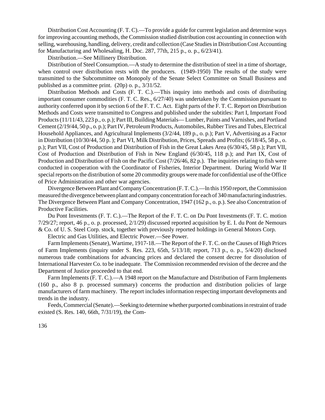Distribution Cost Accounting (F. T. C).—To provide a guide for current legislation and determine ways for improving accounting methods, the Commission studied distribution cost accounting in connection with selling, warehousing, handling, delivery, credit and collection (Case Studiesin DistributionCost Accounting for Manufacturing and Wholesaling, H. Doc. 287, 77th, 215 p., o. p., 6/23/41).

Distribution.—See Millinery Distribution.

Distribution of Steel Consumption.—A study to determine the distribution of steel in a time of shortage, when control over distribution rests with the producers. (1949-1950) The results of the study were transmitted to the Subcommittee on Monopoly of the Senate Select Committee on Small Business and published as a committee print. (20p) o. p., 3/31/52.

Distribution Methods and Costs (F. T. C.).—This inquiry into methods and costs of distributing important consumer commodities (F. T. C. Res., 6/27/40) was undertaken by the Commission pursuant to authority conferred upon it by section 6 of the F. T. C. Act. Eight parts of the F. T. C. Report on Distribution Methods and Costs were transmitted to Congress and published under the subtitles: Part I, Important Food Products (11/11/43, 223 p., o. p.); Part III, Building Materials— Lumber, Paints and Varnishes, and Portland Cement (2/19/44, 50 p., o. p.); Part IV, Petroleum Products, Automobiles, Rubber Tires and Tubes, Electrical Household Appliances, and Agricultural Implements (3/2/44, 189 p., o. p.); Part V, Advertising as a Factor in Distribution (10/30/44, 50 p. ); Part VI, Milk Distribution, Prices, Spreads and Profits; (6/18/45, 58 p., o. p.); Part VII, Cost of Production and Distribution of Fish in the Great Lakes Area (6/30/45, 58 p.); Part VII, Cost of Production and Distribution of Fish in New England (6/30/45, 118 p.); and Part IX, Cost of Production and Distribution of Fish on the Pacific Cost (7/26/46, 82 p.). The inquiries relating to fish were conducted in cooperation with the Coordinator of Fisheries, Interior Department. During World War II special reports on the distribution of some 20 commodity groups were made for confidential use of the Office of Price Administration and other war agencies.

Divergence Between Plant and Company Concentration (F. T. C.).—In this 1950 report, the Commission measured the divergence between plant and company concentration for each of 340 manufacturing industries. The Divergence Between Plant and Company Concentration, 1947 (162 p., o. p.). See also Concentration of Productive Facilities.

Du Pont Investments (F. T. C.).—The Report of the F. T. C. on Du Pont Investments (F. T. C. motion 7/29/27; report, 46 p., o. p. processed, 2/1/29) discussed reported acquisition by E. I. du Pont de Nemours & Co. of U. S. Steel Corp. stock, together with previously reported holdings in General Motors Corp.

Electric and Gas Utilities, and Electric Power.—See Power.

Farm Implements (Senate), Wartime, 1917-18.—The Report of the F. T. C. on the Causes of High Prices of Farm Implements (inquiry under S. Res. 223, 65th, 5/13/18; report, 713 p., o. p., 5/4/20) disclosed numerous trade combinations for advancing prices and declared the consent decree for dissolution of International Harvester Co. to be inadequate. The Commission recommended revision of the decree and the Department of Justice proceeded to that end.

Farm Implements (F. T. C.).—A 1948 report on the Manufacture and Distribution of Farm Implements (160 p., also 8 p. processed summary) concerns the production and distribution policies of large manufacturers of farm machinery. The report includes information respecting important developments and trends in the industry.

Feeds, Commercial (Senate).—Seeking to determine whether purported combinations in restraint of trade existed (S. Res. 140, 66th, 7/31/19), the Com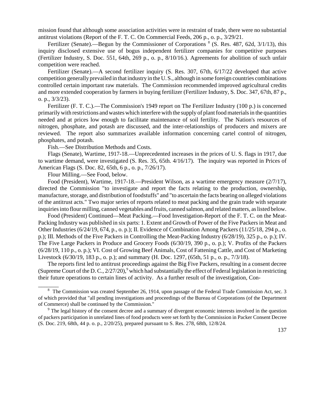mission found that although some association activities were in restraint of trade, there were no substantial antitrust violations (Report of the F. T. C. On Commercial Feeds, 206 p., o. p., 3/29/21.

Fertilizer (Senate).—Begun by the Commissioner of Corporations <sup>8</sup> (S. Res. 487, 62d, 3/1/13), this inquiry disclosed extensive use of bogus independent fertilizer companies for competitive purposes (Fertilizer Industry, S. Doc. 551, 64th, 269 p., o. p., 8/10/16.). Agreements for abolition of such unfair competition were reached.

Fertilizer (Senate).—A second fertilizer inquiry (S. Res. 307, 67th, 6/17/22 developed that active competition generally prevailed in that industry in theU.S., although in some foreign countries combinations controlled certain important raw materials. The Commission recommended improved agricultural credits and more extended cooperation by farmers in buying fertilizer (Fertilizer Industry, S. Doc. 347, 67th, 87 p., o. p., 3/3/23).

Fertilizer (F. T. C.).—The Commission's 1949 report on The Fertilizer Industry (100 p.) is concerned primarily with restrictions and wastes which interfere with the supply of plant food materials in the quantities needed and at prices low enough to facilitate maintenance of soil fertility. The Nation's resources of nitrogen, phosphate, and potash are discussed, and the inter-relationships of producers and mixers are reviewed. The report also summarizes available information concerning cartel control of nitrogen, phosphates, and potash.

Fish.—See Distribution Methods and Costs.

Flags (Senate), Wartime, 1917-18.—Unprecedented increases in the prices of U. S. flags in 1917, due to wartime demand, were investigated (S. Res. 35, 65th. 4/16/17). The inquiry was reported in Prices of American Flags (S. Doc. 82, 65th, 6 p., o. p., 7/26/17).

Flour Milling.—See Food, below.

 $\overline{\phantom{a}}$ 

Food (President), Wartime, 1917-18.—President Wilson, as a wartime emergency measure (2/7/17), directed the Commission "to investigate and report the facts relating to the production, ownership, manufacture, storage, and distribution of foodstuffs" and "to ascertain the facts bearing on alleged violations of the antitrust acts." Two major series of reports related to meat packing and the grain trade with separate inquiries into flour milling, canned vegetables and fruits, canned salmon, and related matters, as listed below.

Food (President) Continued—Meat Packing.—Food Investigation-Report of the F. T. C. on the Meat-Packing Industry was published in six parts: 1. Extent and Growth of Power of the Five Packers in Meat and Other Industries (6/24/19, 674, p., o. p.); II. Evidence of Combination Among Packers (11/25/18, 294 p., o. p.); III. Methods of the Five Packers in Controlling the Meat-Packing Industry (6/28/19), 325 p., o. p.); IV. The Five Large Packers in Produce and Grocery Foods (6/30/19, 390 p., o. p.); V. Profits of the Packers (6/28/19, 110 p., o. p.); VI. Cost of Growing Beef Animals, Cost of Fattening Cattle, and Cost of Marketing Livestock (6/30/19, 183 p., o. p.); and summary (H. Doc. 1297, (65th, 51 p., o. p., 7/3/18).

The reports first led to antitrust proceedings against the Big Five Packers, resulting in a consent decree (Supreme Court of the D. C.,  $2/27/20$ ),<sup>9</sup> which had substantially the effect of Federal legislation in restricting their future operations to certain lines of activity. As a further result of the investigation, Con-

<sup>&</sup>lt;sup>8</sup> The Commission was created September 26, 1914, upon passage of the Federal Trade Commission Act, sec. 3 of which provided that "all pending investigations and proceedings of the Bureau of Corporations (of the Department of Commerce) shall be continued by the Commission."

<sup>&</sup>lt;sup>9</sup> The legal history of the consent decree and a summary of divergent economic interests involved in the question of packers participation in unrelated lines of food products were set forth by the Commission in Packer Consent Decree (S. Doc. 219, 68th, 44 p. o. p., 2/20/25), prepared pursuant to S. Res. 278, 68th, 12/8/24.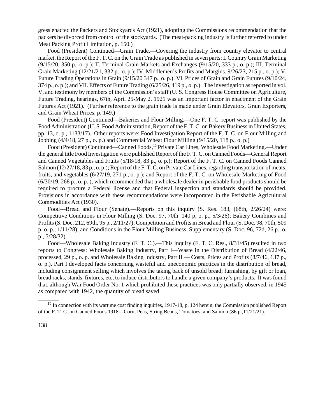gress enacted the Packers and Stockyards Act (1921), adopting the Commissions recommendation that the packers be divorced from control of the stockyards. (The meat-packing industry is further referred to under Meat Packing Profit Limitation, p. 150.)

Food (President) Continued—Grain Trade.—Covering the industry from country elevator to central market, the Report of the F. T. C. on the Grain Trade as published in seven parts: I. Country Grain Marketing (9/15/20, 350 p., o. p.); II. Terminal Grain Markets and Exchanges (9/15/20, 333 p., o. p.); III. Terminal Grain Marketing (12/21/21, 332 p., o. p.); IV. Middlemen's Profits and Margins. 9/26/23, 215 p., o. p.); V. Future Trading Operations in Grain (9/15/20 347 p., o. p.); VI. Prices of Grain and Grain Futures (9/10/24, 374 p., o. p.); and VII. Effects of Future Trading (6/25/26, 419 p., o. p.). The investigation as reported in vol. V, and testimony by members of the Commission's staff (U. S. Congress House Committee on Agriculture, Future Trading, hearings, 67th, April 25-May 2, 1921 was an important factor in enactment of the Grain Futures Act (1921). (Further reference to the grain trade is made under Grain Elevators, Grain Exporters, and Grain Wheat Prices, p. 149.)

Food (President) Continued—Bakeries and Flour Milling.—One F. T. C. report was published by the Food Administration (U.S. Food Administration, Report of the F.T.C. on Bakery Business in United States, pp. 13, o. p., 1133/17). Other reports were: Food Investigation Report of the F. T. C. on Flour Milling and Jobbing (4/4/18, 27 p., o. p.) and Commercial Wheat Flour Milling (9/15/20, 118 p., o. p.)

Food (President) Continued—Canned Foods,<sup>10</sup> Private Car Lines, Wholesale Food Marketing.—Under the general title Food Investigation were published Report of the F. T.C. on Canned Foods—General Report and Canned Vegetables and Fruits (5/18/18, 83 p., o. p.); Report of the F. T. C. on Canned Foods Canned Salmon (12/27/18, 83 p., o. p.); Report of the F. T. C. on Private Car Lines, regarding transportation of meats, fruits, and vegetables (6/27/19, 271 p., o. p.); and Report of the F. T. C. on Wholesale Marketing of Food (6/30/19, 268 p., o. p. ), which recommended that a wholesale dealer in perishable food products should be required to procure a Federal license and that Federal inspection and standards should be provided. Provisions in accordance with these recommendations were incorporated in the Perishable Agricultural Commodities Act (1930).

Food—Bread and Flour (Senate).—Reports on this inquiry (S. Res. 183, (68th, 2/26/24) were: Competitive Conditions in Flour Milling (S. Doc. 97, 70th. 140 p, o. p., 5/3/26); Bakery Combines and Profits(S. Doc. 212, 69th, 95 p., 2/11/27); Competition and Profitsin Bread and Flour (S. Doc. 98, 70th, 509 p, o. p., 1/11/28); and Conditions in the Flour Milling Business, Supplementary (S. Doc. 96, 72d, 26 p., o. p., 5/28/32).

Food—Wholesale Baking Industry (F. T. C.).—This inquiry (F. T. C. Res., 8/31/45) resulted in two reports to Congress: Wholesale Baking Industry, Part I—Waste in the Distribution of Bread (4/22/46, processed, 29 p., o. p. and Wholesale Baking Industry, Part II — Costs, Prices and Profits (8/7/46, 137 p., o. p.). Part I developed facts concerning wasteful and uneconomic practices in the distribution of bread, including consignment selling which involves the taking back of unsold bread; furnishing, by gift or loan, bread racks, stands, fixtures, etc, to induce distributors to handle a given company's products. It was found that, although War Food Order No. 1 which prohibited these practices was only partially observed, in 1945 as compared with 1942, the quantity of bread saved

 $10$  In connection with its wartime cost finding inquiries, 1917-18, p. 124 herein, the Commission published Report of the F. T. C. on Canned Foods 1918—Corn, Peas, String Beans, Tomatoes, and Salmon (86 p.,11/21/21).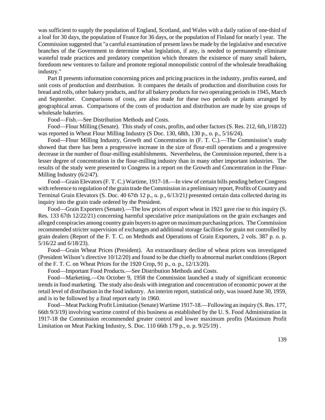was sufficient to supply the population of England, Scotland, and Wales with a daily ration of one-third of a loaf for 30 days, the population of France for 36 days, or the population of Finland for nearly l year. The Commission suggested that "a careful examination of present laws be made by the legislative and executive branches of the Government to determine what legislation, if any, is needed to permanently eliminate wasteful trade practices and predatory competition which threaten the existence of many small bakers, foredoom new ventures to failure and promote regional monopolistic control of the wholesale breadbaking industry."

Part II presents information concerning prices and pricing practices in the industry, profits earned, and unit costs of production and distribution. It compares the details of production and distribution costs for bread and rolls, other bakery products, and for all bakery products for two operating periods in 1945, March and September. Comparisons of costs, are also made for these two periods or plants arranged by geographical areas. Comparisons of the costs of production and distribution are made by size groups of wholesale bakeries.

Food—Fish.—See Distribution Methods and Costs.

Food—Flour Milling (Senate). This study of costs, profits, and other factors (S. Res. 212, 6th, l/18/22) was reported in Wheat Flour Milling Industry (S Doc. 130, 68th, 130 p., o. p., 5/16/24).

Food—Flour Milling Industry, Growth and Concentration in (F. T. C.).—The Commission's study showed that there has been a progressive increase in the size of flour-mill operations and a progressive decrease in the number of flour-milling establishments. Nevertheless, the Commission reported, there is a lesser degree of concentration in the flour-milling industry than in many other important industries. The results of the study were presented to Congress in a report on the Growth and Concentration in the Flour-Milling Industry (6/2/47).

Food—Grain Elevators(F. T. C.) Wartime, 1917-18.—In view of certain bills pending before Congress with reference to regulation of the grain trade the Commission in a preliminary report, Profits of Country and Terminal Grain Elevators (S. Doc. 40 67th 12 p., o. p., 6/13/21) presented certain data collected during its inquiry into the grain trade ordered by the President.

Food—Grain Exporters (Senate).—The low prices of export wheat in 1921 gave rise to this inquiry (S. Res. 133 67th 12/22/21) concerning harmful speculative price manipulations on the grain exchanges and alleged conspiracies among country grain buyersto agree on maximumpurchasing prices. The Commission recommended stricter supervision of exchanges and additional storage facilities for grain not controlled by grain dealers (Report of the F. T. C. on Methods and Operations of Grain Exporters, 2 vols. 387 p. o. p. 5/16/22 and 6/18/23).

Food—Grain Wheat Prices (President). An extraordinary decline of wheat prices was investigated (President Wilson's directive 10/12/20) and found to be due chiefly to abnormal market conditions (Report of the F. T. C. on Wheat Prices for the 1920 Crop, 91 p., o. p., 12/13/20).

Food—Important Food Products.—See Distribution Methods and Costs.

Food—Marketing.—On October 9, 1958 the Commission launched a study of significant economic trends in food marketing. The study also deals with integration and concentration of economic power at the retail level of distribution in the food industry. An interim report, statistical only, was issued June 30, 1959, and is to be followed by a final report early in 1960.

Food—Meat Packing Profit Limitation (Senate) Wartime 1917-18.—Following an inquiry (S. Res. 177, 66th 9/3/19) involving wartime control of this business as established by the U. S. Food Administration in 1917-18 the Commission recommended greater control and lower maximum profits (Maximum Profit Limitation on Meat Packing Industry, S. Doc. 110 66th 179 p., o. p. 9/25/19) .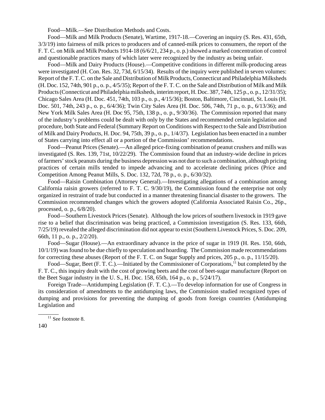Food—Milk.—See Distribution Methods and Costs.

Food—Milk and Milk Products (Senate), Wartime, 1917-18.—Covering an inquiry (S. Res. 431, 65th, 3/3/19) into fairness of milk prices to producers and of canned-milk prices to consumers, the report of the F. T. C. on Milk and Milk Products 1914-18 (6/6/21, 234 p., o. p.)showed a marked concentration of control and questionable practices many of which later were recognized by the industry as being unfair.

Food—Milk and Dairy Products (House).—Competitive conditions in different milk-producing areas were investigated (H. Con. Res. 32, 73d, 6/15/34). Results of the inquiry were published in seven volumes: Report of the F. T. C. on the Sale and Distribution of Milk Products, Connecticut and Philadelphia Milksheds (H. Doc. 152, 74th, 901 p., o. p., 4/5/35); Report of the F. T. C. on the Sale and Distribution of Milk and Milk Products(Connecticut and Philadelphiamilksheds, interimreport, H. Doc. 387, 74th, 125 p., o. p., 12/31/35); Chicago Sales Area (H. Doc. 451, 74th, 103 p., o. p., 4/15/36); Boston, Baltimore, Cincinnati, St. Louis (H. Doc. 501, 74th, 243 p., o. p., 6/4/36); Twin City Sales Area (H. Doc. 506, 74th, 71 p., o. p., 6/13/36); and New York Milk Sales Area (H. Doc 95, 75th, 138 p., o. p., 9/30/36). The Commission reported that many of the industry's problems could be dealt with only by the States and recommended certain legislation and procedure, both State and Federal (Summary Report on Conditions with Respect to the Sale and Distribution of Milk and Dairy Products, H. Doc. 94, 75th, 39 p., o. p., 1/4/37). Legislation has been enacted in a number of States carrying into effect all or a portion of the Commission' recommendations.

Food—Peanut Prices (Senate).—An alleged price-fixing combination of peanut crushers and mills was investigated (S. Res. 139, 71st, 10/22/29). The Commission found that an industry-wide decline in prices offarmers'stock peanuts during the business depression was not due to such a combination, although pricing practices of certain mills tended to impede advancing and to accelerate declining prices (Price and Competition Among Peanut Mills, S. Doc. 132, 72d, 78 p., o. p., 6/30/32).

Food—Raisin Combination (Attorney General).—Investigating allegations of a combination among California raisin growers (referred to F. T. C. 9/30/19), the Commission found the enterprise not only organized in restraint of trade but conducted in a manner threatening financial disaster to the growers. The Commission recommended changes which the growers adopted (California Associated Raisin Co., 26p., processed, o. p., 6/8/20).

Food—Southern Livestock Prices (Senate). Although the low prices of southern livestock in 1919 gave rise to a belief that discrimination was being practiced, a Commission investigation (S. Res. 133, 66th, 7/25/19) revealed the alleged discrimination did not appear to exist (Southern Livestock Prices, S. Doc. 209, 66th, 11 p., o. p., 2/2/20).

Food—Sugar (House).—An extraordinary advance in the price of sugar in 1919 (H. Res. 150, 66th, 10/1/19) wasfound to be due chiefly to speculation and hoarding. The Commission made recommendations for correcting these abuses (Report of the F. T. C. on Sugar Supply and prices, 205 p., o. p., 11/15/20).

Food—Sugar, Beet (F. T. C.).—Initiated by the Commissioner of Corporations,<sup>11</sup> but completed by the F. T. C., this inquiry dealt with the cost of growing beets and the cost of beet-sugar manufacture (Report on the Beet Sugar industry in the U. S., H. Doc. 158, 65th, 164 p., o. p., 5/24/17).

Foreign Trade—Antidumping Legislation (F. T. C.).—To develop information for use of Congress in its consideration of amendments to the antidumping laws, the Commission studied recognized types of dumping and provisions for preventing the dumping of goods from foreign countries (Antidumping Legislation and

<sup>11</sup> See footnote 8.

140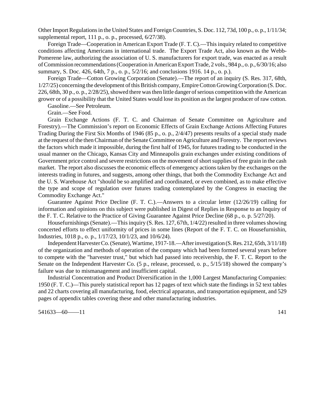Other Import Regulations in the United States and Foreign Countries, S. Doc. 112, 73d, 100 p., o. p., 1/11/34; supplemental report, 111 p., o. p., processed, 6/27/38).

Foreign Trade—Cooperation in American Export Trade (F. T. C).—This inquiry related to competitive conditions affecting Americans in international trade. The Export Trade Act, also known as the Webb-Pomerene law, authorizing the association of U. S. manufacturers for export trade, was enacted as a result ofCommission recommendations(Cooperation in AmericanExport Trade, 2 vols., 984 p., o. p., 6/30/16; also summary, S. Doc. 426, 64th, 7 p., o. p., 5/2/16; and conclusions 1916. 14 p., o. p.).

Foreign Trade—Cotton Growing Corporation (Senate).—The report of an inquiry (S. Res. 317, 68th,  $1/27/25$ ) concerning the development of this British company, Empire Cotton Growing Corporation (S. Doc. 226, 68th, 30 p., o. p.,  $2/28/25$ ), showed there was then little danger of serious competition with the American grower or of a possibility that the United States would lose its position as the largest producer of raw cotton. Gasoline.—See Petroleum.

Grain.—See Food.

Grain Exchange Actions (F. T. C. and Chairman of Senate Committee on Agriculture and Forestry).—The Commission's report on Economic Effects of Grain Exchange Actions Affecting Futures Trading During the First Six Months of 1946 (85 p., o. p., 2/4/47) presents results of a special study made at the request of the then Chairman of the Senate Committee on Agriculture and Forestry. The report reviews the factors which made it impossible, during the first half of 1945, for futures trading to be conducted in the usual manner on the Chicago, Kansas City and Minneapolis grain exchanges under existing conditions of Government price control and severe restrictions on the movement of short supplies of free grain in the cash market. The report also discusses the economic effects of emergency actions taken by the exchanges on the interests trading in futures, and suggests, among other things, that both the Commodity Exchange Act and the U. S. Warehouse Act "should be so amplified and coordinated, or even combined, as to make effective the type and scope of regulation over futures trading contemplated by the Congress in enacting the Commodity Exchange Act."

Guarantee Against Price Decline (F. T. C.).—Answers to a circular letter (12/26/19) calling for information and opinions on this subject were published in Digest of Replies in Response to an Inquiry of the F. T. C. Relative to the Practice of Giving Guarantee Against Price Decline (68 p., o. p. 5/27/20).

Housefurnishings (Senate).—This inquiry (S. Res. 127, 67th,  $1/4/22$ ) resulted in three volumes showing concerted efforts to effect uniformity of prices in some lines (Report of the F. T. C. on Housefurnishin, Industries, 1018 p., o. p., 1/17/23, 10/1/23, and 10/6/24).

Independent Harvester Co. (Senate), Wartime, 1917-18.—After investigation (S. Res. 212, 65th, 3/11/18) of the organization and methods of operation of the company which had been formed several years before to compete with the "harvester trust," but which had passed into receivership, the F. T. C. Report to the Senate on the Independent Harvester Co. (5 p., release, processed, o. p., 5/15/18) showed the company's failure was due to mismanagement and insufficient capital.

Industrial Concentration and Product Diversification in the 1,000 Largest Manufacturing Companies: 1950 (F. T. C.)—This purely statistical report has 12 pages of text which state the findings in 52 text tables and 22 charts covering all manufacturing, food, electrical apparatus, and transportation equipment, and 529 pages of appendix tables covering these and other manufacturing industries.

541633—60——11 141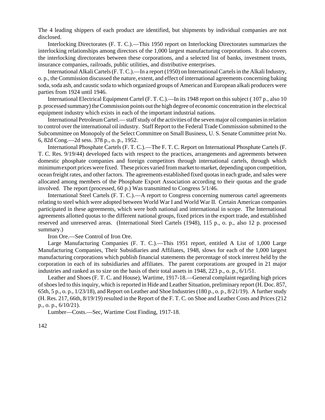The 4 leading shippers of each product are identified, but shipments by individual companies are not disclosed.

Interlocking Directorates (F. T. C.).—This 1950 report on Interlocking Directorates summarizes the interlocking relationships among directors of the 1,000 largest manufacturing corporations. It also covers the interlocking directorates between these corporations, and a selected list of banks, investment trusts, insurance companies, railroads, public utilities, and distributive enterprises.

International Alkali Cartels (F. T. C.).—In a report (1950) on International Cartels in the Alkali Industry, o. p., the Commission discussed the nature, extent, and effect of international agreements concerning baking soda,soda ash, and caustic soda to which organized groups of American and European alkali producers were parties from 1924 until 1946.

International Electrical Equipment Cartel (F. T. C.).—In its 1948 report on this subject ( 107 p., also 10 p. processed summary) the Commission points out the high degree of economic concentration in the electrical equipment industry which exists in each of the important industrial nations.

International Petroleum Cartel.—staff study of the activities of the seven major oil companies in relation to control over the international oil industry. Staff Report to the Federal Trade Commission submitted to the Subcommittee on Monopoly of the Select Committee on Small Business, U. S. Senate Committee print No. 6, 82d Cong.—2d sess. 378 p., o. p., 1952.

International Phosphate Cartels (F. T. C.).—The F. T. C. Report on International Phosphate Cartels (F. T. C. Res. 9/19/44) developed facts with respect to the practices, arrangements and agreements between domestic phosphate companies and foreign competitors through international cartels, through which minimumexport prices were fixed. These prices varied from market to market, depending upon competition, ocean freight rates, and other factors. The agreements established fixed quotas in each grade, and sales were allocated among members of the Phosphate Export Association according to their quotas and the grade involved. The report (processed, 60 p.) Was transmitted to Congress 5/1/46.

International Steel Cartels (F. T. C.).—A report to Congress concerning numerous cartel agreements relating to steel which were adopted between World War I and World War II. Certain American companies participated in these agreements, which were both national and international in scope. The International agreements allotted quotas to the different national groups, fixed prices in the export trade, and established reserved and unreserved areas. (International Steel Cartels (1948), 115 p., o. p., also 12 p. processed summary.)

Iron Ore.—See Control of Iron Ore.

Large Manufacturing Companies (F. T. C.).—This 1951 report, entitled A List of 1,000 Large Manufacturing Companies, Their Subsidiaries and Affiliates, 1948, slows for each of the 1,000 largest manufacturing corporations which publish financial statements the percentage of stock interest held by the corporation in each of its subsidiaries and affiliates. The parent corporations are grouped in 21 major industries and ranked as to size on the basis of their total assets in 1948, 223 p., o. p., 6/1/51.

Leather and Shoes (F. T. C. and House), Wartime, 1917-18.—General complaint regarding high prices ofshoesled to thisinquiry, which isreported in Hide and Leather Situation, preliminary report (H. Doc. 857, 65th, 5 p., o. p., 1/23/18), and Report on Leather and Shoe Industries(180 p., o. p., 8/21/19). A further study (H. Res. 217, 66th, 8/19/19) resulted in the Report of the F. T. C. on Shoe and Leather Costs and Prices (212 p., o. p., 6/10/21).

Lumber—Costs.—Sec, Wartime Cost Finding, 1917-18.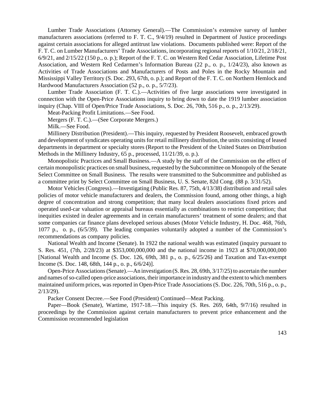Lumber Trade Associations (Attorney General).—The Commission's extensive survey of lumber manufacturers associations (referred to F. T. C., 9/4/19) resulted in Department of Justice proceedings against certain associations for alleged antitrust law violations. Documents published were: Report of the F. T. C. on Lumber Manufacturers' Trade Associations, incorporating regional reports of 1/10/21, 2/18/21, 6/9/21, and 2/15/22 (150 p., o. p.); Report of the F. T. C. on Western Red Cedar Association, Lifetime Post Association, and Western Red Cedarmen's Information Bureau (22 p., o. p., 1/24/23), also known as Activities of Trade Associations and Manufacturers of Posts and Poles in the Rocky Mountain and Mississippi Valley Territory (S. Doc. 293, 67th, o. p.); and Report of the F. T. C. on Northern Hemlock and Hardwood Manufacturers Association (52 p., o. p., 5/7/23).

Lumber Trade Association (F. T. C.).—Activities of five large associations were investigated in connection with the Open-Price Associations inquiry to bring down to date the 1919 lumber association inquiry (Chap. VIII of Open/Price Trade Associations, S. Doc. 26, 70th, 516 p., o. p., 2/13/29).

Meat-Packing Profit Limitations.—See Food.

Mergers (F. T. C.).—(See Corporate Mergers.)

Milk.—See Food.

Millinery Distribution (President).—This inquiry, requested by President Roosevelt, embraced growth and development of syndicates operating units for retail millinery distribution, the units consisting of leased departments in department or specialty stores (Report to the President of the United States on Distribution Methods in the Millinery Industry, 65 p., processed, 11/21/39, o. p.).

Monopolistic Practices and Small Business.—A study by the staff of the Commission on the effect of certain monopolistic practices on small business, requested by the Subcommittee on Monopoly of the Senate Select Committee on Small Business. The results were transmitted to the Subcommittee and published as a committee print by Select Committee on Small Business, U. S. Senate, 82d Cong. (88 p. 3/31/52).

Motor Vehicles (Congress).—Investigating (Public Res. 87, 75th, 4/13/38) distribution and retail sales policies of motor vehicle manufacturers and dealers, the Commission found, among other things, a high degree of concentration and strong competition; that many local dealers associations fixed prices and operated used-car valuation or appraisal bureaus essentially as combinations to restrict competition; that inequities existed in dealer agreements and in certain manufacturers' treatment of some dealers; and that some companies car finance plans developed serious abuses (Motor Vehicle Industry, H. Doc. 468, 76th, 1077 p., o. p., (6/5/39). The leading companies voluntarily adopted a number of the Commission's recommendations as company policies.

National Wealth and Income (Senate). In 1922 the national wealth was estimated (inquiry pursuant to S. Res. 451, (7th, 2/28/23) at \$353,000,000,000 and the national income in 1923 at \$70,000,000,000 [National Wealth and Income (S. Doc. 126, 69th, 381 p., o. p., 6/25/26) and Taxation and Tax-exempt Income (S. Doc. 148, 68th, 144 p., o. p., 6/6/24)].

Open-Price Associations (Senate).—An investigation  $(S. Res. 28, 69th, 3/17/25)$  to ascertain the number and names of so-called open-price associations, their importance in industry and the extent to which members maintained uniform prices, was reported in Open-Price Trade Associations (S. Doc. 226, 70th, 516 p., o. p., 2/13/29).

Packer Consent Decree.—See Food (President) Continued—Meat Packing.

Paper—Book (Senate), Wartime, 1917-18.—This inquiry (S. Res. 269, 64th, 9/7/16) resulted in proceedings by the Commission against certain manufacturers to prevent price enhancement and the Commission recommended legislation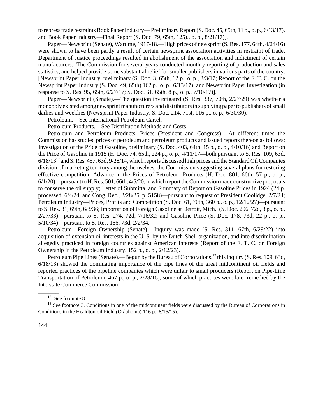to repress trade restraints Book Paper Industry— Preliminary Report (S. Doc. 45, 65th, 11 p., o. p., 6/13/17), and Book Paper Industry—Final Report (S. Doc. 79, 65th, 125)., o. p., 8/21/17)].

Paper—Newsprint (Senate), Wartime, 1917-18.—High prices of newsprint (S. Res. 177, 64th, 4/24/16) were shown to have been partly a result of certain newsprint association activities in restraint of trade. Department of Justice proceedings resulted in abolishment of the association and indictment of certain manufacturers. The Commission for several years conducted monthly reporting of production and sales statistics, and helped provide some substantial relief for smaller publishers in various parts of the country. [Newsprint Paper Industry, preliminary (S. Doc. 3, 65th, 12 p., o. p., 3/3/17; Report of the F. T. C. on the Newsprint Paper Industry (S. Doc. 49, 65th) 162 p., o. p., 6/13/17); and Newsprint Paper Investigation (in response to S. Res. 95, 65th, 6/27/17; S. Doc. 61. 65th, 8 p., o. p., 7/10/17)].

Paper—Newsprint (Senate).—The question investigated (S. Res. 337, 70th, 2/27/29) was whether a monopoly existed among newsprint manufacturers and distributors in supplying paper to publishers of small dailies and weeklies (Newsprint Paper Industry, S. Doc. 214, 71st, 116 p., o. p., 6/30/30).

Petroleum.—See International Petroleum Cartel.

Petroleum Products.—See Distribution Methods and Costs.

Petroleum and Petroleum Products, Prices (President and Congress).—At different times the Commission has studied prices of petroleum and petroleum products and issued reports thereon as follows: Investigation of the Price of Gasoline, preliminary (S. Doc. 403, 64th, 15 p., o. p., 4/10/16) and Report on the Price of Gasoline in 1915 (H. Doc. 74, 65th, 224 p., o. p., 4/11/17—both pursuant to S. Res. 109, 63d,  $6/18/13^{12}$  and S. Res. 457, 63d, 9/28/14, which reports discussed high prices and the Standard Oil Companies division of marketing territory among themselves, the Commission suggesting several plans for restoring effective competition; Advance in the Prices of Petroleum Products (H. Doc. 801. 66th, 57 p., o. p., 6/1/20)—pursuant to H. Res. 501, 66th, 4/5/20, in which report the Commission made constructive proposals to conserve the oil supply; Letter of Submittal and Summary of Report on Gasoline Prices in 1924 (24 p. processed, 6/4/24, and Cong. Rec., 2/28/25, p. 5158)—pursuant to request of President Coolidge, 2/7/24; Petroleum Industry—Prices, Profits and Competition (S. Doc. 61, 70th, 360 p., o. p., 12/12/27)—pursuant to S. Res. 31, 69th, 6/3/36; Importation of Foreign Gasoline at Detroit, Mich., (S. Doc. 206, 72d, 3 p., o. p., 2/27/33)—pursuant to S. Res. 274, 72d, 7/16/32; and Gasoline Price (S. Doc. 178, 73d, 22 p., o. p., 5/10/34)—pursuant to S. Res. 166, 73d, 2/2/34.

Petroleum—Foreign Ownership (Senate).—Inquiry was made (S. Res. 311, 67th, 6/29/22) into acquisition of extension oil interests in the U. S. by the Dutch-Shell organization, and into discrimination allegedly practiced in foreign countries against American interests (Report of the F. T. C. on Foreign Ownership in the Petroleum Industry, 152 p., o. p., 2/12/23).

Petroleum Pipe Lines (Senate).—Begun by the Bureau of Corporations,<sup>12</sup> this inquiry (S. Res. 109, 63d, 6/18/13) showed the dominating importance of the pipe lines of the great midcontinent oil fields and reported practices of the pipeline companies which were unfair to small producers (Report on Pipe-Line Transportation of Petroleum, 467 p., o. p., 2/28/16), some of which practices were later remedied by the Interstate Commerce Commission.

<sup>13</sup> See footnote 3. Conditions in one of the midcontinent fields were discussed by the Bureau of Corporations in Conditions in the Healdton oil Field (Oklahoma) 116 p., 8/15/15).

 $12$  See footnote 8.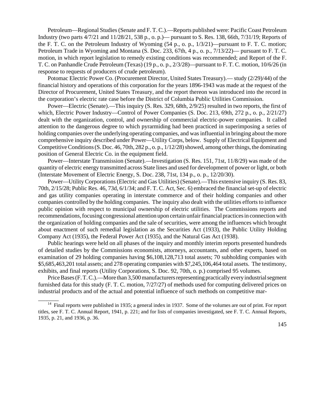Petroleum—Regional Studies(Senate and F. T. C.).—Reports published were: Pacific Coast Petroleum Industry (two parts 4/7/21 and 11/28/21, 538 p., o. p.)— pursuant to S. Res. 138, 66th, 7/31/19; Reports of the F. T. C. on the Petroleum Industry of Wyoming (54 p., o. p., 1/3/21)—pursuant to F. T. C. motion; Petroleum Trade in Wyoming and Montana (S. Doc. 233, 67th, 4 p., o. p., 7/13/22)— pursuant to F. T. C. motion, in which report legislation to remedy existing conditions was recommended; and Report of the F. T. C. on Panhandle Crude Petroleum (Texas) (19 p., o. p., 2/3/28)—pursuant to F. T. C. motion, 10/6/26 (in response to requests of producers of crude petroleum).

Potomac Electric Power Co. (Procurement Director, United States Treasury).— study (2/29)/44) of the financial history and operations of this corporation for the years 1896-1943 was made at the request of the Director of Procurement, United States Treasury, and the report thereon was introduced into the record in the corporation's electric rate case before the District of Columbia Public Utilities Commission.

Power—Electric (Senate).—This inquiry (S. Res. 329, 68th, 2/9/25) resulted in two reports, the first of which, Electric Power Industry—Control of Power Companies (S. Doc. 213, 69th, 272 p., o. p., 2/21/27) dealt with the organization, control, and ownership of commercial electric-power companies. It called attention to the dangerous degree to which pyrarmiding had been practiced in superimposing a series of holding companies over the underlying operating companies, and was influential in bringing about the more comprehensive inquiry described under Power—Utility Corps, below. Supply of Electrical Equipment and Competitive Conditions (S. Doc. 46, 70th, 282 p., o. p.,  $1/12/28$ ) showed, among other things, the dominating position of General Electric Co. in the equipment field.

Power—Interstate Transmission (Senate).—Investigation (S. Res. 151, 71st, 11/8/29) was made of the quantity of electric energy transmitted across State lines and used for development of power or light, or both (Interstate Movement of Electric Energy, S. Doc. 238, 71st, 134 p., o. p., 12/20/30).

Power—Utility Corporations (Electric and Gas Utilities) (Senate).—This extensive inquiry (S. Res. 83, 70th, 2/15/28; Public Res. 46, 73d, 6/1/34; and F. T. C. Act, Sec. 6) embraced the financial set-up of electric and gas utility companies operating in interstate commerce and of their holding companies and other companies controlled by the holding companies. The inquiry also dealt with the utilities efforts to influence public opinion with respect to municipal ownership of electric utilities. The Commissions reports and recommendations,focusing congressional attention upon certain unfair financial practices in connection with the organization of holding companies and the sale of securities, were among the influences which brought about enactment of such remedial legislation as the Securities Act (1933), the Public Utility Holding Company Act (1935), the Federal Power Act (1935), and the Natural Gas Act (1938).

Public hearings were held on all phases of the inquiry and monthly interim reports presented hundreds of detailed studies by the Commissions economists, attorneys, accountants, and other experts, based on examination of 29 holding companies having \$6,108,128,713 total assets; 70 subholding companies with \$5,685,463,201 total assets; and 278 operating companies with \$7,245,106,464 total assets. The testimony, exhibits, and final reports (Utility Corporations, S. Doc. 92, 70th, o. p.) comprised 95 volumes.

Price Bases (F.T.C.).—More than 3,500 manufacturers representing practically every industrial segment furnished data for this study (F. T. C. motion, 7/27/27) of methods used for computing delivered prices on industrial products and of the actual and potential influence of such methods on competitive mar-

<sup>&</sup>lt;sup>14</sup> Final reports were published in 1935; a general index in 1937. Some of the volumes are out of print. For report titles, see F. T. C. Annual Report, 1941, p. 221; and for lists of companies investigated, see F. T. C. Annual Reports, 1935, p. 21, and 1936, p. 36.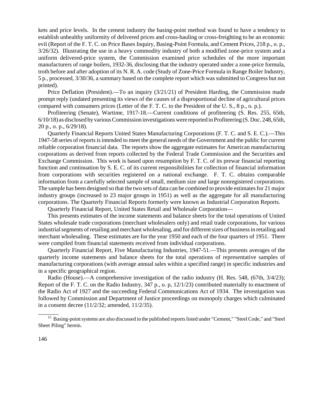kets and price levels. In the cement industry the basing-point method was found to have a tendency to establish unhealthy uniformity of delivered prices and cross-hauling or cross-freighting to be an economic evil (Report of the F. T. C. on Price Bases Inquiry, Basing-Point Formula, and Cement Prices, 218 p., o. p., 3/26/32). Illustrating the use in a heavy commodity industry of both a modified zone-price system and a uniform delivered-price system, the Commission examined price schedules of the more important manufacturers of range boilers, 1932-36, disclosing that the industry operated under a zone-price formula, troth before and after adoption of its N. R. A. code (Study of Zone-Price Formula in Range Boiler Industry, 5 p., processed, 3/30/36, a summary based on the complete report which was submitted to Congress but not printed).

Price Deflation (President).—To an inquiry (3/21/21) of President Harding, the Commission made prompt reply (undated presenting its views of the causes of a disproportional decline of agricultural prices compared with consumers prices (Letter of the F. T. C. to the President of the U. S., 8 p., o. p.).

Profiteering (Senate), Wartime, 1917-18.—Current conditions of profiteering (S. Res. 255, 65th, 6/10/18) as disclosed by various Commission investigations were reported in Profiteering (S. Doc. 248, 65th, 20 p., o. p., 6/29/18).

Quarterly Financial Reports United States Manufacturing Corporations (F. T. C. and S. E. C.).—This 1947-58 series of reportsisintended to meet the general needs of the Government and the public for current reliable corporation financial data. The reports show the aggregate estimates for American manufacturing corporations as derived from reports collected by the Federal Trade Commission and the Securities and Exchange Commission. This work is based upon resumption by F. T. C. of its prewar financial reporting function and continuation by S. E. C. of its current responsibilities for collection of financial information from corporations with securities registered on a national exchange. F. T. C. obtains comparable information from a carefully selected sample of small, medium size and large nonregistered corporations. The sample has been designed so that the two sets of data can be combined to provide estimates for 21 major industry groups (increased to 23 major groups in 1951) as well as the aggregate for all manufacturing corporations. The Quarterly Financial Reports formerly were known as Industrial Corporation Reports.

Quarterly Financial Report, United States Retail and Wholesale Corporation—

This presents estimates of the income statements and balance sheets for the total operations of United States wholesale trade corporations (merchant wholesalers only) and retail trade corporations, for various industrial segments of retailing and merchant wholesaling, and for different sizes of business in retailing and merchant wholesaling. These estimates are for the year 1950 and each of the four quarters of 1951. There were compiled from financial statements received from individual corporations.

Quarterly Financial Report, Five Manufacturing Industries, 1947-51.—This presents averages of the quarterly income statements and balance sheets for the total operations of representative samples of manufacturing corporations (with average annual sales within a specified range) in specific industries and in a specific geographical region.

Radio (House).—A comprehensive investigation of the radio industry (H. Res. 548, (67th, 3/4/23); Report of the F. T. C. on the Radio Industry, 347 p., o. p, 12/1/23) contributed materially to enactment of the Radio Act of 1927 and the succeeding Federal Communications Act of 1934. The investigation was followed by Commission and Department of Justice proceedings on monopoly charges which culminated in a consent decree (11/2/32; amended, 11/2/35).

<sup>&</sup>lt;sup>15</sup> Basing-point systems are also discussed in the published reports listed under "Cement," "Steel Code," and "Steel Sheet Piling" herein.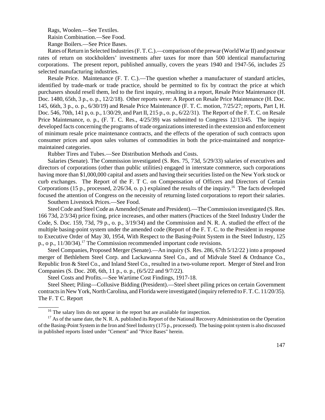Rags, Woolen.—See Textiles.

Raisin Combination.—See Food.

Range Boilers.—See Price Bases.

Rates of Return in Selected Industries (F.T.C.).—comparison of the prewar (World War II) and postwar rates of return on stockholders' investments after taxes for more than 500 identical manufacturing corporations. The present report, published annually, covers the years 1940 and 1947-56, includes 25 selected manufacturing industries.

Resale Price. Maintenance (F. T. C.).—The question whether a manufacturer of standard articles, identified by trade-mark or trade practice, should be permitted to fix by contract the price at which purchasers should resell them, led to the first inquiry, resulting in a report, Resale Price Maintenance (H. Doc. 1480, 65th, 3 p., o. p., 12/2/18). Other reports were: A Report on Resale Price Maintenance (H. Doc. 145, 66th, 3 p., o. p., 6/30/19) and Resale Price Maintenance (F. T. C. motion, 7/25/27; reports, Part I, H. Doc. 546, 70th, 141 p, o. p., 1/30/29, and Part II, 215 p., o. p., 6/22/31). The Report of the F. T. C. on Resale Price Maintenance, o. p., (F. T. C. Res., 4/25/39) was submitted to Congress 12/13/45. The inquiry developed facts concerning the programs of trade organizations interested in the extension and enforcement of minimum resale price maintenance contracts, and the effects of the operation of such contracts upon consumer prices and upon sales volumes of commodities in both the price-maintained and nonpricemaintained categories.

Rubber Tires and Tubes.—See Distribution Methods and Costs.

Salaries (Senate). The Commission investigated (S. Res. 75, 73d, 5/29/33) salaries of executives and directors of corporations (other than public utilities) engaged in interstate commerce, such corporations having more than \$1,000,000 capital and assets and having their securities listed on the New York stock or curb exchanges. The Report of the F. T C. on Compensation of Officers and Directors of Certain Corporations (15 p., processed,  $2/26/34$ , o. p.) explained the results of the inquiry.<sup>16</sup> The facts developed focused the attention of Congress on the necessity of returning listed corporations to report their salaries.

Southern Livestock Prices.—See Food.

 $\overline{\phantom{a}}$ 

SteelCode and SteelCode as Amended (Senate and President).—TheCommission investigated (S.Res. 166 73d, 2/3/34) price fixing, price increases, and other matters (Practices of the Steel Industry Under the Code, S. Doc. 159, 73d, 79 p., o. p., 3/19/34) and the Commission and N. R. A. studied the effect of the multiple basing-point system under the amended code (Report of the F. T. C. to the President in response to Executive Order of May 30, 1954, With Respect to the Basing-Point System in the Steel Industry, 125 p., o p., 11/30/34).<sup>17</sup> The Commission recommended important code revisions.

Steel Companies, Proposed Merger (Senate).—An inquiry (S. Res. 286, 67th 5/12/22 ) into a proposed merger of Bethlehem Steel Corp. and Lackawanna Steel Co., and of Midvale Steel & Ordnance Co., Republic Iron & Steel Co., and Inland Steel Co., resulted in a two-volume report. Merger of Steel and Iron Companies (S. Doc. 208, 6th, 11 p., o. p., (6/5/22 and 9/7/22).

Steel Costs and Profits.—See Wartime Cost Findings, 1917-18.

Steel Sheet; Piling—Collusive Bidding (President).—Steel sheet piling prices on certain Government contracts in New York, North Carolina, and Florida were investigated (inquiry referred to F.T.C. 11/20/35). The F. T C. Report

<sup>&</sup>lt;sup>16</sup> The salary lists do not appear in the report but are available for inspection.

<sup>&</sup>lt;sup>17</sup> As of the same date, the N. R. A. published its Report of the National Recovery Administration on the Operation of the Basing-Point Systemin the Iron and Steel Industry (175 p., processed). The basing-point system is also discussed in published reports listed under "Cement" and "Price Bases" herein.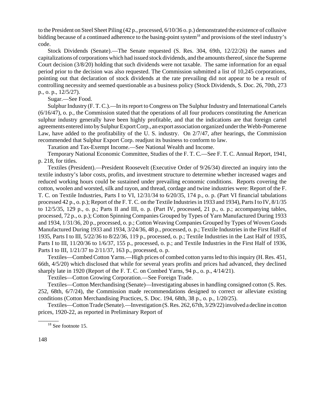to the President on Steel Sheet Piling (42 p., processed, 6/10/36 o. p.) demonstrated the existence of collusive bidding because of a continued adherence to the basing-point system<sup>18</sup> and provisions of the steel industry's code.

Stock Dividends (Senate).—The Senate requested (S. Res. 304, 69th, 12/22/26) the names and capitalizations of corporations which had issued stock dividends, and the amounts thereof, since the Supreme Court decision (3/8/20) holding that such dividends were not taxable. The same information for an equal period prior to the decision was also requested. The Commission submitted a list of 10,245 corporations, pointing out that declaration of stock dividends at the rate prevailing did not appear to be a result of controlling necessity and seemed questionable as a business policy (Stock Dividends, S. Doc. 26, 70th, 273 p., o. p., 12/5/27).

Sugar.—See Food.

Sulphur Industry (F. T. C.).—In itsreport to Congress on The Sulphur Industry and International Cartels (6/16/47), o. p., the Commission stated that the operations of all four producers constituting the American sulphur industry generally have been highly profitable, and that the indications are that foreign cartel agreements entered into by Sulphur Export Corp., an export association organized under the Webb-Pomerene Law, have added to the profitability of the U. S. industry. On 2/7/47, after hearings, the Commission recommended that Sulphur Export Corp. readjust its business to conform to law.

Taxation and Tax-Exempt Income.—See National Wealth and Income.

Temporary National Economic Committee, Studies of the F. T. C.—See F. T. C. Annual Report, 1941, p. 218, for titles.

Textiles (President).—President Roosevelt (Executive Order of 9/26/34) directed an inquiry into the textile industry's labor costs, profits, and investment structure to determine whether increased wages and reduced working hours could be sustained under prevailing economic conditions. Reports covering the cotton, woolen and worsted, silk and rayon, and thread, cordage and twine industries were: Report of the F. T. C. on Textile Industries, Parts I to VI, 12/31/34 to 6/20/35, 174 p., o. p. (Part VI financial tabulations processed 42 p., o. p.); Report of the F. T. C. on the Textile Industries in 1933 and 1934), Parts I to IV, 8/1/35 to 12/5/35, 129 p., o. p.; Parts II and III, o. p. (Part IV, processed, 21 p., o. p.; accompanying tables, processed, 72 p., o. p.); Cotton Spinning Companies Grouped by Types of Yarn Manufactured During 1933 and 1934, 1/31/36, 20 p., processed, o. p.; Cotton Weaving Companies Grouped by Types of Woven Goods Manufactured During 1933 and 1934, 3/24/36, 48 p., processed, o. p.; Textile Industries in the First Half of 1935, Parts I to III, 5/22/36 to 8/22/36, 119 p., processed, o. p.; Textile Industries in the Last Half of 1935, Parts I to III,  $11/20/36$  to  $1/6/37$ , 155 p., processed, o. p.; and Textile Industries in the First Half of 1936, Parts I to III, 1/21/37 to 2/11/37, 163 p., processed, o. p.

Textiles—Combed Cotton Yarns.—High prices of combed cotton yarnsled to thisinquiry (H. Res. 451, 66th, 4/5/20) which disclosed that while for several years profits and prices had advanced, they declined sharply late in 1920 (Report of the F. T. C. on Combed Yarns, 94 p., o. p., 4/14/21).

Textiles—Cotton Growing Corporation.—See Foreign Trade.

Textiles—Cotton Merchandising (Senate)—Investigating abuses in handling consigned cotton (S. Res. 252, 68th, 6/7/24), the Commission made recommendations designed to correct or alleviate existing conditions (Cotton Merchandising Practices, S. Doc. 194, 68th, 38 p., o. p., 1/20/25).

Textiles—CottonTrade (Senate).—Investigation (S.Res. 262, 67th, 3/29/22) involved a decline in cotton prices, 1920-22, as reported in Preliminary Report of

 $\overline{\phantom{a}}$ 

<sup>&</sup>lt;sup>18</sup> See footnote 15.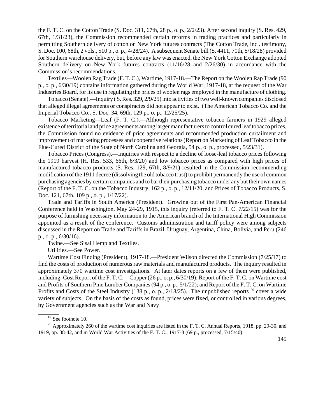the F. T. C. on the Cotton Trade (S. Doc. 311, 67th, 28 p., o. p., 2/2/23). After second inquiry (S. Res. 429, 67th, 1/31/23), the Commission recommended certain reforms in trading practices and particularly in permitting Southern delivery of cotton on New York futures contracts (The Cotton Trade, incl. testimony, S. Doc. 100, 68th, 2 vols., 510 p., o. p., 4/28/24). A subsequent Senate bill (S. 4411, 70th, 5/18/28) provided for Southern warehouse delivery, but, before any law was enacted, the New York Cotton Exchange adopted Southern delivery on New York futures contracts (11/16/28 and 2/26/30) in accordance with the Commission's recommendations.

Textiles—Woolen Rag Trade (F. T. C.), Wartime, 1917-18.—The Report on the Woolen Rap Trade (90 p., o. p., 6/30/19) contains information gathered during the World War, 1917-18, at the request of the War Industries Board, for its use in regulating the prices of woolen rags employed in the manufacture of clothing.

Tobacco (Senate).—Inquiry (S. Res. 329, 2/9/25) into activities of two well-known companies disclosed that alleged illegal agreements or conspiracies did not appear to exist. (The American Tobacco Co. and the Imperial Tobacco Co., S. Doc. 34, 69th, 129 p., o. p., 12/25/25).

Tobacco Marketing—Leaf (F. T. C.).—Although representative tobacco farmers in 1929 alleged existence of territorial and price agreements among larger manufacturers to control cured leaf tobacco prices, the Commission found no evidence of price agreements and recommended production curtailment and improvement of marketing processes and cooperative relations(Report on Marketing of Leaf Tobacco in the Flue-Cured District of the State of North Carolina and Georgia, 54 p., o. p., processed, 5/23/31).

Tobacco Prices (Congress).—Inquiries with respect to a decline of loose-leaf tobacco prices following the 1919 harvest (H. Res. 533, 66th, 6/3/20) and low tobacco prices as compared with high prices of manufactured tobacco products (S. Res. 129, 67th, 8/9/21) resulted in the Commission recommending modification of the 1911 decree (dissolving the old tobacco trust) to prohibit permanently the use of common purchasing agencies by certain companies and to bartheir purchasing tobacco under any but their own names (Report of the F. T. C. on the Tobacco Industry, 162 p., o. p., 12/11/20, and Prices of Tobacco Products, S. Doc. 121, 67th, 109 p., o. p., 1/17/22).

Trade and Tariffs in South America (President). Growing out of the First Pan-American Financial Conference held in Washington, May 24-29, 1915, this inquiry (referred to F. T. C. 7/22/15) was for the purpose of furnishing necessary information to the American branch of the International High Commission appointed as a result of the conference. Customs administration and tariff policy were among subjects discussed in the Report on Trade and Tariffs in Brazil, Uruguay, Argentina, China, Bolivia, and Peru (246 p., o. p., 6/30/16).

Twine.—See Sisal Hemp and Textiles.

Utilities.—See Power.

Wartime Cost Finding (President), 1917-18.—President Wilson directed the Commission (7/25/17) to find the costs of production of numerous raw materials and manufactured products. The inquiry resulted in approximately 370 wartime cost investigations. At later dates reports on a few of them were published, including: Cost Report of the F. T. C.—Copper (26 p., o. p., 6/30/19); Report of the F. T. C. on Wartime cost and Profits of Southern Pine Lumber Companies(94 p., o. p., 5/1/22); and Report of the F. T. C. on Wartime Profits and Costs of the Steel Industry (138 p., o. p., 2/18/25). The unpublished reports  $^{20}$  cover a wide variety of subjects. On the basis of the costs as found, prices were fixed, or controlled in various degrees, by Government agencies such as the War and Navy

<sup>&</sup>lt;sup>19</sup> See footnote 10.

<sup>&</sup>lt;sup>20</sup> Approximately 260 of the wartime cost inquiries are listed in the F. T. C. Annual Reports, 1918, pp. 29-30, and 1919, pp. 38-42, and in World War Activities of the F. T. C., 1917-8 (69 p., processed, 7/15/40).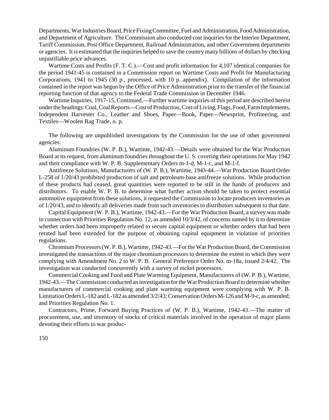Departments, War Industries Board, Price Fixing Committee, Fuel and Administration, Food Administration, and Department of Agriculture. The Commission also conducted cost inquiries for the Interior Department, Tariff Commission, Post Office Department, Railroad Administration, and other Government departments or agencies. It is estimated that the inquiries helped to save the country many billions of dollars by checking unjustifiable price advances.

Wartime Costs and Profits (F. T. C.).—Cost and profit information for 4,107 identical companies for the period 1941-45 is contained in a Commission report on Wartime Costs and Profit for Manufacturing Corporations, 1941 to 1945 (30 p., processed, with 10 p. appendix). Compilation of the information contained in the report was begun by the Office of Price Administration prior to the transfer of the financial reporting function of that agency to the Federal Trade Commission in December 1946.

Wartime Inquiries, 1917-15, Continued.—Further wartime inquiries of this period are described herein under the headings: Coal, Coal Reports—Cost of Production, Cost of Living, Flags, Food, Farm Implements, Independent Harvester Co., Leather and Shoes, Paper—Book, Paper—Newsprint, Profiteering, and Textiles—Woolen Rag Trade, o. p.

The following are unpublished investigations by the Commission for the use of other government agencies:

Aluminum Foundries (W. P. B.), Wartime, 1942-43.—Details were obtained for the War Production Board at its request, from aluminum foundries throughout the U. S. covering their operations for May 1942 and their compliance with W. P. B. Supplementary Orders m-1-d, M-1-c, and M-1-f.

Antifreeze Solutions, Manufacturers of (W. P. B.), Wartime, 1943-44.—War Production Board Order L-258 of 1/20/43 prohibited production of salt and petroleum-base antifreeze solutions. While production of these products had ceased, great quantities were reported to be still in the hands of producers and distributors. To enable W. P. B. to determine what further action should be taken to protect essential automotive equipment from these solutions, it requested the Commission to locate producersinventories as of 1/20/43, and to identify all deliveries made from such inventories to distributors subsequent to that date.

Capital Equipment (W. P. B.), Wartime, 1942-43.—For the War Production Board, a survey was made in connection with Priorities Regulation No. 12, as amended 10/3/42, of concerns named by it to determine whether orders had been improperly related to secure capital equipment or whether orders that had been rerated had been extended for the purpose of obtaining capital equipment in violation of priorities regulations.

ChromiumProcessors(W. P.B.), Wartime, 1942-43.—For the War Production Board, the Commission investigated the transactions of the major chromium processors to determine the extent to which they were complying with Amendment No. 2 to W. P. B. General Preference Order No. m-18a, issued 2/4/42. The investigation was conducted concurrently with a survey of nickel processors.

Commercial Cooking and Food and Plate Warming Equipment, Manufacturers of (W. P. B.), Wartime, 1942-43.—TheCommission conducted an investigation fortheWar ProductionBoard to determine whether manufacturers of commercial cooking and plate warming equipment were complying with W. P. B. Limitation Orders L-182 and L-182 as amended  $3/2/43$ ; Conservation Orders M-126 and M-9-c, as amended; and Priorities Regulation No. 1.

Contractors, Prime, Forward Buying Practices of (W. P. B.), Wartime, 1942-43.—The matter of procurement, use, and inventory of stocks of critical materials involved in the operation of major plants devoting their efforts to war produc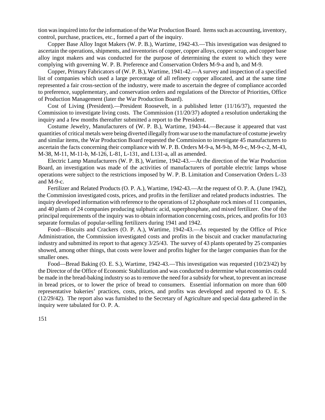tion was inquired into for the information of the War Production Board. Items such as accounting, inventory, control, purchase, practices, etc., formed a part of the inquiry.

Copper Base Alloy Ingot Makers (W. P. B.), Wartime, 1942-43.—This investigation was designed to ascertain the operations, shipments, and inventories of copper, copper alloys, copper scrap, and copper base alloy ingot makers and was conducted for the purpose of determining the extent to which they were complying with governing W. P. B. Preference and Conservation Orders M-9-a and b, and M-9.

Copper, Primary Fabricators of (W. P. B.), Wartime, 1941-42.—A survey and inspection of a specified list of companies which used a large percentage of all refinery copper allocated, and at the same time represented a fair cross-section of the industry, were made to ascertain the degree of compliance accorded to preference, supplementary, and conservation orders and regulations of the Director of Priorities, Office of Production Management (later the War Production Board).

Cost of Living (President).—President Roosevelt, in a published letter (11/16/37), requested the Commission to investigate living costs. The Commission (11/20/37) adopted a resolution undertaking the inquiry and a few months thereafter submitted a report to the President.

Costume Jewelry, Manufacturers of (W. P. B.), Wartime, 1943-44.—Because it appeared that vast quantities of critical metals were being diverted illegally fromwar use to the manufacture of costume jewelry and similar items, the War Production Board requested the Commission to investigate 45 manufacturers to ascertain the facts concerning their compliance with W. P. B. Orders M-9-a, M-9-b, M-9-c, M-9-c-2, M-43, M-38, M-11, M-11-b, M-126, L-81, L-131, and L131-a, all as amended.

Electric Lamp Manufacturers (W. P. B.), Wartime, 1942-43.—At the direction of the War Production Board, an investigation was made of the activities of manufacturers of portable electric lamps whose operations were subject to the restrictions imposed by W. P. B. Limitation and Conservation Orders L-33 and M-9-c.

Fertilizer and Related Products (O. P. A.), Wartime, 1942-43.—At the request of O. P. A. (June 1942), the Commission investigated costs, prices, and profits in the fertilizer and related products industries. The inquiry developed information with reference to the operations of 12 phosphate rock mines of 11 companies, and 40 plants of 24 companies producing sulphuric acid, superphosphate, and mixed fertilizer. One of the principal requirements of the inquiry was to obtain information concerning costs, prices, and profits for 103 separate formulas of popular-selling fertilizers during 1941 and 1942.

Food—Biscuits and Crackers (O. P. A.), Wartime, 1942-43.—As requested by the Office of Price Administration, the Commission investigated costs and profits in the biscuit and cracker manufacturing industry and submitted its report to that agency 3/25/43. The survey of 43 plants operated by 25 companies showed, among other things, that costs were lower and profits higher for the larger companies than for the smaller ones.

Food—Bread Baking (O. E. S.), Wartime, 1942-43.—This investigation was requested (10/23/42) by the Director of the Office of Economic Stabilization and was conducted to determine what economies could be made in the bread-baking industry so asto remove the need for a subsidy for wheat, to prevent an increase in bread prices, or to lower the price of bread to consumers. Essential information on more than 600 representative bakeries' practices, costs, prices, and profits was developed and reported to O. E. S. (12/29/42). The report also was furnished to the Secretary of Agriculture and special data gathered in the inquiry were tabulated for O. P. A.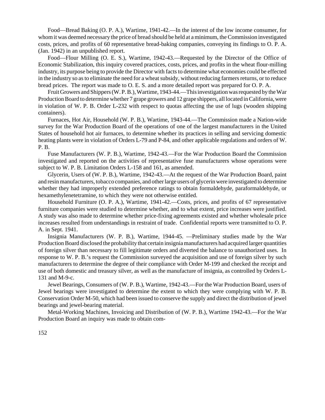Food—Bread Baking (O. P. A.), Wartime, 1941-42.—In the interest of the low income consumer, for whom it was deemed necessary the price of bread should be held at a minimum, the Commission investigated costs, prices, and profits of 60 representative bread-baking companies, conveying its findings to O. P. A. (Jan. 1942) in an unpublished report.

Food—Flour Milling (O. E. S.), Wartime, 1942-43.—Requested by the Director of the Office of Economic Stabilization, this inquiry covered practices, costs, prices, and profits in the wheat flour-milling industry, its purpose being to provide the Director with facts to determine what economies could be effected in the industry so as to eliminate the need for a wheat subsidy, without reducing farmers returns, or to reduce bread prices. The report was made to O. E. S. and a more detailed report was prepared for O. P. A.

Fruit Growers and Shippers (W. P. B.), Wartime, 1943-44.—This investigation was requested by the War Production Board to determine whether 7 grape growers and 12 grape shippers, all located in California, were in violation of W. P. B. Order L-232 with respect to quotas affecting the use of lugs (wooden shipping containers).

Furnaces, Hot Air, Household (W. P. B.), Wartime, 1943-44.—The Commission made a Nation-wide survey for the War Production Board of the operations of one of the largest manufacturers in the United States of household hot air furnaces, to determine whether its practices in selling and servicing domestic heating plants were in violation of Orders L-79 and P-84, and other applicable regulations and orders of W. P. B.

Fuse Manufacturers (W. P. B.), Wartime, 1942-43.—For the War Production Board the Commission investigated and reported on the activities of representative fuse manufacturers whose operations were subject to W. P. B. Limitation Orders L-158 and 161, as amended.

Glycerin, Users of (W. P. B.), Wartime, 1942-43.—At the request of the War Production Board, paint and resin manufacturers, tobacco companies, and other large users of glycerin were investigated to determine whether they had improperly extended preference ratings to obtain formaldehyde, paraformaldehyde, or hexamethylenetetramine, to which they were not otherwise entitled.

Household Furniture (O. P. A.), Wartime, 1941-42.—Costs, prices, and profits of 67 representative furniture companies were studied to determine whether, and to what extent, price increases were justified. A study was also made to determine whether price-fixing agreements existed and whether wholesale price increases resulted from understandings in restraint of trade. Confidential reports were transmitted to O. P. A. in Sept. 1941.

Insignia Manufacturers (W. P. B.), Wartime, 1944-45. —Preliminary studies made by the War Production Board disclosed the probability that certain insignia manufacturers had acquired larger quantities of foreign silver than necessary to fill legitimate orders and diverted the balance to unauthorized uses. In response to W. P. B.'s request the Commission surveyed the acquisition and use of foreign silver by such manufacturers to determine the degree of their compliance with Order M-199 and checked the receipt and use of both domestic and treasury silver, as well as the manufacture of insignia, as controlled by Orders L-131 and M-9-c.

Jewel Bearings, Consumers of (W. P. B.), Wartime, 1942-43.—For the War Production Board, users of Jewel bearings were investigated to determine the extent to which they were complying with W. P. B. Conservation Order M-50, which had been issued to conserve the supply and direct the distribution of jewel bearings and jewel-bearing material.

Metal-Working Machines, Invoicing and Distribution of (W. P. B.), Wartime 1942-43.—For the War Production Board an inquiry was made to obtain com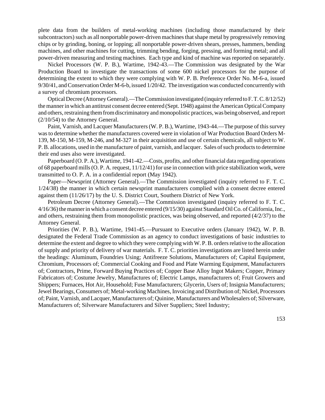plete data from the builders of metal-working machines (including those manufactured by their subcontractors) such as all nonportable power-driven machines that shape metal by progressively removing chips or by grinding, boning, or lopping; all nonportable power-driven shears, presses, hammers, bending machines, and other machines for cutting, trimming bending, forging, pressing, and forming metal; and all power-driven measuring and testing machines. Each type and kind of machine was reported on separately.

Nickel Processors (W. P. B.), Wartime, 1942-43.—The Commission was designated by the War Production Board to investigate the transactions of some 600 nickel processors for the purpose of determining the extent to which they were complying with W. P. B. Preference Order No. M-6-a, issued 9/30/41, and Conservation Order M-6-b, issued 1/20/42. The investigation was conducted concurrently with a survey of chromium processors.

OpticalDecree (AttorneyGeneral).—TheCommission investigated (inquiry referred to F. T. C. 8/12/52) themannerin which an antitrust consent decree entered (Sept. 1948) against the American OpticalCompany and others, restraining them from discriminatory and monopolistic practices, was being observed, and report (2/10/54) to the Attorney General.

Paint, Varnish, and Lacquer Manufacturers (W. P. B.), Wartime, 1943-44.—The purpose of this survey wasto determine whether the manufacturers covered were in violation of War Production Board Orders M-139, M-150, M-159, M-246, and M-327 in their acquisition and use of certain chemicals, all subject to W. P.B. allocations, used in the manufacture of paint, varnish, and lacquer. Sales of such products to determine their end uses also were investigated.

Paperboard (O. P. A.), Wartime, 1941-42.—Costs, profits, and other financial data regarding operations of 68 paperboard mills(O. P. A. request, 11/12/41) for use in connection with price stabilization work, were transmitted to O. P. A. in a confidential report (May 1942).

Paper—Newsprint (Attorney General).—The Commission investigated (inquiry referred to F. T. C. 1/24/38) the manner in which certain newsprint manufacturers complied with a consent decree entered against them (11/26/17) by the U. S. District Court, Southern District of New York.

Petroleum Decree (Attorney General).—The Commission investigated (inquiry referred to F. T. C. 4/16/36) the manner in which a consent decree entered (9/15/30) against Standard Oil Co. of California, Inc., and others, restraining them from monopolistic practices, was being observed, and reported (4/2/37) to the Attorney General.

Priorities (W. P. B.), Wartime, 1941-45.—Pursuant to Executive orders (January 1942), W. P. B. designated the Federal Trade Commission as an agency to conduct investigations of basic industries to determine the extent and degree to which they were complying with W. P.B. ordersrelative to the allocation of supply and priority of delivery of war materials. F. T. C. priorities investigations are listed herein under the headings: Aluminum, Foundries Using; Antifreeze Solutions, Manufacturers of; Capital Equipment, Chromium, Processors of; Commercial Cooking and Food and Plate Warming Equipment, Manufacturers of; Contractors, Prime, Forward Buying Practices of; Copper Base Alloy Ingot Makers; Copper, Primary Fabricators of; Costume Jewelry, Manufactures of; Electric Lamps, manufacturers of; Fruit Growers and Shippers; Furnaces, Hot Air, Household; Fuse Manufacturers; Glycerin, Users of; Insignia Manufacturers; Jewel Bearings, Consumers of; Metal-working Machines, Invoicing and Distribution of; Nickel, Processors of; Paint, Varnish, andLacquer, Manufacturers of; Quinine, Manufacturers andWholesalers of; Silverware, Manufacturers of; Silverware Manufacturers and Silver Suppliers; Steel Industry;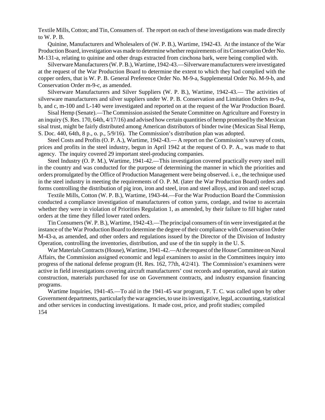Textile Mills, Cotton; and Tin, Consumers of. The report on each of these investigations was made directly to W. P. B.

Quinine, Manufacturers and Wholesalers of (W. P. B.), Wartime, 1942-43. At the instance of the War Production Board, investigation was made to determine whether requirements of its Conservation Order No. M-131-a, relating to quinine and other drugs extracted from cinchona bark, were being complied with.

Silverware Manufacturers (W. P. B.), Wartime, 1942-43.—Silverware manufacturers were investigated at the request of the War Production Board to determine the extent to which they had complied with the copper orders, that is W. P. B. General Preference Order No. M-9-a, Supplemental Order No. M-9-b, and Conservation Order m-9-c, as amended.

Silverware Manufacturers and Silver Suppliers (W. P. B.), Wartime, 1942-43.— The activities of silverware manufacturers and silver suppliers under W. P. B. Conservation and Limitation Orders m-9-a, b, and c, m-100 and L-140 were investigated and reported on at the request of the War Production Board.

Sisal Hemp (Senate).—The Commission assisted the Senate Committee on Agriculture and Forestry in an inquiry (S. Res. 170, 64th, 4/17/16) and advised how certain quantities of hemp promised by the Mexican sisal trust, might be fairly distributed among American distributors of binder twine (Mexican Sisal Hemp, S. Doc. 440, 64th, 8 p., o. p., 5/9/16). The Commission's distribution plan was adopted.

Steel Costs and Profits (O. P. A.), Wartime, 1942-43.— A report on the Commission's survey of costs, prices and profits in the steel industry, begun in April 1942 at the request of O. P. A., was made to that agency. The inquiry covered 29 important steel-producing companies.

Steel Industry (O. P. M.), Wartime, 1941-42.—This investigation covered practically every steel mill in the country and was conducted for the purpose of determining the manner in which the priorities and orders promulgated by the Office of Production Management were being observed. i. e., the technique used in the steel industry in meeting the requirements of O. P. M. (later the War Production Board) orders and forms controlling the distribution of pig iron, iron and steel, iron and steel alloys, and iron and steel scrap.

Textile Mills, Cotton (W. P. B.), Wartime, 1943-44.—For the War Production Board the Commission conducted a compliance investigation of manufacturers of cotton yarns, cordage, and twine to ascertain whether they were in violation of Priorities Regulation 1, as amended, by their failure to fill higher rated orders at the time they filled lower rated orders.

Tin Consumers(W. P. B.), Wartime, 1942-43.—The principal consumers of tin were investigated at the instance of the War Production Board to determine the degree of their compliance with Conservation Order M-43-a, as amended, and other orders and regulations issued by the Director of the Division of Industry Operation, controlling the inventories, distribution, and use of the tin supply in the U. S.

War Materials Contracts (House), Wartime, 1941-42.—At the request of the House Committee on Naval Affairs, the Commission assigned economic and legal examiners to assist in the Committees inquiry into progress of the national defense program (H. Res. 162, 77th, 4/2/41). The Commission's examiners were active in field investigations covering aircraft manufacturers' cost records and operation, naval air station construction, materials purchased for use on Government contracts, and industry expansion financing programs.

Wartime Inquiries, 1941-45.—To aid in the 1941-45 war program, F. T. C. was called upon by other Government departments, particularly the war agencies, to use its investigative, legal, accounting, statistical and other services in conducting investigations. It made cost, price, and profit studies; compiled 154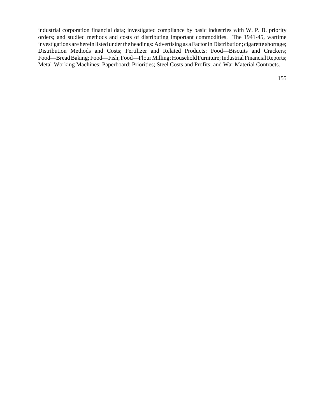industrial corporation financial data; investigated compliance by basic industries with W. P. B. priority orders; and studied methods and costs of distributing important commodities. The 1941-45, wartime investigations are herein listed under the headings: Advertising as a Factor in Distribution; cigarette shortage; Distribution Methods and Costs; Fertilizer and Related Products; Food—Biscuits and Crackers; Food—BreadBaking; Food—Fish; Food—Flour Milling; Household Furniture; Industrial Financial Reports; Metal-Working Machines; Paperboard; Priorities; Steel Costs and Profits; and War Material Contracts.